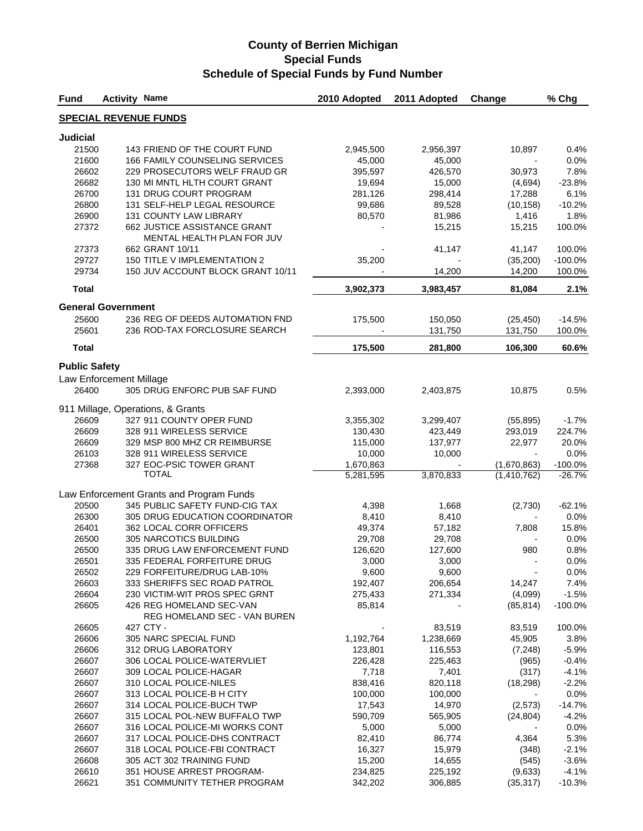| <b>Fund</b>               | <b>Activity Name</b> |                                                                   | 2010 Adopted       | 2011 Adopted       | Change               | % Chg               |
|---------------------------|----------------------|-------------------------------------------------------------------|--------------------|--------------------|----------------------|---------------------|
|                           |                      | <b>SPECIAL REVENUE FUNDS</b>                                      |                    |                    |                      |                     |
| <b>Judicial</b>           |                      |                                                                   |                    |                    |                      |                     |
| 21500                     |                      | 143 FRIEND OF THE COURT FUND                                      | 2,945,500          | 2,956,397          | 10,897               | 0.4%                |
| 21600                     |                      | <b>166 FAMILY COUNSELING SERVICES</b>                             | 45,000             | 45,000             |                      | 0.0%                |
| 26602                     |                      | 229 PROSECUTORS WELF FRAUD GR                                     | 395,597            | 426,570            | 30,973               | 7.8%                |
| 26682                     |                      | 130 MI MNTL HLTH COURT GRANT                                      | 19,694             | 15,000             | (4,694)              | $-23.8%$            |
| 26700                     |                      | 131 DRUG COURT PROGRAM                                            | 281,126            | 298,414            | 17,288               | 6.1%                |
| 26800                     |                      | 131 SELF-HELP LEGAL RESOURCE                                      | 99,686             | 89,528             | (10, 158)            | $-10.2%$            |
| 26900                     |                      | 131 COUNTY LAW LIBRARY                                            | 80,570             | 81,986             | 1,416                | 1.8%                |
| 27372                     |                      | 662 JUSTICE ASSISTANCE GRANT<br>MENTAL HEALTH PLAN FOR JUV        |                    | 15,215             | 15,215               | 100.0%              |
| 27373                     |                      | 662 GRANT 10/11                                                   |                    | 41,147             | 41,147               | 100.0%              |
| 29727<br>29734            |                      | 150 TITLE V IMPLEMENTATION 2<br>150 JUV ACCOUNT BLOCK GRANT 10/11 | 35,200             | 14,200             | (35,200)<br>14,200   | $-100.0%$<br>100.0% |
| <b>Total</b>              |                      |                                                                   | 3,902,373          | 3,983,457          | 81,084               | 2.1%                |
| <b>General Government</b> |                      |                                                                   |                    |                    |                      |                     |
| 25600                     |                      | 236 REG OF DEEDS AUTOMATION FND                                   |                    |                    |                      |                     |
| 25601                     |                      | 236 ROD-TAX FORCLOSURE SEARCH                                     | 175,500            | 150,050<br>131,750 | (25, 450)<br>131,750 | $-14.5%$<br>100.0%  |
| <b>Total</b>              |                      |                                                                   | 175,500            | 281,800            | 106,300              | 60.6%               |
| <b>Public Safety</b>      |                      |                                                                   |                    |                    |                      |                     |
| Law Enforcement Millage   |                      |                                                                   |                    |                    |                      |                     |
| 26400                     |                      | 305 DRUG ENFORC PUB SAF FUND                                      | 2,393,000          | 2,403,875          | 10,875               | 0.5%                |
|                           |                      | 911 Millage, Operations, & Grants                                 |                    |                    |                      |                     |
| 26609                     |                      | 327 911 COUNTY OPER FUND                                          | 3,355,302          | 3,299,407          | (55, 895)            | $-1.7%$             |
| 26609                     |                      | 328 911 WIRELESS SERVICE                                          | 130,430            | 423,449            | 293,019              | 224.7%              |
| 26609                     |                      | 329 MSP 800 MHZ CR REIMBURSE                                      | 115,000            | 137,977            | 22,977               | 20.0%               |
| 26103                     |                      | 328 911 WIRELESS SERVICE                                          | 10,000             | 10,000             |                      | 0.0%                |
| 27368                     |                      | 327 EOC-PSIC TOWER GRANT                                          | 1,670,863          |                    | (1,670,863)          | $-100.0%$           |
|                           |                      | <b>TOTAL</b>                                                      | 5,281,595          | 3,870,833          | (1,410,762)          | $-26.7%$            |
|                           |                      | Law Enforcement Grants and Program Funds                          |                    |                    |                      |                     |
| 20500                     |                      | 345 PUBLIC SAFETY FUND-CIG TAX                                    | 4,398              | 1,668              | (2,730)              | $-62.1%$            |
| 26300                     |                      | 305 DRUG EDUCATION COORDINATOR                                    | 8,410              | 8,410              |                      | 0.0%                |
| 26401                     |                      | 362 LOCAL CORR OFFICERS                                           | 49,374             | 57,182             | 7,808                | 15.8%               |
| 26500                     |                      | 305 NARCOTICS BUILDING                                            | 29,708             | 29,708             |                      | 0.0%                |
| 26500                     |                      | 335 DRUG LAW ENFORCEMENT FUND                                     | 126.620            | 127,600            | 980                  | 0.8%                |
| 26501                     |                      | 335 FEDERAL FORFEITURE DRUG                                       | 3,000              | 3,000              |                      | 0.0%                |
| 26502                     |                      | 229 FORFEITURE/DRUG LAB-10%                                       | 9,600              | 9,600              |                      | 0.0%                |
| 26603                     |                      | 333 SHERIFFS SEC ROAD PATROL                                      | 192,407            | 206,654            | 14,247               | 7.4%                |
| 26604                     |                      | 230 VICTIM-WIT PROS SPEC GRNT                                     | 275,433            | 271,334            | (4,099)              | $-1.5%$             |
| 26605                     |                      | 426 REG HOMELAND SEC-VAN<br>REG HOMELAND SEC - VAN BUREN          | 85,814             |                    | (85, 814)            | $-100.0%$           |
| 26605                     |                      | 427 CTY -                                                         |                    | 83,519             | 83,519               | 100.0%              |
| 26606                     |                      | 305 NARC SPECIAL FUND                                             | 1,192,764          | 1,238,669          | 45,905               | 3.8%                |
| 26606                     |                      | 312 DRUG LABORATORY                                               | 123,801            | 116,553            | (7, 248)             | $-5.9%$             |
| 26607                     |                      | 306 LOCAL POLICE-WATERVLIET                                       | 226,428            | 225,463            | (965)                | $-0.4%$             |
| 26607                     |                      | 309 LOCAL POLICE-HAGAR                                            | 7,718              | 7,401              | (317)                | $-4.1%$             |
| 26607                     |                      | 310 LOCAL POLICE-NILES                                            | 838,416            | 820,118            | (18, 298)            | $-2.2%$             |
| 26607                     |                      | 313 LOCAL POLICE-B H CITY                                         | 100,000            | 100,000            |                      | 0.0%                |
| 26607                     |                      | 314 LOCAL POLICE-BUCH TWP                                         | 17,543             | 14,970             | (2,573)              | $-14.7%$            |
| 26607                     |                      | 315 LOCAL POL-NEW BUFFALO TWP                                     | 590,709            | 565,905            | (24, 804)            | $-4.2%$             |
| 26607                     |                      | 316 LOCAL POLICE-MI WORKS CONT                                    | 5,000              | 5,000              |                      | 0.0%                |
| 26607                     |                      | 317 LOCAL POLICE-DHS CONTRACT                                     | 82,410             | 86,774             | 4,364                | 5.3%                |
| 26607                     |                      | 318 LOCAL POLICE-FBI CONTRACT                                     | 16,327             | 15,979             | (348)                | $-2.1%$             |
| 26608                     |                      | 305 ACT 302 TRAINING FUND<br>351 HOUSE ARREST PROGRAM-            | 15,200             | 14,655             | (545)                | $-3.6%$             |
| 26610<br>26621            |                      | 351 COMMUNITY TETHER PROGRAM                                      | 234,825<br>342,202 | 225,192<br>306,885 | (9,633)<br>(35, 317) | $-4.1%$<br>$-10.3%$ |
|                           |                      |                                                                   |                    |                    |                      |                     |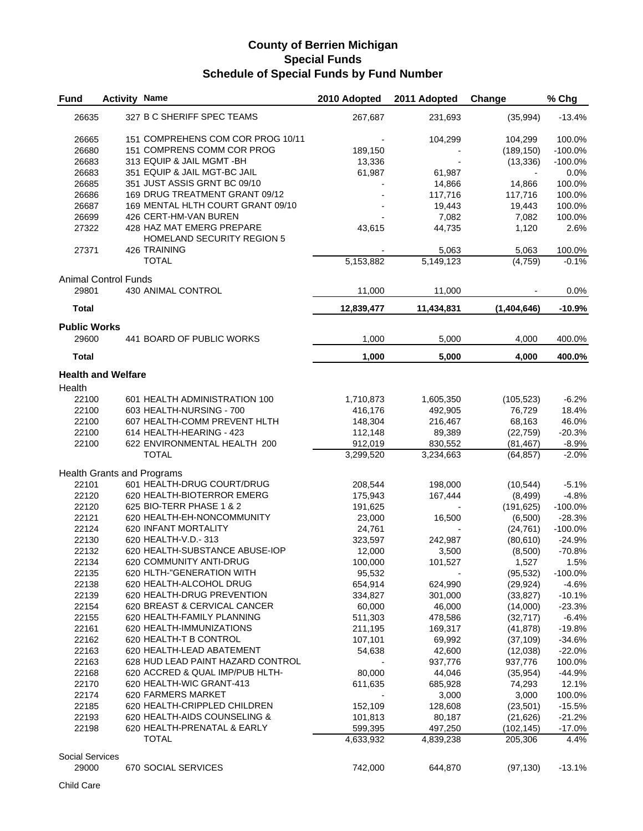| <b>Fund</b>                 | <b>Activity Name</b> |                                                         | 2010 Adopted | 2011 Adopted | Change      | % Chg              |
|-----------------------------|----------------------|---------------------------------------------------------|--------------|--------------|-------------|--------------------|
| 26635                       |                      | 327 B C SHERIFF SPEC TEAMS                              | 267,687      | 231,693      | (35,994)    | $-13.4%$           |
| 26665                       |                      | 151 COMPREHENS COM COR PROG 10/11                       |              | 104,299      | 104,299     | 100.0%             |
| 26680                       |                      | 151 COMPRENS COMM COR PROG                              | 189,150      |              | (189, 150)  | $-100.0%$          |
| 26683                       |                      | 313 EQUIP & JAIL MGMT - BH                              | 13,336       |              | (13, 336)   | $-100.0%$          |
| 26683                       |                      | 351 EQUIP & JAIL MGT-BC JAIL                            | 61,987       | 61,987       |             | 0.0%               |
| 26685                       |                      | 351 JUST ASSIS GRNT BC 09/10                            |              | 14,866       | 14,866      | 100.0%             |
| 26686                       |                      | 169 DRUG TREATMENT GRANT 09/12                          |              | 117,716      | 117,716     | 100.0%             |
| 26687                       |                      | 169 MENTAL HLTH COURT GRANT 09/10                       |              | 19,443       | 19,443      | 100.0%             |
|                             |                      | 426 CERT-HM-VAN BUREN                                   |              |              |             |                    |
| 26699                       |                      |                                                         |              | 7,082        | 7,082       | 100.0%             |
| 27322                       |                      | 428 HAZ MAT EMERG PREPARE<br>HOMELAND SECURITY REGION 5 | 43,615       | 44,735       | 1,120       | 2.6%               |
| 27371                       |                      | 426 TRAINING                                            |              | 5,063        | 5,063       | 100.0%             |
|                             |                      | <b>TOTAL</b>                                            | 5,153,882    | 5,149,123    | (4, 759)    | $-0.1%$            |
| <b>Animal Control Funds</b> |                      |                                                         |              |              |             |                    |
| 29801                       |                      | 430 ANIMAL CONTROL                                      | 11,000       | 11,000       |             | 0.0%               |
| <b>Total</b>                |                      |                                                         | 12,839,477   | 11,434,831   | (1,404,646) | $-10.9%$           |
| <b>Public Works</b>         |                      |                                                         |              |              |             |                    |
| 29600                       |                      | 441 BOARD OF PUBLIC WORKS                               | 1,000        | 5,000        | 4,000       | 400.0%             |
| <b>Total</b>                |                      |                                                         | 1,000        | 5,000        | 4,000       | 400.0%             |
| <b>Health and Welfare</b>   |                      |                                                         |              |              |             |                    |
| Health                      |                      |                                                         |              |              |             |                    |
| 22100                       |                      | 601 HEALTH ADMINISTRATION 100                           | 1,710,873    | 1,605,350    | (105, 523)  | $-6.2%$            |
| 22100                       |                      | 603 HEALTH-NURSING - 700                                | 416,176      | 492,905      | 76,729      | 18.4%              |
| 22100                       |                      | 607 HEALTH-COMM PREVENT HLTH                            | 148,304      | 216,467      | 68,163      | 46.0%              |
| 22100                       |                      | 614 HEALTH-HEARING - 423                                | 112,148      | 89,389       | (22, 759)   | $-20.3%$           |
| 22100                       |                      | 622 ENVIRONMENTAL HEALTH 200                            | 912,019      | 830,552      | (81, 467)   |                    |
|                             |                      | <b>TOTAL</b>                                            | 3,299,520    | 3,234,663    | (64, 857)   | $-8.9%$<br>$-2.0%$ |
|                             |                      |                                                         |              |              |             |                    |
|                             |                      | <b>Health Grants and Programs</b>                       |              |              |             |                    |
| 22101                       |                      | 601 HEALTH-DRUG COURT/DRUG                              | 208,544      | 198,000      | (10, 544)   | $-5.1%$            |
| 22120                       |                      | 620 HEALTH-BIOTERROR EMERG                              | 175,943      | 167,444      | (8, 499)    | $-4.8%$            |
| 22120                       |                      | 625 BIO-TERR PHASE 1 & 2                                | 191,625      |              | (191, 625)  | $-100.0%$          |
| 22121                       |                      | 620 HEALTH-EH-NONCOMMUNITY                              | 23,000       | 16,500       | (6,500)     | $-28.3%$           |
| 22124                       |                      | 620 INFANT MORTALITY                                    | 24,761       |              | (24, 761)   | $-100.0%$          |
| 22130                       |                      | 620 HEALTH-V.D.- 313                                    | 323,597      | 242,987      | (80,610)    | $-24.9%$           |
| 22132                       |                      | 620 HEALTH-SUBSTANCE ABUSE-IOP                          | 12,000       | 3,500        | (8,500)     | $-70.8%$           |
| 22134                       |                      | 620 COMMUNITY ANTI-DRUG                                 | 100,000      | 101,527      | 1,527       | 1.5%               |
| 22135                       |                      | 620 HLTH-"GENERATION WITH                               | 95,532       |              | (95, 532)   | $-100.0%$          |
| 22138                       |                      | 620 HEALTH-ALCOHOL DRUG                                 | 654,914      | 624,990      | (29, 924)   | $-4.6%$            |
| 22139                       |                      | 620 HEALTH-DRUG PREVENTION                              | 334,827      | 301,000      | (33, 827)   | $-10.1%$           |
| 22154                       |                      | 620 BREAST & CERVICAL CANCER                            |              | 46,000       |             |                    |
|                             |                      |                                                         | 60,000       |              | (14,000)    | $-23.3%$           |
| 22155                       |                      | 620 HEALTH-FAMILY PLANNING                              | 511,303      | 478,586      | (32, 717)   | $-6.4%$            |
| 22161                       |                      | 620 HEALTH-IMMUNIZATIONS                                | 211,195      | 169,317      | (41, 878)   | $-19.8%$           |
| 22162                       |                      | 620 HEALTH-T B CONTROL                                  | 107,101      | 69,992       | (37, 109)   | $-34.6%$           |
| 22163                       |                      | 620 HEALTH-LEAD ABATEMENT                               | 54,638       | 42,600       | (12,038)    | $-22.0%$           |
| 22163                       |                      | 628 HUD LEAD PAINT HAZARD CONTROL                       |              | 937,776      | 937,776     | 100.0%             |
| 22168                       |                      | 620 ACCRED & QUAL IMP/PUB HLTH-                         | 80,000       | 44,046       | (35, 954)   | $-44.9%$           |
| 22170                       |                      | 620 HEALTH-WIC GRANT-413                                | 611,635      | 685,928      | 74,293      | 12.1%              |
| 22174                       |                      | 620 FARMERS MARKET                                      |              | 3,000        | 3,000       | 100.0%             |
| 22185                       |                      | 620 HEALTH-CRIPPLED CHILDREN                            | 152,109      | 128,608      | (23, 501)   | $-15.5%$           |
| 22193                       |                      | 620 HEALTH-AIDS COUNSELING &                            | 101,813      | 80,187       | (21, 626)   | $-21.2%$           |
| 22198                       |                      | 620 HEALTH-PRENATAL & EARLY                             | 599,395      | 497,250      | (102, 145)  | $-17.0%$           |
|                             |                      | <b>TOTAL</b>                                            | 4,633,932    | 4,839,238    | 205,306     | 4.4%               |
| <b>Social Services</b>      |                      |                                                         |              |              |             |                    |
| 29000                       |                      | 670 SOCIAL SERVICES                                     | 742,000      | 644,870      | (97, 130)   | $-13.1%$           |
|                             |                      |                                                         |              |              |             |                    |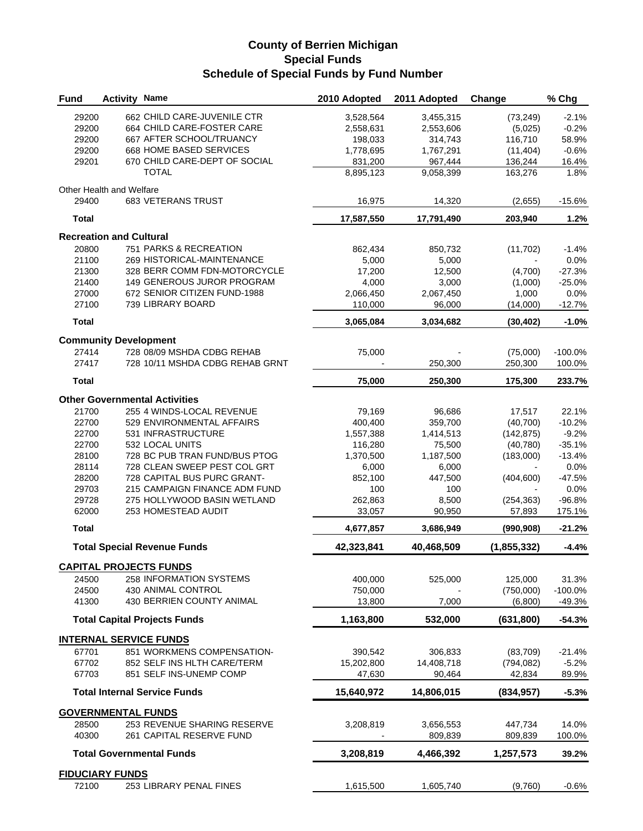| <b>Fund</b>    | <b>Activity Name</b>           |                                                 | 2010 Adopted      | 2011 Adopted | Change               | % Chg                 |
|----------------|--------------------------------|-------------------------------------------------|-------------------|--------------|----------------------|-----------------------|
| 29200          |                                | 662 CHILD CARE-JUVENILE CTR                     | 3,528,564         | 3,455,315    | (73, 249)            | $-2.1%$               |
| 29200          |                                | 664 CHILD CARE-FOSTER CARE                      | 2,558,631         | 2,553,606    | (5,025)              | $-0.2%$               |
| 29200          |                                | 667 AFTER SCHOOL/TRUANCY                        | 198,033           | 314,743      | 116,710              | 58.9%                 |
| 29200          |                                | 668 HOME BASED SERVICES                         | 1,778,695         | 1,767,291    | (11, 404)            | $-0.6%$               |
| 29201          |                                | 670 CHILD CARE-DEPT OF SOCIAL                   | 831,200           | 967,444      | 136,244              | 16.4%                 |
|                |                                | <b>TOTAL</b>                                    | 8,895,123         | 9,058,399    | 163,276              | 1.8%                  |
|                | Other Health and Welfare       |                                                 |                   |              |                      |                       |
| 29400          |                                | <b>683 VETERANS TRUST</b>                       | 16,975            | 14,320       | (2,655)              | $-15.6%$              |
| <b>Total</b>   |                                |                                                 | 17,587,550        | 17,791,490   | 203,940              | 1.2%                  |
|                | <b>Recreation and Cultural</b> |                                                 |                   |              |                      |                       |
| 20800          |                                | 751 PARKS & RECREATION                          | 862,434           | 850,732      | (11, 702)            | $-1.4%$               |
| 21100          |                                | 269 HISTORICAL-MAINTENANCE                      | 5,000             | 5,000        |                      | 0.0%                  |
| 21300          |                                | 328 BERR COMM FDN-MOTORCYCLE                    | 17,200            | 12,500       | (4,700)              | $-27.3%$              |
| 21400          |                                | 149 GENEROUS JUROR PROGRAM                      | 4,000             | 3,000        | (1,000)              | $-25.0%$              |
| 27000          |                                | 672 SENIOR CITIZEN FUND-1988                    | 2,066,450         | 2,067,450    | 1,000                | 0.0%                  |
| 27100          |                                | 739 LIBRARY BOARD                               | 110,000           | 96,000       | (14,000)             | $-12.7%$              |
| <b>Total</b>   |                                |                                                 | 3,065,084         | 3,034,682    | (30, 402)            | $-1.0%$               |
|                | <b>Community Development</b>   |                                                 |                   |              |                      |                       |
| 27414          |                                | 728 08/09 MSHDA CDBG REHAB                      | 75,000            |              | (75,000)             | $-100.0%$             |
| 27417          |                                | 728 10/11 MSHDA CDBG REHAB GRNT                 |                   | 250,300      | 250,300              | 100.0%                |
| <b>Total</b>   |                                |                                                 | 75,000            | 250,300      | 175,300              | 233.7%                |
|                |                                | <b>Other Governmental Activities</b>            |                   |              |                      |                       |
| 21700          |                                | 255 4 WINDS-LOCAL REVENUE                       | 79,169            | 96,686       | 17,517               | 22.1%                 |
| 22700          |                                | 529 ENVIRONMENTAL AFFAIRS                       | 400,400           | 359,700      | (40, 700)            | $-10.2%$              |
| 22700          |                                | 531 INFRASTRUCTURE                              | 1,557,388         | 1,414,513    | (142, 875)           | $-9.2%$               |
| 22700          |                                | 532 LOCAL UNITS                                 | 116,280           | 75,500       | (40, 780)            | $-35.1%$              |
| 28100          |                                | 728 BC PUB TRAN FUND/BUS PTOG                   | 1,370,500         | 1,187,500    | (183,000)            | $-13.4%$              |
| 28114          |                                | 728 CLEAN SWEEP PEST COL GRT                    | 6,000             | 6,000        |                      | 0.0%                  |
| 28200          |                                | 728 CAPITAL BUS PURC GRANT-                     | 852,100           | 447,500      | (404, 600)           | $-47.5%$              |
| 29703          |                                | 215 CAMPAIGN FINANCE ADM FUND                   | 100               | 100          |                      | 0.0%                  |
| 29728          |                                | 275 HOLLYWOOD BASIN WETLAND                     | 262,863           | 8,500        | (254, 363)           | $-96.8%$              |
| 62000          |                                | 253 HOMESTEAD AUDIT                             | 33,057            | 90,950       | 57,893               | 175.1%                |
| <b>Total</b>   |                                |                                                 | 4,677,857         | 3,686,949    | (990, 908)           | $-21.2%$              |
|                |                                | <b>Total Special Revenue Funds</b>              | 42,323,841        | 40,468,509   | (1,855,332)          | $-4.4%$               |
|                |                                |                                                 |                   |              |                      |                       |
|                |                                | <b>CAPITAL PROJECTS FUNDS</b>                   |                   |              |                      |                       |
| 24500          |                                | 258 INFORMATION SYSTEMS                         | 400,000           | 525,000      | 125,000              | 31.3%                 |
| 24500<br>41300 |                                | 430 ANIMAL CONTROL<br>430 BERRIEN COUNTY ANIMAL | 750,000<br>13,800 | 7,000        | (750,000)<br>(6,800) | $-100.0%$<br>$-49.3%$ |
|                |                                |                                                 |                   |              |                      |                       |
|                |                                | <b>Total Capital Projects Funds</b>             | 1,163,800         | 532,000      | (631, 800)           | $-54.3%$              |
|                |                                | <b>INTERNAL SERVICE FUNDS</b>                   |                   |              |                      |                       |
| 67701          |                                | 851 WORKMENS COMPENSATION-                      | 390,542           | 306,833      | (83,709)             | $-21.4%$              |
| 67702          |                                | 852 SELF INS HLTH CARE/TERM                     | 15,202,800        | 14,408,718   | (794, 082)           | $-5.2%$               |
| 67703          |                                | 851 SELF INS-UNEMP COMP                         | 47,630            | 90,464       | 42,834               | 89.9%                 |
|                |                                | <b>Total Internal Service Funds</b>             | 15,640,972        | 14,806,015   | (834, 957)           | $-5.3%$               |
|                | <b>GOVERNMENTAL FUNDS</b>      |                                                 |                   |              |                      |                       |
| 28500          |                                | 253 REVENUE SHARING RESERVE                     | 3,208,819         | 3,656,553    | 447,734              | 14.0%                 |
| 40300          |                                | 261 CAPITAL RESERVE FUND                        |                   | 809,839      | 809,839              | 100.0%                |
|                |                                | <b>Total Governmental Funds</b>                 | 3,208,819         | 4,466,392    | 1,257,573            | 39.2%                 |
|                |                                |                                                 |                   |              |                      |                       |
|                | <b>FIDUCIARY FUNDS</b>         |                                                 |                   |              |                      |                       |
| 72100          |                                | 253 LIBRARY PENAL FINES                         | 1,615,500         | 1,605,740    | (9,760)              | $-0.6%$               |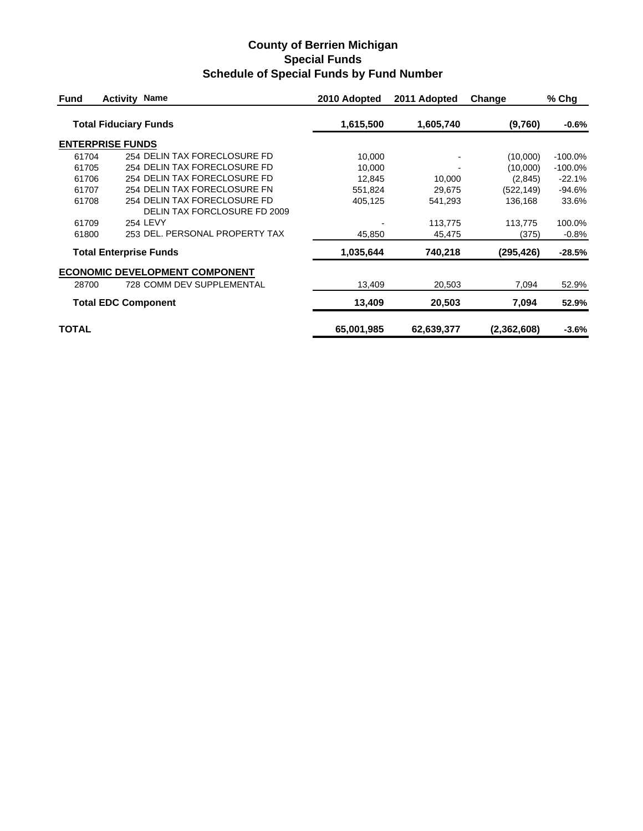| <b>Fund</b>  | <b>Activity Name</b>                  | 2010 Adopted | 2011 Adopted | Change      | % Chg     |
|--------------|---------------------------------------|--------------|--------------|-------------|-----------|
|              | <b>Total Fiduciary Funds</b>          | 1,615,500    | 1,605,740    | (9,760)     | $-0.6%$   |
|              | <b>ENTERPRISE FUNDS</b>               |              |              |             |           |
| 61704        | 254 DELIN TAX FORECLOSURE FD          | 10,000       |              | (10,000)    | $-100.0%$ |
| 61705        | 254 DELIN TAX FORECLOSURE FD          | 10,000       |              | (10,000)    | $-100.0%$ |
| 61706        | 254 DELIN TAX FORECLOSURE FD          | 12,845       | 10,000       | (2,845)     | $-22.1%$  |
| 61707        | 254 DELIN TAX FORECLOSURE FN          | 551,824      | 29,675       | (522, 149)  | $-94.6%$  |
| 61708        | 254 DELIN TAX FORECLOSURE FD          | 405,125      | 541,293      | 136,168     | 33.6%     |
|              | DELIN TAX FORCLOSURE FD 2009          |              |              |             |           |
| 61709        | 254 LEVY                              |              | 113,775      | 113,775     | 100.0%    |
| 61800        | 253 DEL, PERSONAL PROPERTY TAX        | 45,850       | 45,475       | (375)       | $-0.8\%$  |
|              | <b>Total Enterprise Funds</b>         | 1,035,644    | 740,218      | (295,426)   | -28.5%    |
|              | <b>ECONOMIC DEVELOPMENT COMPONENT</b> |              |              |             |           |
| 28700        | 728 COMM DEV SUPPLEMENTAL             | 13,409       | 20,503       | 7,094       | 52.9%     |
|              | <b>Total EDC Component</b>            | 13,409       | 20,503       | 7,094       | 52.9%     |
| <b>TOTAL</b> |                                       | 65,001,985   | 62,639,377   | (2,362,608) | $-3.6%$   |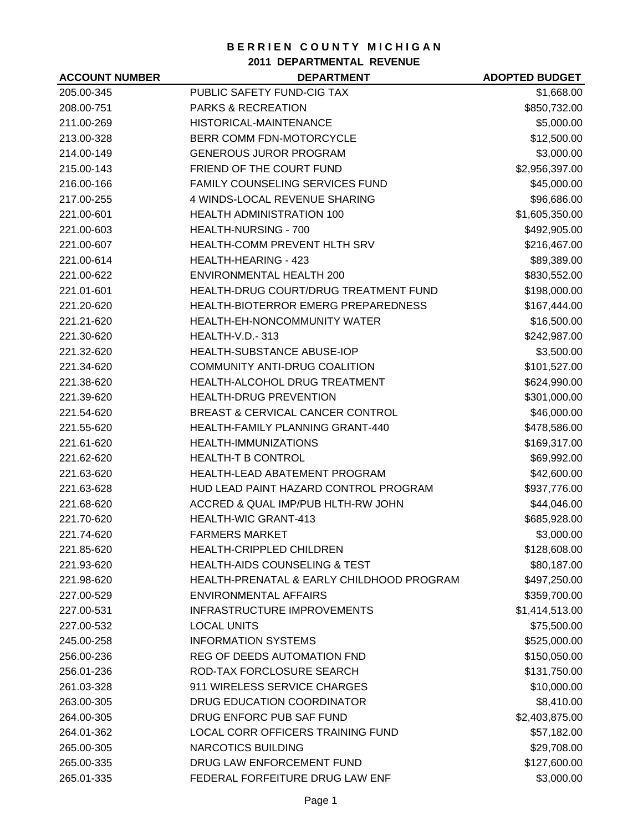**2011 DEPARTMENTAL REVENUE**

| <b>ACCOUNT NUMBER</b> | <b>DEPARTMENT</b>                          | <b>ADOPTED BUDGET</b> |
|-----------------------|--------------------------------------------|-----------------------|
| 205.00-345            | PUBLIC SAFETY FUND-CIG TAX                 | \$1,668.00            |
| 208.00-751            | <b>PARKS &amp; RECREATION</b>              | \$850,732.00          |
| 211.00-269            | HISTORICAL-MAINTENANCE                     | \$5,000.00            |
| 213.00-328            | BERR COMM FDN-MOTORCYCLE                   | \$12,500.00           |
| 214.00-149            | <b>GENEROUS JUROR PROGRAM</b>              | \$3,000.00            |
| 215.00-143            | FRIEND OF THE COURT FUND                   | \$2,956,397.00        |
| 216.00-166            | <b>FAMILY COUNSELING SERVICES FUND</b>     | \$45,000.00           |
| 217.00-255            | 4 WINDS-LOCAL REVENUE SHARING              | \$96,686.00           |
| 221.00-601            | <b>HEALTH ADMINISTRATION 100</b>           | \$1,605,350.00        |
| 221.00-603            | HEALTH-NURSING - 700                       | \$492,905.00          |
| 221.00-607            | <b>HEALTH-COMM PREVENT HLTH SRV</b>        | \$216,467.00          |
| 221.00-614            | <b>HEALTH-HEARING - 423</b>                | \$89,389.00           |
| 221.00-622            | <b>ENVIRONMENTAL HEALTH 200</b>            | \$830,552.00          |
| 221.01-601            | HEALTH-DRUG COURT/DRUG TREATMENT FUND      | \$198,000.00          |
| 221.20-620            | <b>HEALTH-BIOTERROR EMERG PREPAREDNESS</b> | \$167,444.00          |
| 221.21-620            | HEALTH-EH-NONCOMMUNITY WATER               | \$16,500.00           |
| 221.30-620            | <b>HEALTH-V.D.-313</b>                     | \$242,987.00          |
| 221.32-620            | <b>HEALTH-SUBSTANCE ABUSE-IOP</b>          | \$3,500.00            |
| 221.34-620            | COMMUNITY ANTI-DRUG COALITION              | \$101,527.00          |
| 221.38-620            | HEALTH-ALCOHOL DRUG TREATMENT              | \$624,990.00          |
| 221.39-620            | <b>HEALTH-DRUG PREVENTION</b>              | \$301,000.00          |
| 221.54-620            | BREAST & CERVICAL CANCER CONTROL           | \$46,000.00           |
| 221.55-620            | HEALTH-FAMILY PLANNING GRANT-440           | \$478,586.00          |
| 221.61-620            | HEALTH-IMMUNIZATIONS                       | \$169,317.00          |
| 221.62-620            | <b>HEALTH-T B CONTROL</b>                  | \$69,992.00           |
| 221.63-620            | <b>HEALTH-LEAD ABATEMENT PROGRAM</b>       | \$42,600.00           |
| 221.63-628            | HUD LEAD PAINT HAZARD CONTROL PROGRAM      | \$937,776.00          |
| 221.68-620            | ACCRED & QUAL IMP/PUB HLTH-RW JOHN         | \$44,046.00           |
| 221.70-620            | <b>HEALTH-WIC GRANT-413</b>                | \$685,928.00          |
| 221.74-620            | <b>FARMERS MARKET</b>                      | \$3,000.00            |
| 221.85-620            | <b>HEALTH-CRIPPLED CHILDREN</b>            | \$128,608.00          |
| 221.93-620            | <b>HEALTH-AIDS COUNSELING &amp; TEST</b>   | \$80,187.00           |
| 221.98-620            | HEALTH-PRENATAL & EARLY CHILDHOOD PROGRAM  | \$497,250.00          |
| 227.00-529            | <b>ENVIRONMENTAL AFFAIRS</b>               | \$359,700.00          |
| 227.00-531            | INFRASTRUCTURE IMPROVEMENTS                | \$1,414,513.00        |
| 227.00-532            | <b>LOCAL UNITS</b>                         | \$75,500.00           |
| 245.00-258            | <b>INFORMATION SYSTEMS</b>                 | \$525,000.00          |
| 256.00-236            | REG OF DEEDS AUTOMATION FND                | \$150,050.00          |
| 256.01-236            | ROD-TAX FORCLOSURE SEARCH                  | \$131,750.00          |
| 261.03-328            | 911 WIRELESS SERVICE CHARGES               | \$10,000.00           |
| 263.00-305            | DRUG EDUCATION COORDINATOR                 | \$8,410.00            |
| 264.00-305            | DRUG ENFORC PUB SAF FUND                   | \$2,403,875.00        |
| 264.01-362            | LOCAL CORR OFFICERS TRAINING FUND          | \$57,182.00           |
| 265.00-305            | <b>NARCOTICS BUILDING</b>                  | \$29,708.00           |
| 265.00-335            | DRUG LAW ENFORCEMENT FUND                  | \$127,600.00          |
| 265.01-335            | FEDERAL FORFEITURE DRUG LAW ENF            | \$3,000.00            |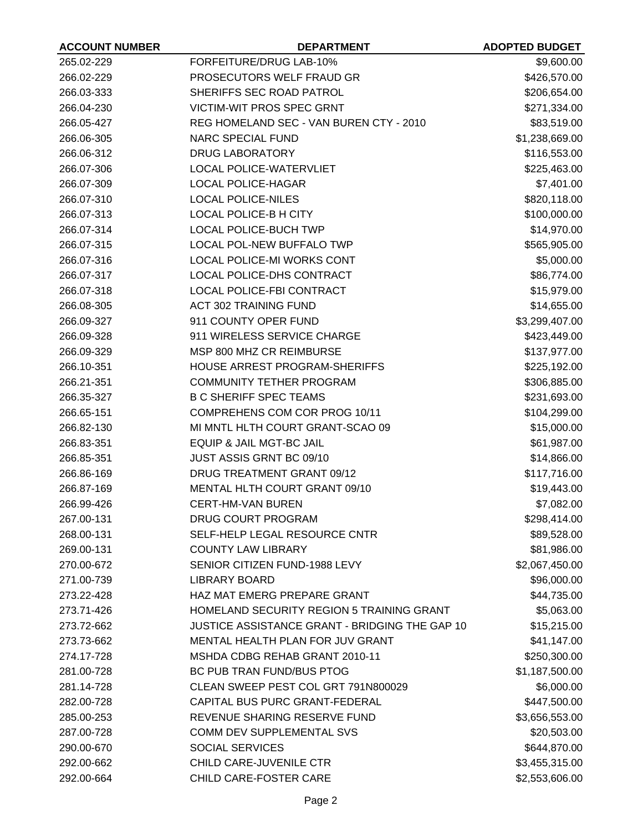| <b>ACCOUNT NUMBER</b> | <b>DEPARTMENT</b>                                | <b>ADOPTED BUDGET</b> |
|-----------------------|--------------------------------------------------|-----------------------|
| 265.02-229            | FORFEITURE/DRUG LAB-10%                          | \$9,600.00            |
| 266.02-229            | PROSECUTORS WELF FRAUD GR                        | \$426,570.00          |
| 266.03-333            | SHERIFFS SEC ROAD PATROL                         | \$206,654.00          |
| 266.04-230            | <b>VICTIM-WIT PROS SPEC GRNT</b>                 | \$271,334.00          |
| 266.05-427            | REG HOMELAND SEC - VAN BUREN CTY - 2010          | \$83,519.00           |
| 266.06-305            | <b>NARC SPECIAL FUND</b>                         | \$1,238,669.00        |
| 266.06-312            | <b>DRUG LABORATORY</b>                           | \$116,553.00          |
| 266.07-306            | <b>LOCAL POLICE-WATERVLIET</b>                   | \$225,463.00          |
| 266.07-309            | <b>LOCAL POLICE-HAGAR</b>                        | \$7,401.00            |
| 266.07-310            | <b>LOCAL POLICE-NILES</b>                        | \$820,118.00          |
| 266.07-313            | <b>LOCAL POLICE-B H CITY</b>                     | \$100,000.00          |
| 266.07-314            | <b>LOCAL POLICE-BUCH TWP</b>                     | \$14,970.00           |
| 266.07-315            | <b>LOCAL POL-NEW BUFFALO TWP</b>                 | \$565,905.00          |
| 266.07-316            | LOCAL POLICE-MI WORKS CONT                       | \$5,000.00            |
| 266.07-317            | LOCAL POLICE-DHS CONTRACT                        | \$86,774.00           |
| 266.07-318            | LOCAL POLICE-FBI CONTRACT                        | \$15,979.00           |
| 266.08-305            | <b>ACT 302 TRAINING FUND</b>                     | \$14,655.00           |
| 266.09-327            | 911 COUNTY OPER FUND                             | \$3,299,407.00        |
| 266.09-328            | 911 WIRELESS SERVICE CHARGE                      | \$423,449.00          |
| 266.09-329            | MSP 800 MHZ CR REIMBURSE                         | \$137,977.00          |
| 266.10-351            | HOUSE ARREST PROGRAM-SHERIFFS                    | \$225,192.00          |
| 266.21-351            | <b>COMMUNITY TETHER PROGRAM</b>                  | \$306,885.00          |
| 266.35-327            | <b>B C SHERIFF SPEC TEAMS</b>                    | \$231,693.00          |
| 266.65-151            | COMPREHENS COM COR PROG 10/11                    | \$104,299.00          |
| 266.82-130            | MI MNTL HLTH COURT GRANT-SCAO 09                 | \$15,000.00           |
| 266.83-351            | EQUIP & JAIL MGT-BC JAIL                         | \$61,987.00           |
| 266.85-351            | JUST ASSIS GRNT BC 09/10                         | \$14,866.00           |
| 266.86-169            | DRUG TREATMENT GRANT 09/12                       | \$117,716.00          |
| 266.87-169            | MENTAL HLTH COURT GRANT 09/10                    | \$19,443.00           |
| 266.99-426            | <b>CERT-HM-VAN BUREN</b>                         | \$7,082.00            |
| 267.00-131            | DRUG COURT PROGRAM                               | \$298,414.00          |
| 268.00-131            | SELF-HELP LEGAL RESOURCE CNTR                    | \$89,528.00           |
| 269.00-131            | <b>COUNTY LAW LIBRARY</b>                        | \$81,986.00           |
| 270.00-672            | SENIOR CITIZEN FUND-1988 LEVY                    | \$2,067,450.00        |
| 271.00-739            | <b>LIBRARY BOARD</b>                             | \$96,000.00           |
| 273.22-428            | HAZ MAT EMERG PREPARE GRANT                      | \$44,735.00           |
| 273.71-426            | <b>HOMELAND SECURITY REGION 5 TRAINING GRANT</b> | \$5,063.00            |
| 273.72-662            | JUSTICE ASSISTANCE GRANT - BRIDGING THE GAP 10   | \$15,215.00           |
| 273.73-662            | MENTAL HEALTH PLAN FOR JUV GRANT                 | \$41,147.00           |
| 274.17-728            | MSHDA CDBG REHAB GRANT 2010-11                   | \$250,300.00          |
| 281.00-728            | BC PUB TRAN FUND/BUS PTOG                        | \$1,187,500.00        |
| 281.14-728            | CLEAN SWEEP PEST COL GRT 791N800029              | \$6,000.00            |
| 282.00-728            | CAPITAL BUS PURC GRANT-FEDERAL                   | \$447,500.00          |
| 285.00-253            | REVENUE SHARING RESERVE FUND                     | \$3,656,553.00        |
| 287.00-728            | COMM DEV SUPPLEMENTAL SVS                        | \$20,503.00           |
| 290.00-670            | <b>SOCIAL SERVICES</b>                           | \$644,870.00          |
| 292.00-662            | CHILD CARE-JUVENILE CTR                          | \$3,455,315.00        |
| 292.00-664            | CHILD CARE-FOSTER CARE                           | \$2,553,606.00        |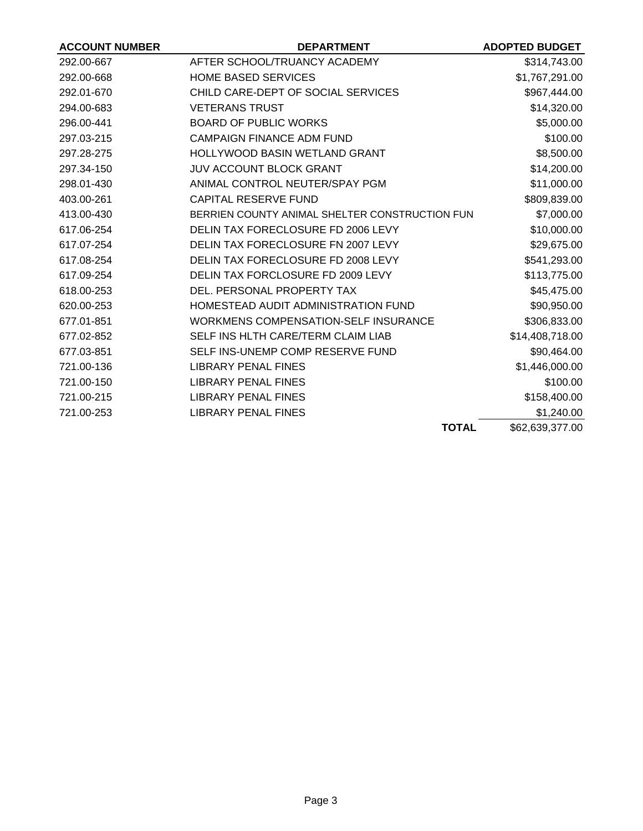| <b>ACCOUNT NUMBER</b> | <b>DEPARTMENT</b>                              | <b>ADOPTED BUDGET</b> |
|-----------------------|------------------------------------------------|-----------------------|
| 292.00-667            | AFTER SCHOOL/TRUANCY ACADEMY                   | \$314,743.00          |
| 292.00-668            | <b>HOME BASED SERVICES</b>                     | \$1,767,291.00        |
| 292.01-670            | CHILD CARE-DEPT OF SOCIAL SERVICES             | \$967,444.00          |
| 294.00-683            | <b>VETERANS TRUST</b>                          | \$14,320.00           |
| 296.00-441            | <b>BOARD OF PUBLIC WORKS</b>                   | \$5,000.00            |
| 297.03-215            | <b>CAMPAIGN FINANCE ADM FUND</b>               | \$100.00              |
| 297.28-275            | <b>HOLLYWOOD BASIN WETLAND GRANT</b>           | \$8,500.00            |
| 297.34-150            | <b>JUV ACCOUNT BLOCK GRANT</b>                 | \$14,200.00           |
| 298.01-430            | ANIMAL CONTROL NEUTER/SPAY PGM                 | \$11,000.00           |
| 403.00-261            | <b>CAPITAL RESERVE FUND</b>                    | \$809,839.00          |
| 413.00-430            | BERRIEN COUNTY ANIMAL SHELTER CONSTRUCTION FUN | \$7,000.00            |
| 617.06-254            | DELIN TAX FORECLOSURE FD 2006 LEVY             | \$10,000.00           |
| 617.07-254            | DELIN TAX FORECLOSURE FN 2007 LEVY             | \$29,675.00           |
| 617.08-254            | DELIN TAX FORECLOSURE FD 2008 LEVY             | \$541,293.00          |
| 617.09-254            | DELIN TAX FORCLOSURE FD 2009 LEVY              | \$113,775.00          |
| 618.00-253            | DEL. PERSONAL PROPERTY TAX                     | \$45,475.00           |
| 620.00-253            | HOMESTEAD AUDIT ADMINISTRATION FUND            | \$90,950.00           |
| 677.01-851            | <b>WORKMENS COMPENSATION-SELF INSURANCE</b>    | \$306,833.00          |
| 677.02-852            | SELF INS HLTH CARE/TERM CLAIM LIAB             | \$14,408,718.00       |
| 677.03-851            | SELF INS-UNEMP COMP RESERVE FUND               | \$90,464.00           |
| 721.00-136            | <b>LIBRARY PENAL FINES</b>                     | \$1,446,000.00        |
| 721.00-150            | LIBRARY PENAL FINES                            | \$100.00              |
| 721.00-215            | <b>LIBRARY PENAL FINES</b>                     | \$158,400.00          |
| 721.00-253            | <b>LIBRARY PENAL FINES</b>                     | \$1,240.00            |
|                       | <b>TOTAL</b>                                   | \$62,639,377.00       |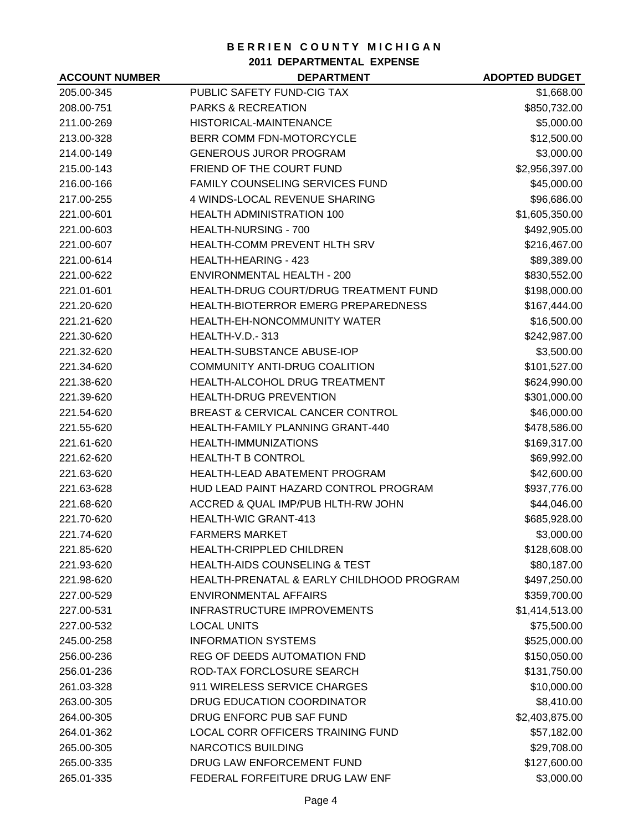**2011 DEPARTMENTAL EXPENSE**

| <b>ACCOUNT NUMBER</b> | <b>DEPARTMENT</b>                          | <b>ADOPTED BUDGET</b> |
|-----------------------|--------------------------------------------|-----------------------|
| 205.00-345            | PUBLIC SAFETY FUND-CIG TAX                 | \$1,668.00            |
| 208.00-751            | <b>PARKS &amp; RECREATION</b>              | \$850,732.00          |
| 211.00-269            | <b>HISTORICAL-MAINTENANCE</b>              | \$5,000.00            |
| 213.00-328            | BERR COMM FDN-MOTORCYCLE                   | \$12,500.00           |
| 214.00-149            | <b>GENEROUS JUROR PROGRAM</b>              | \$3,000.00            |
| 215.00-143            | FRIEND OF THE COURT FUND                   | \$2,956,397.00        |
| 216.00-166            | <b>FAMILY COUNSELING SERVICES FUND</b>     | \$45,000.00           |
| 217.00-255            | 4 WINDS-LOCAL REVENUE SHARING              | \$96,686.00           |
| 221.00-601            | <b>HEALTH ADMINISTRATION 100</b>           | \$1,605,350.00        |
| 221.00-603            | HEALTH-NURSING - 700                       | \$492,905.00          |
| 221.00-607            | HEALTH-COMM PREVENT HLTH SRV               | \$216,467.00          |
| 221.00-614            | <b>HEALTH-HEARING - 423</b>                | \$89,389.00           |
| 221.00-622            | <b>ENVIRONMENTAL HEALTH - 200</b>          | \$830,552.00          |
| 221.01-601            | HEALTH-DRUG COURT/DRUG TREATMENT FUND      | \$198,000.00          |
| 221.20-620            | <b>HEALTH-BIOTERROR EMERG PREPAREDNESS</b> | \$167,444.00          |
| 221.21-620            | HEALTH-EH-NONCOMMUNITY WATER               | \$16,500.00           |
| 221.30-620            | <b>HEALTH-V.D.-313</b>                     | \$242,987.00          |
| 221.32-620            | <b>HEALTH-SUBSTANCE ABUSE-IOP</b>          | \$3,500.00            |
| 221.34-620            | COMMUNITY ANTI-DRUG COALITION              | \$101,527.00          |
| 221.38-620            | HEALTH-ALCOHOL DRUG TREATMENT              | \$624,990.00          |
| 221.39-620            | HEALTH-DRUG PREVENTION                     | \$301,000.00          |
| 221.54-620            | BREAST & CERVICAL CANCER CONTROL           | \$46,000.00           |
| 221.55-620            | HEALTH-FAMILY PLANNING GRANT-440           | \$478,586.00          |
| 221.61-620            | HEALTH-IMMUNIZATIONS                       | \$169,317.00          |
| 221.62-620            | <b>HEALTH-T B CONTROL</b>                  | \$69,992.00           |
| 221.63-620            | <b>HEALTH-LEAD ABATEMENT PROGRAM</b>       | \$42,600.00           |
| 221.63-628            | HUD LEAD PAINT HAZARD CONTROL PROGRAM      | \$937,776.00          |
| 221.68-620            | ACCRED & QUAL IMP/PUB HLTH-RW JOHN         | \$44,046.00           |
| 221.70-620            | <b>HEALTH-WIC GRANT-413</b>                | \$685,928.00          |
| 221.74-620            | <b>FARMERS MARKET</b>                      | \$3,000.00            |
| 221.85-620            | <b>HEALTH-CRIPPLED CHILDREN</b>            | \$128,608.00          |
| 221.93-620            | <b>HEALTH-AIDS COUNSELING &amp; TEST</b>   | \$80,187.00           |
| 221.98-620            | HEALTH-PRENATAL & EARLY CHILDHOOD PROGRAM  | \$497,250.00          |
| 227.00-529            | <b>ENVIRONMENTAL AFFAIRS</b>               | \$359,700.00          |
| 227.00-531            | INFRASTRUCTURE IMPROVEMENTS                | \$1,414,513.00        |
| 227.00-532            | <b>LOCAL UNITS</b>                         | \$75,500.00           |
| 245.00-258            | <b>INFORMATION SYSTEMS</b>                 | \$525,000.00          |
| 256.00-236            | REG OF DEEDS AUTOMATION FND                | \$150,050.00          |
| 256.01-236            | ROD-TAX FORCLOSURE SEARCH                  | \$131,750.00          |
| 261.03-328            | 911 WIRELESS SERVICE CHARGES               | \$10,000.00           |
| 263.00-305            | DRUG EDUCATION COORDINATOR                 | \$8,410.00            |
| 264.00-305            | DRUG ENFORC PUB SAF FUND                   | \$2,403,875.00        |
| 264.01-362            | LOCAL CORR OFFICERS TRAINING FUND          | \$57,182.00           |
| 265.00-305            | <b>NARCOTICS BUILDING</b>                  | \$29,708.00           |
| 265.00-335            | DRUG LAW ENFORCEMENT FUND                  | \$127,600.00          |
| 265.01-335            | FEDERAL FORFEITURE DRUG LAW ENF            | \$3,000.00            |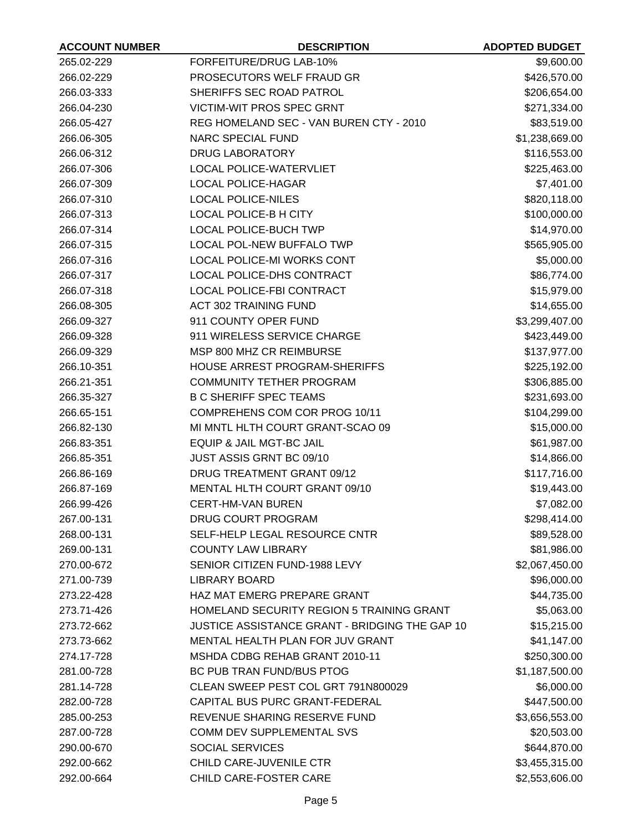| <b>ACCOUNT NUMBER</b> | <b>DESCRIPTION</b>                               | <b>ADOPTED BUDGET</b> |
|-----------------------|--------------------------------------------------|-----------------------|
| 265.02-229            | FORFEITURE/DRUG LAB-10%                          | \$9,600.00            |
| 266.02-229            | PROSECUTORS WELF FRAUD GR                        | \$426,570.00          |
| 266.03-333            | SHERIFFS SEC ROAD PATROL                         | \$206,654.00          |
| 266.04-230            | <b>VICTIM-WIT PROS SPEC GRNT</b>                 | \$271,334.00          |
| 266.05-427            | REG HOMELAND SEC - VAN BUREN CTY - 2010          | \$83,519.00           |
| 266.06-305            | <b>NARC SPECIAL FUND</b>                         | \$1,238,669.00        |
| 266.06-312            | <b>DRUG LABORATORY</b>                           | \$116,553.00          |
| 266.07-306            | <b>LOCAL POLICE-WATERVLIET</b>                   | \$225,463.00          |
| 266.07-309            | <b>LOCAL POLICE-HAGAR</b>                        | \$7,401.00            |
| 266.07-310            | <b>LOCAL POLICE-NILES</b>                        | \$820,118.00          |
| 266.07-313            | <b>LOCAL POLICE-B H CITY</b>                     | \$100,000.00          |
| 266.07-314            | <b>LOCAL POLICE-BUCH TWP</b>                     | \$14,970.00           |
| 266.07-315            | <b>LOCAL POL-NEW BUFFALO TWP</b>                 | \$565,905.00          |
| 266.07-316            | LOCAL POLICE-MI WORKS CONT                       | \$5,000.00            |
| 266.07-317            | LOCAL POLICE-DHS CONTRACT                        | \$86,774.00           |
| 266.07-318            | LOCAL POLICE-FBI CONTRACT                        | \$15,979.00           |
| 266.08-305            | <b>ACT 302 TRAINING FUND</b>                     | \$14,655.00           |
| 266.09-327            | 911 COUNTY OPER FUND                             | \$3,299,407.00        |
| 266.09-328            | 911 WIRELESS SERVICE CHARGE                      | \$423,449.00          |
| 266.09-329            | MSP 800 MHZ CR REIMBURSE                         | \$137,977.00          |
| 266.10-351            | HOUSE ARREST PROGRAM-SHERIFFS                    | \$225,192.00          |
| 266.21-351            | <b>COMMUNITY TETHER PROGRAM</b>                  | \$306,885.00          |
| 266.35-327            | <b>B C SHERIFF SPEC TEAMS</b>                    | \$231,693.00          |
| 266.65-151            | COMPREHENS COM COR PROG 10/11                    | \$104,299.00          |
| 266.82-130            | MI MNTL HLTH COURT GRANT-SCAO 09                 | \$15,000.00           |
| 266.83-351            | EQUIP & JAIL MGT-BC JAIL                         | \$61,987.00           |
| 266.85-351            | JUST ASSIS GRNT BC 09/10                         | \$14,866.00           |
| 266.86-169            | DRUG TREATMENT GRANT 09/12                       | \$117,716.00          |
| 266.87-169            | MENTAL HLTH COURT GRANT 09/10                    | \$19,443.00           |
| 266.99-426            | <b>CERT-HM-VAN BUREN</b>                         | \$7,082.00            |
| 267.00-131            | DRUG COURT PROGRAM                               | \$298,414.00          |
| 268.00-131            | SELF-HELP LEGAL RESOURCE CNTR                    | \$89,528.00           |
| 269.00-131            | <b>COUNTY LAW LIBRARY</b>                        | \$81,986.00           |
| 270.00-672            | SENIOR CITIZEN FUND-1988 LEVY                    | \$2,067,450.00        |
| 271.00-739            | <b>LIBRARY BOARD</b>                             | \$96,000.00           |
| 273.22-428            | HAZ MAT EMERG PREPARE GRANT                      | \$44,735.00           |
| 273.71-426            | <b>HOMELAND SECURITY REGION 5 TRAINING GRANT</b> | \$5,063.00            |
| 273.72-662            | JUSTICE ASSISTANCE GRANT - BRIDGING THE GAP 10   | \$15,215.00           |
| 273.73-662            | MENTAL HEALTH PLAN FOR JUV GRANT                 | \$41,147.00           |
| 274.17-728            | MSHDA CDBG REHAB GRANT 2010-11                   | \$250,300.00          |
| 281.00-728            | BC PUB TRAN FUND/BUS PTOG                        | \$1,187,500.00        |
| 281.14-728            | CLEAN SWEEP PEST COL GRT 791N800029              | \$6,000.00            |
| 282.00-728            | CAPITAL BUS PURC GRANT-FEDERAL                   | \$447,500.00          |
| 285.00-253            | REVENUE SHARING RESERVE FUND                     | \$3,656,553.00        |
| 287.00-728            | COMM DEV SUPPLEMENTAL SVS                        | \$20,503.00           |
| 290.00-670            | <b>SOCIAL SERVICES</b>                           | \$644,870.00          |
| 292.00-662            | CHILD CARE-JUVENILE CTR                          | \$3,455,315.00        |
| 292.00-664            | CHILD CARE-FOSTER CARE                           | \$2,553,606.00        |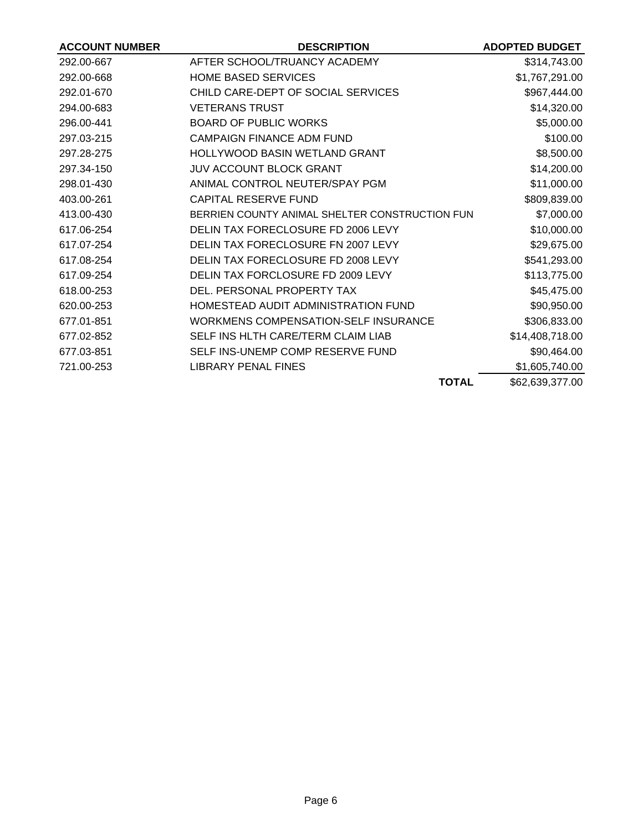| <b>ACCOUNT NUMBER</b> | <b>DESCRIPTION</b>                             | <b>ADOPTED BUDGET</b> |
|-----------------------|------------------------------------------------|-----------------------|
| 292.00-667            | AFTER SCHOOL/TRUANCY ACADEMY                   | \$314,743.00          |
| 292.00-668            | <b>HOME BASED SERVICES</b>                     | \$1,767,291.00        |
| 292.01-670            | CHILD CARE-DEPT OF SOCIAL SERVICES             | \$967,444.00          |
| 294.00-683            | <b>VETERANS TRUST</b>                          | \$14,320.00           |
| 296.00-441            | <b>BOARD OF PUBLIC WORKS</b>                   | \$5,000.00            |
| 297.03-215            | <b>CAMPAIGN FINANCE ADM FUND</b>               | \$100.00              |
| 297.28-275            | HOLLYWOOD BASIN WETLAND GRANT                  | \$8,500.00            |
| 297.34-150            | <b>JUV ACCOUNT BLOCK GRANT</b>                 | \$14,200.00           |
| 298.01-430            | ANIMAL CONTROL NEUTER/SPAY PGM                 | \$11,000.00           |
| 403.00-261            | CAPITAL RESERVE FUND                           | \$809,839.00          |
| 413.00-430            | BERRIEN COUNTY ANIMAL SHELTER CONSTRUCTION FUN | \$7,000.00            |
| 617.06-254            | DELIN TAX FORECLOSURE FD 2006 LEVY             | \$10,000.00           |
| 617.07-254            | DELIN TAX FORECLOSURE FN 2007 LEVY             | \$29,675.00           |
| 617.08-254            | DELIN TAX FORECLOSURE FD 2008 LEVY             | \$541,293.00          |
| 617.09-254            | DELIN TAX FORCLOSURE FD 2009 LEVY              | \$113,775.00          |
| 618.00-253            | DEL. PERSONAL PROPERTY TAX                     | \$45,475.00           |
| 620.00-253            | HOMESTEAD AUDIT ADMINISTRATION FUND            | \$90,950.00           |
| 677.01-851            | WORKMENS COMPENSATION-SELF INSURANCE           | \$306,833.00          |
| 677.02-852            | SELF INS HLTH CARE/TERM CLAIM LIAB             | \$14,408,718.00       |
| 677.03-851            | SELF INS-UNEMP COMP RESERVE FUND               | \$90,464.00           |
| 721.00-253            | LIBRARY PENAL FINES                            | \$1,605,740.00        |
|                       | <b>TOTAL</b>                                   | \$62,639,377.00       |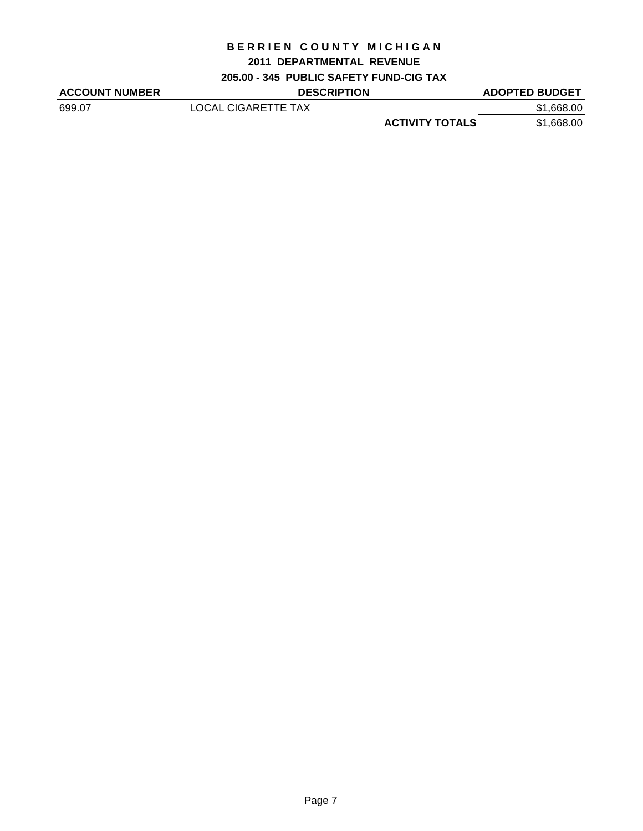### **2011 DEPARTMENTAL REVENUE**

**205.00 - 345 PUBLIC SAFETY FUND-CIG TAX**

| <b>ACCOUNT NUMBER</b> | <b>DESCRIPTION</b>  |                        | <b>ADOPTED BUDGET</b> |
|-----------------------|---------------------|------------------------|-----------------------|
| 699.07                | LOCAL CIGARETTE TAX |                        | \$1,668.00            |
|                       |                     | <b>ACTIVITY TOTALS</b> | \$1.668.00            |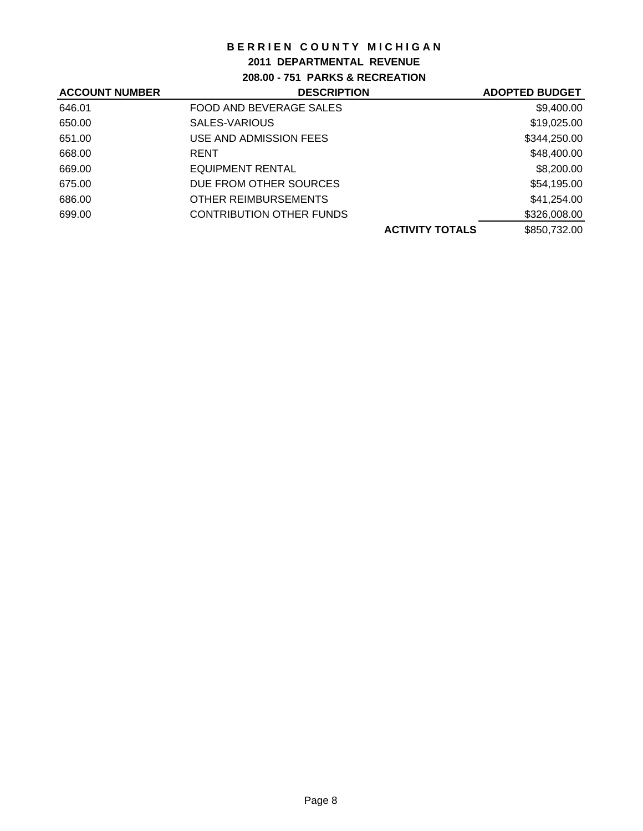## **2011 DEPARTMENTAL REVENUE**

**208.00 - 751 PARKS & RECREATION**

| <b>ACCOUNT NUMBER</b> | <b>DESCRIPTION</b>              | <b>ADOPTED BUDGET</b>                  |
|-----------------------|---------------------------------|----------------------------------------|
| 646.01                | FOOD AND BEVERAGE SALES         | \$9,400.00                             |
| 650.00                | SALES-VARIOUS                   | \$19,025.00                            |
| 651.00                | USE AND ADMISSION FEES          | \$344,250.00                           |
| 668.00                | <b>RENT</b>                     | \$48,400.00                            |
| 669.00                | EQUIPMENT RENTAL                | \$8,200.00                             |
| 675.00                | DUE FROM OTHER SOURCES          | \$54,195.00                            |
| 686.00                | <b>OTHER REIMBURSEMENTS</b>     | \$41,254.00                            |
| 699.00                | <b>CONTRIBUTION OTHER FUNDS</b> | \$326,008.00                           |
|                       |                                 | \$850,732.00<br><b>ACTIVITY TOTALS</b> |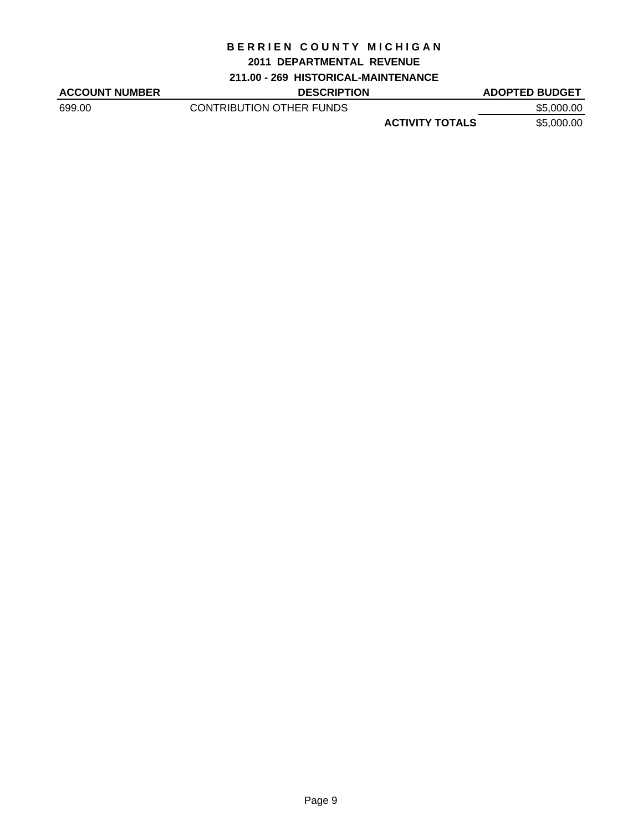#### **2011 DEPARTMENTAL REVENUE**

#### **211.00 - 269 HISTORICAL-MAINTENANCE**

ACCOUNT NUMBER DESCRIPTION DESCRIPTION ADOPTED BUDGET 699.00 CONTRIBUTION OTHER FUNDS \$5,000.00 **ACTIVITY TOTALS** \$5,000.00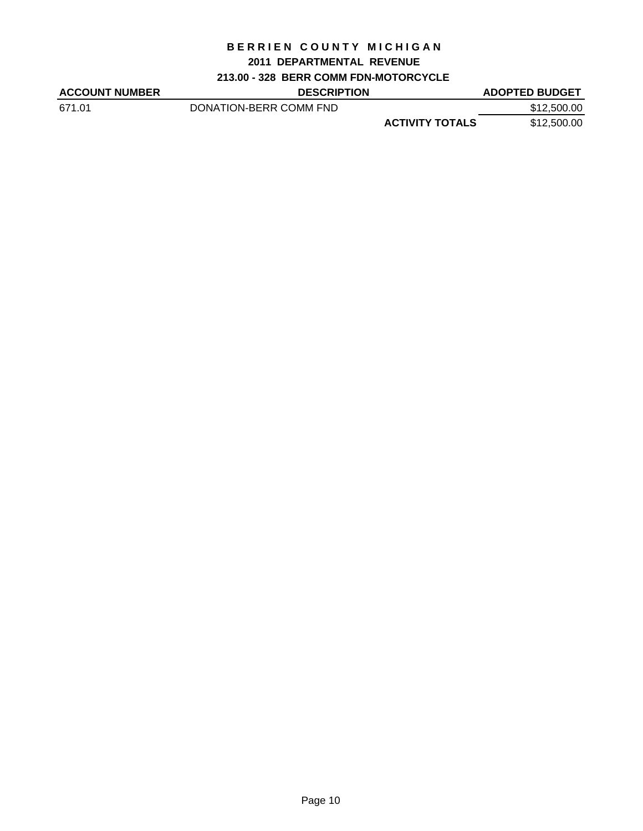## **2011 DEPARTMENTAL REVENUE**

## **213.00 - 328 BERR COMM FDN-MOTORCYCLE**

| <b>ACCOUNT NUMBER</b> | <b>DESCRIPTION</b>     |                        | <b>ADOPTED BUDGET</b> |
|-----------------------|------------------------|------------------------|-----------------------|
| 671.01                | DONATION-BERR COMM FND |                        | \$12,500.00           |
|                       |                        | <b>ACTIVITY TOTALS</b> | \$12,500.00           |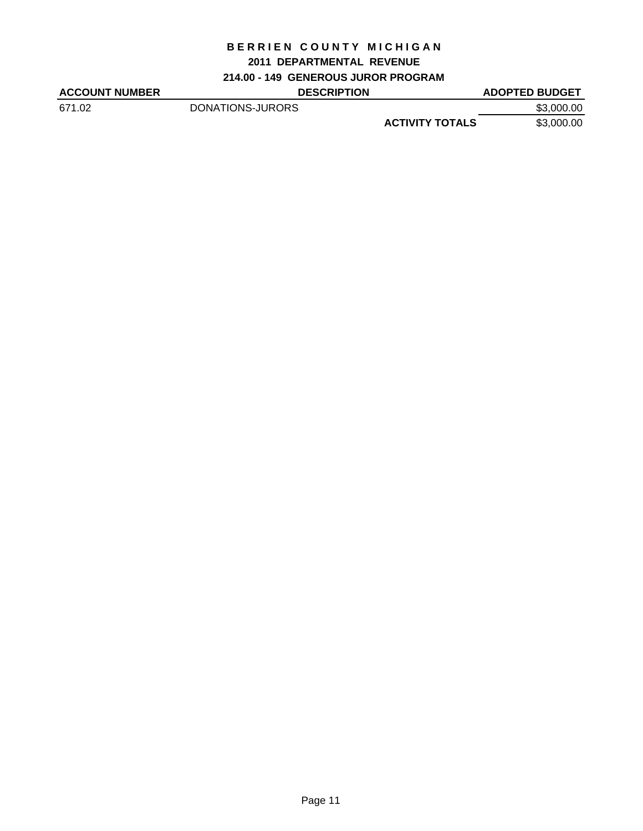### **2011 DEPARTMENTAL REVENUE**

**214.00 - 149 GENEROUS JUROR PROGRAM**

| <b>ACCOUNT NUMBER</b> | <b>DESCRIPTION</b> |                        | <b>ADOPTED BUDGET</b> |
|-----------------------|--------------------|------------------------|-----------------------|
| 671.02                | DONATIONS-JURORS   |                        | \$3,000.00            |
|                       |                    | <b>ACTIVITY TOTALS</b> | \$3,000.00            |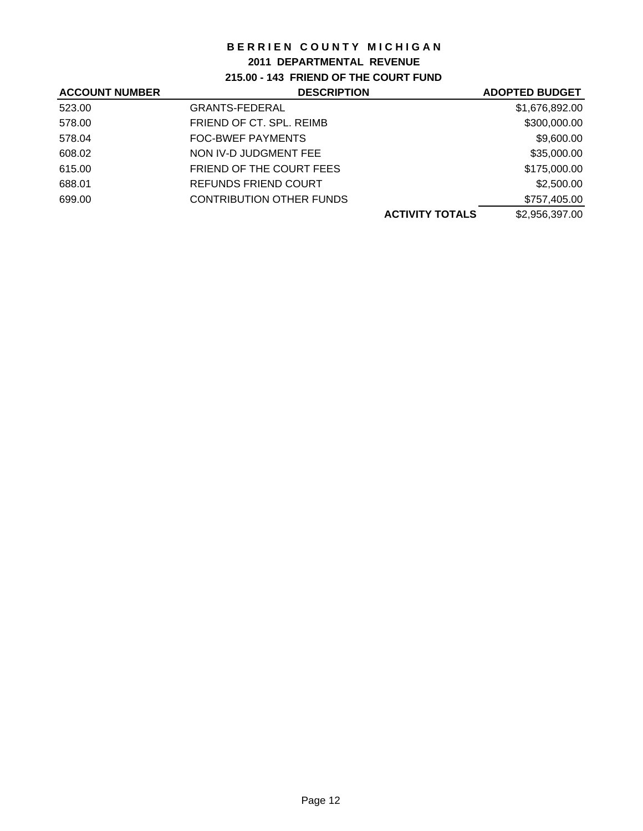## **2011 DEPARTMENTAL REVENUE**

**215.00 - 143 FRIEND OF THE COURT FUND**

| <b>DESCRIPTION</b>              | <b>ADOPTED BUDGET</b>  |
|---------------------------------|------------------------|
| <b>GRANTS-FEDERAL</b>           | \$1,676,892.00         |
| FRIEND OF CT. SPL. REIMB        | \$300,000.00           |
| <b>FOC-BWEF PAYMENTS</b>        | \$9,600.00             |
| NON IV-D JUDGMENT FEE           | \$35,000.00            |
| FRIEND OF THE COURT FEES        | \$175,000.00           |
| <b>REFUNDS FRIEND COURT</b>     | \$2,500.00             |
| <b>CONTRIBUTION OTHER FUNDS</b> | \$757,405.00           |
|                                 | \$2,956,397.00         |
|                                 | <b>ACTIVITY TOTALS</b> |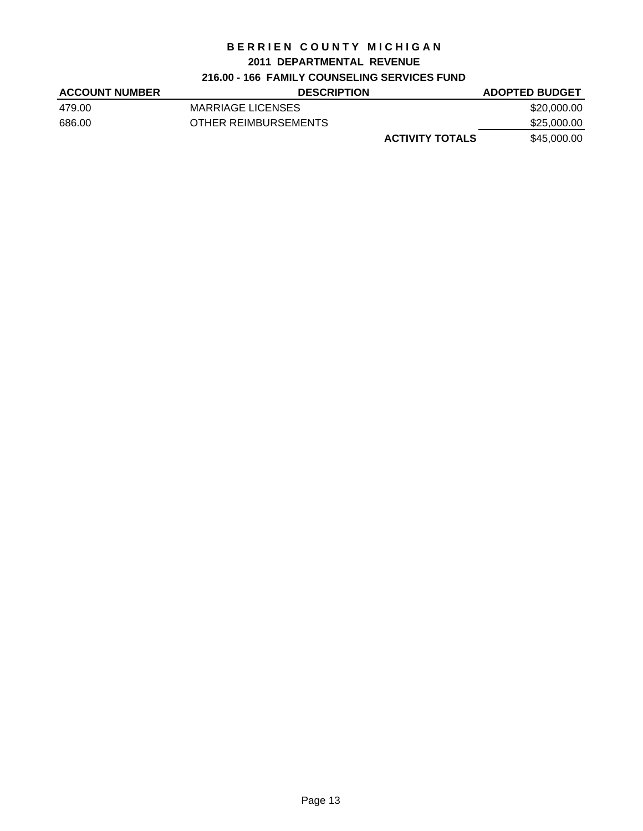### **2011 DEPARTMENTAL REVENUE**

## **216.00 - 166 FAMILY COUNSELING SERVICES FUND**

| <b>ACCOUNT NUMBER</b> | <b>DESCRIPTION</b>     | <b>ADOPTED BUDGET</b> |
|-----------------------|------------------------|-----------------------|
| 479.00                | MARRIAGE LICENSES      | \$20,000.00           |
| 686.00                | OTHER REIMBURSEMENTS   | \$25,000.00           |
|                       | <b>ACTIVITY TOTALS</b> | \$45,000.00           |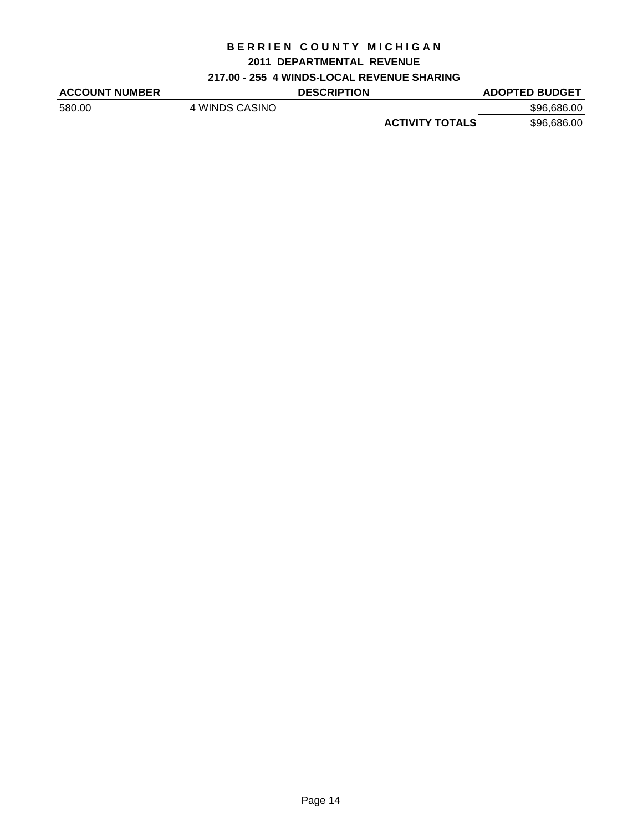### **2011 DEPARTMENTAL REVENUE**

### **217.00 - 255 4 WINDS-LOCAL REVENUE SHARING**

| <b>ACCOUNT NUMBER</b> |                | <b>DESCRIPTION</b> |                        | <b>ADOPTED BUDGET</b> |
|-----------------------|----------------|--------------------|------------------------|-----------------------|
| 580.00                | 4 WINDS CASINO |                    |                        | \$96,686.00           |
|                       |                |                    | <b>ACTIVITY TOTALS</b> | \$96,686.00           |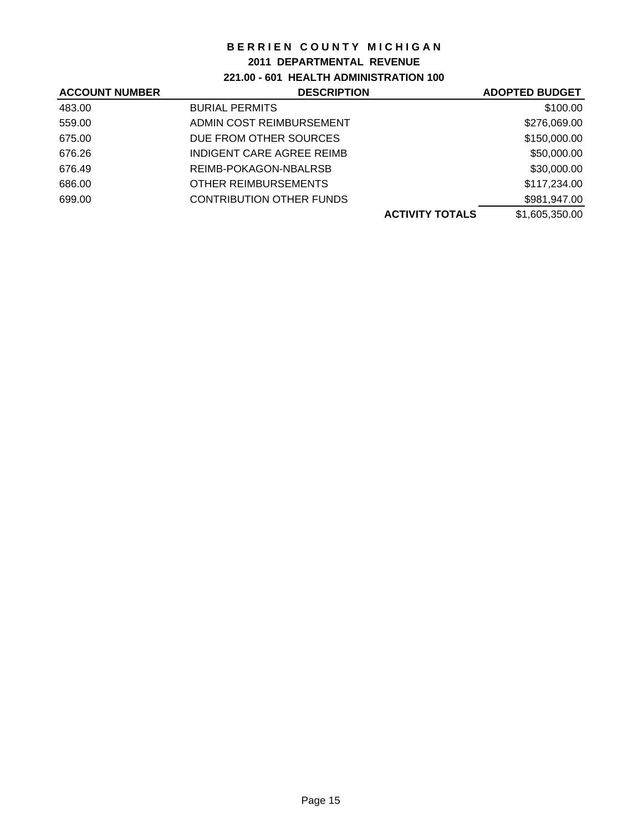### **2011 DEPARTMENTAL REVENUE**

**221.00 - 601 HEALTH ADMINISTRATION 100**

| <b>DESCRIPTION</b>              | <b>ADOPTED BUDGET</b>  |
|---------------------------------|------------------------|
| <b>BURIAL PERMITS</b>           | \$100.00               |
| ADMIN COST REIMBURSEMENT        | \$276,069.00           |
| DUE FROM OTHER SOURCES          | \$150,000.00           |
| INDIGENT CARE AGREE REIMB       | \$50,000.00            |
| REIMB-POKAGON-NBALRSB           | \$30,000.00            |
| OTHER REIMBURSEMENTS            | \$117,234.00           |
| <b>CONTRIBUTION OTHER FUNDS</b> | \$981,947.00           |
|                                 | \$1,605,350.00         |
|                                 | <b>ACTIVITY TOTALS</b> |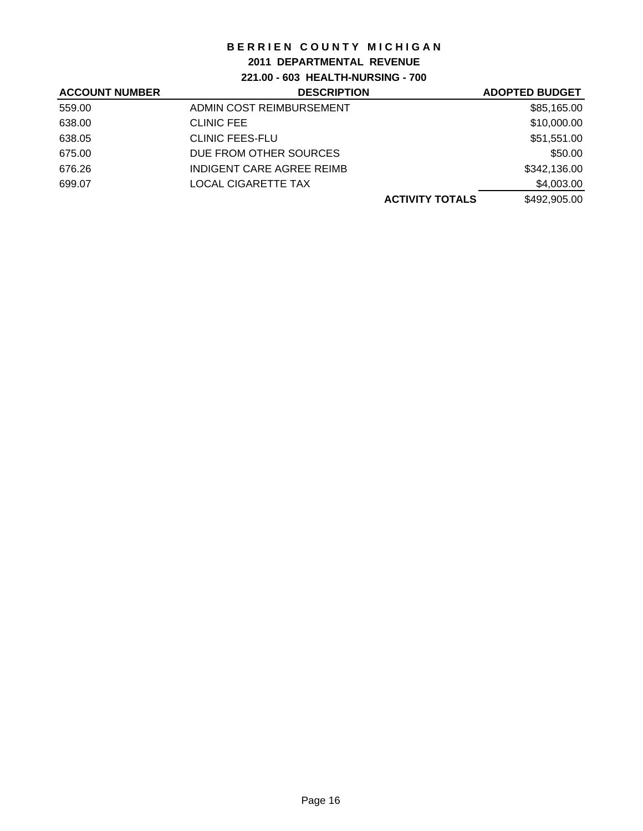## **2011 DEPARTMENTAL REVENUE**

**221.00 - 603 HEALTH-NURSING - 700**

| <b>ACCOUNT NUMBER</b> | <b>DESCRIPTION</b>         | <b>ADOPTED BUDGET</b> |
|-----------------------|----------------------------|-----------------------|
| 559.00                | ADMIN COST REIMBURSEMENT   | \$85,165.00           |
| 638.00                | <b>CLINIC FEE</b>          | \$10,000.00           |
| 638.05                | <b>CLINIC FEES-FLU</b>     | \$51,551.00           |
| 675.00                | DUE FROM OTHER SOURCES     | \$50.00               |
| 676.26                | INDIGENT CARE AGREE REIMB  | \$342,136.00          |
| 699.07                | <b>LOCAL CIGARETTE TAX</b> | \$4,003.00            |
|                       | <b>ACTIVITY TOTALS</b>     | \$492,905.00          |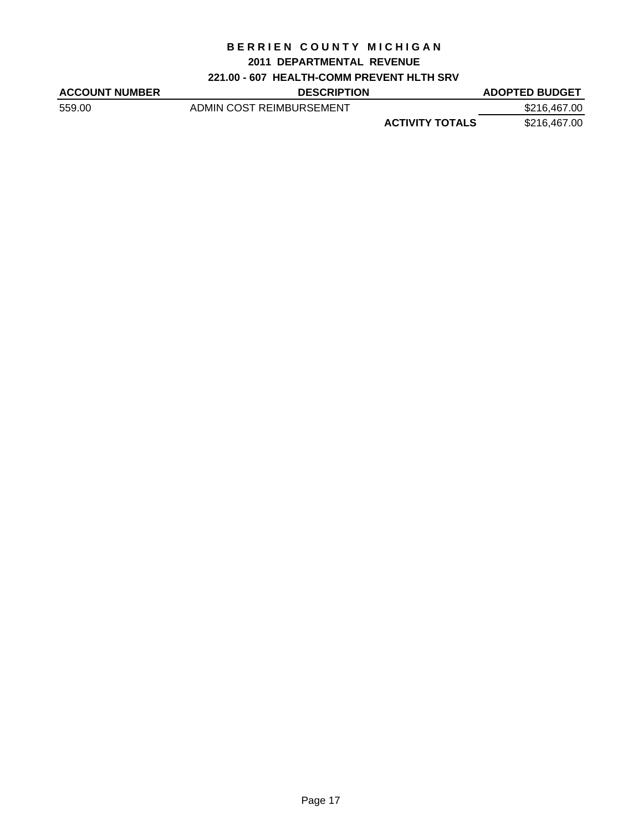### **2011 DEPARTMENTAL REVENUE**

## **221.00 - 607 HEALTH-COMM PREVENT HLTH SRV**

| <b>ACCOUNT NUMBER</b> | <b>DESCRIPTION</b>       |                        | <b>ADOPTED BUDGET</b> |
|-----------------------|--------------------------|------------------------|-----------------------|
| 559.00                | ADMIN COST REIMBURSEMENT |                        | \$216,467.00          |
|                       |                          | <b>ACTIVITY TOTALS</b> | \$216,467.00          |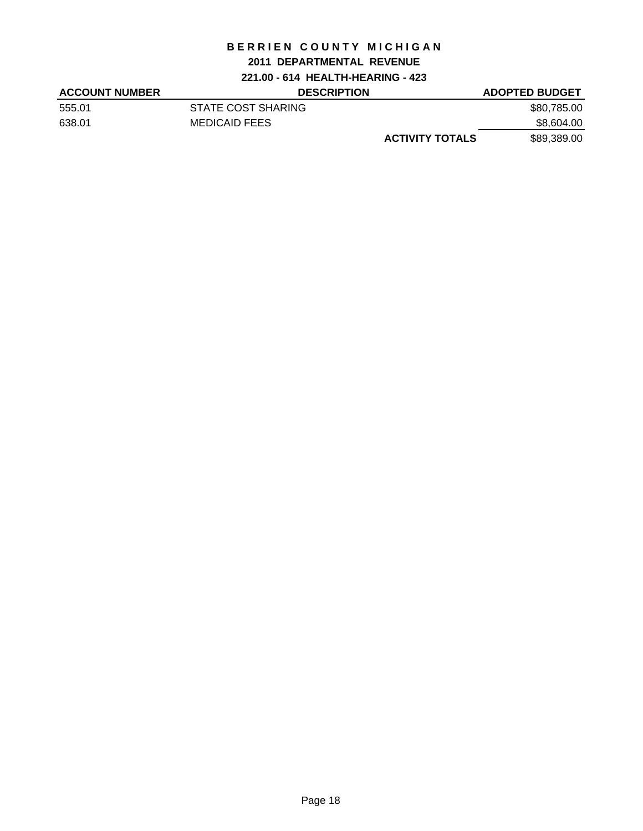### **2011 DEPARTMENTAL REVENUE**

**221.00 - 614 HEALTH-HEARING - 423**

| <b>ACCOUNT NUMBER</b> | <b>DESCRIPTION</b>     | <b>ADOPTED BUDGET</b> |
|-----------------------|------------------------|-----------------------|
| 555.01                | STATE COST SHARING     | \$80,785.00           |
| 638.01                | <b>MEDICAID FEES</b>   | \$8,604.00            |
|                       | <b>ACTIVITY TOTALS</b> | \$89,389.00           |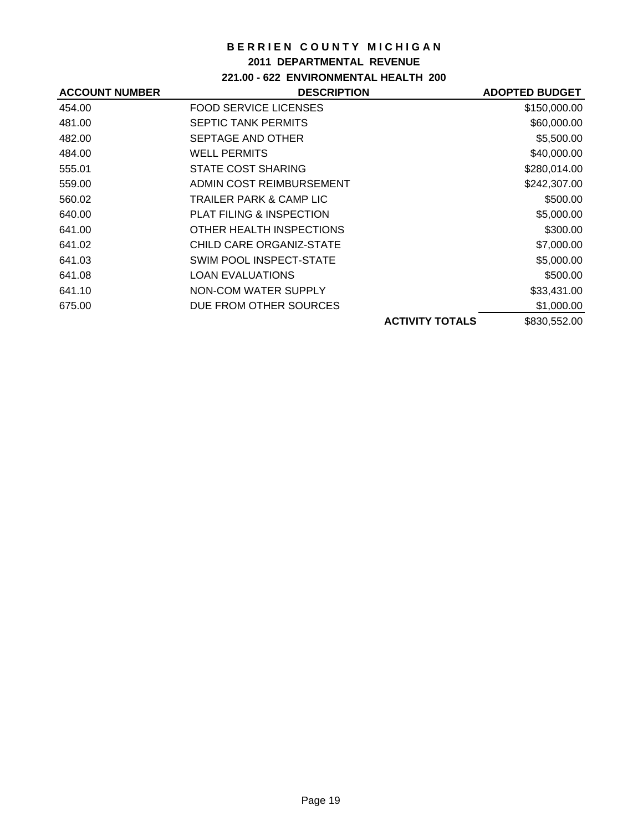### **2011 DEPARTMENTAL REVENUE**

**221.00 - 622 ENVIRONMENTAL HEALTH 200**

| <b>DESCRIPTION</b>           |                        | <b>ADOPTED BUDGET</b> |
|------------------------------|------------------------|-----------------------|
| <b>FOOD SERVICE LICENSES</b> |                        | \$150,000.00          |
| <b>SEPTIC TANK PERMITS</b>   |                        | \$60,000.00           |
| SEPTAGE AND OTHER            |                        | \$5,500.00            |
| <b>WELL PERMITS</b>          |                        | \$40,000.00           |
| <b>STATE COST SHARING</b>    |                        | \$280,014.00          |
| ADMIN COST REIMBURSEMENT     |                        | \$242,307.00          |
| TRAILER PARK & CAMP LIC      |                        | \$500.00              |
| PLAT FILING & INSPECTION     |                        | \$5,000.00            |
| OTHER HEALTH INSPECTIONS     |                        | \$300.00              |
| CHILD CARE ORGANIZ-STATE     |                        | \$7,000.00            |
| SWIM POOL INSPECT-STATE      |                        | \$5,000.00            |
| <b>LOAN EVALUATIONS</b>      |                        | \$500.00              |
| NON-COM WATER SUPPLY         |                        | \$33,431.00           |
| DUE FROM OTHER SOURCES       |                        | \$1,000.00            |
|                              | <b>ACTIVITY TOTALS</b> | \$830,552.00          |
|                              |                        |                       |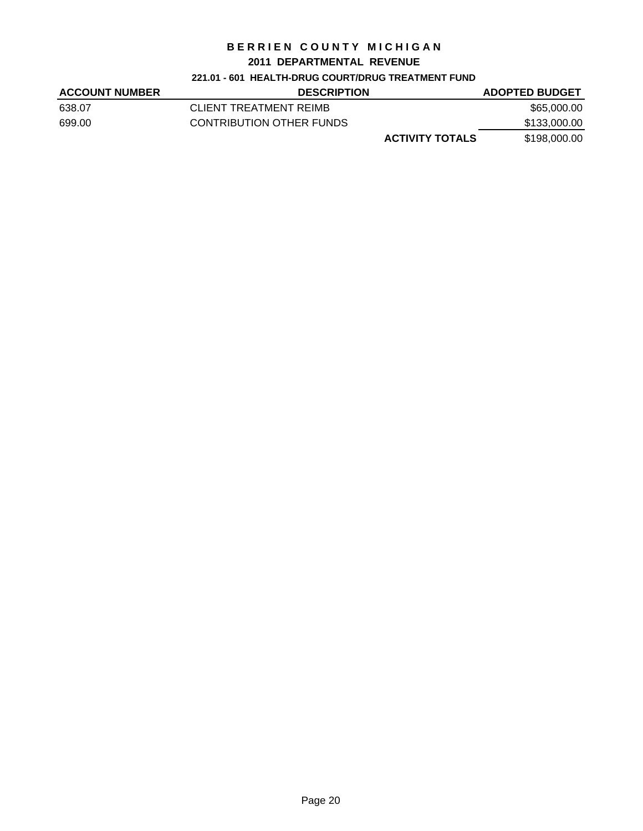#### **2011 DEPARTMENTAL REVENUE**

#### **221.01 - 601 HEALTH-DRUG COURT/DRUG TREATMENT FUND**

| <b>ACCOUNT NUMBER</b> | <b>DESCRIPTION</b>       | <b>ADOPTED BUDGET</b> |
|-----------------------|--------------------------|-----------------------|
| 638.07                | CLIENT TREATMENT REIMB   | \$65,000.00           |
| 699.00                | CONTRIBUTION OTHER FUNDS | \$133,000.00          |
|                       | <b>ACTIVITY TOTALS</b>   | \$198,000.00          |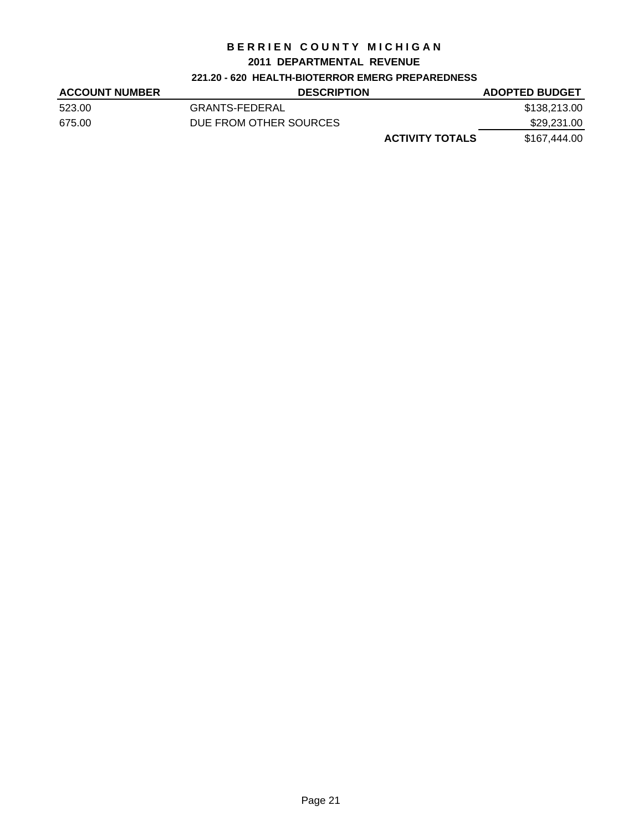#### **2011 DEPARTMENTAL REVENUE**

### **221.20 - 620 HEALTH-BIOTERROR EMERG PREPAREDNESS**

| <b>ACCOUNT NUMBER</b> | <b>DESCRIPTION</b>     | <b>ADOPTED BUDGET</b> |
|-----------------------|------------------------|-----------------------|
| 523.00                | <b>GRANTS-FEDERAL</b>  | \$138,213.00          |
| 675.00                | DUE FROM OTHER SOURCES | \$29,231.00           |
|                       | <b>ACTIVITY TOTALS</b> | \$167,444.00          |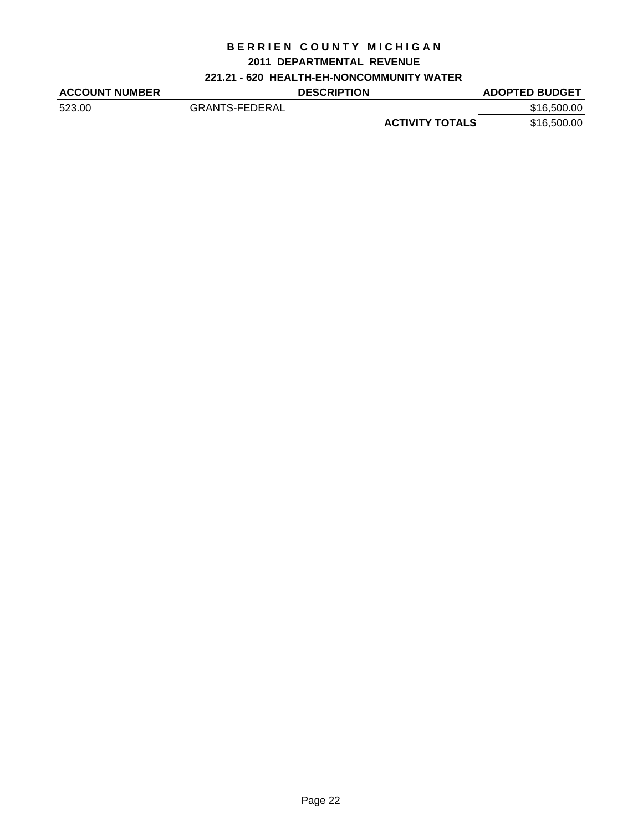## **2011 DEPARTMENTAL REVENUE**

**221.21 - 620 HEALTH-EH-NONCOMMUNITY WATER**

| <b>ACCOUNT NUMBER</b> |                       | <b>DESCRIPTION</b> |                        | <b>ADOPTED BUDGET</b> |
|-----------------------|-----------------------|--------------------|------------------------|-----------------------|
| 523.00                | <b>GRANTS-FEDERAL</b> |                    |                        | \$16,500.00           |
|                       |                       |                    | <b>ACTIVITY TOTALS</b> | \$16,500.00           |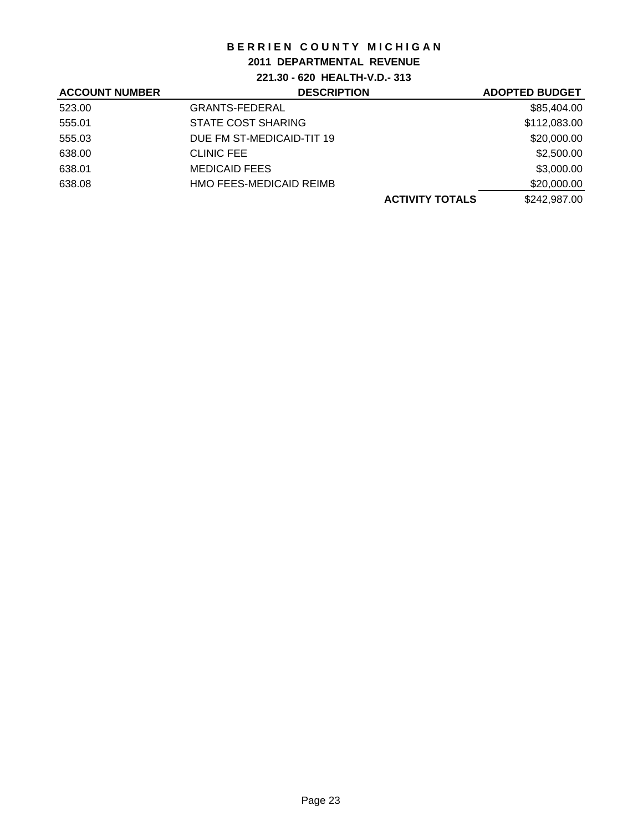## **2011 DEPARTMENTAL REVENUE**

## **221.30 - 620 HEALTH-V.D.- 313**

| <b>ACCOUNT NUMBER</b> | <b>DESCRIPTION</b>        | <b>ADOPTED BUDGET</b> |
|-----------------------|---------------------------|-----------------------|
| 523.00                | <b>GRANTS-FEDERAL</b>     | \$85,404.00           |
| 555.01                | <b>STATE COST SHARING</b> | \$112,083.00          |
| 555.03                | DUE FM ST-MEDICAID-TIT 19 | \$20,000.00           |
| 638.00                | <b>CLINIC FEE</b>         | \$2,500.00            |
| 638.01                | <b>MEDICAID FEES</b>      | \$3,000.00            |
| 638.08                | HMO FEES-MEDICAID REIMB   | \$20,000.00           |
|                       | <b>ACTIVITY TOTALS</b>    | \$242,987.00          |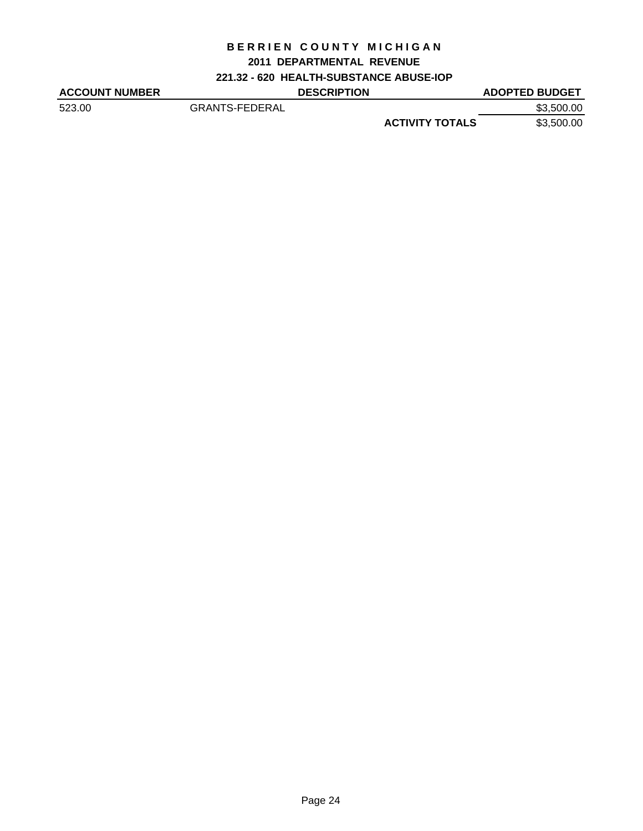### **2011 DEPARTMENTAL REVENUE**

## **221.32 - 620 HEALTH-SUBSTANCE ABUSE-IOP**

| <b>ACCOUNT NUMBER</b> |                       | <b>DESCRIPTION</b> |                        | <b>ADOPTED BUDGET</b> |
|-----------------------|-----------------------|--------------------|------------------------|-----------------------|
| 523.00                | <b>GRANTS-FEDERAL</b> |                    |                        | \$3,500.00            |
|                       |                       |                    | <b>ACTIVITY TOTALS</b> | \$3,500.00            |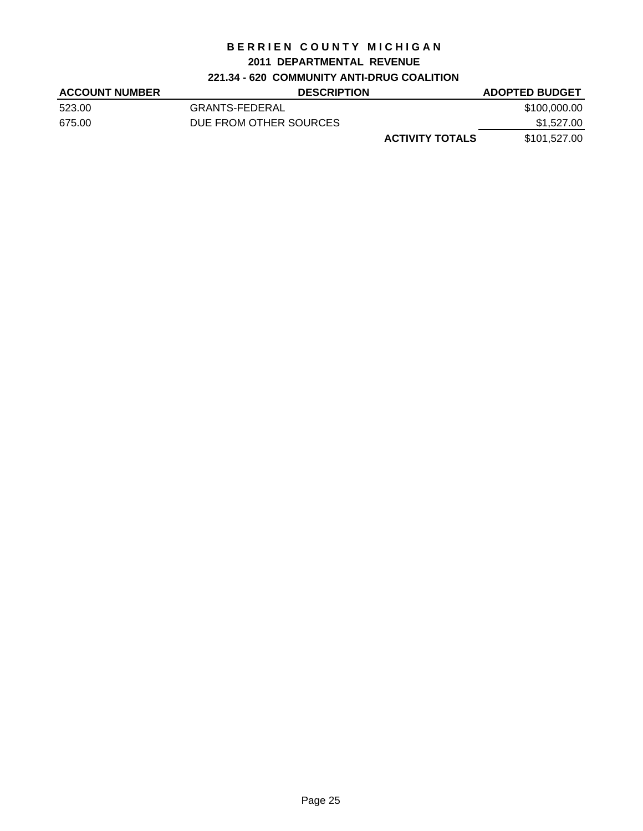### **2011 DEPARTMENTAL REVENUE**

## **221.34 - 620 COMMUNITY ANTI-DRUG COALITION**

| <b>ACCOUNT NUMBER</b> | <b>DESCRIPTION</b>     | <b>ADOPTED BUDGET</b> |
|-----------------------|------------------------|-----------------------|
| 523.00                | GRANTS-FEDERAL         | \$100,000.00          |
| 675.00                | DUE FROM OTHER SOURCES | \$1,527.00            |
|                       | <b>ACTIVITY TOTALS</b> | \$101,527.00          |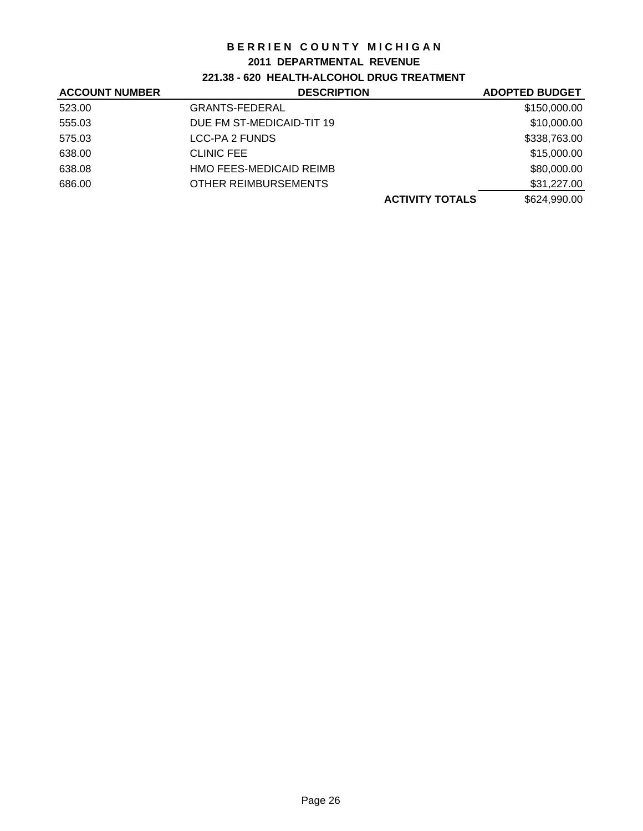### **2011 DEPARTMENTAL REVENUE**

## **221.38 - 620 HEALTH-ALCOHOL DRUG TREATMENT**

| <b>ACCOUNT NUMBER</b> | <b>DESCRIPTION</b>        | <b>ADOPTED BUDGET</b> |
|-----------------------|---------------------------|-----------------------|
| 523.00                | <b>GRANTS-FEDERAL</b>     | \$150,000.00          |
| 555.03                | DUE FM ST-MEDICAID-TIT 19 | \$10,000.00           |
| 575.03                | LCC-PA 2 FUNDS            | \$338,763.00          |
| 638.00                | <b>CLINIC FEE</b>         | \$15,000.00           |
| 638.08                | HMO FEES-MEDICAID REIMB   | \$80,000.00           |
| 686.00                | OTHER REIMBURSEMENTS      | \$31,227.00           |
|                       | <b>ACTIVITY TOTALS</b>    | \$624,990.00          |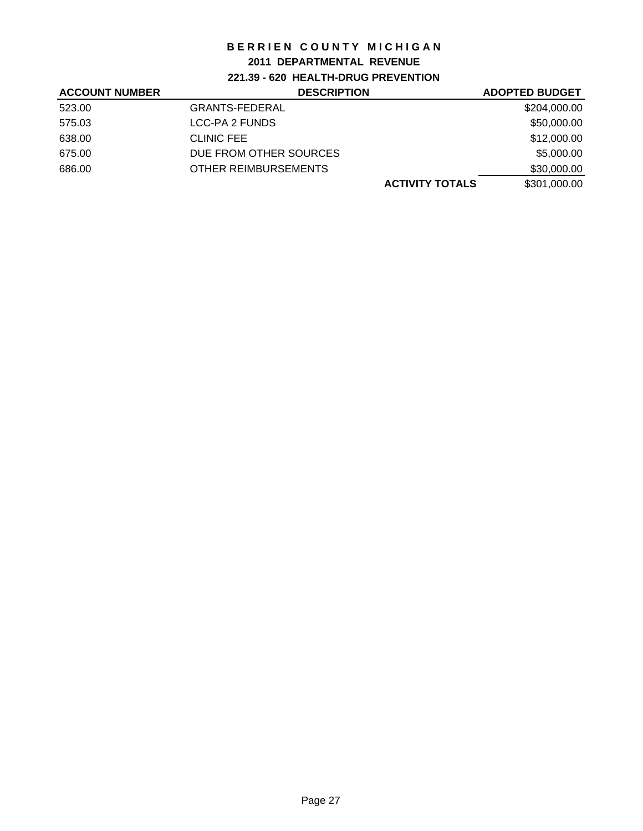## **2011 DEPARTMENTAL REVENUE**

**221.39 - 620 HEALTH-DRUG PREVENTION**

| <b>ACCOUNT NUMBER</b> | <b>DESCRIPTION</b>     | <b>ADOPTED BUDGET</b> |
|-----------------------|------------------------|-----------------------|
| 523.00                | <b>GRANTS-FEDERAL</b>  | \$204,000.00          |
| 575.03                | LCC-PA 2 FUNDS         | \$50,000.00           |
| 638.00                | <b>CLINIC FEE</b>      | \$12,000.00           |
| 675.00                | DUE FROM OTHER SOURCES | \$5,000.00            |
| 686.00                | OTHER REIMBURSEMENTS   | \$30,000.00           |
|                       | <b>ACTIVITY TOTALS</b> | \$301,000.00          |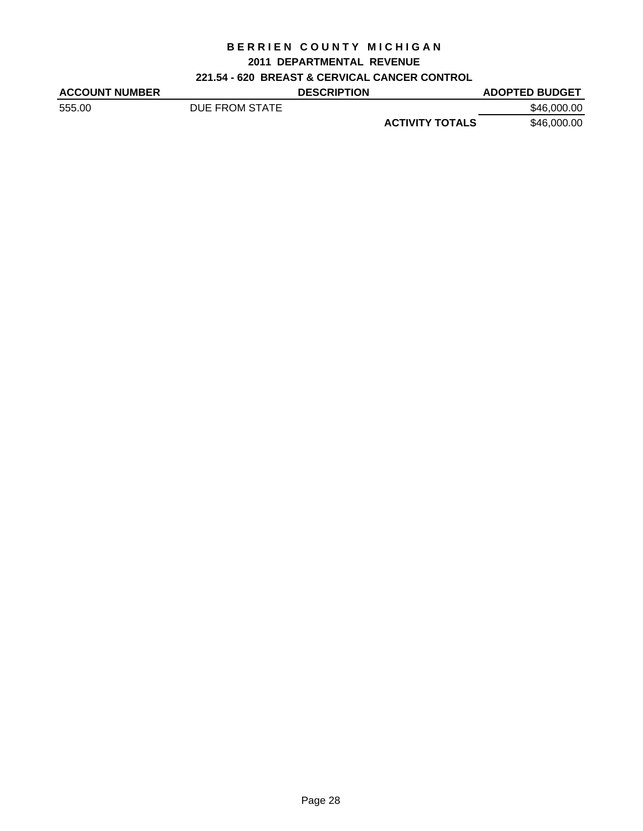## **2011 DEPARTMENTAL REVENUE**

## **221.54 - 620 BREAST & CERVICAL CANCER CONTROL**

| <b>ACCOUNT NUMBER</b> |                | <b>DESCRIPTION</b> |                        | <b>ADOPTED BUDGET</b> |
|-----------------------|----------------|--------------------|------------------------|-----------------------|
| 555.00                | DUE FROM STATE |                    |                        | \$46,000,00           |
|                       |                |                    | <b>ACTIVITY TOTALS</b> | \$46,000.00           |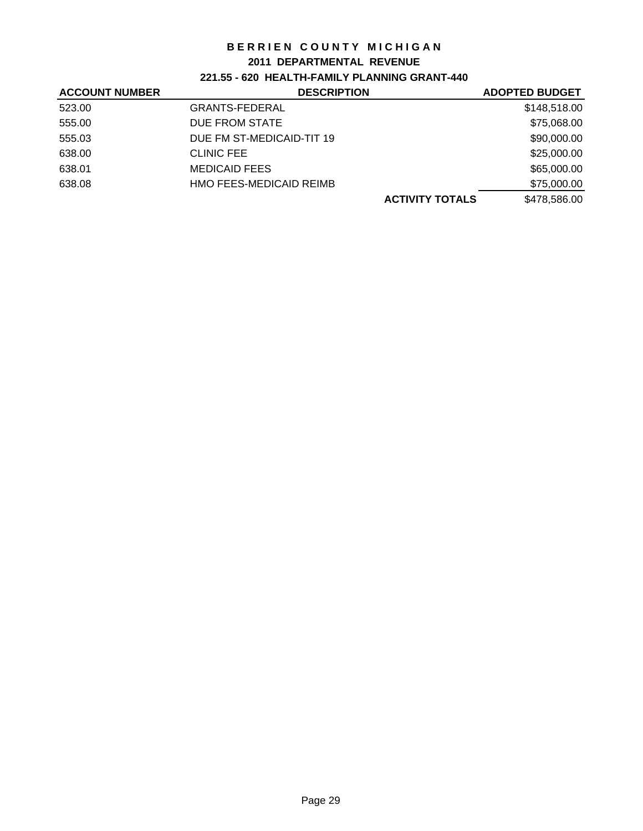### **2011 DEPARTMENTAL REVENUE**

## **221.55 - 620 HEALTH-FAMILY PLANNING GRANT-440**

| <b>ACCOUNT NUMBER</b> | <b>DESCRIPTION</b>        | <b>ADOPTED BUDGET</b> |
|-----------------------|---------------------------|-----------------------|
| 523.00                | <b>GRANTS-FEDERAL</b>     | \$148,518.00          |
| 555.00                | DUE FROM STATE            | \$75,068.00           |
| 555.03                | DUE FM ST-MEDICAID-TIT 19 | \$90,000.00           |
| 638.00                | <b>CLINIC FEE</b>         | \$25,000.00           |
| 638.01                | <b>MEDICAID FEES</b>      | \$65,000.00           |
| 638.08                | HMO FEES-MEDICAID REIMB   | \$75,000.00           |
|                       | <b>ACTIVITY TOTALS</b>    | \$478,586.00          |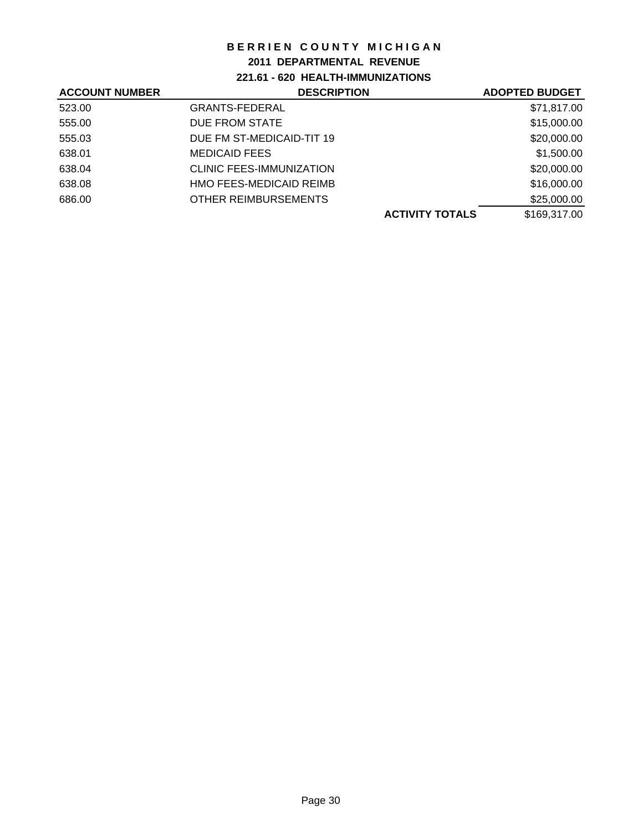### **2011 DEPARTMENTAL REVENUE**

## **221.61 - 620 HEALTH-IMMUNIZATIONS**

| <b>ACCOUNT NUMBER</b> | <b>DESCRIPTION</b>        | <b>ADOPTED BUDGET</b> |
|-----------------------|---------------------------|-----------------------|
| 523.00                | <b>GRANTS-FEDERAL</b>     | \$71,817.00           |
| 555.00                | DUE FROM STATE            | \$15,000.00           |
| 555.03                | DUE FM ST-MEDICAID-TIT 19 | \$20,000.00           |
| 638.01                | <b>MEDICAID FEES</b>      | \$1,500.00            |
| 638.04                | CLINIC FEES-IMMUNIZATION  | \$20,000.00           |
| 638.08                | HMO FEES-MEDICAID REIMB   | \$16,000.00           |
| 686.00                | OTHER REIMBURSEMENTS      | \$25,000.00           |
|                       | <b>ACTIVITY TOTALS</b>    | \$169,317.00          |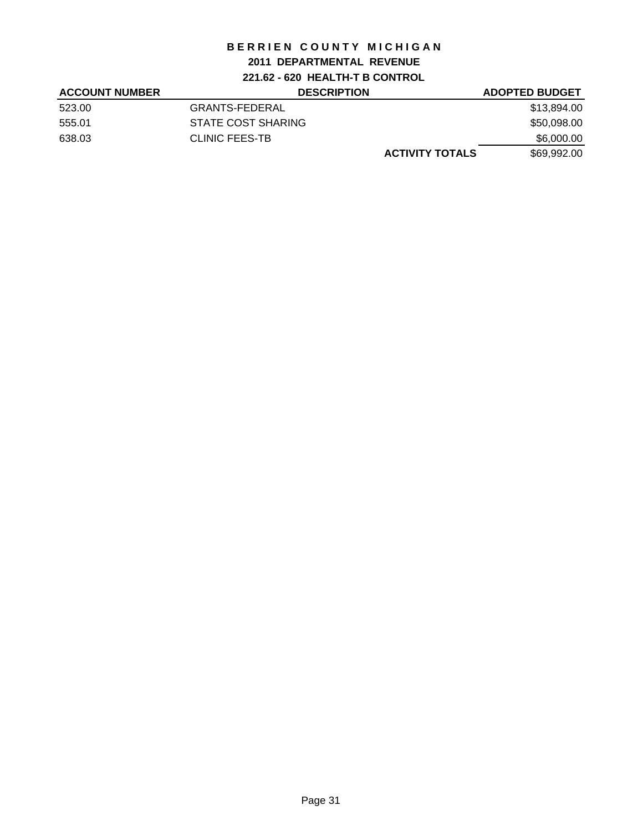## **2011 DEPARTMENTAL REVENUE**

**221.62 - 620 HEALTH-T B CONTROL**

| <b>ACCOUNT NUMBER</b> | <b>DESCRIPTION</b>        | <b>ADOPTED BUDGET</b> |
|-----------------------|---------------------------|-----------------------|
| 523.00                | <b>GRANTS-FEDERAL</b>     | \$13,894.00           |
| 555.01                | <b>STATE COST SHARING</b> | \$50,098.00           |
| 638.03                | <b>CLINIC FEES-TB</b>     | \$6,000.00            |
|                       | <b>ACTIVITY TOTALS</b>    | \$69,992.00           |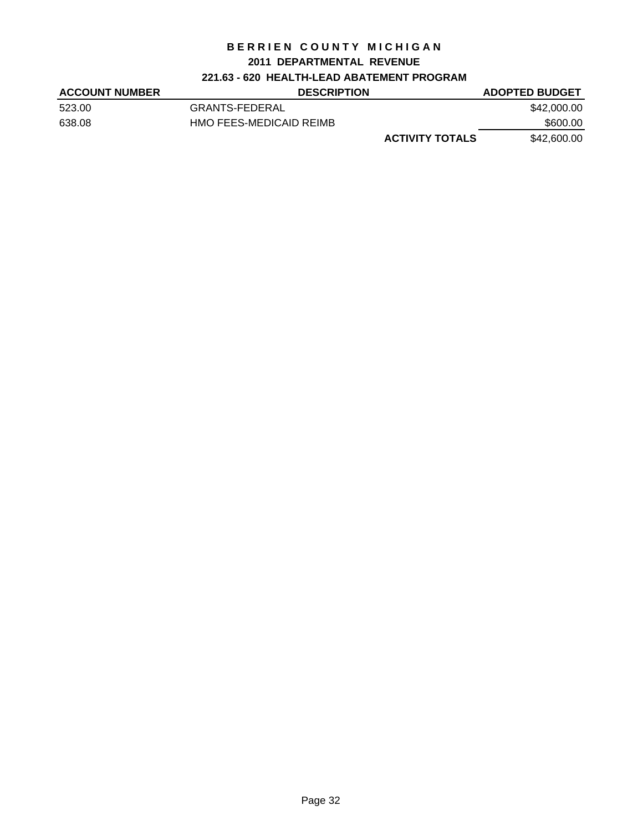#### **2011 DEPARTMENTAL REVENUE**

## **221.63 - 620 HEALTH-LEAD ABATEMENT PROGRAM**

| <b>ACCOUNT NUMBER</b> | <b>DESCRIPTION</b>      | <b>ADOPTED BUDGET</b> |
|-----------------------|-------------------------|-----------------------|
| 523.00                | GRANTS-FEDERAL          | \$42,000.00           |
| 638.08                | HMO FEES-MEDICAID REIMB | \$600.00              |
|                       | <b>ACTIVITY TOTALS</b>  | \$42,600.00           |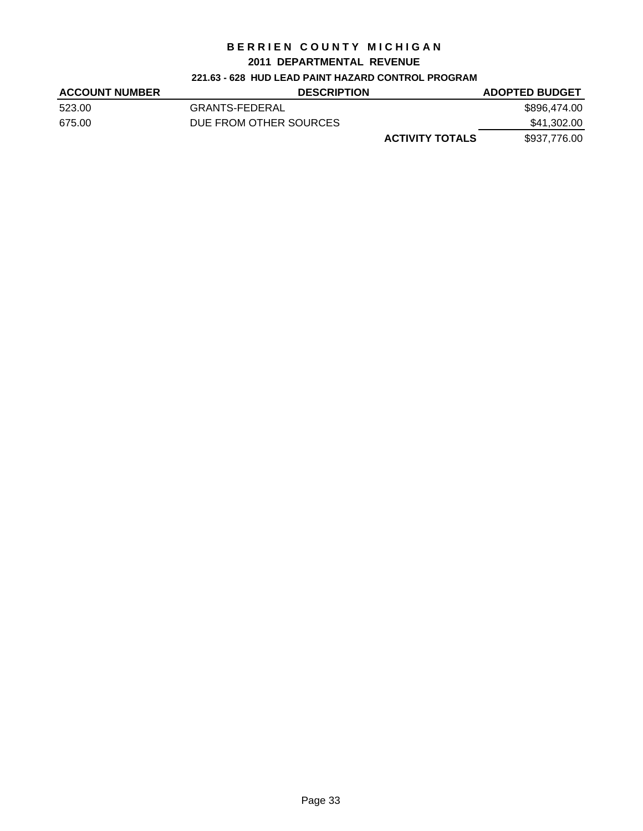#### **2011 DEPARTMENTAL REVENUE**

## **221.63 - 628 HUD LEAD PAINT HAZARD CONTROL PROGRAM**

| <b>ACCOUNT NUMBER</b> | <b>DESCRIPTION</b>     | <b>ADOPTED BUDGET</b> |
|-----------------------|------------------------|-----------------------|
| 523.00                | GRANTS-FEDERAL         | \$896,474.00          |
| 675.00                | DUE FROM OTHER SOURCES | \$41,302.00           |
|                       | <b>ACTIVITY TOTALS</b> | \$937,776.00          |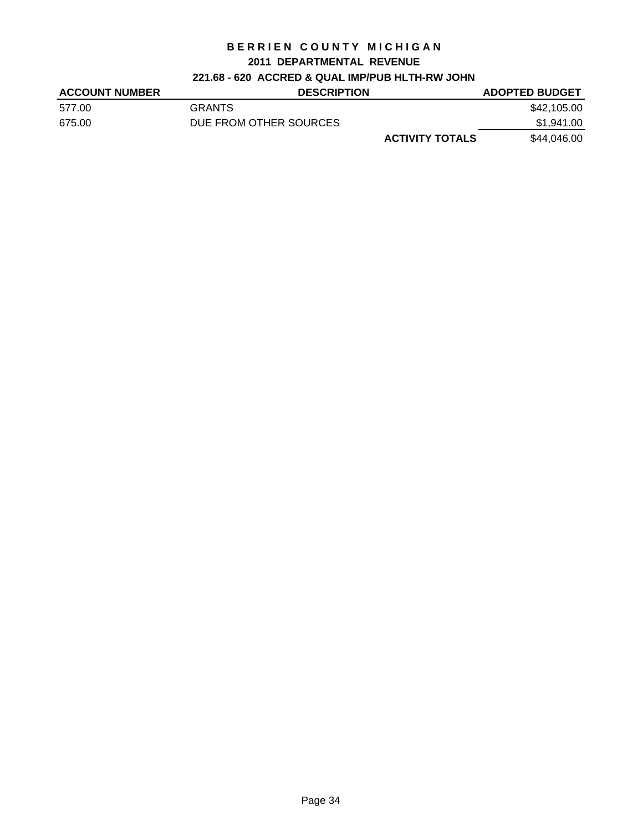#### **2011 DEPARTMENTAL REVENUE**

# **221.68 - 620 ACCRED & QUAL IMP/PUB HLTH-RW JOHN**

| <b>ACCOUNT NUMBER</b> | <b>DESCRIPTION</b>     | <b>ADOPTED BUDGET</b> |
|-----------------------|------------------------|-----------------------|
| 577.00                | <b>GRANTS</b>          | \$42,105.00           |
| 675.00                | DUE FROM OTHER SOURCES | \$1,941.00            |
|                       | <b>ACTIVITY TOTALS</b> | \$44,046.00           |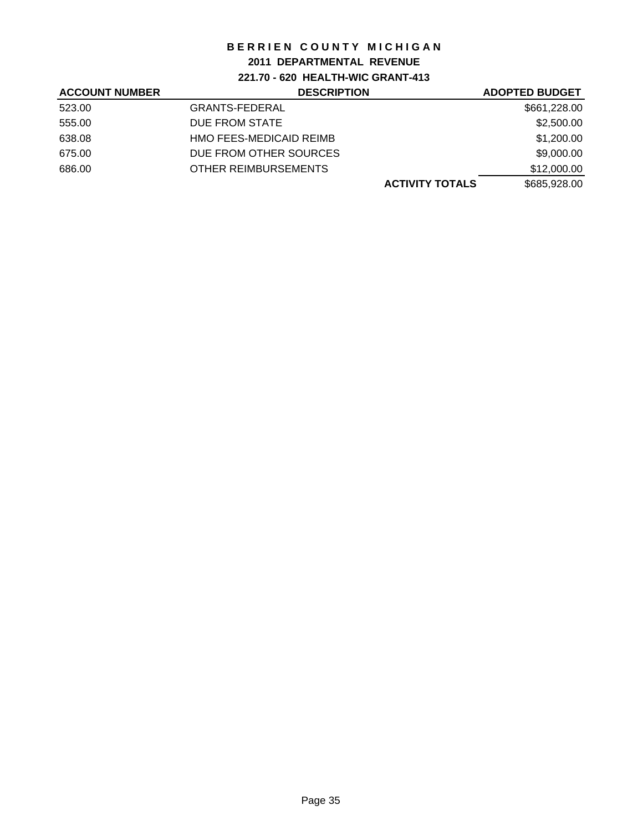# **2011 DEPARTMENTAL REVENUE**

**221.70 - 620 HEALTH-WIC GRANT-413**

| <b>ACCOUNT NUMBER</b> | <b>DESCRIPTION</b>      | <b>ADOPTED BUDGET</b> |
|-----------------------|-------------------------|-----------------------|
| 523.00                | <b>GRANTS-FEDERAL</b>   | \$661,228.00          |
| 555.00                | DUE FROM STATE          | \$2,500.00            |
| 638.08                | HMO FEES-MEDICAID REIMB | \$1,200.00            |
| 675.00                | DUE FROM OTHER SOURCES  | \$9,000.00            |
| 686.00                | OTHER REIMBURSEMENTS    | \$12,000.00           |
|                       | <b>ACTIVITY TOTALS</b>  | \$685,928.00          |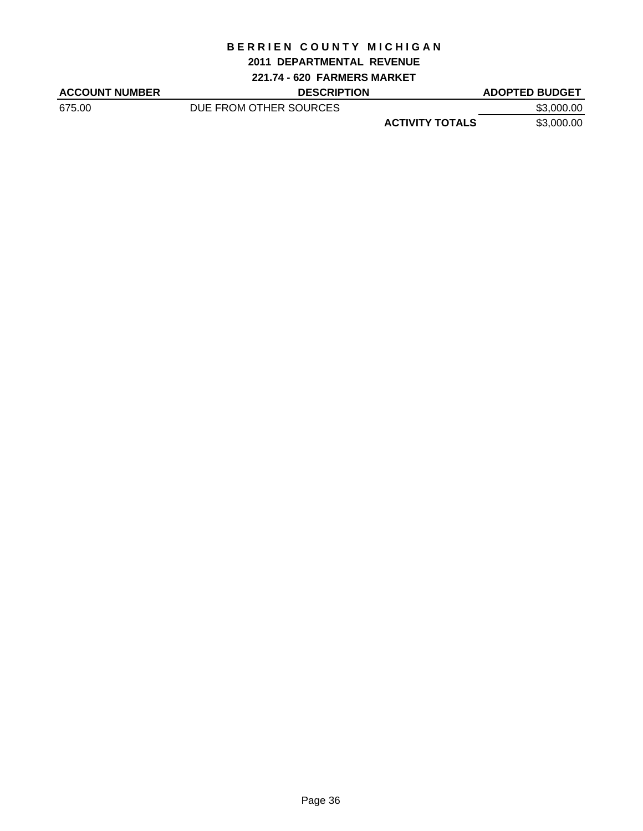#### **2011 DEPARTMENTAL REVENUE**

**221.74 - 620 FARMERS MARKET**

| <b>ACCOUNT NUMBER</b> | <b>DESCRIPTION</b>     |                        | <b>ADOPTED BUDGET</b> |
|-----------------------|------------------------|------------------------|-----------------------|
| 675.00                | DUE FROM OTHER SOURCES |                        | \$3,000.00            |
|                       |                        | <b>ACTIVITY TOTALS</b> | \$3,000.00            |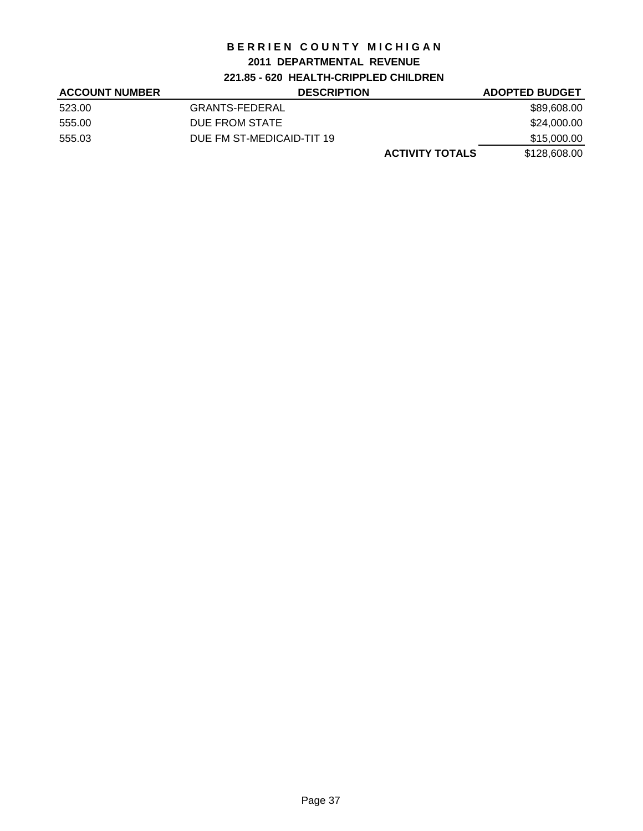# **2011 DEPARTMENTAL REVENUE**

**221.85 - 620 HEALTH-CRIPPLED CHILDREN**

| <b>ACCOUNT NUMBER</b> | <b>DESCRIPTION</b>        | <b>ADOPTED BUDGET</b> |
|-----------------------|---------------------------|-----------------------|
| 523.00                | <b>GRANTS-FEDERAL</b>     | \$89,608.00           |
| 555.00                | DUE FROM STATE            | \$24,000.00           |
| 555.03                | DUE FM ST-MEDICAID-TIT 19 | \$15,000.00           |
|                       | <b>ACTIVITY TOTALS</b>    | \$128,608.00          |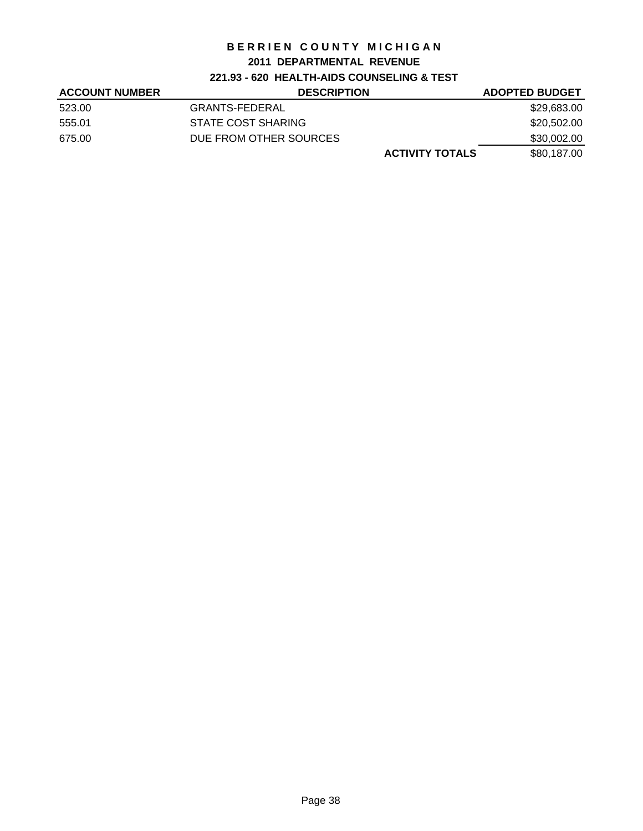# **2011 DEPARTMENTAL REVENUE**

# **221.93 - 620 HEALTH-AIDS COUNSELING & TEST**

| <b>ACCOUNT NUMBER</b> | <b>DESCRIPTION</b>     | <b>ADOPTED BUDGET</b> |
|-----------------------|------------------------|-----------------------|
| 523.00                | <b>GRANTS-FEDERAL</b>  | \$29,683.00           |
| 555.01                | STATE COST SHARING     | \$20,502.00           |
| 675.00                | DUE FROM OTHER SOURCES | \$30,002.00           |
|                       | <b>ACTIVITY TOTALS</b> | \$80.187.00           |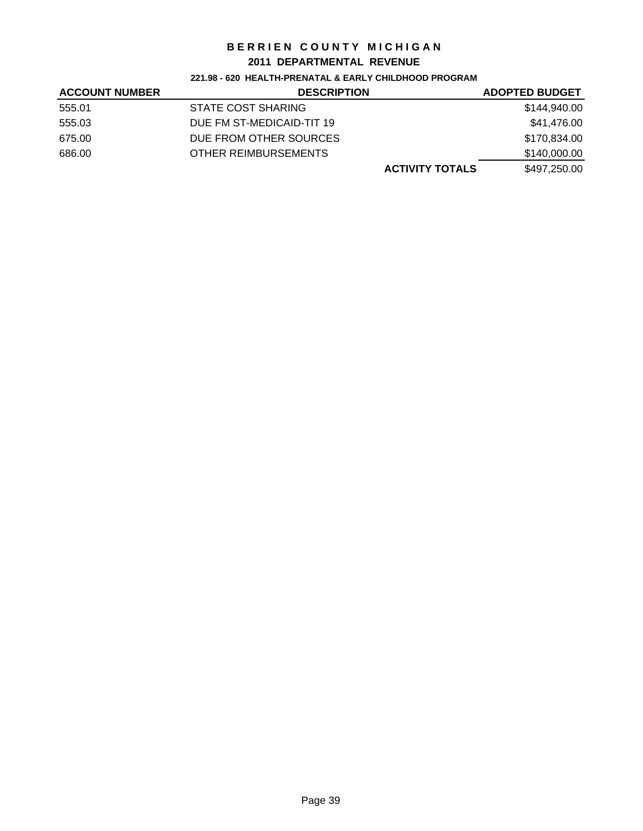## **2011 DEPARTMENTAL REVENUE**

#### **221.98 - 620 HEALTH-PRENATAL & EARLY CHILDHOOD PROGRAM**

| <b>ACCOUNT NUMBER</b> | <b>DESCRIPTION</b>        | <b>ADOPTED BUDGET</b> |
|-----------------------|---------------------------|-----------------------|
| 555.01                | STATE COST SHARING        | \$144,940.00          |
| 555.03                | DUE FM ST-MEDICAID-TIT 19 | \$41,476.00           |
| 675.00                | DUE FROM OTHER SOURCES    | \$170,834.00          |
| 686.00                | OTHER REIMBURSEMENTS      | \$140,000.00          |
|                       | <b>ACTIVITY TOTALS</b>    | \$497,250.00          |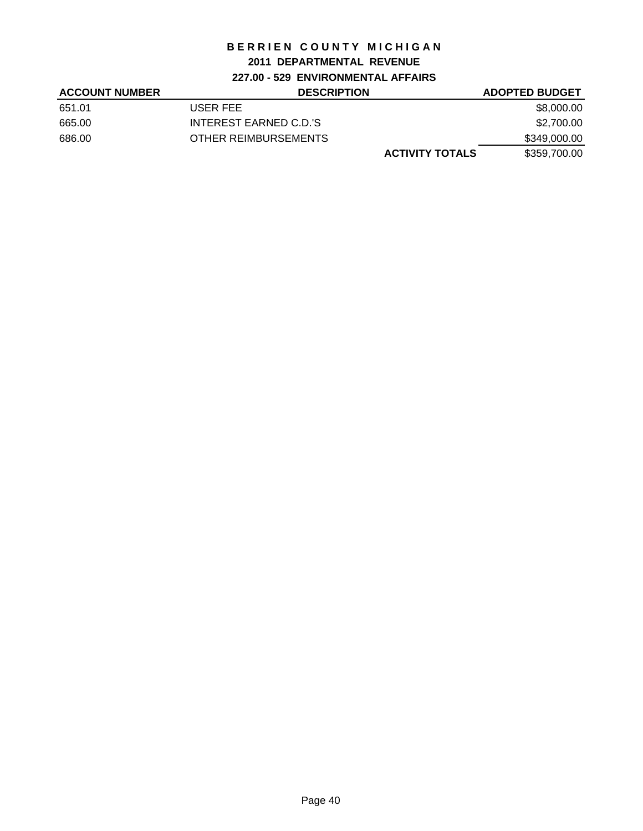# **2011 DEPARTMENTAL REVENUE**

**227.00 - 529 ENVIRONMENTAL AFFAIRS**

| <b>ACCOUNT NUMBER</b> | <b>DESCRIPTION</b>     | <b>ADOPTED BUDGET</b> |
|-----------------------|------------------------|-----------------------|
| 651.01                | USER FEE               | \$8,000.00            |
| 665.00                | INTEREST EARNED C.D.'S | \$2,700.00            |
| 686.00                | OTHER REIMBURSEMENTS   | \$349,000.00          |
|                       | <b>ACTIVITY TOTALS</b> | \$359,700.00          |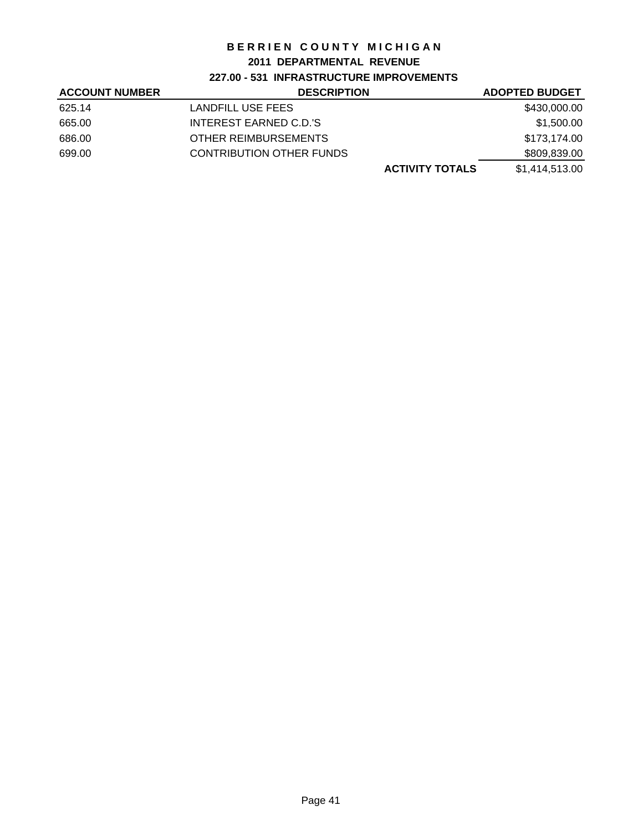#### **2011 DEPARTMENTAL REVENUE**

# **227.00 - 531 INFRASTRUCTURE IMPROVEMENTS**

| <b>ACCOUNT NUMBER</b> | <b>DESCRIPTION</b>              | <b>ADOPTED BUDGET</b> |
|-----------------------|---------------------------------|-----------------------|
| 625.14                | LANDFILL USE FEES               | \$430,000.00          |
| 665.00                | INTEREST EARNED C.D.'S          | \$1,500.00            |
| 686.00                | OTHER REIMBURSEMENTS            | \$173,174.00          |
| 699.00                | <b>CONTRIBUTION OTHER FUNDS</b> | \$809,839.00          |
|                       | <b>ACTIVITY TOTALS</b>          | \$1,414,513.00        |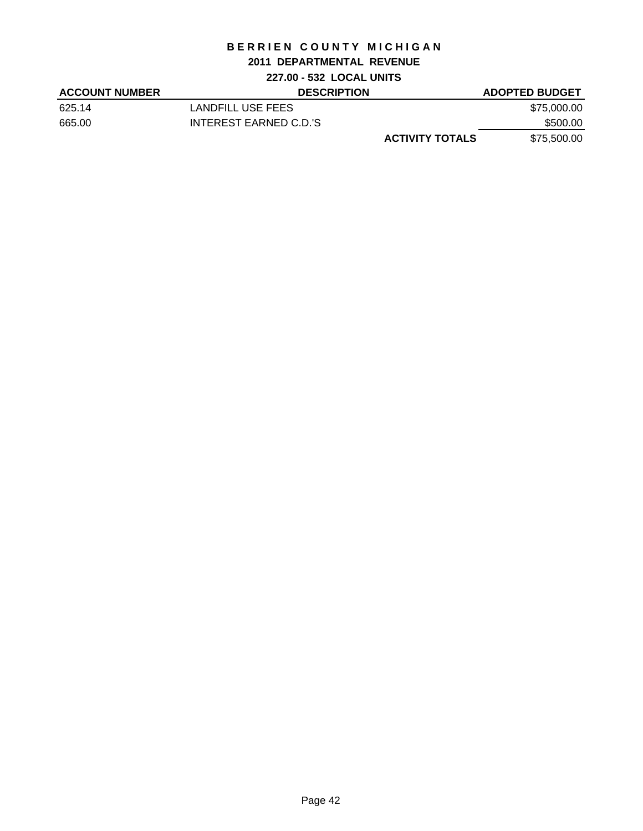#### **2011 DEPARTMENTAL REVENUE**

# **227.00 - 532 LOCAL UNITS**

| <b>ACCOUNT NUMBER</b> | <b>DESCRIPTION</b>     | <b>ADOPTED BUDGET</b> |
|-----------------------|------------------------|-----------------------|
| 625.14                | LANDFILL USE FEES      | \$75,000.00           |
| 665.00                | INTEREST EARNED C.D.'S | \$500.00              |
|                       | <b>ACTIVITY TOTALS</b> | \$75,500.00           |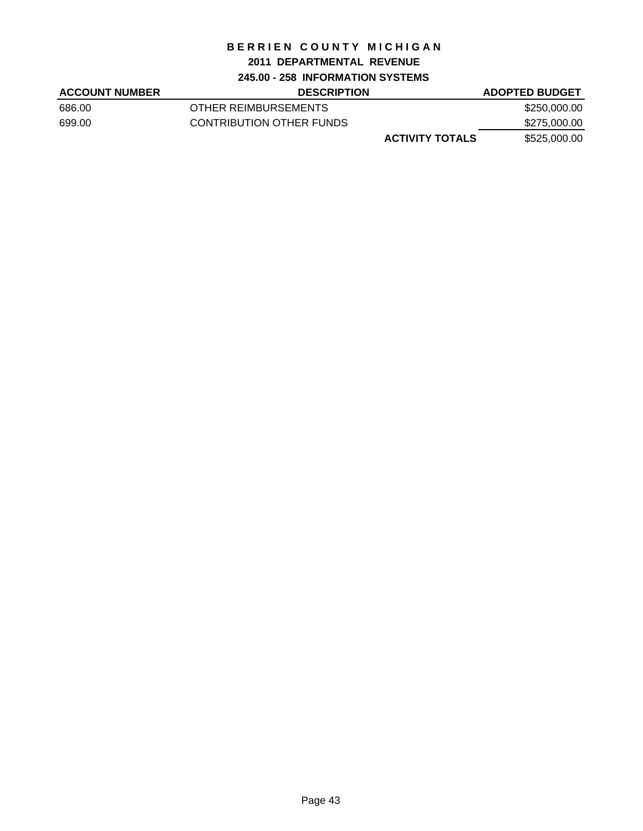#### **2011 DEPARTMENTAL REVENUE**

#### **245.00 - 258 INFORMATION SYSTEMS**

| <b>ACCOUNT NUMBER</b> | <b>DESCRIPTION</b>       | <b>ADOPTED BUDGET</b> |
|-----------------------|--------------------------|-----------------------|
| 686.00                | OTHER REIMBURSEMENTS     | \$250,000.00          |
| 699.00                | CONTRIBUTION OTHER FUNDS | \$275,000.00          |
|                       | <b>ACTIVITY TOTALS</b>   | \$525,000.00          |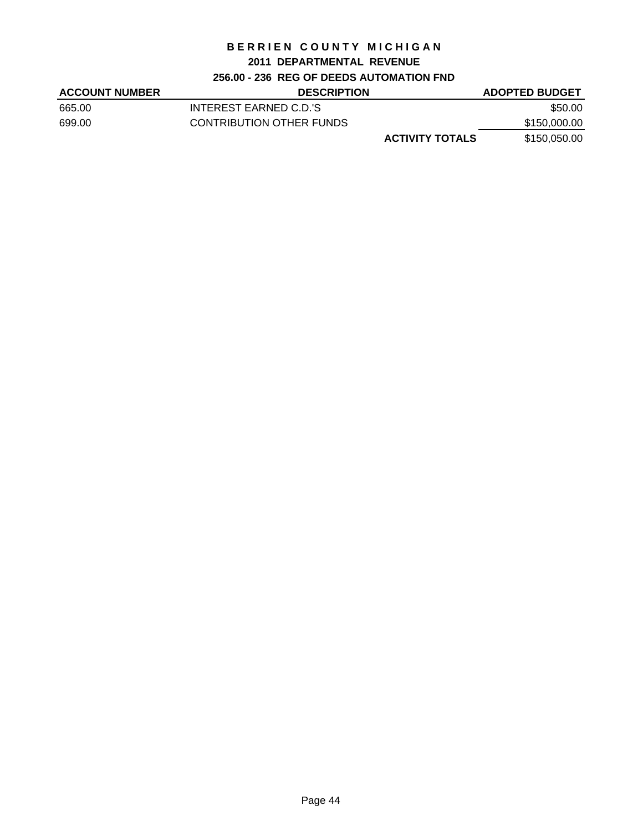#### **2011 DEPARTMENTAL REVENUE**

#### **256.00 - 236 REG OF DEEDS AUTOMATION FND**

| <b>ACCOUNT NUMBER</b> | <b>DESCRIPTION</b>       | <b>ADOPTED BUDGET</b> |
|-----------------------|--------------------------|-----------------------|
| 665.00                | INTEREST EARNED C.D.'S   | \$50.00               |
| 699.00                | CONTRIBUTION OTHER FUNDS | \$150,000.00          |
|                       | <b>ACTIVITY TOTALS</b>   | \$150,050.00          |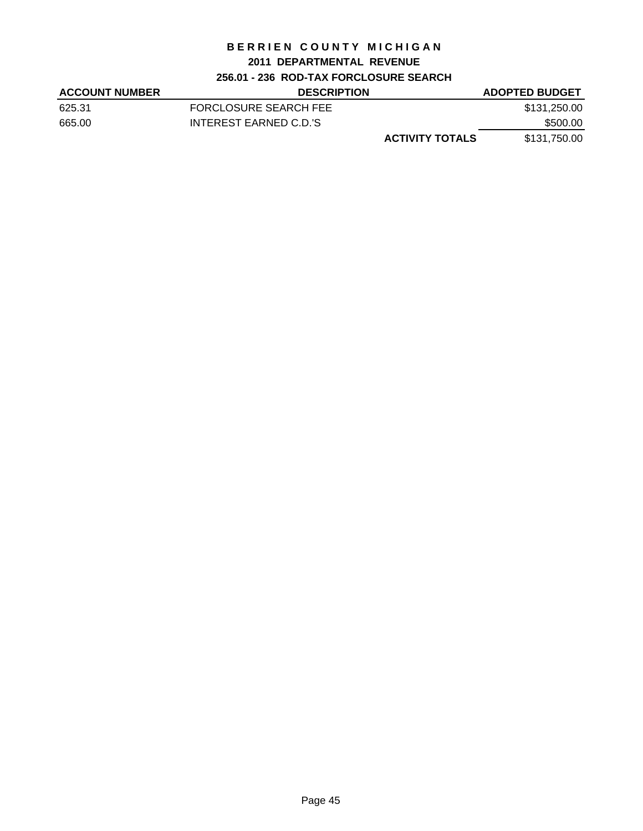## **2011 DEPARTMENTAL REVENUE**

# **256.01 - 236 ROD-TAX FORCLOSURE SEARCH**

| <b>ACCOUNT NUMBER</b> | <b>DESCRIPTION</b>     | <b>ADOPTED BUDGET</b> |
|-----------------------|------------------------|-----------------------|
| 625.31                | FORCLOSURE SEARCH FEE  | \$131,250.00          |
| 665.00                | INTEREST EARNED C.D.'S | \$500.00              |
|                       | <b>ACTIVITY TOTALS</b> | \$131,750.00          |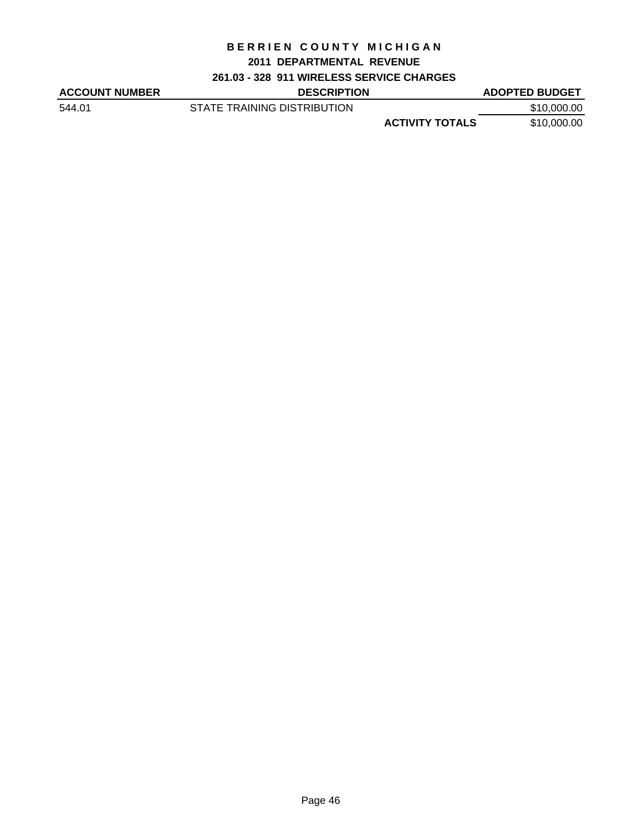#### **2011 DEPARTMENTAL REVENUE**

## **261.03 - 328 911 WIRELESS SERVICE CHARGES**

| <b>ACCOUNT NUMBER</b> | <b>DESCRIPTION</b>          |                        | <b>ADOPTED BUDGET</b> |
|-----------------------|-----------------------------|------------------------|-----------------------|
| 544.01                | STATE TRAINING DISTRIBUTION |                        | \$10,000.00           |
|                       |                             | <b>ACTIVITY TOTALS</b> | \$10,000.00           |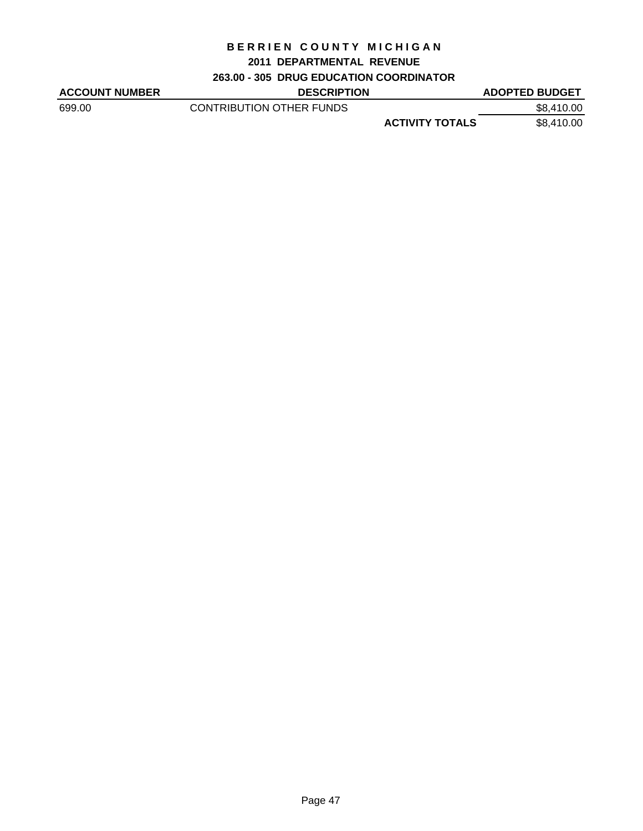#### **2011 DEPARTMENTAL REVENUE**

## **263.00 - 305 DRUG EDUCATION COORDINATOR**

| <b>ACCOUNT NUMBER</b> | <b>DESCRIPTION</b>       |                        | <b>ADOPTED BUDGET</b> |
|-----------------------|--------------------------|------------------------|-----------------------|
| 699.00                | CONTRIBUTION OTHER FUNDS |                        | \$8,410.00            |
|                       |                          | <b>ACTIVITY TOTALS</b> | \$8,410.00            |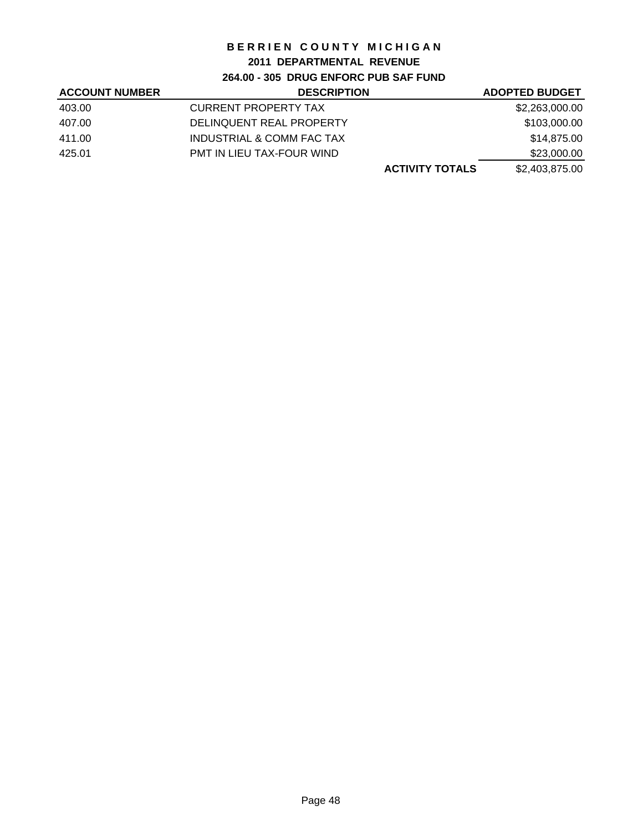# **2011 DEPARTMENTAL REVENUE**

**264.00 - 305 DRUG ENFORC PUB SAF FUND**

| <b>ACCOUNT NUMBER</b> | <b>DESCRIPTION</b>          | <b>ADOPTED BUDGET</b> |
|-----------------------|-----------------------------|-----------------------|
| 403.00                | <b>CURRENT PROPERTY TAX</b> | \$2,263,000.00        |
| 407.00                | DELINQUENT REAL PROPERTY    | \$103,000.00          |
| 411.00                | INDUSTRIAL & COMM FAC TAX   | \$14,875.00           |
| 425.01                | PMT IN LIEU TAX-FOUR WIND   | \$23,000.00           |
|                       | <b>ACTIVITY TOTALS</b>      | \$2,403,875.00        |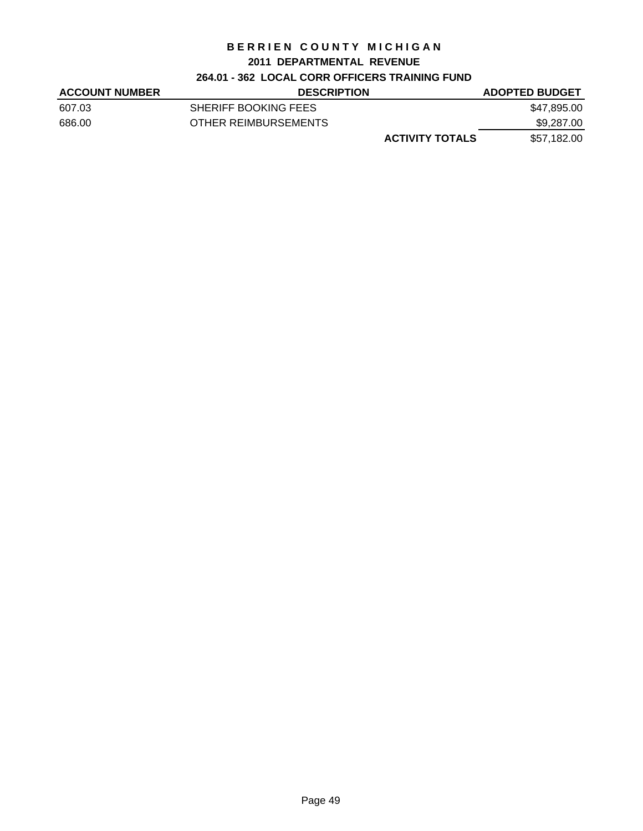#### **2011 DEPARTMENTAL REVENUE**

# **264.01 - 362 LOCAL CORR OFFICERS TRAINING FUND**

| <b>ACCOUNT NUMBER</b> | <b>DESCRIPTION</b>          | <b>ADOPTED BUDGET</b> |
|-----------------------|-----------------------------|-----------------------|
| 607.03                | <b>SHERIFF BOOKING FEES</b> | \$47,895.00           |
| 686.00                | OTHER REIMBURSEMENTS        | \$9,287.00            |
|                       | <b>ACTIVITY TOTALS</b>      | \$57,182.00           |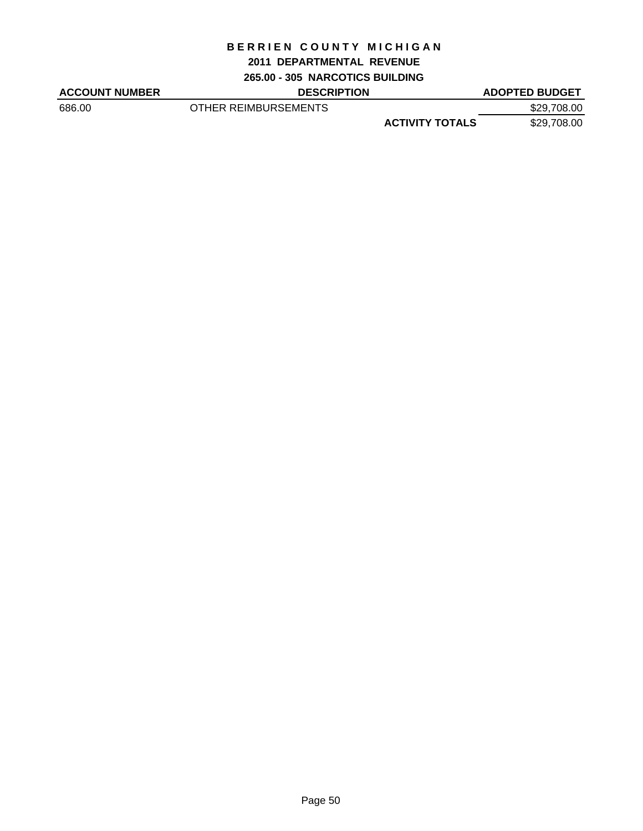#### **2011 DEPARTMENTAL REVENUE**

**265.00 - 305 NARCOTICS BUILDING**

| <b>ACCOUNT NUMBER</b> | <b>DESCRIPTION</b>   |                        | <b>ADOPTED BUDGET</b> |
|-----------------------|----------------------|------------------------|-----------------------|
| 686.00                | OTHER REIMBURSEMENTS |                        | \$29,708.00           |
|                       |                      | <b>ACTIVITY TOTALS</b> | \$29,708.00           |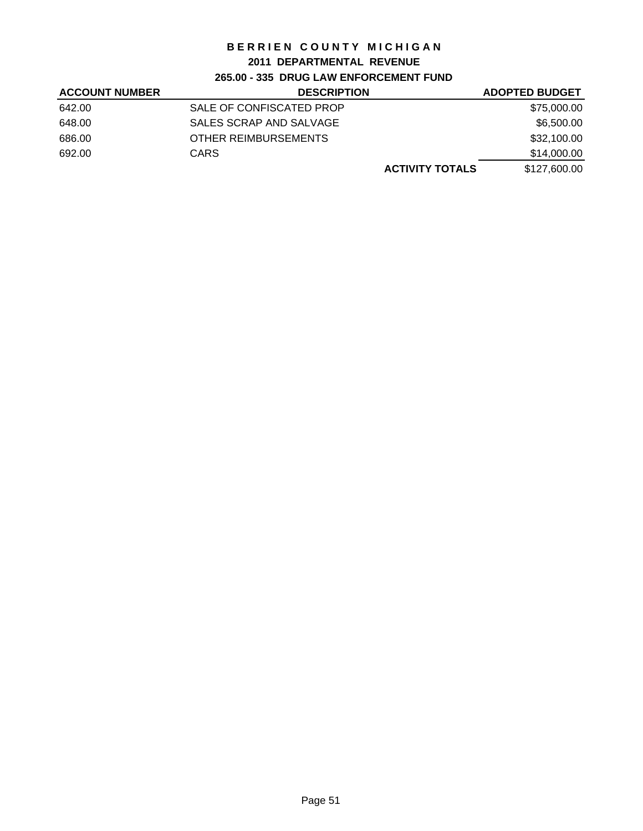# **2011 DEPARTMENTAL REVENUE**

# **265.00 - 335 DRUG LAW ENFORCEMENT FUND**

| <b>ACCOUNT NUMBER</b> | <b>DESCRIPTION</b>       | <b>ADOPTED BUDGET</b> |
|-----------------------|--------------------------|-----------------------|
| 642.00                | SALE OF CONFISCATED PROP | \$75,000.00           |
| 648.00                | SALES SCRAP AND SALVAGE  | \$6,500.00            |
| 686.00                | OTHER REIMBURSEMENTS     | \$32,100.00           |
| 692.00                | <b>CARS</b>              | \$14,000.00           |
|                       | <b>ACTIVITY TOTALS</b>   | \$127,600.00          |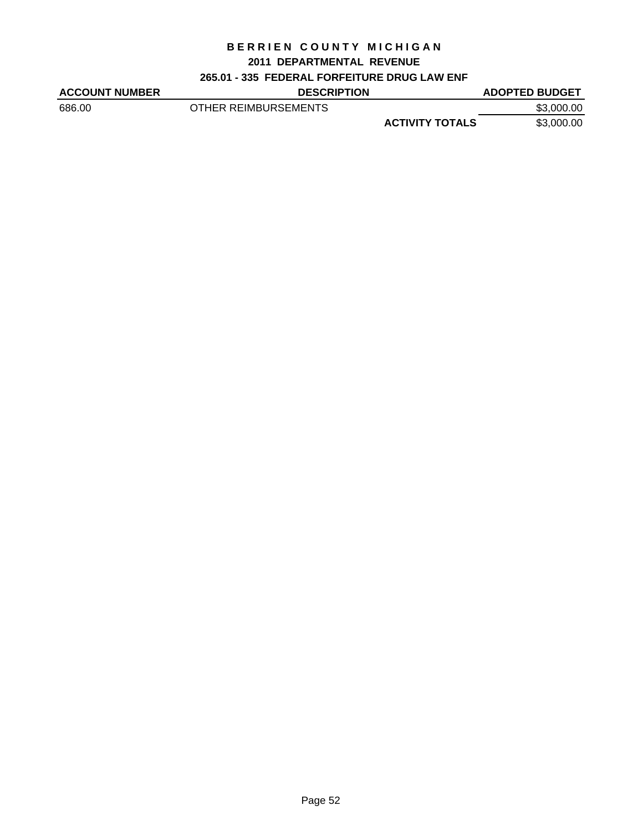#### **2011 DEPARTMENTAL REVENUE**

# **265.01 - 335 FEDERAL FORFEITURE DRUG LAW ENF**

| <b>ACCOUNT NUMBER</b> | <b>DESCRIPTION</b>   |                        | <b>ADOPTED BUDGET</b> |
|-----------------------|----------------------|------------------------|-----------------------|
| 686.00                | OTHER REIMBURSEMENTS |                        | \$3,000.00            |
|                       |                      | <b>ACTIVITY TOTALS</b> | \$3,000.00            |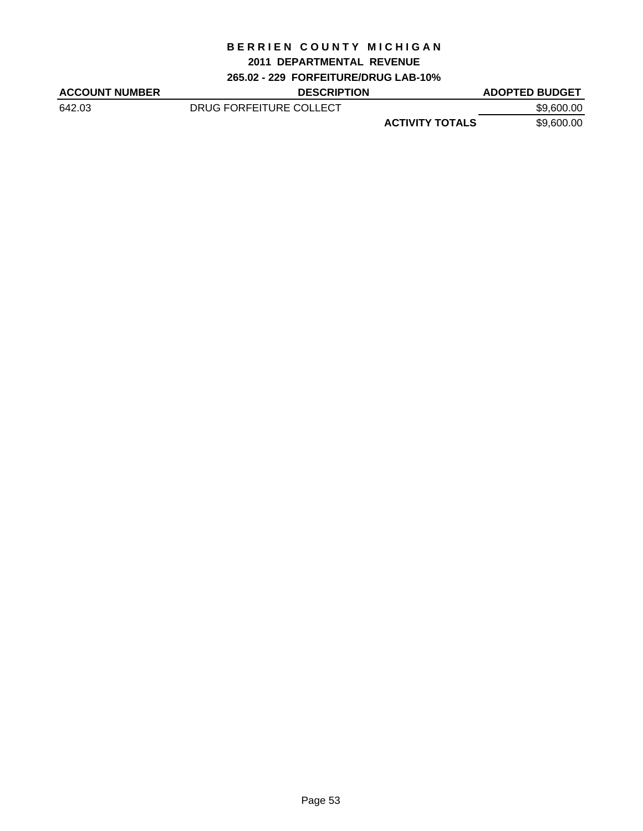#### **2011 DEPARTMENTAL REVENUE**

**265.02 - 229 FORFEITURE/DRUG LAB-10%**

| <b>ACCOUNT NUMBER</b> | <b>DESCRIPTION</b>      |                        | <b>ADOPTED BUDGET</b> |
|-----------------------|-------------------------|------------------------|-----------------------|
| 642.03                | DRUG FORFEITURE COLLECT |                        | \$9,600.00            |
|                       |                         | <b>ACTIVITY TOTALS</b> | \$9,600.00            |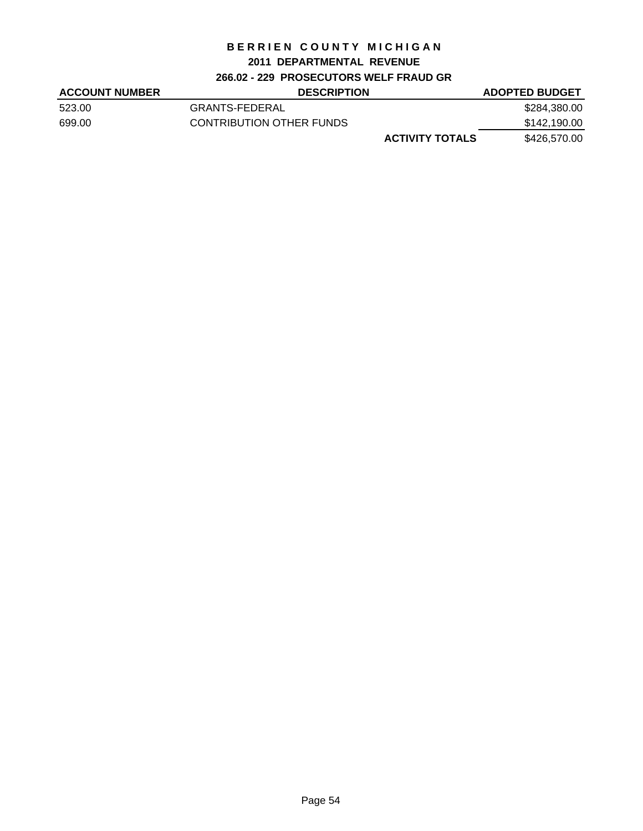#### **2011 DEPARTMENTAL REVENUE**

#### **266.02 - 229 PROSECUTORS WELF FRAUD GR**

| <b>ACCOUNT NUMBER</b> | <b>DESCRIPTION</b>       | <b>ADOPTED BUDGET</b> |
|-----------------------|--------------------------|-----------------------|
| 523.00                | GRANTS-FEDERAL           | \$284,380.00          |
| 699.00                | CONTRIBUTION OTHER FUNDS | \$142,190.00          |
|                       | <b>ACTIVITY TOTALS</b>   | \$426,570.00          |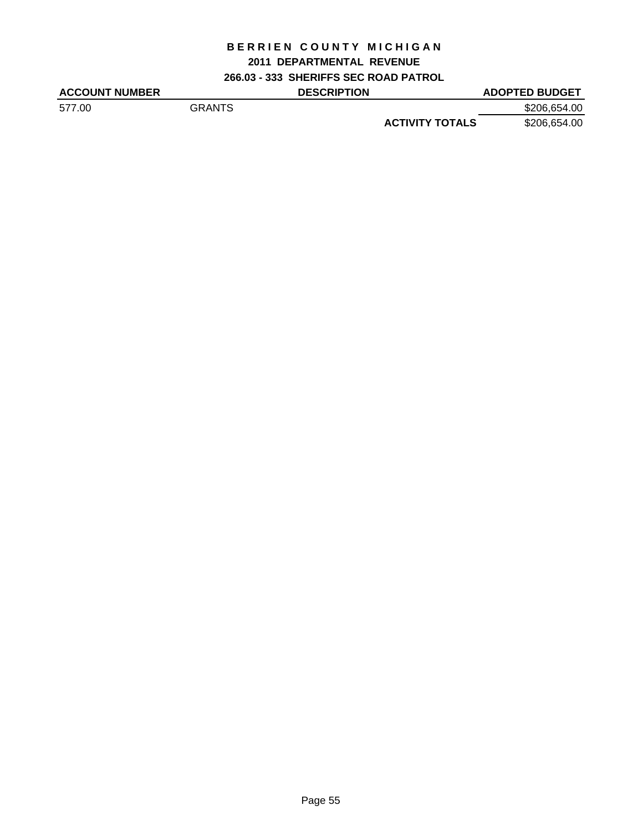#### **2011 DEPARTMENTAL REVENUE**

**266.03 - 333 SHERIFFS SEC ROAD PATROL**

| <b>ACCOUNT NUMBER</b> |               | <b>DESCRIPTION</b> |                        | <b>ADOPTED BUDGET</b> |
|-----------------------|---------------|--------------------|------------------------|-----------------------|
| 577.00                | <b>GRANTS</b> |                    |                        | \$206,654.00          |
|                       |               |                    | <b>ACTIVITY TOTALS</b> | \$206,654.00          |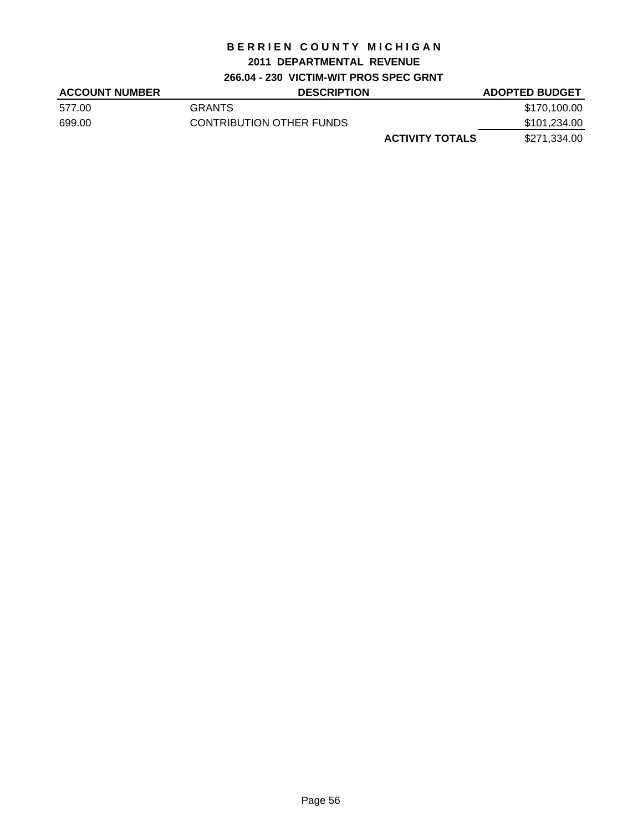# **2011 DEPARTMENTAL REVENUE**

**266.04 - 230 VICTIM-WIT PROS SPEC GRNT**

| <b>ACCOUNT NUMBER</b> | <b>DESCRIPTION</b>       | <b>ADOPTED BUDGET</b> |
|-----------------------|--------------------------|-----------------------|
| 577.00                | <b>GRANTS</b>            | \$170,100.00          |
| 699.00                | CONTRIBUTION OTHER FUNDS | \$101,234.00          |
|                       | <b>ACTIVITY TOTALS</b>   | \$271,334.00          |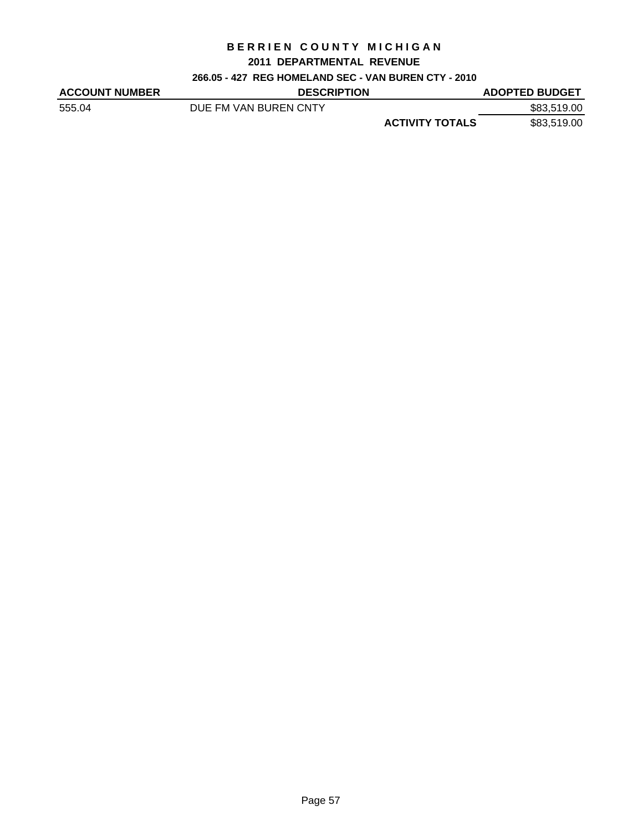#### **2011 DEPARTMENTAL REVENUE**

#### **266.05 - 427 REG HOMELAND SEC - VAN BUREN CTY - 2010**

| <b>ACCOUNT NUMBER</b> | <b>DESCRIPTION</b>    |                        | <b>ADOPTED BUDGET</b> |
|-----------------------|-----------------------|------------------------|-----------------------|
| 555.04                | DUE FM VAN BUREN CNTY |                        | \$83,519.00           |
|                       |                       | <b>ACTIVITY TOTALS</b> | \$83,519.00           |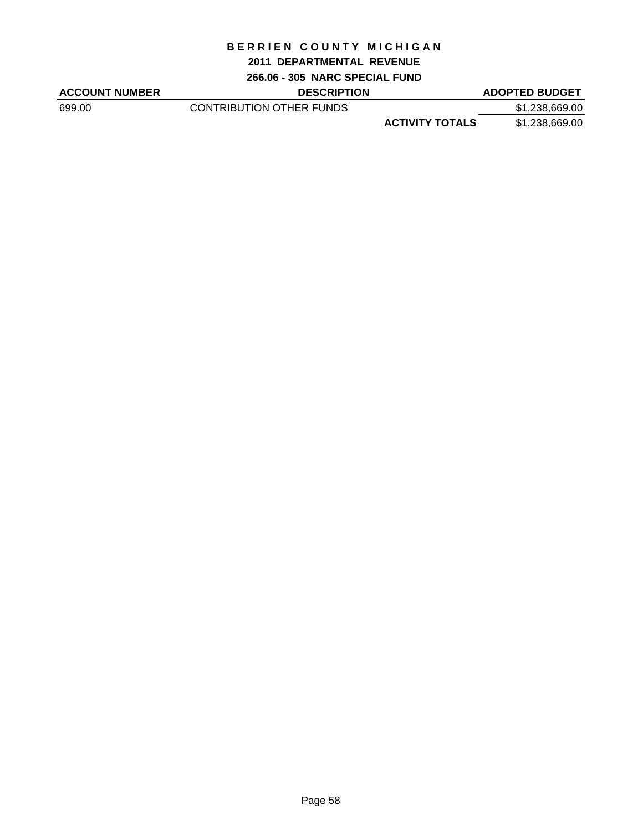#### **2011 DEPARTMENTAL REVENUE**

**266.06 - 305 NARC SPECIAL FUND**

| <b>ACCOUNT NUMBER</b> | <b>DESCRIPTION</b>       |                        | <b>ADOPTED BUDGET</b> |
|-----------------------|--------------------------|------------------------|-----------------------|
| 699.00                | CONTRIBUTION OTHER FUNDS |                        | \$1,238,669.00        |
|                       |                          | <b>ACTIVITY TOTALS</b> | \$1,238,669.00        |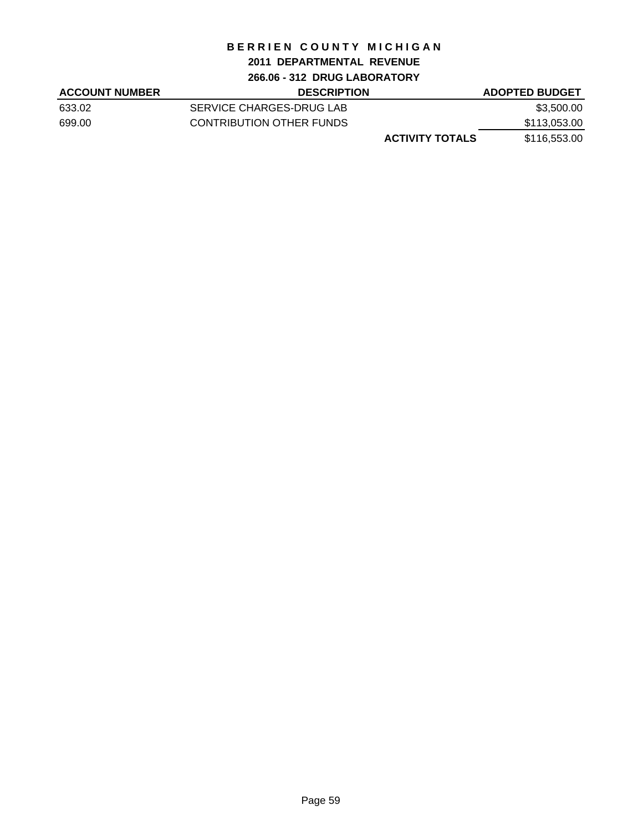## **2011 DEPARTMENTAL REVENUE**

**266.06 - 312 DRUG LABORATORY**

| <b>ACCOUNT NUMBER</b> | <b>DESCRIPTION</b>       | <b>ADOPTED BUDGET</b> |
|-----------------------|--------------------------|-----------------------|
| 633.02                | SERVICE CHARGES-DRUG LAB | \$3,500.00            |
| 699.00                | CONTRIBUTION OTHER FUNDS | \$113,053.00          |
|                       | <b>ACTIVITY TOTALS</b>   | \$116,553.00          |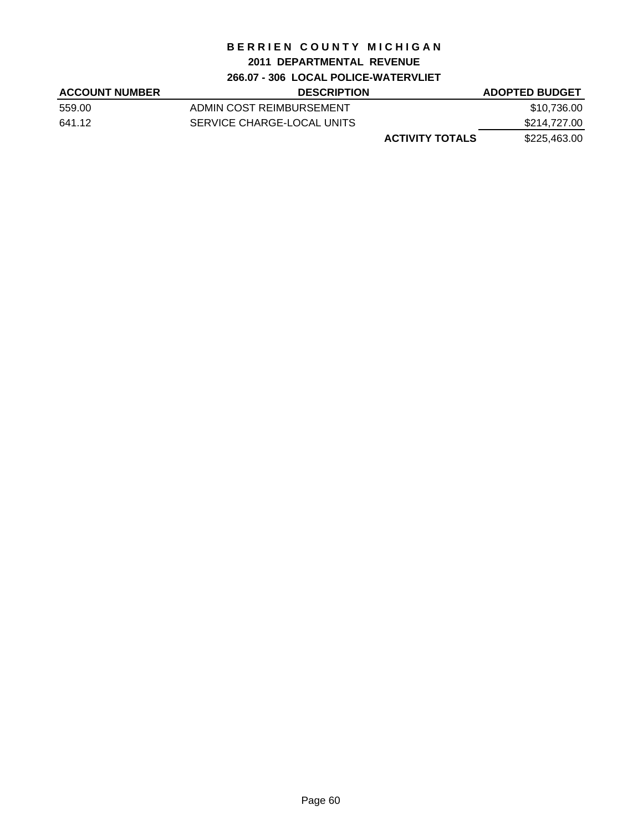# **2011 DEPARTMENTAL REVENUE**

**266.07 - 306 LOCAL POLICE-WATERVLIET**

| <b>ACCOUNT NUMBER</b> | <b>DESCRIPTION</b>         | <b>ADOPTED BUDGET</b> |
|-----------------------|----------------------------|-----------------------|
| 559.00                | ADMIN COST REIMBURSEMENT   | \$10,736.00           |
| 641.12                | SERVICE CHARGE-LOCAL UNITS | \$214,727.00          |
|                       | <b>ACTIVITY TOTALS</b>     | \$225,463.00          |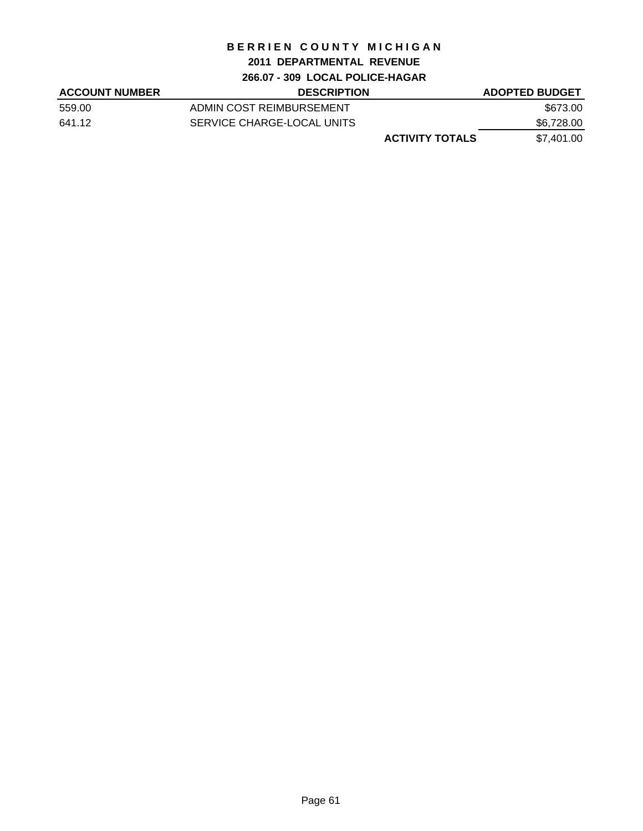#### **2011 DEPARTMENTAL REVENUE**

# **266.07 - 309 LOCAL POLICE-HAGAR**

| <b>ACCOUNT NUMBER</b> | <b>DESCRIPTION</b>         | <b>ADOPTED BUDGET</b> |
|-----------------------|----------------------------|-----------------------|
| 559.00                | ADMIN COST REIMBURSEMENT   | \$673.00              |
| 641.12                | SERVICE CHARGE-LOCAL UNITS | \$6,728.00            |
|                       | <b>ACTIVITY TOTALS</b>     | \$7.401.00            |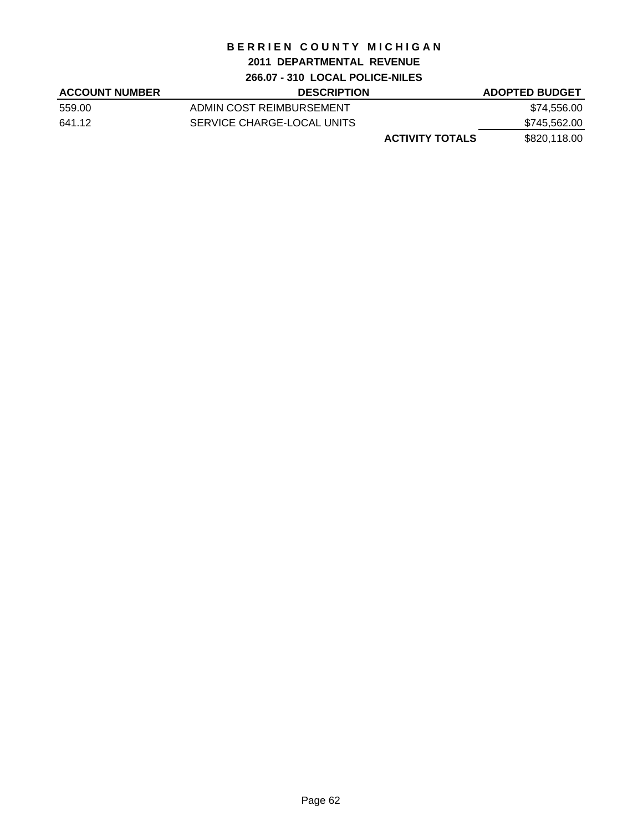## **2011 DEPARTMENTAL REVENUE**

**266.07 - 310 LOCAL POLICE-NILES**

| <b>ACCOUNT NUMBER</b> | <b>DESCRIPTION</b>         | <b>ADOPTED BUDGET</b> |
|-----------------------|----------------------------|-----------------------|
| 559.00                | ADMIN COST REIMBURSEMENT   | \$74,556.00           |
| 641.12                | SERVICE CHARGE-LOCAL UNITS | \$745,562.00          |
|                       | <b>ACTIVITY TOTALS</b>     | \$820,118.00          |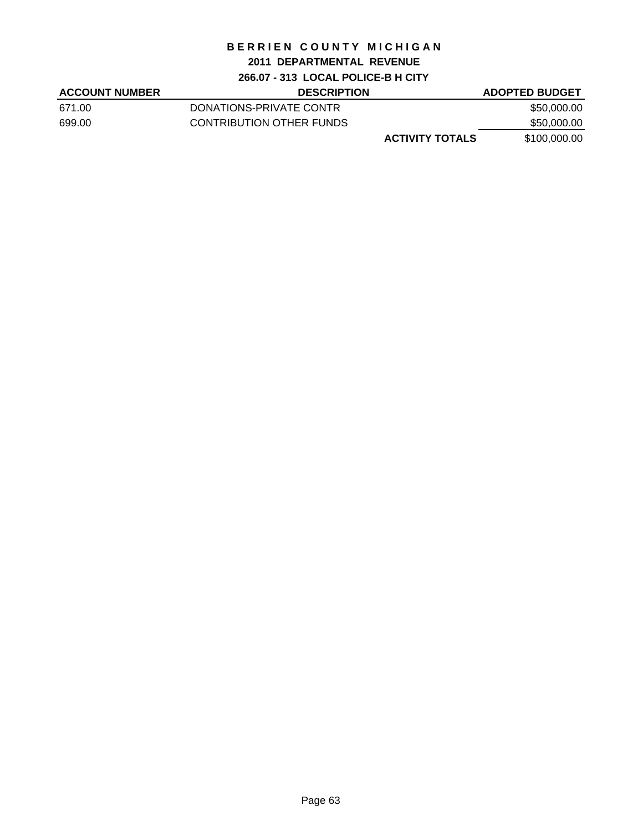# **2011 DEPARTMENTAL REVENUE**

**266.07 - 313 LOCAL POLICE-B H CITY**

| <b>ACCOUNT NUMBER</b> | <b>DESCRIPTION</b>       | <b>ADOPTED BUDGET</b> |
|-----------------------|--------------------------|-----------------------|
| 671.00                | DONATIONS-PRIVATE CONTR  | \$50,000.00           |
| 699.00                | CONTRIBUTION OTHER FUNDS | \$50,000.00           |
|                       | <b>ACTIVITY TOTALS</b>   | \$100,000.00          |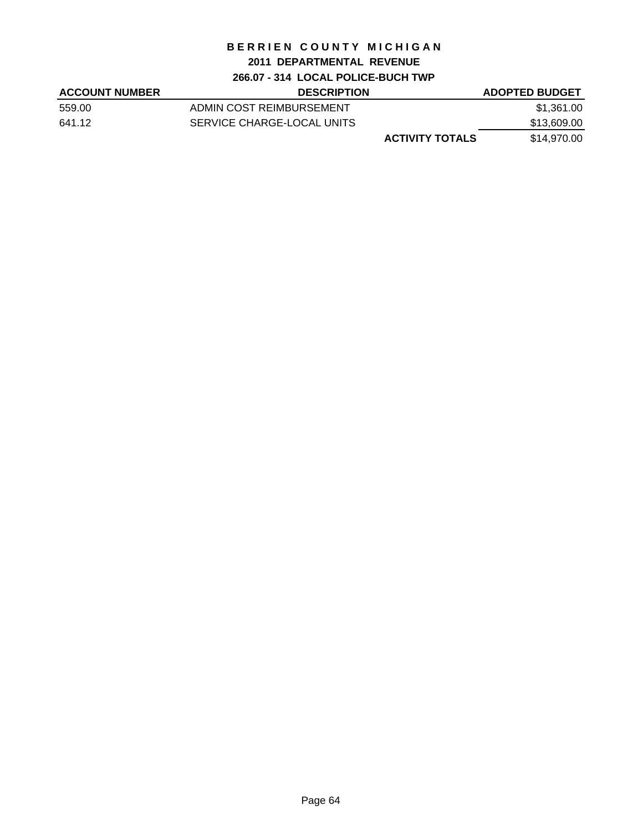# **2011 DEPARTMENTAL REVENUE**

## **266.07 - 314 LOCAL POLICE-BUCH TWP**

| <b>ACCOUNT NUMBER</b> | <b>DESCRIPTION</b>         | <b>ADOPTED BUDGET</b> |
|-----------------------|----------------------------|-----------------------|
| 559.00                | ADMIN COST REIMBURSEMENT   | \$1,361.00            |
| 641.12                | SERVICE CHARGE-LOCAL UNITS | \$13,609.00           |
|                       | <b>ACTIVITY TOTALS</b>     | \$14,970.00           |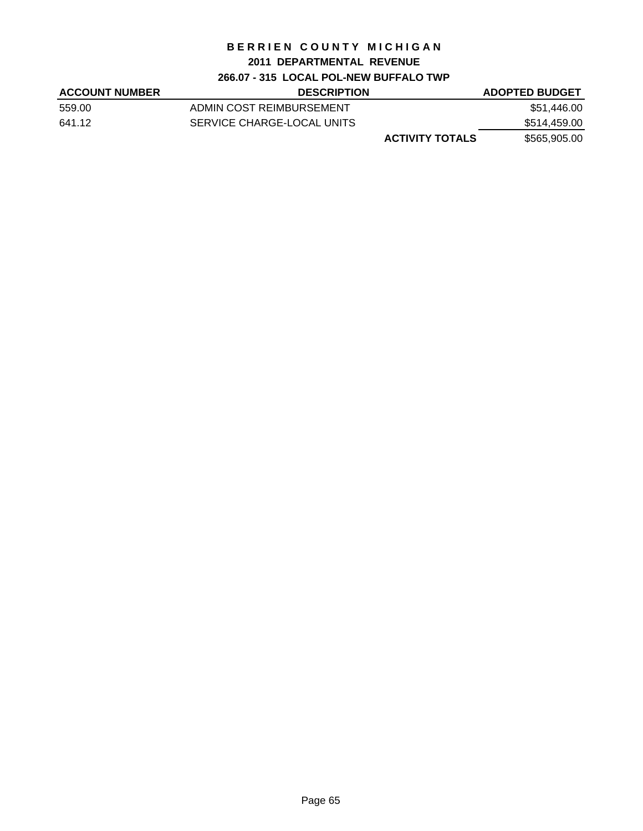# **2011 DEPARTMENTAL REVENUE**

# **266.07 - 315 LOCAL POL-NEW BUFFALO TWP**

| <b>ACCOUNT NUMBER</b> | <b>DESCRIPTION</b>         | <b>ADOPTED BUDGET</b> |
|-----------------------|----------------------------|-----------------------|
| 559.00                | ADMIN COST REIMBURSEMENT   | \$51,446.00           |
| 641.12                | SERVICE CHARGE-LOCAL UNITS | \$514,459.00          |
|                       | <b>ACTIVITY TOTALS</b>     | \$565,905.00          |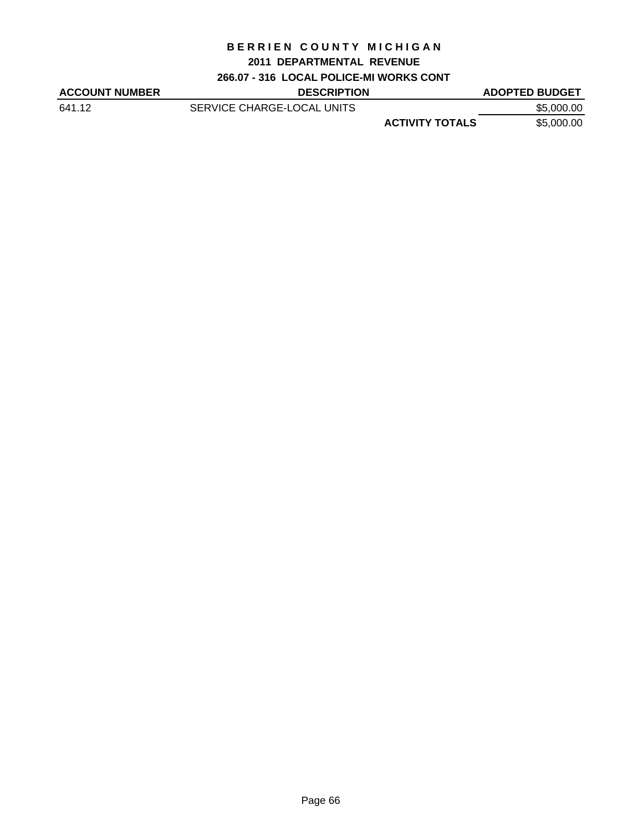#### **2011 DEPARTMENTAL REVENUE**

# **266.07 - 316 LOCAL POLICE-MI WORKS CONT**

| <b>ACCOUNT NUMBER</b> | <b>DESCRIPTION</b>         |                        | <b>ADOPTED BUDGET</b> |
|-----------------------|----------------------------|------------------------|-----------------------|
| 641.12                | SERVICE CHARGE-LOCAL UNITS |                        | \$5,000.00            |
|                       |                            | <b>ACTIVITY TOTALS</b> | \$5,000.00            |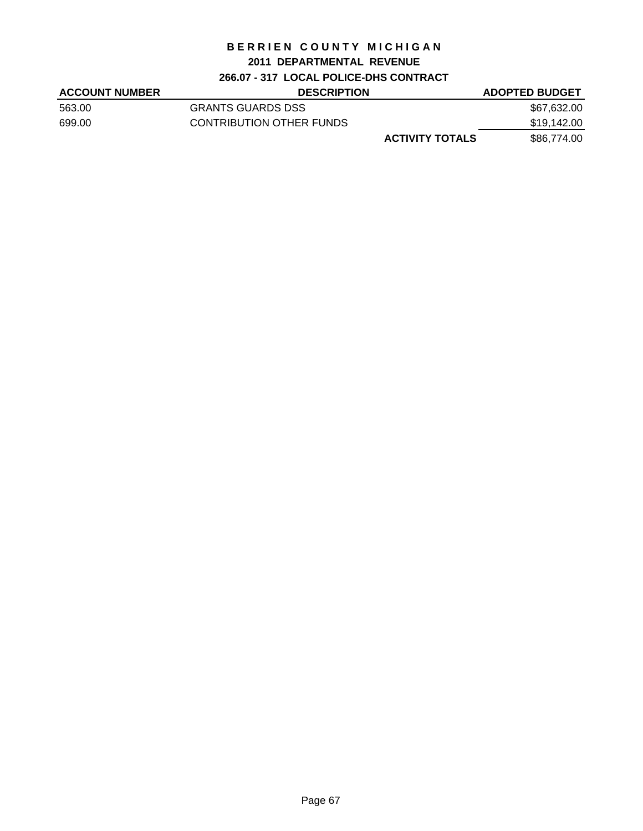# **2011 DEPARTMENTAL REVENUE**

# **266.07 - 317 LOCAL POLICE-DHS CONTRACT**

| <b>ACCOUNT NUMBER</b> | <b>DESCRIPTION</b>       | <b>ADOPTED BUDGET</b> |
|-----------------------|--------------------------|-----------------------|
| 563.00                | <b>GRANTS GUARDS DSS</b> | \$67,632.00           |
| 699.00                | CONTRIBUTION OTHER FUNDS | \$19,142.00           |
|                       | <b>ACTIVITY TOTALS</b>   | \$86,774.00           |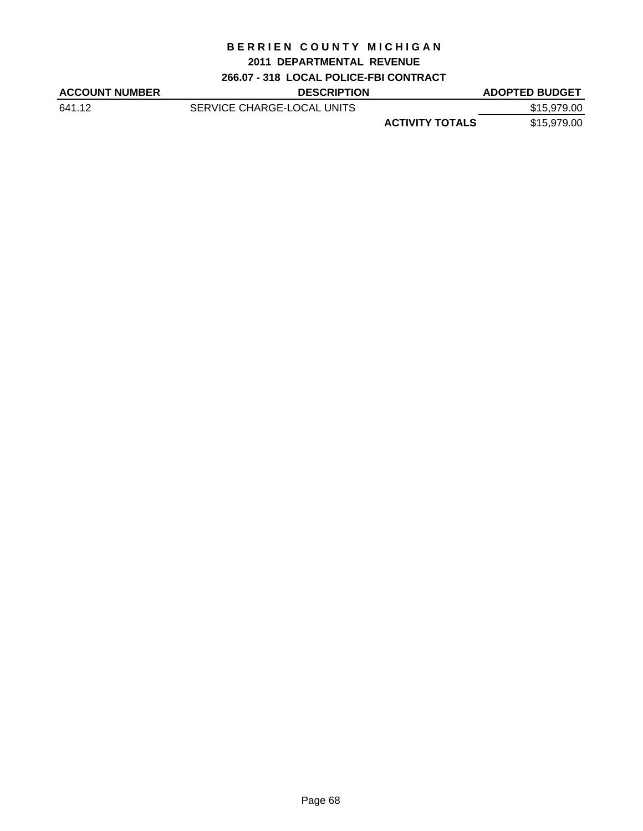# **2011 DEPARTMENTAL REVENUE**

**266.07 - 318 LOCAL POLICE-FBI CONTRACT**

| <b>ACCOUNT NUMBER</b> | <b>DESCRIPTION</b>         |                        | <b>ADOPTED BUDGET</b> |
|-----------------------|----------------------------|------------------------|-----------------------|
| 641.12                | SERVICE CHARGE-LOCAL UNITS |                        | \$15,979.00           |
|                       |                            | <b>ACTIVITY TOTALS</b> | \$15,979.00           |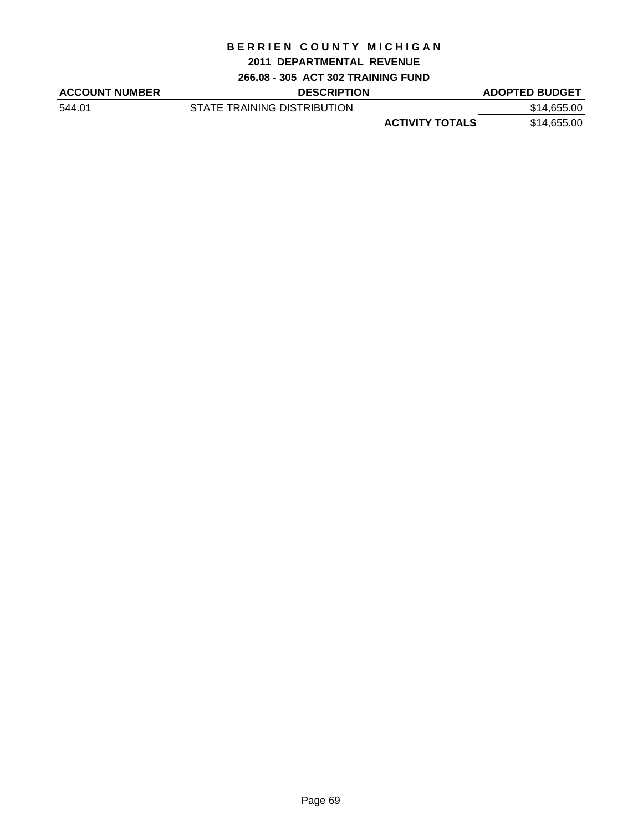#### **2011 DEPARTMENTAL REVENUE**

**266.08 - 305 ACT 302 TRAINING FUND**

| <b>ACCOUNT NUMBER</b> | <b>DESCRIPTION</b>          |                        | <b>ADOPTED BUDGET</b> |
|-----------------------|-----------------------------|------------------------|-----------------------|
| 544.01                | STATE TRAINING DISTRIBUTION |                        | \$14,655.00           |
|                       |                             | <b>ACTIVITY TOTALS</b> | \$14,655.00           |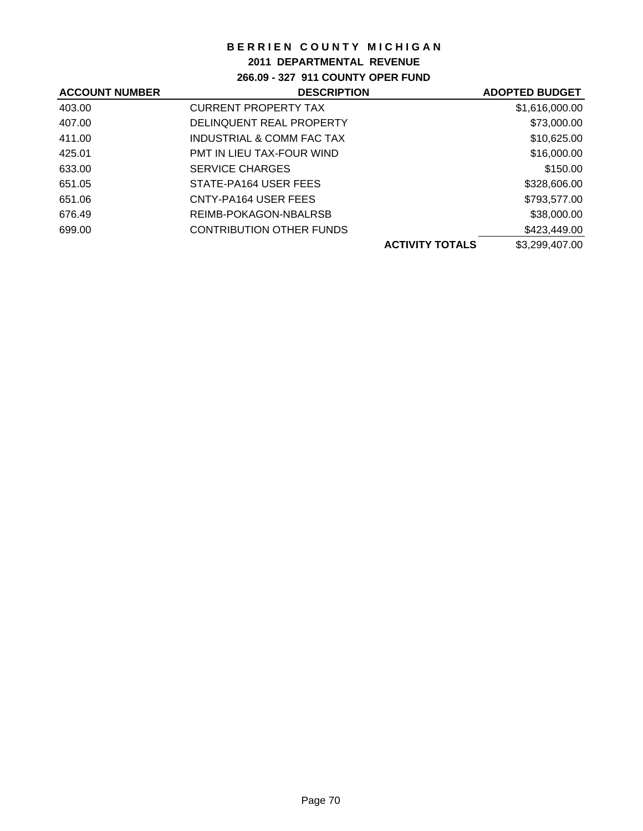## **2011 DEPARTMENTAL REVENUE**

**266.09 - 327 911 COUNTY OPER FUND**

| <b>ACCOUNT NUMBER</b> | <b>DESCRIPTION</b>               | <b>ADOPTED BUDGET</b> |
|-----------------------|----------------------------------|-----------------------|
| 403.00                | <b>CURRENT PROPERTY TAX</b>      | \$1,616,000.00        |
| 407.00                | DELINQUENT REAL PROPERTY         | \$73,000.00           |
| 411.00                | INDUSTRIAL & COMM FAC TAX        | \$10,625.00           |
| 425.01                | <b>PMT IN LIEU TAX-FOUR WIND</b> | \$16,000.00           |
| 633.00                | <b>SERVICE CHARGES</b>           | \$150.00              |
| 651.05                | STATE-PA164 USER FEES            | \$328,606.00          |
| 651.06                | CNTY-PA164 USER FEES             | \$793,577.00          |
| 676.49                | REIMB-POKAGON-NBALRSB            | \$38,000.00           |
| 699.00                | <b>CONTRIBUTION OTHER FUNDS</b>  | \$423,449.00          |
|                       | <b>ACTIVITY TOTALS</b>           | \$3,299,407.00        |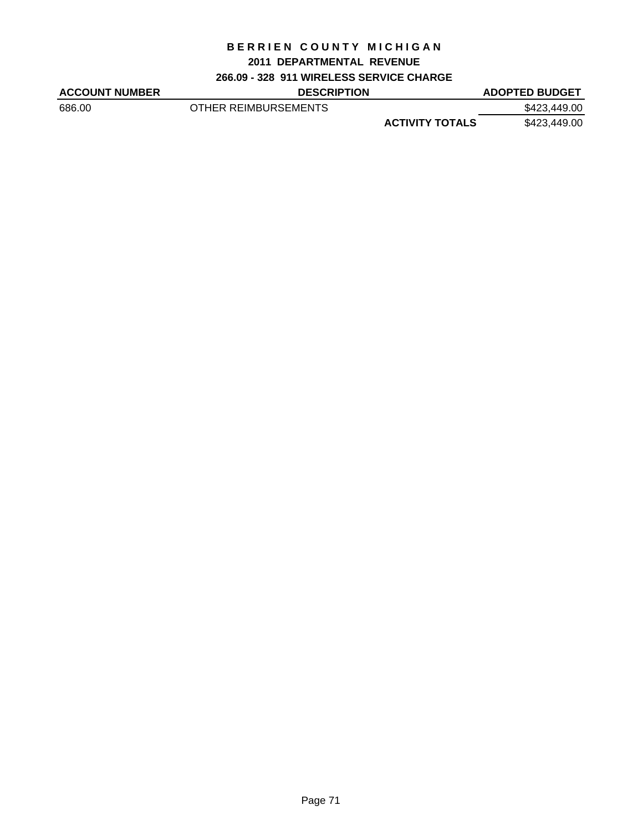#### **2011 DEPARTMENTAL REVENUE**

### **266.09 - 328 911 WIRELESS SERVICE CHARGE**

| <b>ACCOUNT NUMBER</b> | <b>DESCRIPTION</b>   |                        | <b>ADOPTED BUDGET</b> |
|-----------------------|----------------------|------------------------|-----------------------|
| 686.00                | OTHER REIMBURSEMENTS |                        | \$423,449.00          |
|                       |                      | <b>ACTIVITY TOTALS</b> | \$423,449.00          |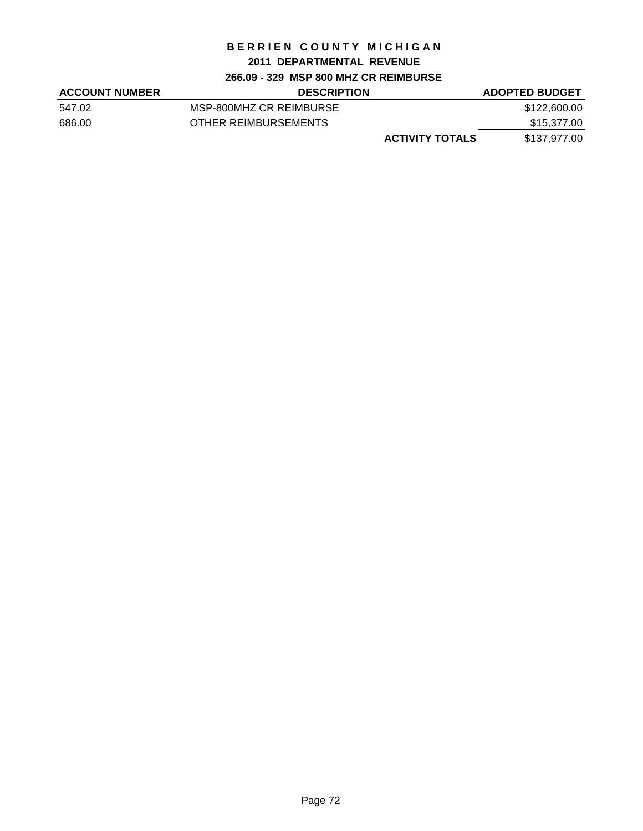#### **2011 DEPARTMENTAL REVENUE**

### **266.09 - 329 MSP 800 MHZ CR REIMBURSE**

| <b>ACCOUNT NUMBER</b> | <b>DESCRIPTION</b>      | <b>ADOPTED BUDGET</b> |
|-----------------------|-------------------------|-----------------------|
| 547.02                | MSP-800MHZ CR REIMBURSE | \$122,600.00          |
| 686.00                | OTHER REIMBURSEMENTS    | \$15,377.00           |
|                       | <b>ACTIVITY TOTALS</b>  | \$137,977.00          |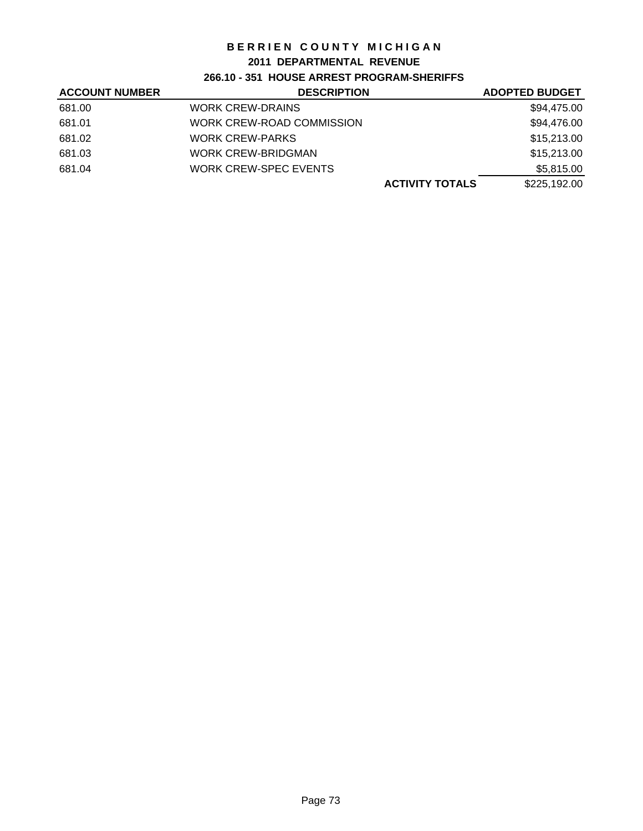## **2011 DEPARTMENTAL REVENUE**

## **266.10 - 351 HOUSE ARREST PROGRAM-SHERIFFS**

| <b>ACCOUNT NUMBER</b> | <b>DESCRIPTION</b>           | <b>ADOPTED BUDGET</b> |
|-----------------------|------------------------------|-----------------------|
| 681.00                | <b>WORK CREW-DRAINS</b>      | \$94,475.00           |
| 681.01                | WORK CREW-ROAD COMMISSION    | \$94,476.00           |
| 681.02                | <b>WORK CREW-PARKS</b>       | \$15,213.00           |
| 681.03                | <b>WORK CREW-BRIDGMAN</b>    | \$15,213.00           |
| 681.04                | <b>WORK CREW-SPEC EVENTS</b> | \$5,815.00            |
|                       | <b>ACTIVITY TOTALS</b>       | \$225,192.00          |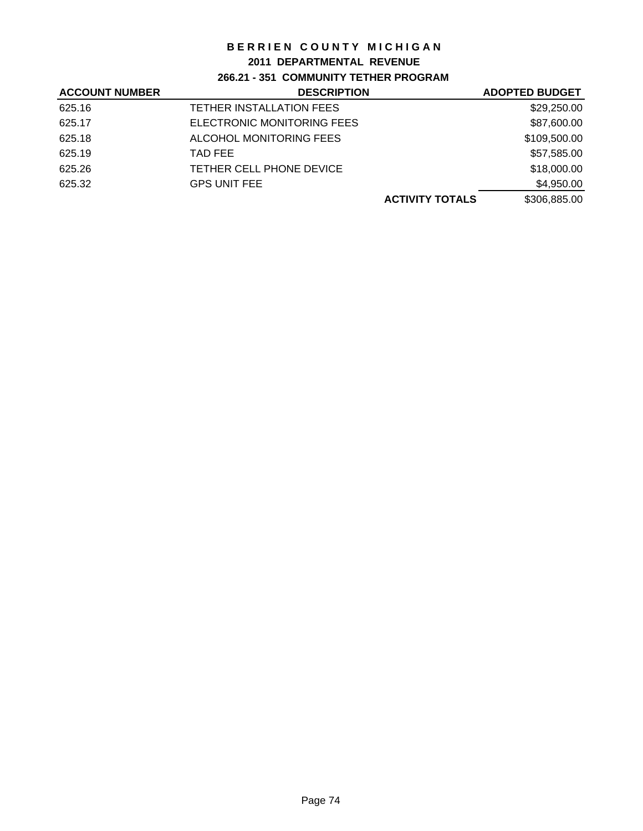## **2011 DEPARTMENTAL REVENUE**

## **266.21 - 351 COMMUNITY TETHER PROGRAM**

| <b>ACCOUNT NUMBER</b> | <b>DESCRIPTION</b>         | <b>ADOPTED BUDGET</b>                  |
|-----------------------|----------------------------|----------------------------------------|
| 625.16                | TETHER INSTALLATION FEES   | \$29,250.00                            |
| 625.17                | ELECTRONIC MONITORING FEES | \$87,600.00                            |
| 625.18                | ALCOHOL MONITORING FEES    | \$109,500.00                           |
| 625.19                | TAD FEE                    | \$57,585.00                            |
| 625.26                | TETHER CELL PHONE DEVICE   | \$18,000.00                            |
| 625.32                | <b>GPS UNIT FEE</b>        | \$4,950.00                             |
|                       |                            | \$306,885.00<br><b>ACTIVITY TOTALS</b> |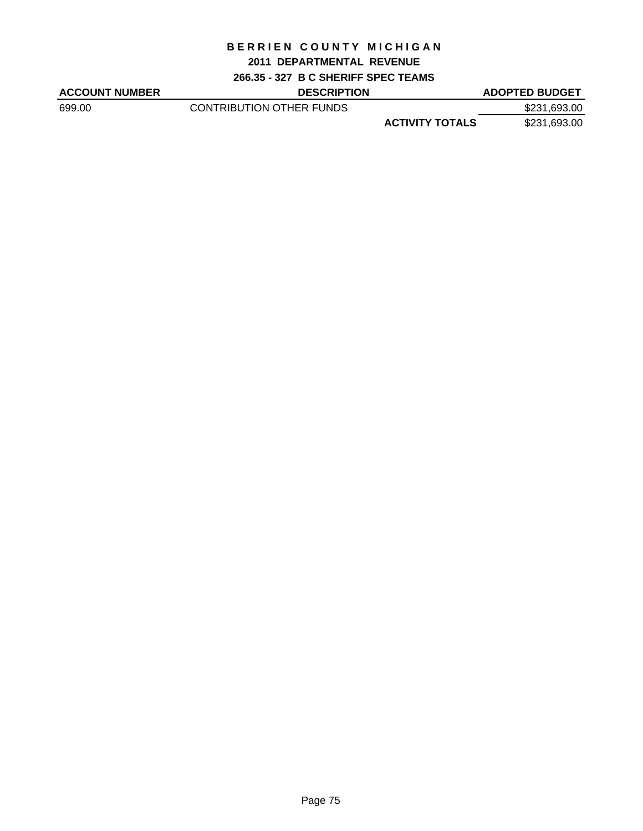#### **2011 DEPARTMENTAL REVENUE**

**266.35 - 327 B C SHERIFF SPEC TEAMS**

ACCOUNT NUMBER DESCRIPTION DESCRIPTION ADOPTED BUDGET

699.00 CONTRIBUTION OTHER FUNDS \$231,693.00

**ACTIVITY TOTALS** \$231,693.00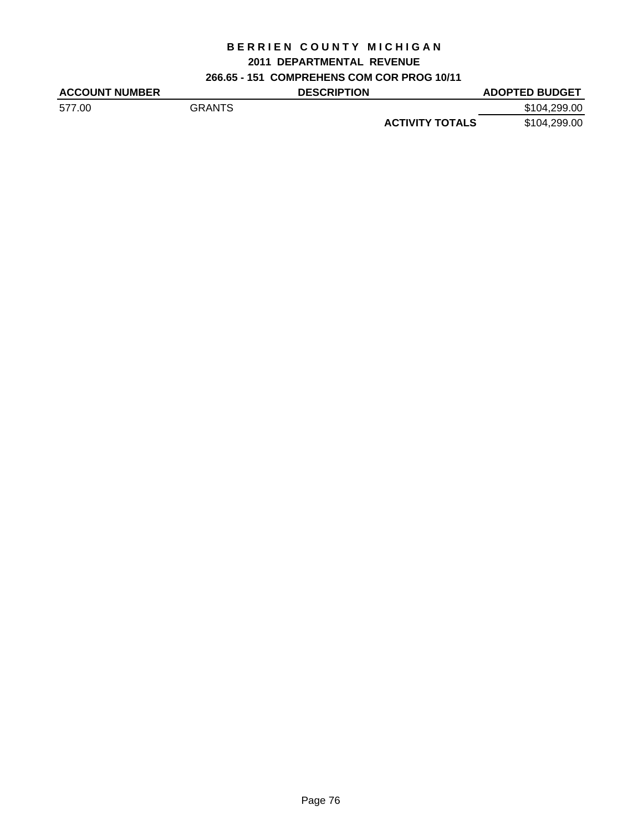## **2011 DEPARTMENTAL REVENUE**

**266.65 - 151 COMPREHENS COM COR PROG 10/11**

| <b>ACCOUNT NUMBER</b> |               | <b>DESCRIPTION</b> |                        | <b>ADOPTED BUDGET</b> |
|-----------------------|---------------|--------------------|------------------------|-----------------------|
| 577.00                | <b>GRANTS</b> |                    |                        | \$104,299.00          |
|                       |               |                    | <b>ACTIVITY TOTALS</b> | \$104,299.00          |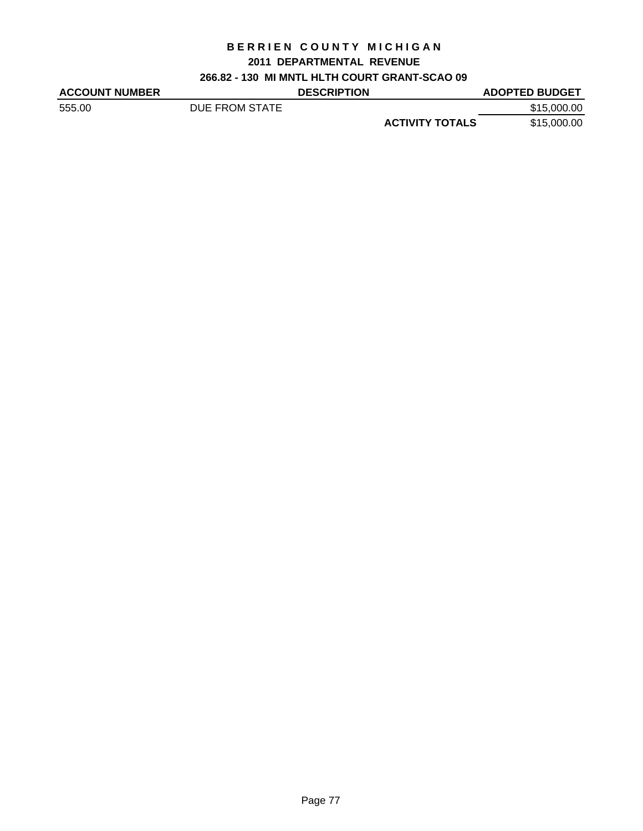## **2011 DEPARTMENTAL REVENUE**

**266.82 - 130 MI MNTL HLTH COURT GRANT-SCAO 09**

| <b>ACCOUNT NUMBER</b> |                | <b>DESCRIPTION</b> |                        | <b>ADOPTED BUDGET</b> |
|-----------------------|----------------|--------------------|------------------------|-----------------------|
| 555.00                | DUE FROM STATE |                    |                        | \$15,000.00           |
|                       |                |                    | <b>ACTIVITY TOTALS</b> | \$15,000.00           |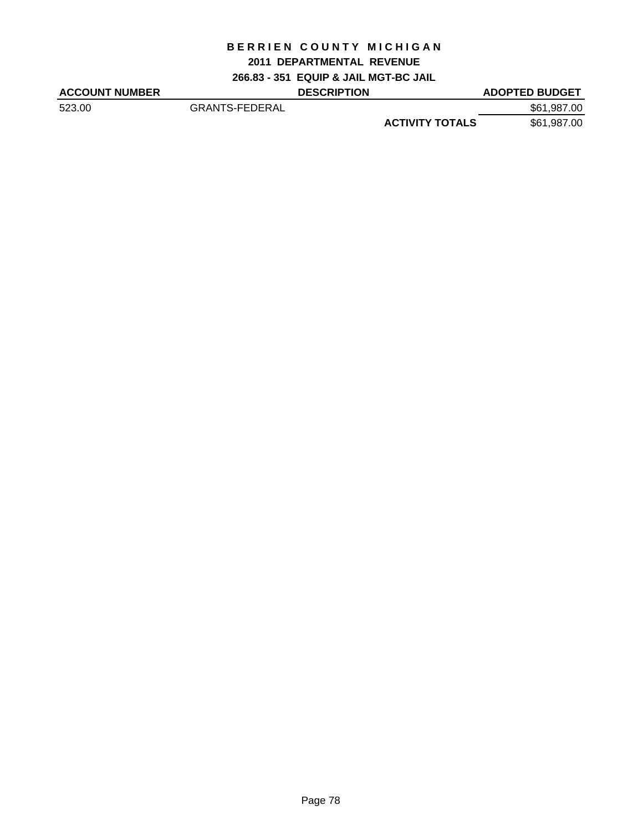#### **2011 DEPARTMENTAL REVENUE**

**266.83 - 351 EQUIP & JAIL MGT-BC JAIL**

| <b>ACCOUNT NUMBER</b> |                       | <b>DESCRIPTION</b> |                        | <b>ADOPTED BUDGET</b> |
|-----------------------|-----------------------|--------------------|------------------------|-----------------------|
| 523.00                | <b>GRANTS-FEDERAL</b> |                    |                        | \$61,987.00           |
|                       |                       |                    | <b>ACTIVITY TOTALS</b> | \$61,987.00           |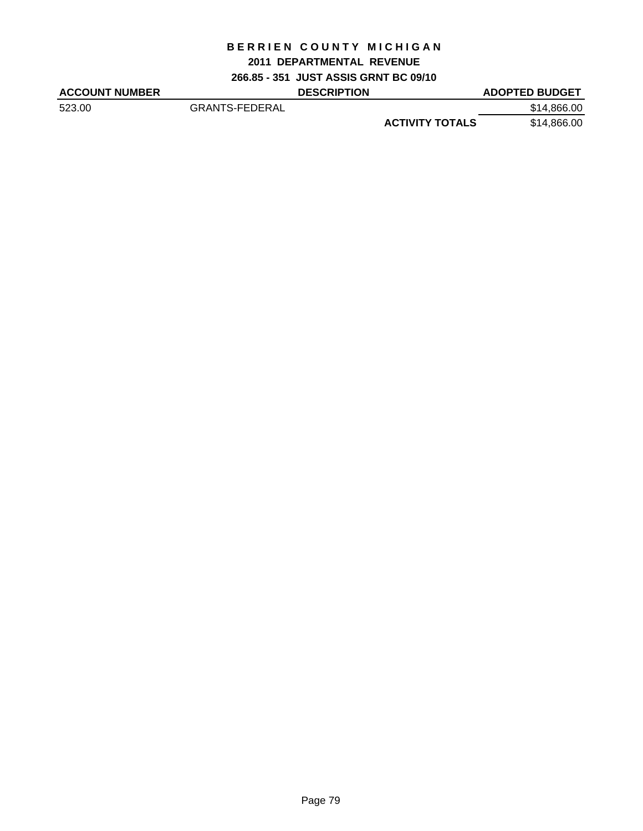#### **2011 DEPARTMENTAL REVENUE**

**266.85 - 351 JUST ASSIS GRNT BC 09/10**

| <b>ACCOUNT NUMBER</b> |                       | <b>DESCRIPTION</b> |                        | <b>ADOPTED BUDGET</b> |
|-----------------------|-----------------------|--------------------|------------------------|-----------------------|
| 523.00                | <b>GRANTS-FEDERAL</b> |                    |                        | \$14,866.00           |
|                       |                       |                    | <b>ACTIVITY TOTALS</b> | \$14,866.00           |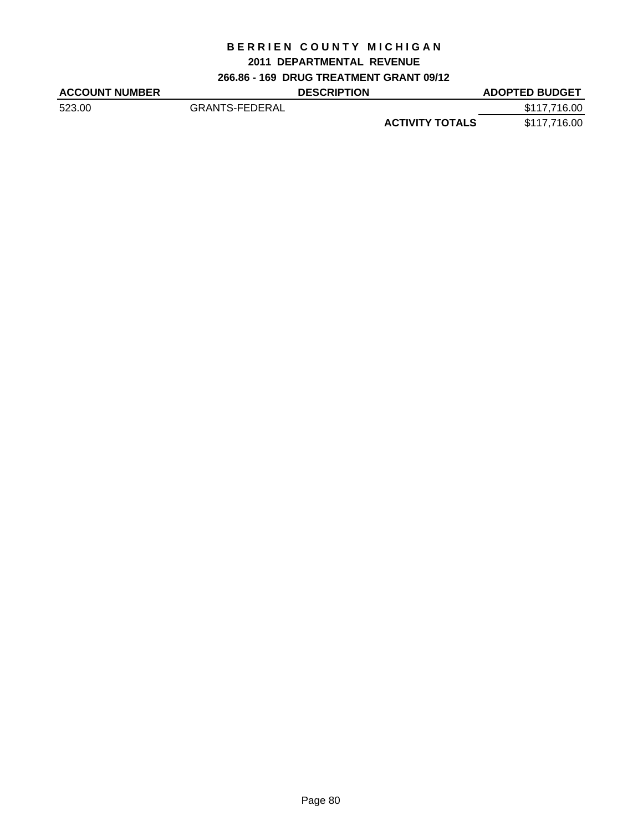## **2011 DEPARTMENTAL REVENUE**

**266.86 - 169 DRUG TREATMENT GRANT 09/12**

| <b>ACCOUNT NUMBER</b> |                       | <b>DESCRIPTION</b> |                        | <b>ADOPTED BUDGET</b> |
|-----------------------|-----------------------|--------------------|------------------------|-----------------------|
| 523.00                | <b>GRANTS-FEDERAL</b> |                    |                        | \$117,716.00          |
|                       |                       |                    | <b>ACTIVITY TOTALS</b> | \$117,716.00          |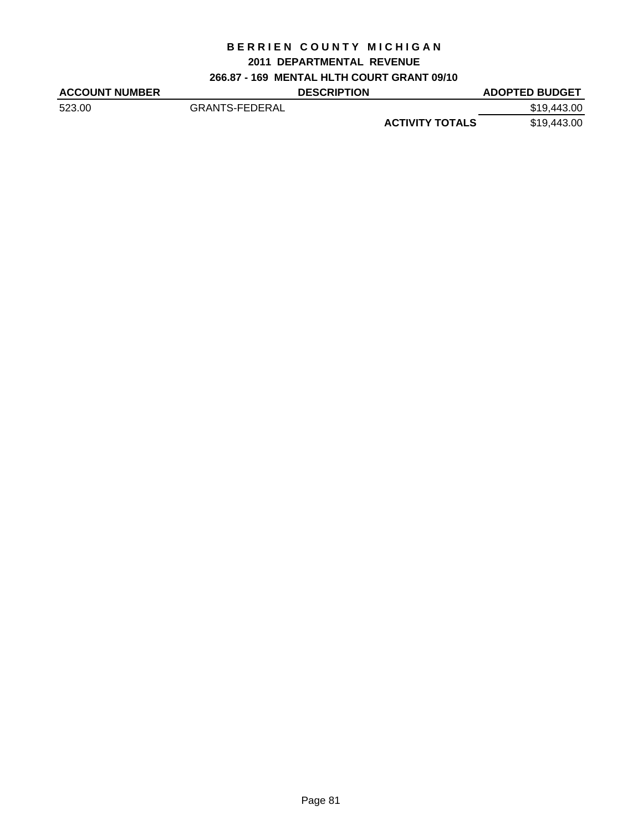### **2011 DEPARTMENTAL REVENUE**

**266.87 - 169 MENTAL HLTH COURT GRANT 09/10**

| <b>ACCOUNT NUMBER</b> |                       | <b>DESCRIPTION</b> |                        | <b>ADOPTED BUDGET</b> |
|-----------------------|-----------------------|--------------------|------------------------|-----------------------|
| 523.00                | <b>GRANTS-FEDERAL</b> |                    |                        | \$19,443,00           |
|                       |                       |                    | <b>ACTIVITY TOTALS</b> | \$19,443.00           |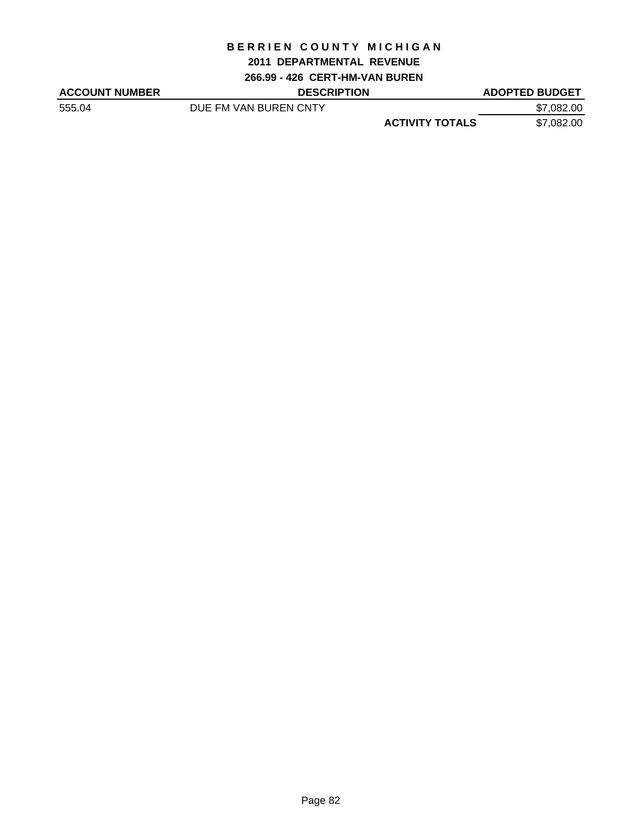#### **2011 DEPARTMENTAL REVENUE**

**266.99 - 426 CERT-HM-VAN BUREN**

| <b>ACCOUNT NUMBER</b> | <b>DESCRIPTION</b>    |                        | <b>ADOPTED BUDGET</b> |
|-----------------------|-----------------------|------------------------|-----------------------|
| 555.04                | DUE FM VAN BUREN CNTY |                        | \$7,082.00            |
|                       |                       | <b>ACTIVITY TOTALS</b> | \$7,082.00            |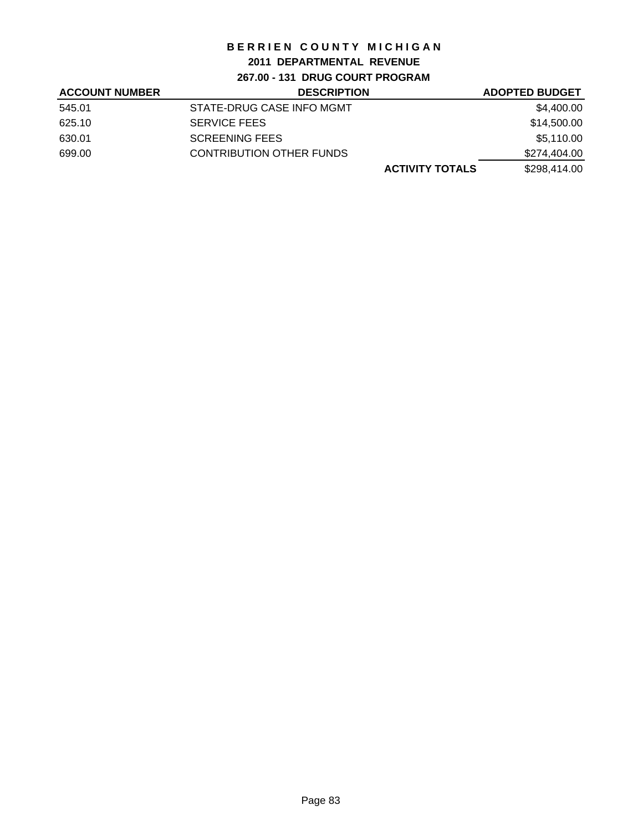## **2011 DEPARTMENTAL REVENUE**

**267.00 - 131 DRUG COURT PROGRAM**

| <b>ACCOUNT NUMBER</b> | <b>DESCRIPTION</b>              | <b>ADOPTED BUDGET</b> |
|-----------------------|---------------------------------|-----------------------|
| 545.01                | STATE-DRUG CASE INFO MGMT       | \$4,400.00            |
| 625.10                | <b>SERVICE FEES</b>             | \$14,500.00           |
| 630.01                | <b>SCREENING FEES</b>           | \$5,110.00            |
| 699.00                | <b>CONTRIBUTION OTHER FUNDS</b> | \$274,404.00          |
|                       | <b>ACTIVITY TOTALS</b>          | \$298,414.00          |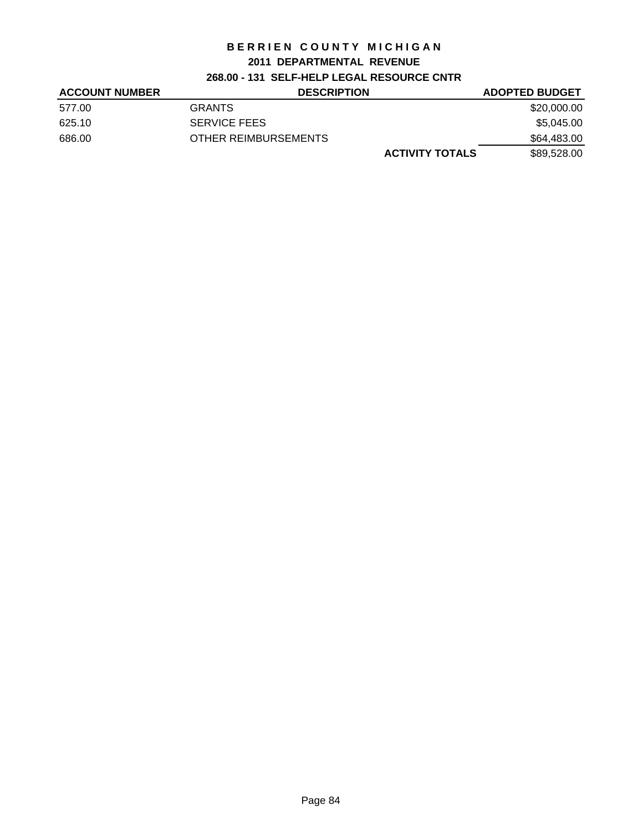## **2011 DEPARTMENTAL REVENUE**

## **268.00 - 131 SELF-HELP LEGAL RESOURCE CNTR**

| <b>ACCOUNT NUMBER</b> | <b>DESCRIPTION</b>     | <b>ADOPTED BUDGET</b> |
|-----------------------|------------------------|-----------------------|
| 577.00                | <b>GRANTS</b>          | \$20,000.00           |
| 625.10                | <b>SERVICE FEES</b>    | \$5,045.00            |
| 686.00                | OTHER REIMBURSEMENTS   | \$64,483.00           |
|                       | <b>ACTIVITY TOTALS</b> | \$89,528.00           |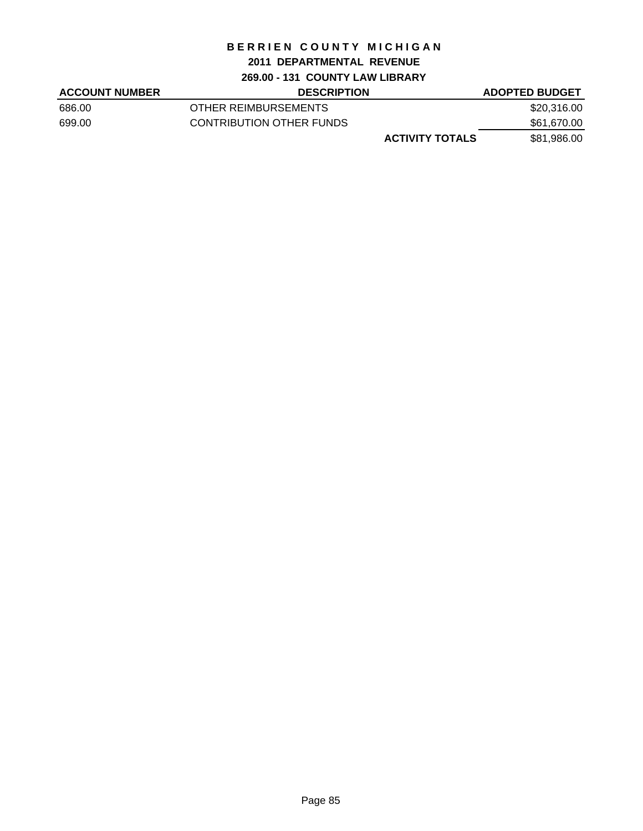### **2011 DEPARTMENTAL REVENUE**

#### **269.00 - 131 COUNTY LAW LIBRARY**

| <b>ACCOUNT NUMBER</b> | <b>DESCRIPTION</b>       | <b>ADOPTED BUDGET</b> |
|-----------------------|--------------------------|-----------------------|
| 686.00                | OTHER REIMBURSEMENTS     | \$20,316.00           |
| 699.00                | CONTRIBUTION OTHER FUNDS | \$61,670.00           |
|                       | <b>ACTIVITY TOTALS</b>   | \$81,986.00           |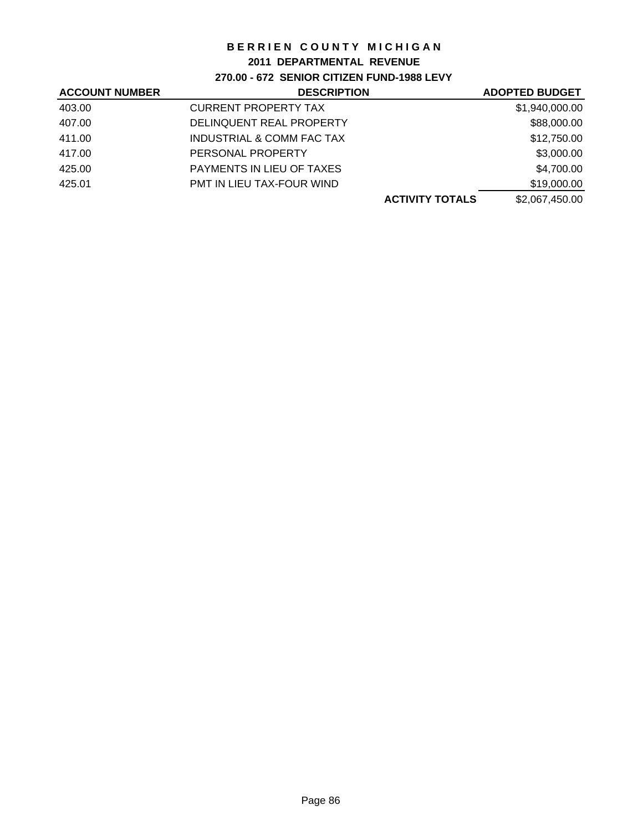### **2011 DEPARTMENTAL REVENUE**

**270.00 - 672 SENIOR CITIZEN FUND-1988 LEVY**

| <b>ACCOUNT NUMBER</b> | <b>DESCRIPTION</b>               | <b>ADOPTED BUDGET</b> |
|-----------------------|----------------------------------|-----------------------|
| 403.00                | <b>CURRENT PROPERTY TAX</b>      | \$1,940,000.00        |
| 407.00                | DELINQUENT REAL PROPERTY         | \$88,000.00           |
| 411.00                | INDUSTRIAL & COMM FAC TAX        | \$12,750.00           |
| 417.00                | PERSONAL PROPERTY                | \$3,000.00            |
| 425.00                | <b>PAYMENTS IN LIEU OF TAXES</b> | \$4,700.00            |
| 425.01                | PMT IN LIEU TAX-FOUR WIND        | \$19,000.00           |
|                       | <b>ACTIVITY TOTALS</b>           | \$2,067,450.00        |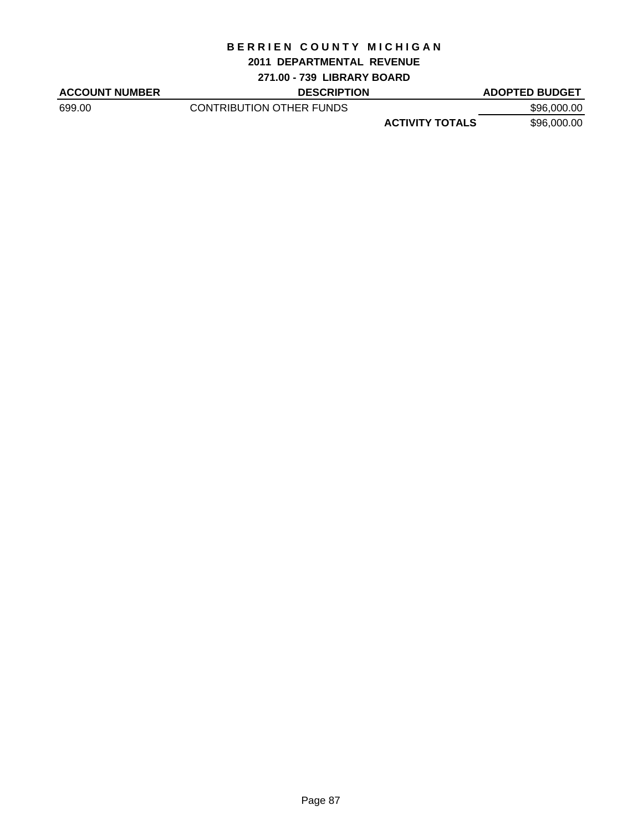#### **2011 DEPARTMENTAL REVENUE**

**271.00 - 739 LIBRARY BOARD**

ACCOUNT NUMBER DESCRIPTION DESCRIPTION ADOPTED BUDGET

699.00 CONTRIBUTION OTHER FUNDS \$96,000.00

**ACTIVITY TOTALS** \$96,000.00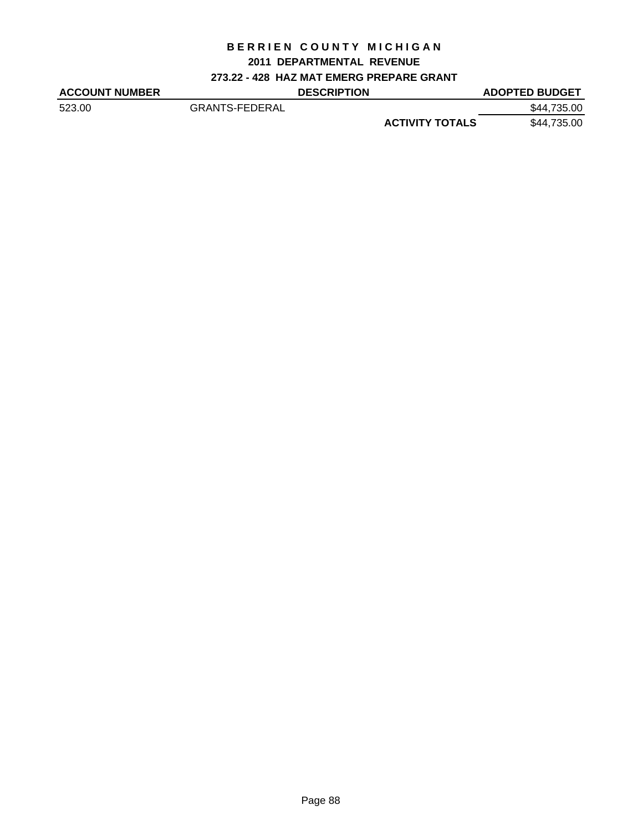### **2011 DEPARTMENTAL REVENUE**

## **273.22 - 428 HAZ MAT EMERG PREPARE GRANT**

| <b>ACCOUNT NUMBER</b> |                       | <b>DESCRIPTION</b> |                        | <b>ADOPTED BUDGET</b> |
|-----------------------|-----------------------|--------------------|------------------------|-----------------------|
| 523.00                | <b>GRANTS-FEDERAL</b> |                    |                        | \$44,735.00           |
|                       |                       |                    | <b>ACTIVITY TOTALS</b> | \$44,735.00           |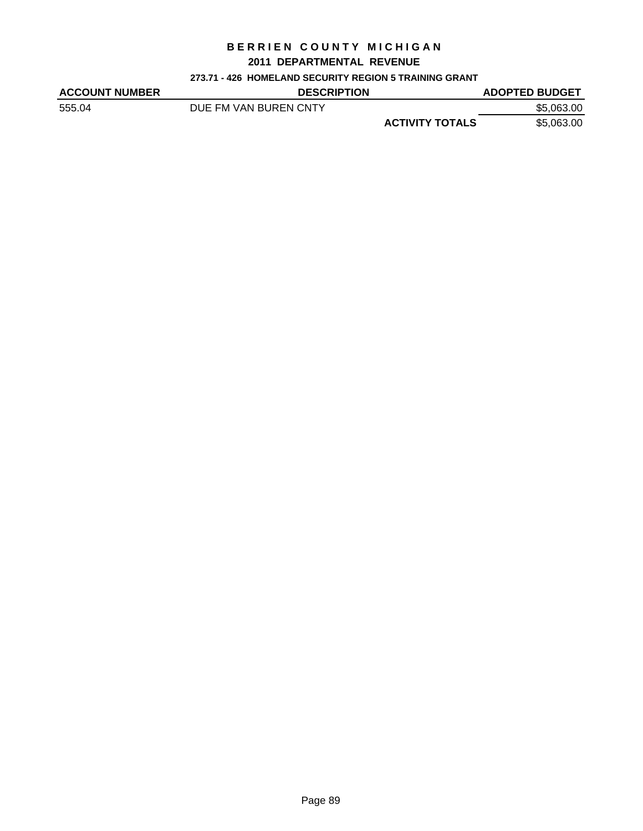#### **2011 DEPARTMENTAL REVENUE**

#### **273.71 - 426 HOMELAND SECURITY REGION 5 TRAINING GRANT**

| <b>ACCOUNT NUMBER</b> | <b>DESCRIPTION</b>    | <b>ADOPTED BUDGET</b>                |
|-----------------------|-----------------------|--------------------------------------|
| 555.04                | DUE FM VAN BUREN CNTY | \$5,063.00                           |
|                       |                       | <b>ACTIVITY TOTALS</b><br>\$5,063.00 |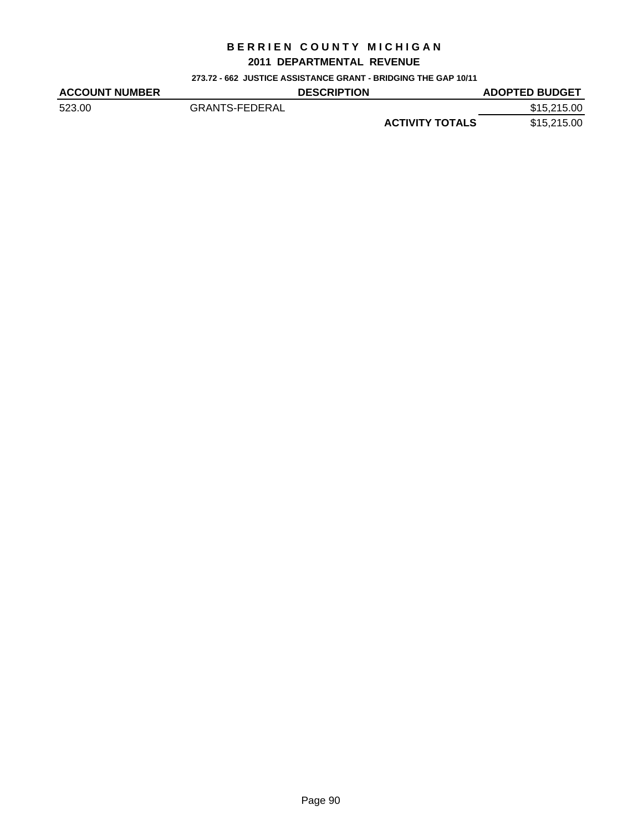#### **2011 DEPARTMENTAL REVENUE**

**273.72 - 662 JUSTICE ASSISTANCE GRANT - BRIDGING THE GAP 10/11**

| <b>ACCOUNT NUMBER</b> |                       | <b>DESCRIPTION</b> |                        | <b>ADOPTED BUDGET</b> |
|-----------------------|-----------------------|--------------------|------------------------|-----------------------|
| 523.00                | <b>GRANTS-FEDERAL</b> |                    |                        | \$15,215.00           |
|                       |                       |                    | <b>ACTIVITY TOTALS</b> | \$15,215.00           |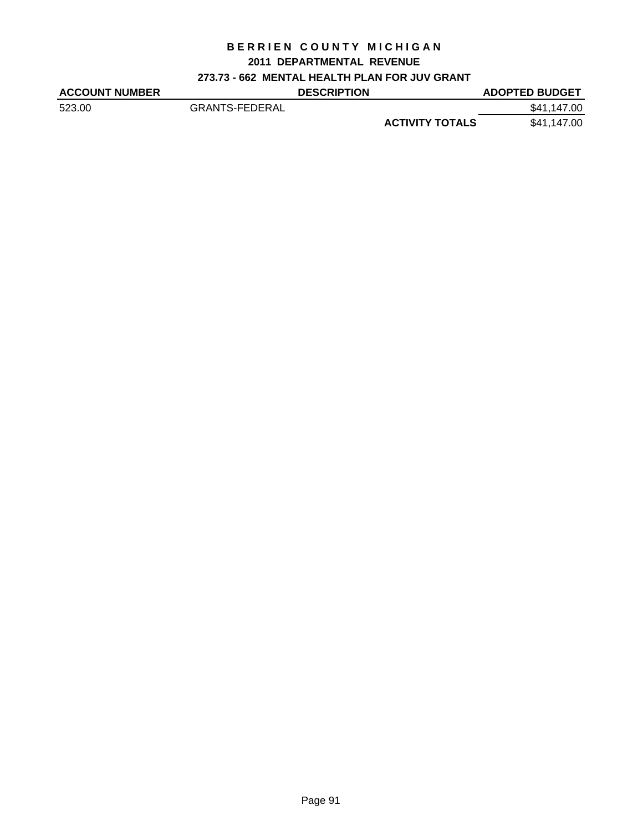## **2011 DEPARTMENTAL REVENUE**

## **273.73 - 662 MENTAL HEALTH PLAN FOR JUV GRANT**

| <b>ACCOUNT NUMBER</b> |                       | <b>DESCRIPTION</b> |                        | <b>ADOPTED BUDGET</b> |
|-----------------------|-----------------------|--------------------|------------------------|-----------------------|
| 523.00                | <b>GRANTS-FEDERAL</b> |                    |                        | \$41,147.00           |
|                       |                       |                    | <b>ACTIVITY TOTALS</b> | \$41,147.00           |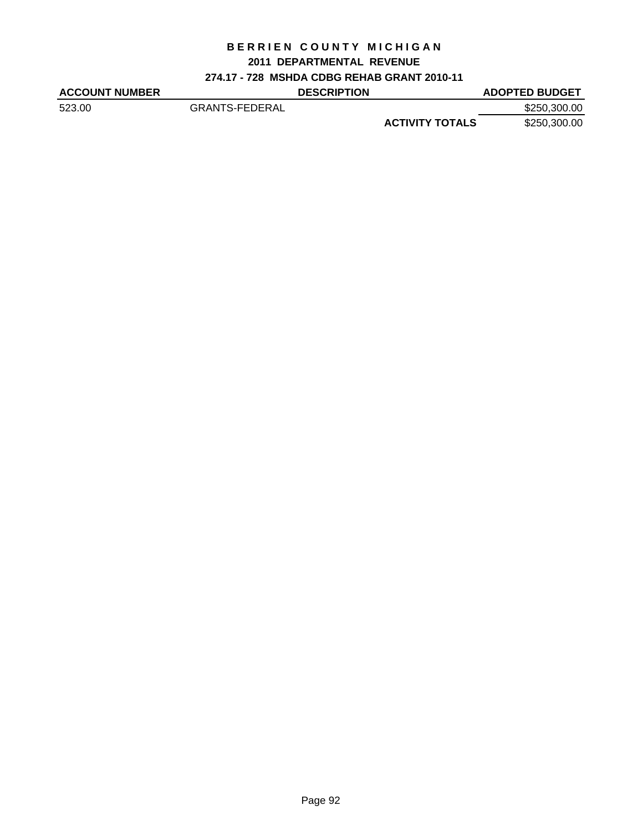### **2011 DEPARTMENTAL REVENUE**

**274.17 - 728 MSHDA CDBG REHAB GRANT 2010-11**

| <b>ACCOUNT NUMBER</b> |                | <b>DESCRIPTION</b> |                        | <b>ADOPTED BUDGET</b> |
|-----------------------|----------------|--------------------|------------------------|-----------------------|
| 523.00                | GRANTS-FEDERAL |                    |                        | \$250,300.00          |
|                       |                |                    | <b>ACTIVITY TOTALS</b> | \$250,300.00          |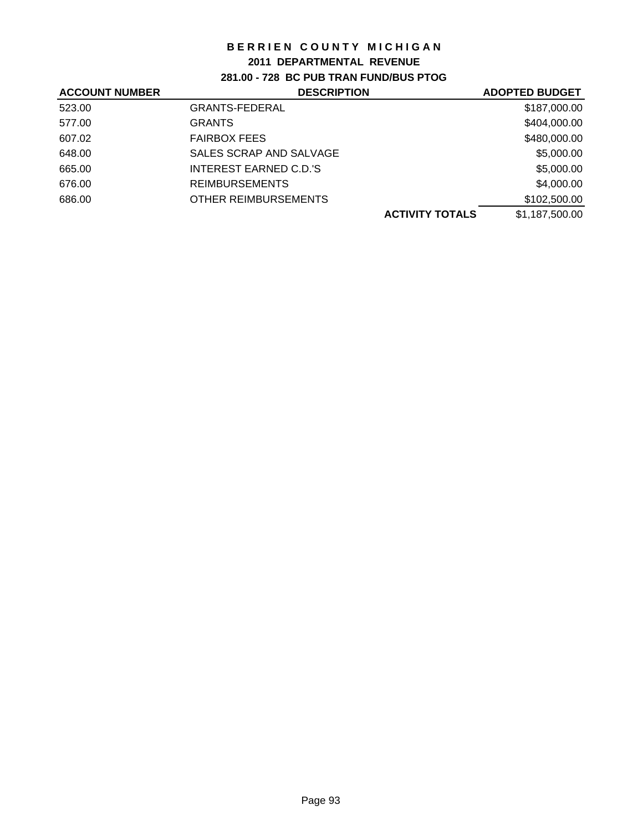### **2011 DEPARTMENTAL REVENUE**

**281.00 - 728 BC PUB TRAN FUND/BUS PTOG**

| <b>DESCRIPTION</b>            | <b>ADOPTED BUDGET</b>  |
|-------------------------------|------------------------|
| <b>GRANTS-FEDERAL</b>         | \$187,000.00           |
| <b>GRANTS</b>                 | \$404,000.00           |
| <b>FAIRBOX FEES</b>           | \$480,000.00           |
| SALES SCRAP AND SALVAGE       | \$5,000.00             |
| <b>INTEREST EARNED C.D.'S</b> | \$5,000.00             |
| <b>REIMBURSEMENTS</b>         | \$4,000.00             |
| <b>OTHER REIMBURSEMENTS</b>   | \$102,500.00           |
|                               | \$1,187,500.00         |
|                               | <b>ACTIVITY TOTALS</b> |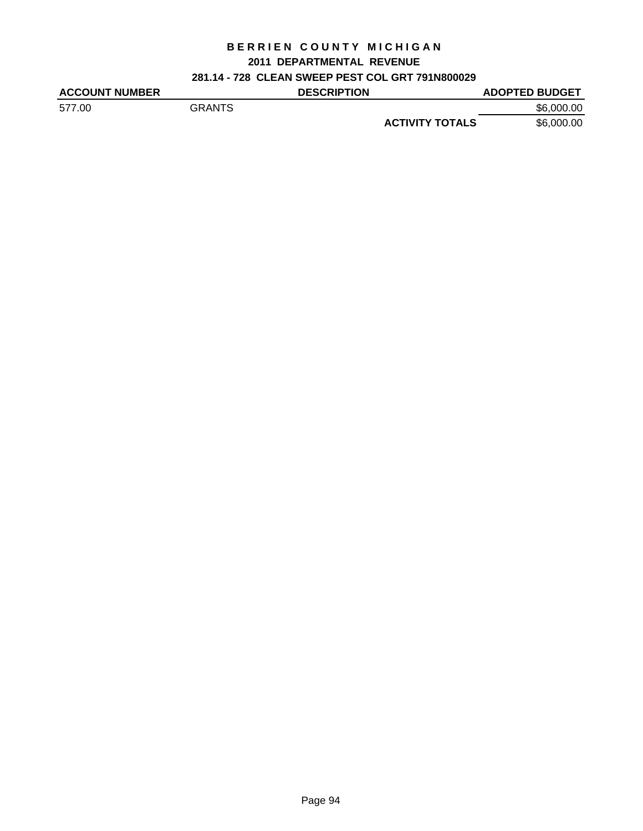## **2011 DEPARTMENTAL REVENUE**

## **281.14 - 728 CLEAN SWEEP PEST COL GRT 791N800029**

| <b>ACCOUNT NUMBER</b> |               | <b>DESCRIPTION</b> |                        | <b>ADOPTED BUDGET</b> |
|-----------------------|---------------|--------------------|------------------------|-----------------------|
| 577.00                | <b>GRANTS</b> |                    |                        | \$6,000,00            |
|                       |               |                    | <b>ACTIVITY TOTALS</b> | \$6,000.00            |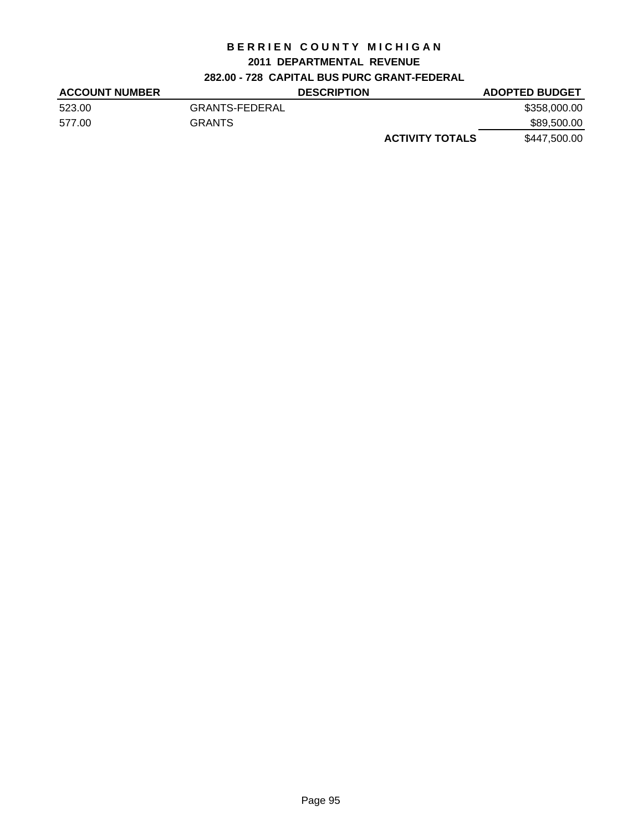### **2011 DEPARTMENTAL REVENUE**

## **282.00 - 728 CAPITAL BUS PURC GRANT-FEDERAL**

| <b>ACCOUNT NUMBER</b> |                | <b>DESCRIPTION</b>     | <b>ADOPTED BUDGET</b> |
|-----------------------|----------------|------------------------|-----------------------|
| 523.00                | GRANTS-FEDERAL |                        | \$358,000.00          |
| 577.00                | <b>GRANTS</b>  |                        | \$89,500.00           |
|                       |                | <b>ACTIVITY TOTALS</b> | \$447,500.00          |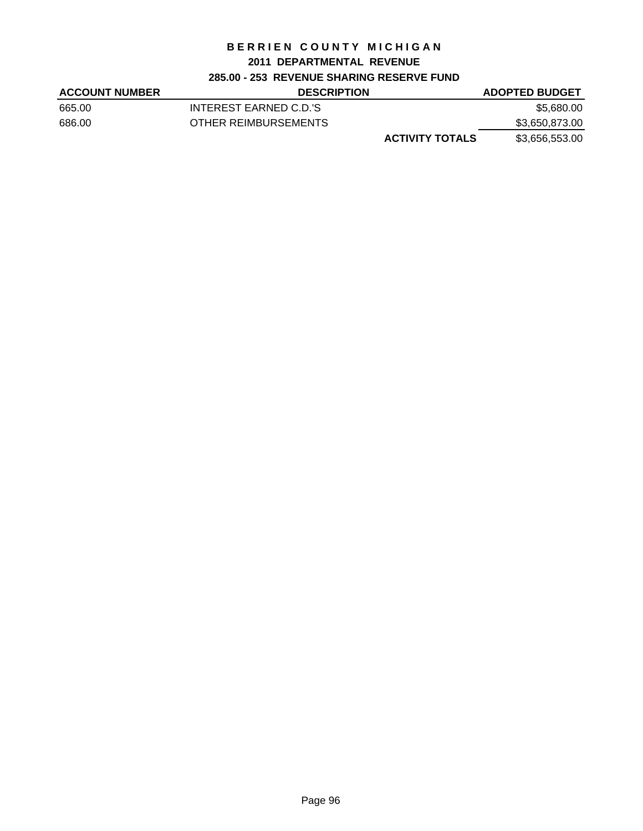#### **2011 DEPARTMENTAL REVENUE**

### **285.00 - 253 REVENUE SHARING RESERVE FUND**

| <b>ACCOUNT NUMBER</b> | <b>DESCRIPTION</b>     | <b>ADOPTED BUDGET</b> |
|-----------------------|------------------------|-----------------------|
| 665.00                | INTEREST EARNED C.D.'S | \$5,680.00            |
| 686.00                | OTHER REIMBURSEMENTS   | \$3,650,873.00        |
|                       | <b>ACTIVITY TOTALS</b> | \$3,656,553.00        |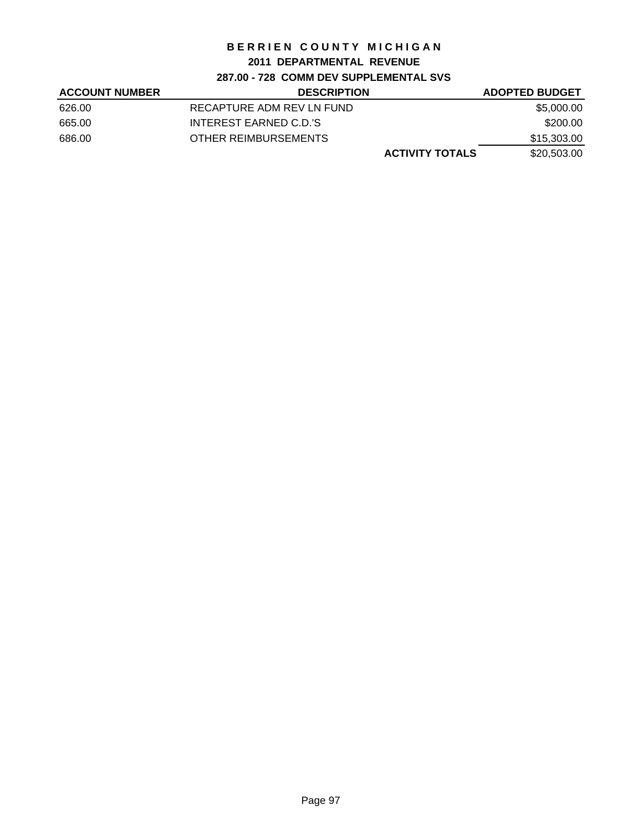## **2011 DEPARTMENTAL REVENUE**

## **287.00 - 728 COMM DEV SUPPLEMENTAL SVS**

| <b>ACCOUNT NUMBER</b> | <b>DESCRIPTION</b>        | <b>ADOPTED BUDGET</b> |
|-----------------------|---------------------------|-----------------------|
| 626.00                | RECAPTURE ADM REV LN FUND | \$5,000.00            |
| 665.00                | INTEREST EARNED C.D.'S    | \$200.00              |
| 686.00                | OTHER REIMBURSEMENTS      | \$15,303.00           |
|                       | <b>ACTIVITY TOTALS</b>    | \$20,503.00           |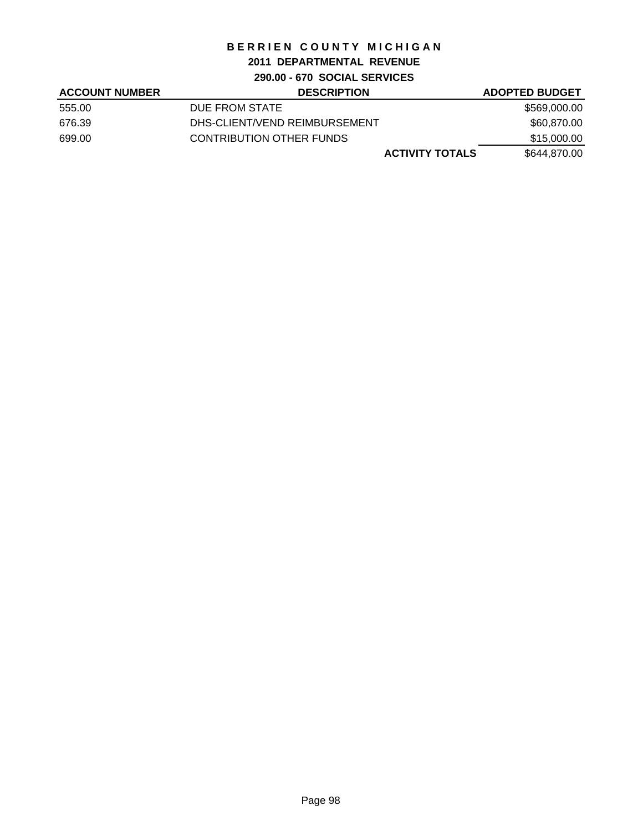## **2011 DEPARTMENTAL REVENUE**

**290.00 - 670 SOCIAL SERVICES**

| <b>ACCOUNT NUMBER</b> | <b>DESCRIPTION</b>            | <b>ADOPTED BUDGET</b> |
|-----------------------|-------------------------------|-----------------------|
| 555.00                | DUE FROM STATE                | \$569,000.00          |
| 676.39                | DHS-CLIENT/VEND REIMBURSEMENT | \$60,870.00           |
| 699.00                | CONTRIBUTION OTHER FUNDS      | \$15,000.00           |
|                       | <b>ACTIVITY TOTALS</b>        | \$644,870.00          |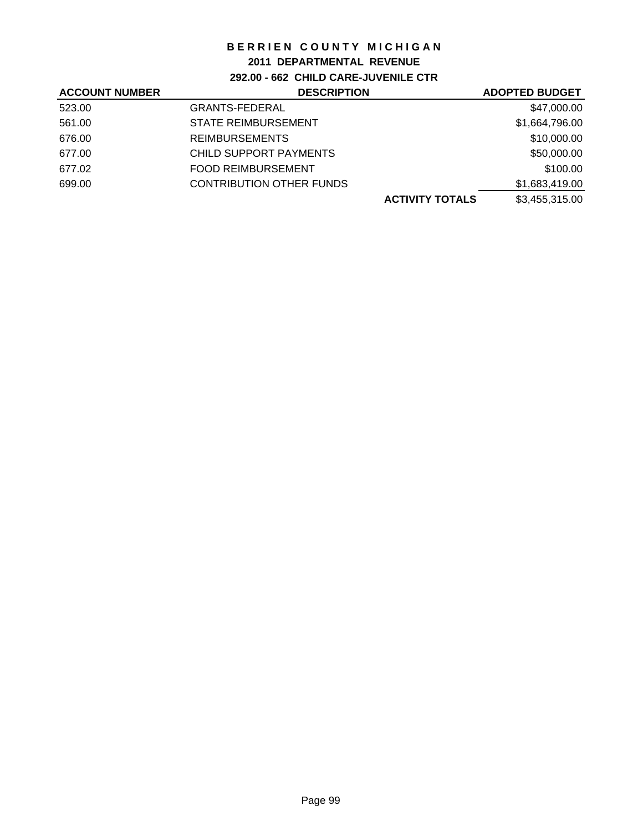### **2011 DEPARTMENTAL REVENUE**

**292.00 - 662 CHILD CARE-JUVENILE CTR**

| <b>ACCOUNT NUMBER</b> | <b>DESCRIPTION</b>              | <b>ADOPTED BUDGET</b> |
|-----------------------|---------------------------------|-----------------------|
| 523.00                | <b>GRANTS-FEDERAL</b>           | \$47,000.00           |
| 561.00                | <b>STATE REIMBURSEMENT</b>      | \$1,664,796.00        |
| 676.00                | <b>REIMBURSEMENTS</b>           | \$10,000.00           |
| 677.00                | CHILD SUPPORT PAYMENTS          | \$50,000.00           |
| 677.02                | <b>FOOD REIMBURSEMENT</b>       | \$100.00              |
| 699.00                | <b>CONTRIBUTION OTHER FUNDS</b> | \$1,683,419.00        |
|                       | <b>ACTIVITY TOTALS</b>          | \$3,455,315.00        |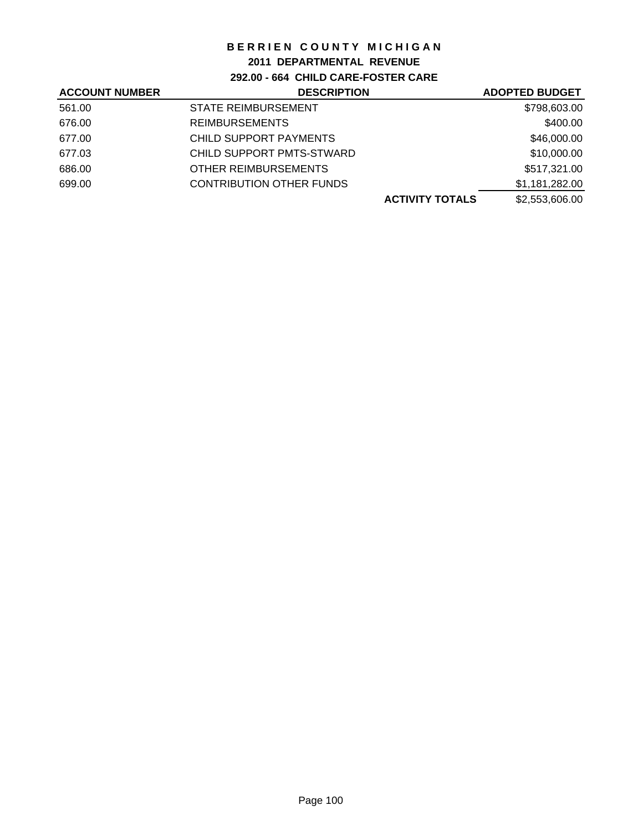## **2011 DEPARTMENTAL REVENUE**

**292.00 - 664 CHILD CARE-FOSTER CARE**

| <b>ACCOUNT NUMBER</b> | <b>DESCRIPTION</b>              | <b>ADOPTED BUDGET</b> |
|-----------------------|---------------------------------|-----------------------|
| 561.00                | <b>STATE REIMBURSEMENT</b>      | \$798,603.00          |
| 676.00                | <b>REIMBURSEMENTS</b>           | \$400.00              |
| 677.00                | CHILD SUPPORT PAYMENTS          | \$46,000.00           |
| 677.03                | CHILD SUPPORT PMTS-STWARD       | \$10,000.00           |
| 686.00                | OTHER REIMBURSEMENTS            | \$517,321.00          |
| 699.00                | <b>CONTRIBUTION OTHER FUNDS</b> | \$1,181,282.00        |
|                       | <b>ACTIVITY TOTALS</b>          | \$2,553,606.00        |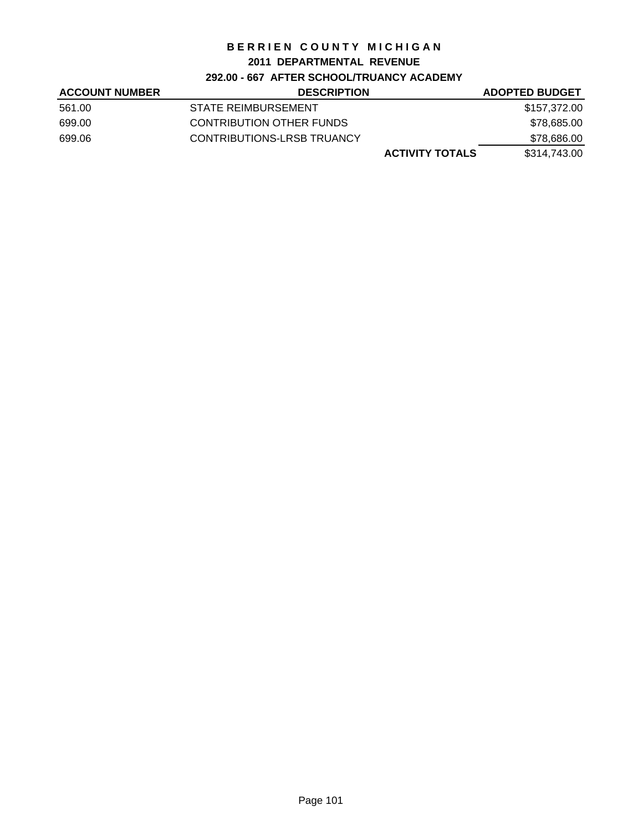### **2011 DEPARTMENTAL REVENUE**

## **292.00 - 667 AFTER SCHOOL/TRUANCY ACADEMY**

| <b>ACCOUNT NUMBER</b> | <b>DESCRIPTION</b>         | <b>ADOPTED BUDGET</b> |
|-----------------------|----------------------------|-----------------------|
| 561.00                | STATE REIMBURSEMENT        | \$157,372.00          |
| 699.00                | CONTRIBUTION OTHER FUNDS   | \$78,685.00           |
| 699.06                | CONTRIBUTIONS-LRSB TRUANCY | \$78,686.00           |
|                       | <b>ACTIVITY TOTALS</b>     | \$314.743.00          |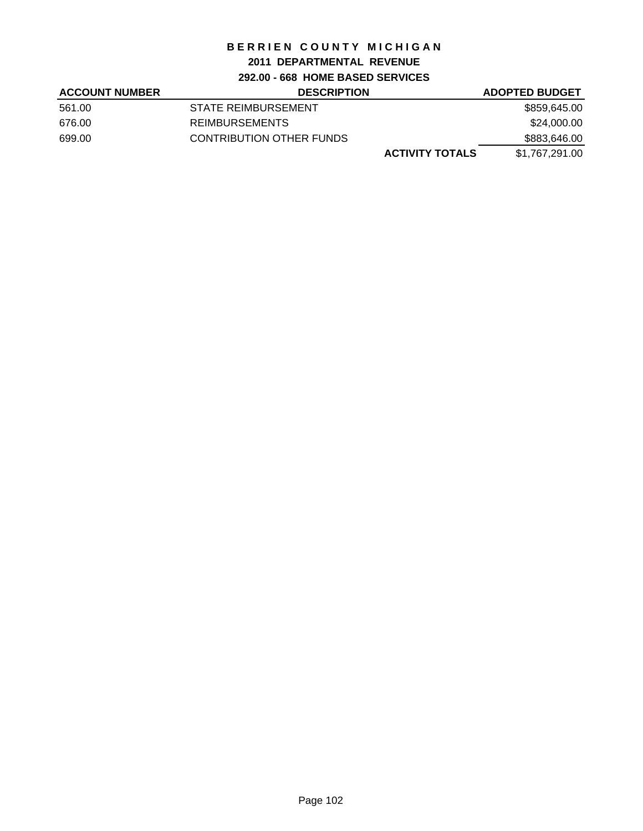## **2011 DEPARTMENTAL REVENUE**

**292.00 - 668 HOME BASED SERVICES**

| <b>ACCOUNT NUMBER</b> | <b>DESCRIPTION</b>              | <b>ADOPTED BUDGET</b> |
|-----------------------|---------------------------------|-----------------------|
| 561.00                | STATE REIMBURSEMENT             | \$859,645.00          |
| 676.00                | <b>REIMBURSEMENTS</b>           | \$24,000.00           |
| 699.00                | <b>CONTRIBUTION OTHER FUNDS</b> | \$883,646.00          |
|                       | <b>ACTIVITY TOTALS</b>          | \$1,767,291.00        |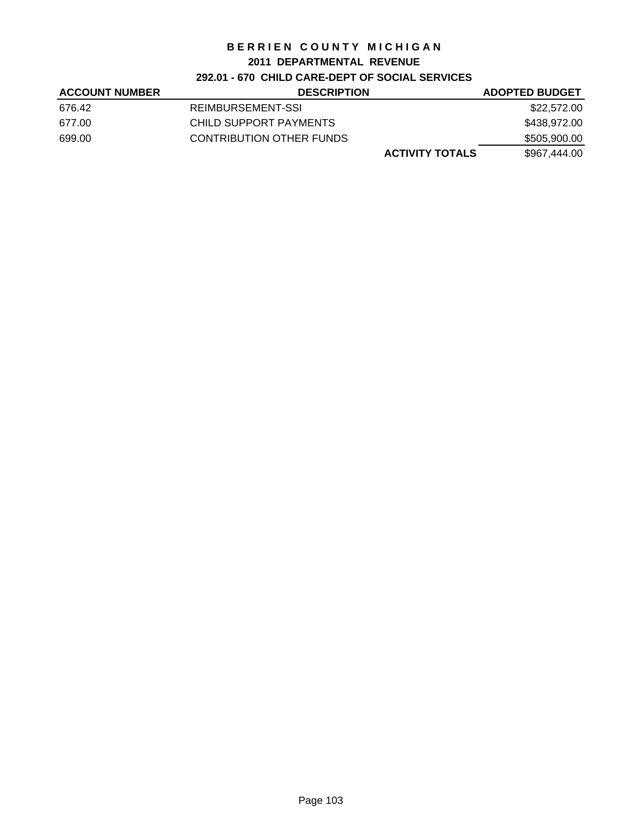### **2011 DEPARTMENTAL REVENUE**

## **292.01 - 670 CHILD CARE-DEPT OF SOCIAL SERVICES**

| <b>ACCOUNT NUMBER</b> | <b>DESCRIPTION</b>       | <b>ADOPTED BUDGET</b> |
|-----------------------|--------------------------|-----------------------|
| 676.42                | REIMBURSEMENT-SSI        | \$22.572.00           |
| 677.00                | CHILD SUPPORT PAYMENTS   | \$438.972.00          |
| 699.00                | CONTRIBUTION OTHER FUNDS | \$505,900.00          |
|                       | <b>ACTIVITY TOTALS</b>   | \$967,444.00          |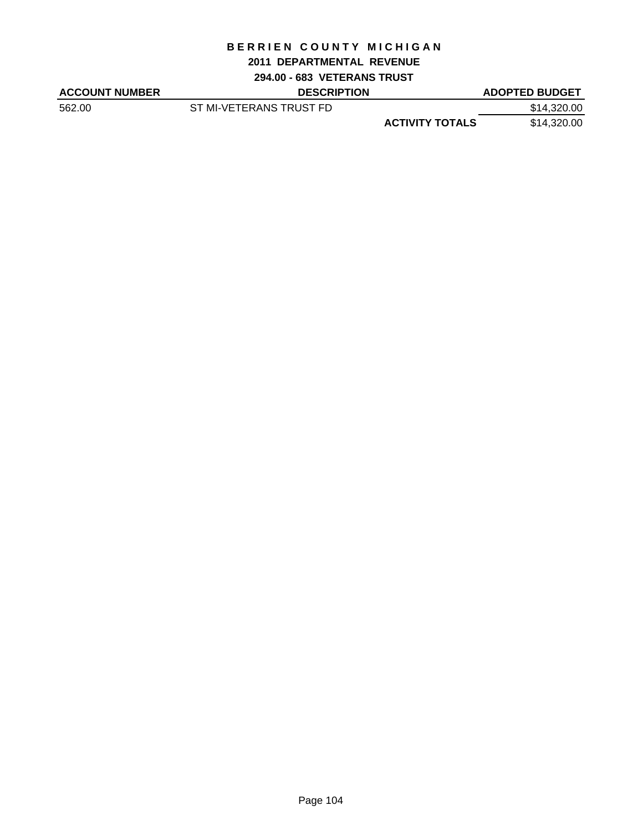#### **2011 DEPARTMENTAL REVENUE**

**294.00 - 683 VETERANS TRUST**

| <b>ACCOUNT NUMBER</b> | <b>DESCRIPTION</b>      |                        | <b>ADOPTED BUDGET</b> |
|-----------------------|-------------------------|------------------------|-----------------------|
| 562.00                | ST MI-VETERANS TRUST FD |                        | \$14,320.00           |
|                       |                         | <b>ACTIVITY TOTALS</b> | \$14,320.00           |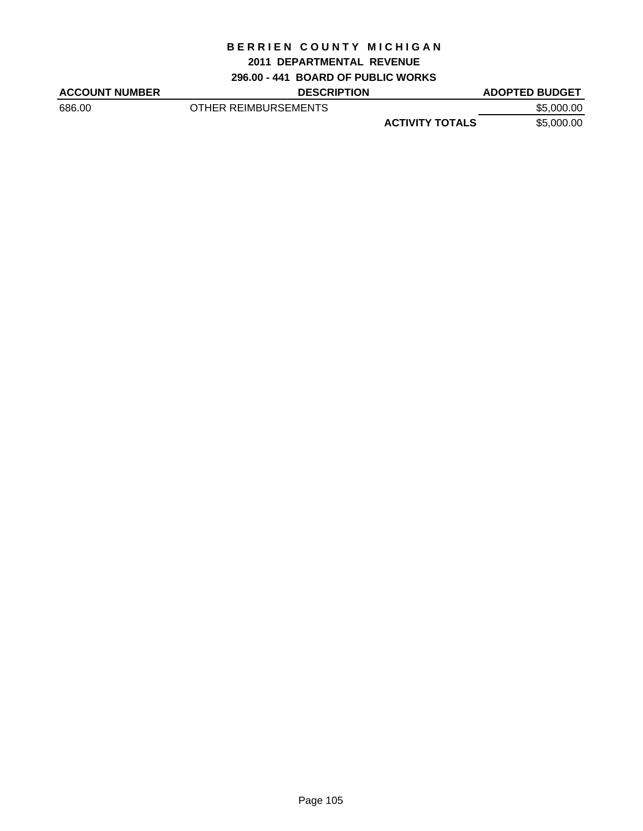#### **2011 DEPARTMENTAL REVENUE**

**296.00 - 441 BOARD OF PUBLIC WORKS**

**DESCRIPTION ADOPTED BUDGET** 686.00 OTHER REIMBURSEMENTS \$5,000.00

**ACTIVITY TOTALS** \$5,000.00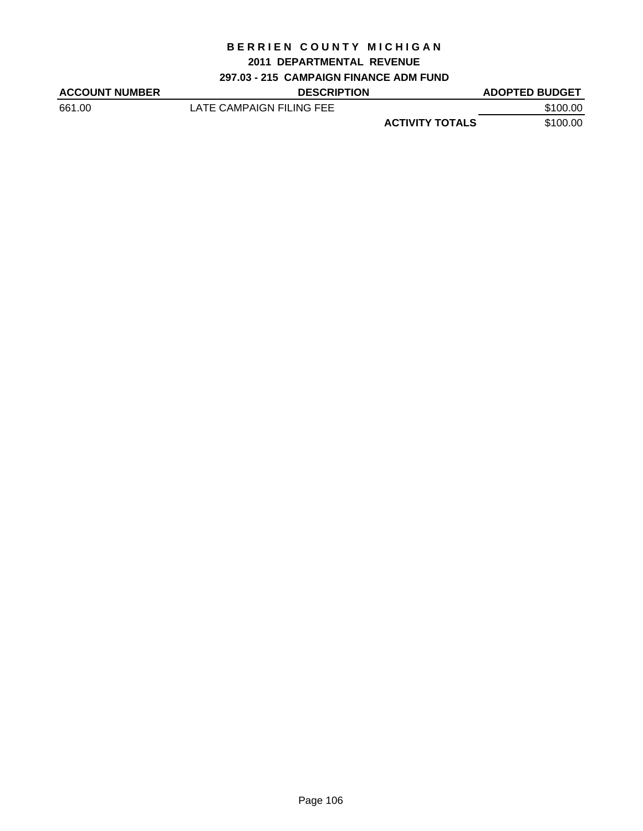#### **2011 DEPARTMENTAL REVENUE**

## **297.03 - 215 CAMPAIGN FINANCE ADM FUND**

| <b>ACCOUNT NUMBER</b> | <b>DESCRIPTION</b>       |                        | <b>ADOPTED BUDGET</b> |
|-----------------------|--------------------------|------------------------|-----------------------|
| 661.00                | LATE CAMPAIGN FILING FEE |                        | \$100.00              |
|                       |                          | <b>ACTIVITY TOTALS</b> | \$100.00              |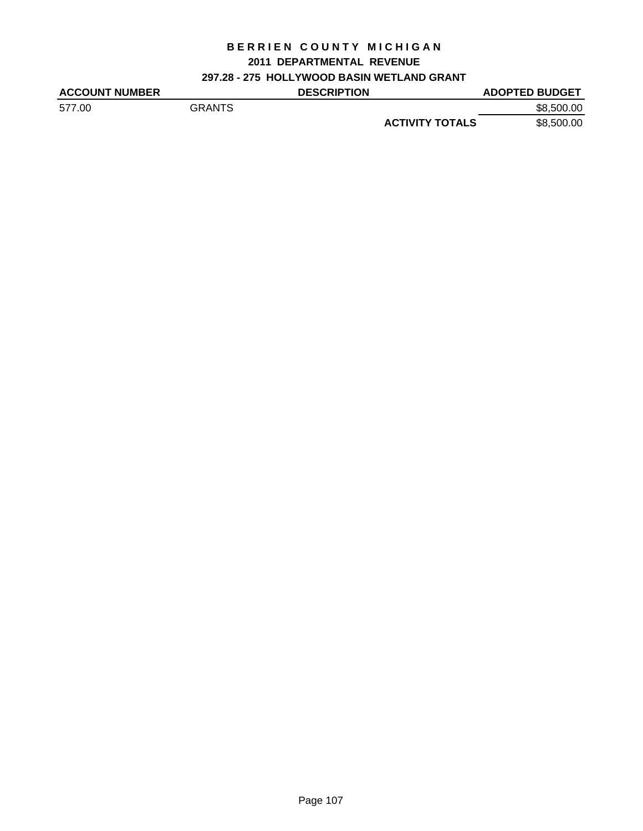## **2011 DEPARTMENTAL REVENUE**

# **297.28 - 275 HOLLYWOOD BASIN WETLAND GRANT**

| <b>ACCOUNT NUMBER</b> |               | <b>DESCRIPTION</b> | <b>ADOPTED BUDGET</b>                |
|-----------------------|---------------|--------------------|--------------------------------------|
| 577.00                | <b>GRANTS</b> |                    | \$8,500,00                           |
|                       |               |                    | \$8,500.00<br><b>ACTIVITY TOTALS</b> |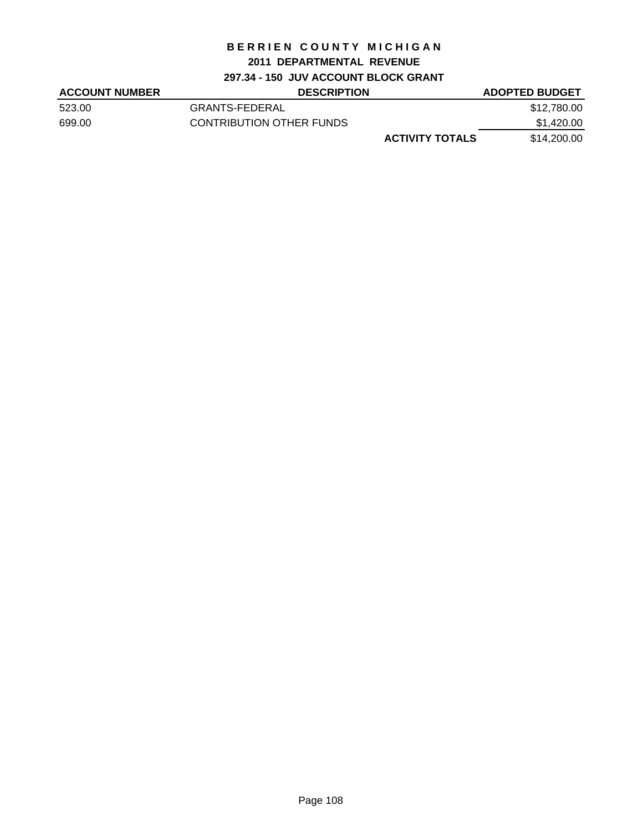# **2011 DEPARTMENTAL REVENUE**

# **297.34 - 150 JUV ACCOUNT BLOCK GRANT**

| <b>ACCOUNT NUMBER</b> | <b>DESCRIPTION</b>       | <b>ADOPTED BUDGET</b> |
|-----------------------|--------------------------|-----------------------|
| 523.00                | GRANTS-FEDERAL           | \$12,780.00           |
| 699.00                | CONTRIBUTION OTHER FUNDS | \$1,420.00            |
|                       | <b>ACTIVITY TOTALS</b>   | \$14,200.00           |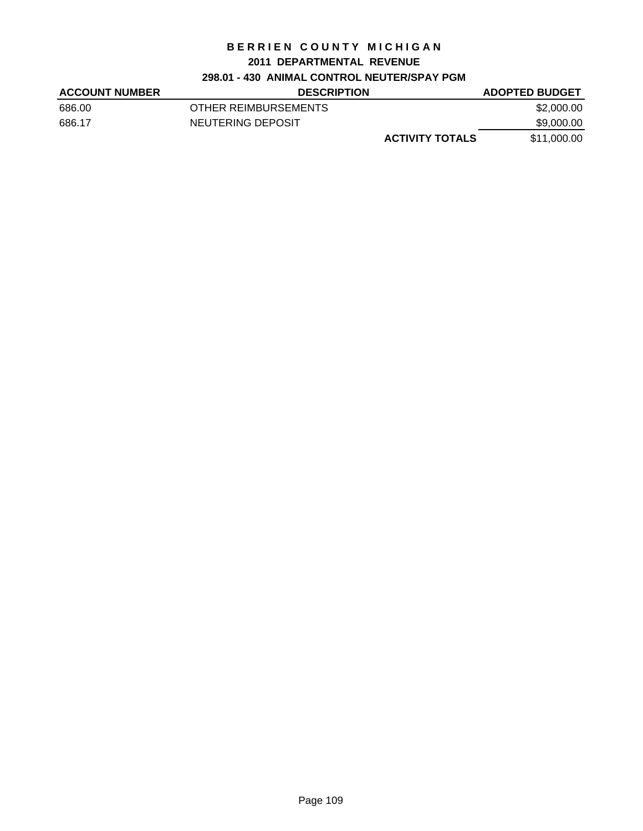#### **2011 DEPARTMENTAL REVENUE**

# **298.01 - 430 ANIMAL CONTROL NEUTER/SPAY PGM**

| <b>ACCOUNT NUMBER</b> | <b>DESCRIPTION</b>     | <b>ADOPTED BUDGET</b> |
|-----------------------|------------------------|-----------------------|
| 686.00                | OTHER REIMBURSEMENTS   | \$2,000.00            |
| 686.17                | NEUTERING DEPOSIT      | \$9,000.00            |
|                       | <b>ACTIVITY TOTALS</b> | \$11,000.00           |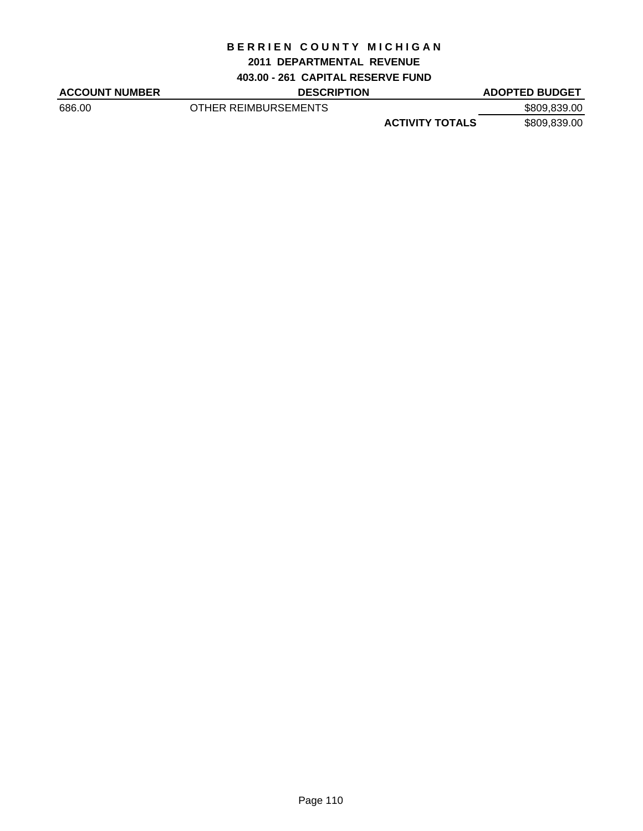#### **2011 DEPARTMENTAL REVENUE**

**403.00 - 261 CAPITAL RESERVE FUND**

ACCOUNT NUMBER DESCRIPTION DESCRIPTION ADOPTED BUDGET

686.00 OTHER REIMBURSEMENTS \$809,839.00 **ACTIVITY TOTALS** \$809,839.00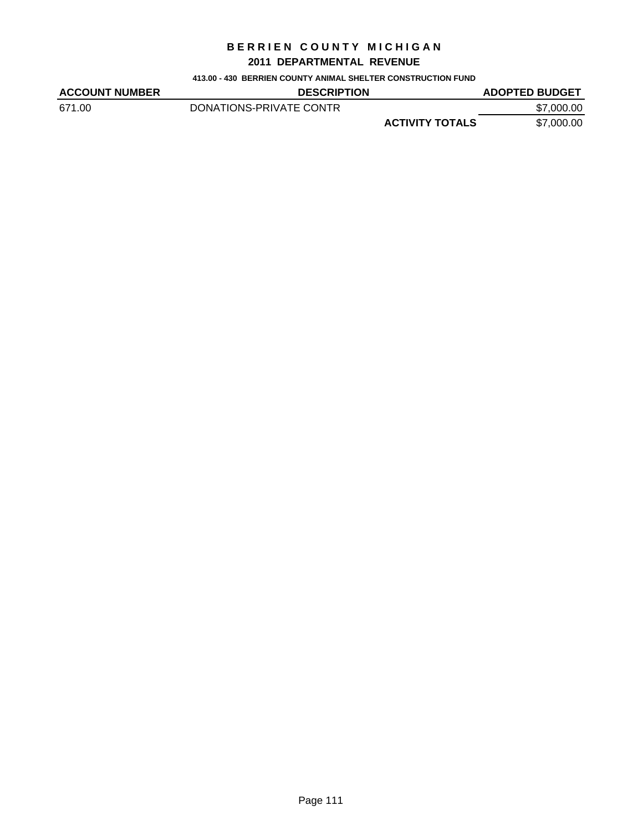### **2011 DEPARTMENTAL REVENUE**

**413.00 - 430 BERRIEN COUNTY ANIMAL SHELTER CONSTRUCTION FUND**

| <b>ACCOUNT NUMBER</b> | <b>DESCRIPTION</b>      |                        | <b>ADOPTED BUDGET</b> |
|-----------------------|-------------------------|------------------------|-----------------------|
| 671.00                | DONATIONS-PRIVATE CONTR |                        | \$7,000.00            |
|                       |                         | <b>ACTIVITY TOTALS</b> | \$7,000.00            |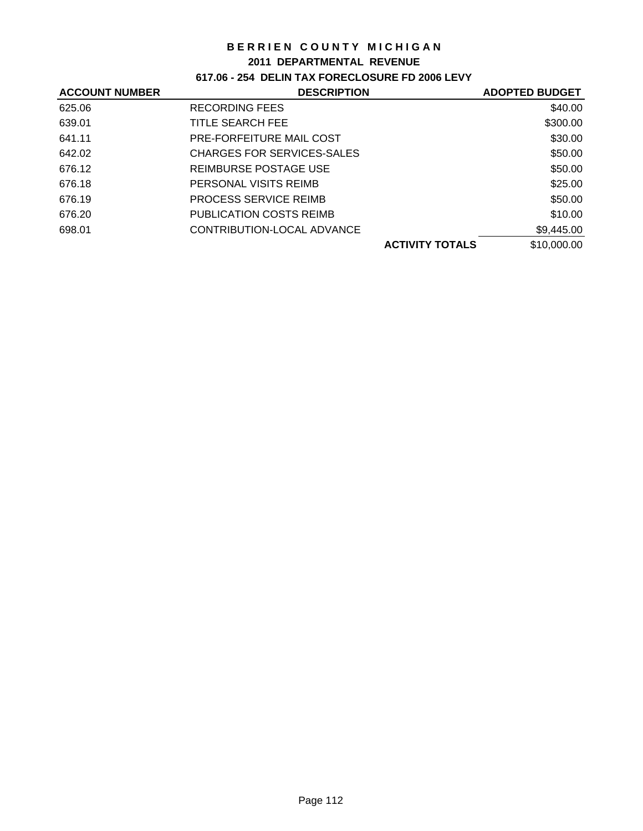#### **2011 DEPARTMENTAL REVENUE**

# **617.06 - 254 DELIN TAX FORECLOSURE FD 2006 LEVY**

| <b>ACCOUNT NUMBER</b> | <b>DESCRIPTION</b>             | <b>ADOPTED BUDGET</b> |
|-----------------------|--------------------------------|-----------------------|
| 625.06                | <b>RECORDING FEES</b>          | \$40.00               |
| 639.01                | TITLE SEARCH FEE               | \$300.00              |
| 641.11                | PRE-FORFEITURE MAIL COST       | \$30.00               |
| 642.02                | CHARGES FOR SERVICES-SALES     | \$50.00               |
| 676.12                | REIMBURSE POSTAGE USE          | \$50.00               |
| 676.18                | PERSONAL VISITS REIMB          | \$25.00               |
| 676.19                | <b>PROCESS SERVICE REIMB</b>   | \$50.00               |
| 676.20                | <b>PUBLICATION COSTS REIMB</b> | \$10.00               |
| 698.01                | CONTRIBUTION-LOCAL ADVANCE     | \$9,445.00            |
|                       | <b>ACTIVITY TOTALS</b>         | \$10,000.00           |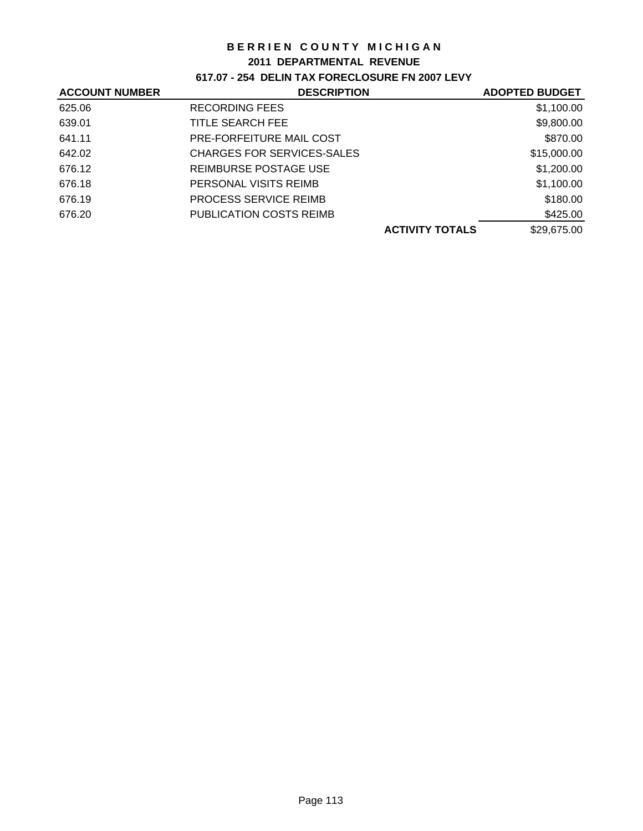#### **2011 DEPARTMENTAL REVENUE**

**617.07 - 254 DELIN TAX FORECLOSURE FN 2007 LEVY**

| <b>ACCOUNT NUMBER</b> | <b>DESCRIPTION</b>             |                        | <b>ADOPTED BUDGET</b> |
|-----------------------|--------------------------------|------------------------|-----------------------|
| 625.06                | <b>RECORDING FEES</b>          |                        | \$1,100.00            |
| 639.01                | TITLE SEARCH FEE               |                        | \$9,800.00            |
| 641.11                | PRE-FORFEITURE MAIL COST       |                        | \$870.00              |
| 642.02                | CHARGES FOR SERVICES-SALES     |                        | \$15,000.00           |
| 676.12                | REIMBURSE POSTAGE USE          |                        | \$1,200.00            |
| 676.18                | PERSONAL VISITS REIMB          |                        | \$1,100.00            |
| 676.19                | <b>PROCESS SERVICE REIMB</b>   |                        | \$180.00              |
| 676.20                | <b>PUBLICATION COSTS REIMB</b> |                        | \$425.00              |
|                       |                                | <b>ACTIVITY TOTALS</b> | \$29,675.00           |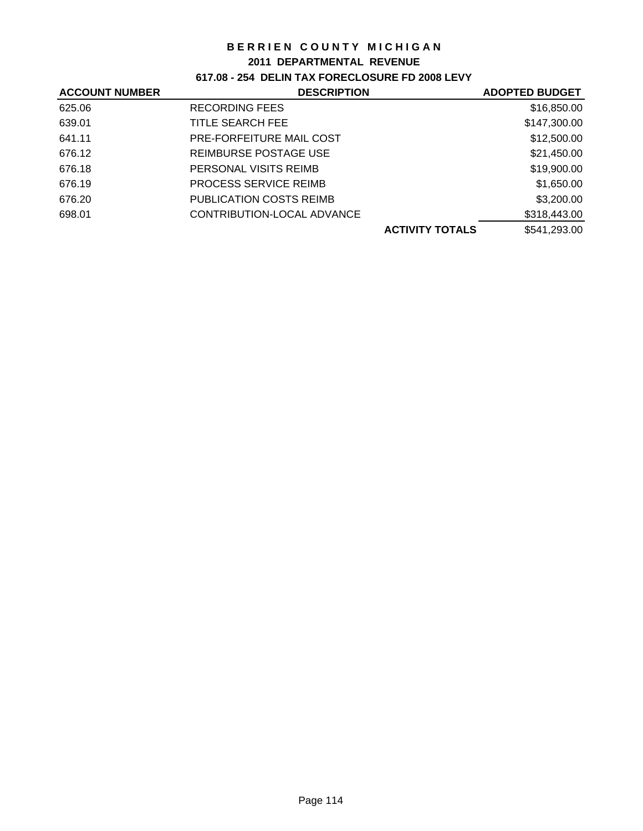#### **2011 DEPARTMENTAL REVENUE**

# **617.08 - 254 DELIN TAX FORECLOSURE FD 2008 LEVY**

| <b>ACCOUNT NUMBER</b> | <b>DESCRIPTION</b>             |                        | <b>ADOPTED BUDGET</b> |
|-----------------------|--------------------------------|------------------------|-----------------------|
| 625.06                | <b>RECORDING FEES</b>          |                        | \$16,850.00           |
| 639.01                | TITLE SEARCH FEE               |                        | \$147,300.00          |
| 641.11                | PRE-FORFEITURE MAIL COST       |                        | \$12,500.00           |
| 676.12                | REIMBURSE POSTAGE USE          |                        | \$21,450.00           |
| 676.18                | PERSONAL VISITS REIMB          |                        | \$19,900.00           |
| 676.19                | <b>PROCESS SERVICE REIMB</b>   |                        | \$1,650.00            |
| 676.20                | <b>PUBLICATION COSTS REIMB</b> |                        | \$3,200.00            |
| 698.01                | CONTRIBUTION-LOCAL ADVANCE     |                        | \$318,443.00          |
|                       |                                | <b>ACTIVITY TOTALS</b> | \$541,293.00          |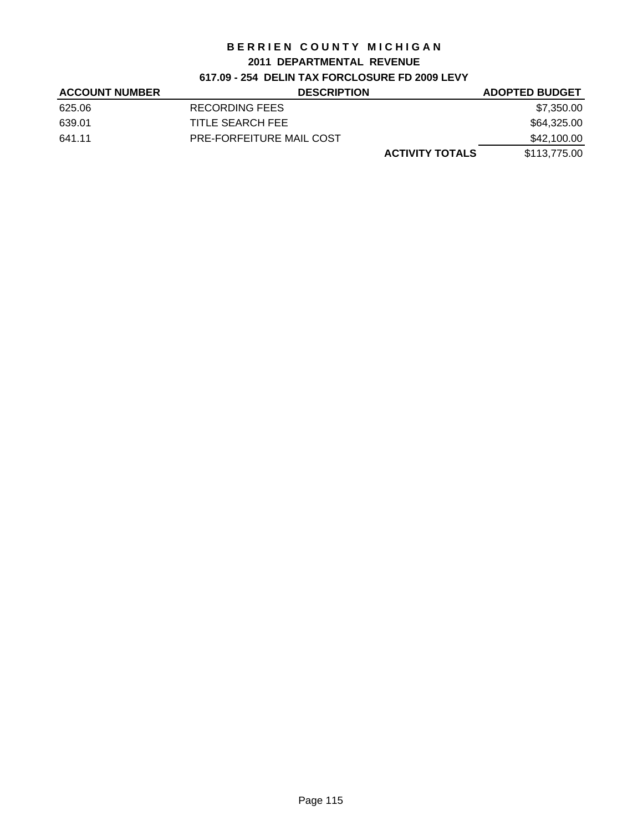### **2011 DEPARTMENTAL REVENUE**

# **617.09 - 254 DELIN TAX FORCLOSURE FD 2009 LEVY**

| <b>ACCOUNT NUMBER</b> | <b>DESCRIPTION</b>       | <b>ADOPTED BUDGET</b> |
|-----------------------|--------------------------|-----------------------|
| 625.06                | RECORDING FEES           | \$7,350.00            |
| 639.01                | TITLE SEARCH FEE         | \$64,325.00           |
| 641.11                | PRE-FORFEITURE MAIL COST | \$42,100.00           |
|                       | <b>ACTIVITY TOTALS</b>   | \$113,775.00          |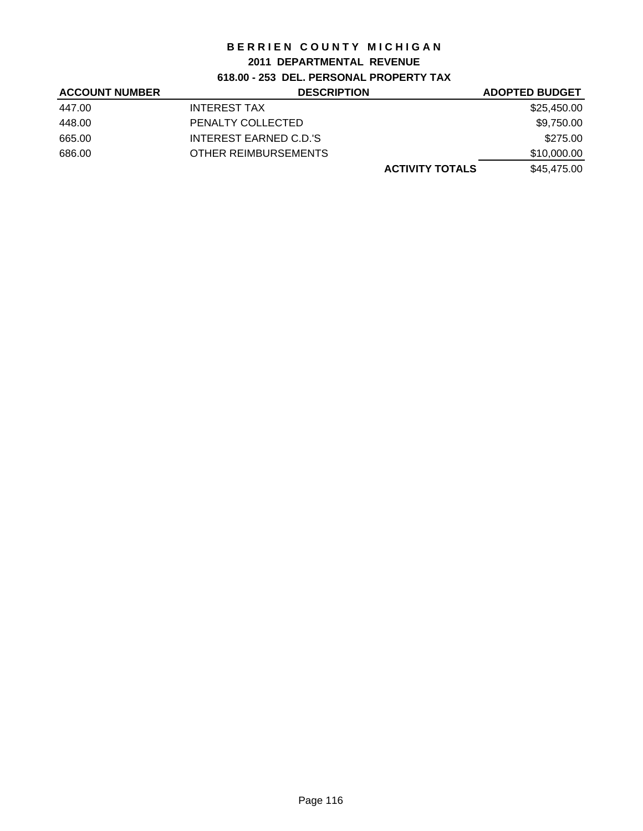#### **2011 DEPARTMENTAL REVENUE**

# **618.00 - 253 DEL. PERSONAL PROPERTY TAX**

| <b>ACCOUNT NUMBER</b> | <b>DESCRIPTION</b>     | <b>ADOPTED BUDGET</b> |
|-----------------------|------------------------|-----------------------|
| 447.00                | <b>INTEREST TAX</b>    | \$25,450.00           |
| 448.00                | PENALTY COLLECTED      | \$9,750.00            |
| 665.00                | INTEREST EARNED C.D.'S | \$275.00              |
| 686.00                | OTHER REIMBURSEMENTS   | \$10,000.00           |
|                       | <b>ACTIVITY TOTALS</b> | \$45,475.00           |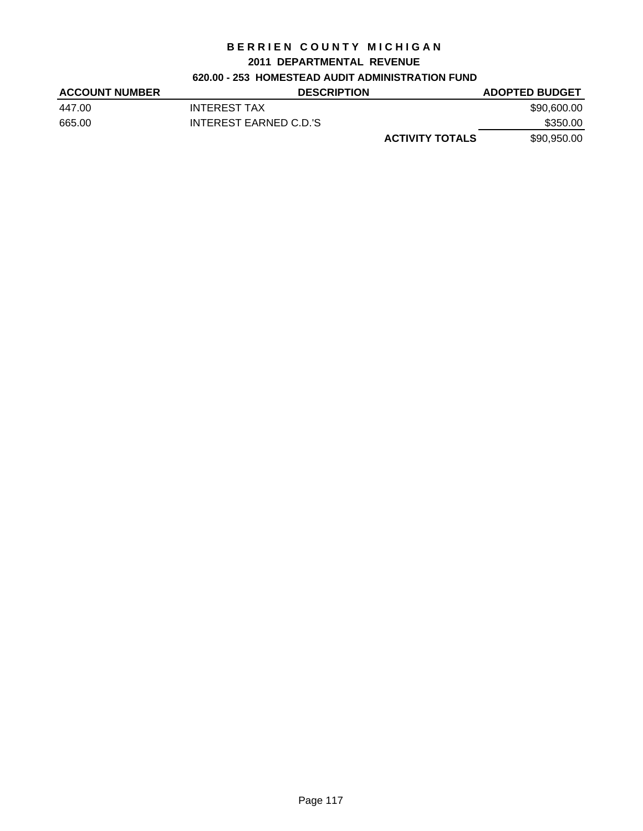#### **2011 DEPARTMENTAL REVENUE**

## **620.00 - 253 HOMESTEAD AUDIT ADMINISTRATION FUND**

| <b>ACCOUNT NUMBER</b> | <b>DESCRIPTION</b>     | <b>ADOPTED BUDGET</b> |
|-----------------------|------------------------|-----------------------|
| 447.00                | <b>INTEREST TAX</b>    | \$90,600.00           |
| 665.00                | INTEREST EARNED C.D.'S | \$350.00              |
|                       | <b>ACTIVITY TOTALS</b> | \$90,950.00           |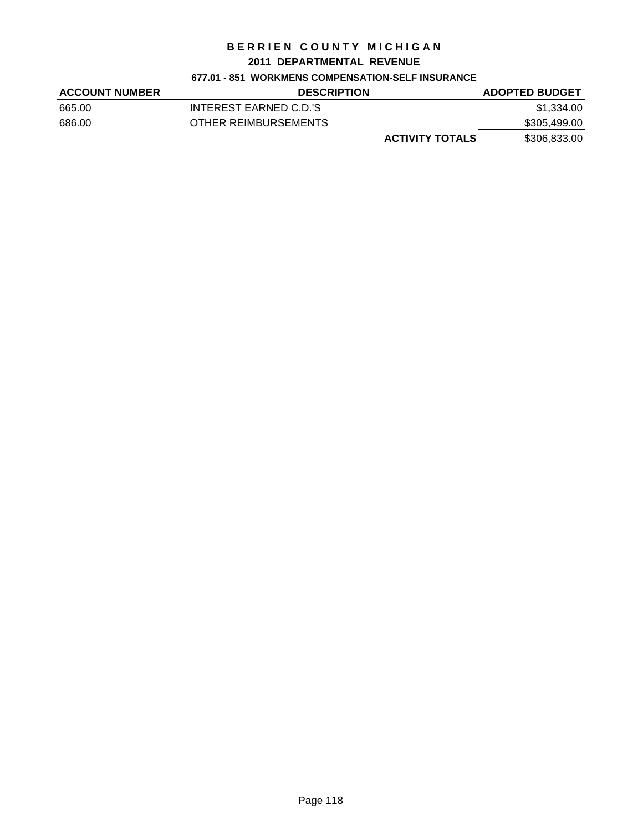#### **2011 DEPARTMENTAL REVENUE**

#### **677.01 - 851 WORKMENS COMPENSATION-SELF INSURANCE**

| <b>ACCOUNT NUMBER</b> | <b>DESCRIPTION</b>     | <b>ADOPTED BUDGET</b> |
|-----------------------|------------------------|-----------------------|
| 665.00                | INTEREST EARNED C.D.'S | \$1.334.00            |
| 686.00                | OTHER REIMBURSEMENTS   | \$305,499.00          |
|                       | <b>ACTIVITY TOTALS</b> | \$306,833.00          |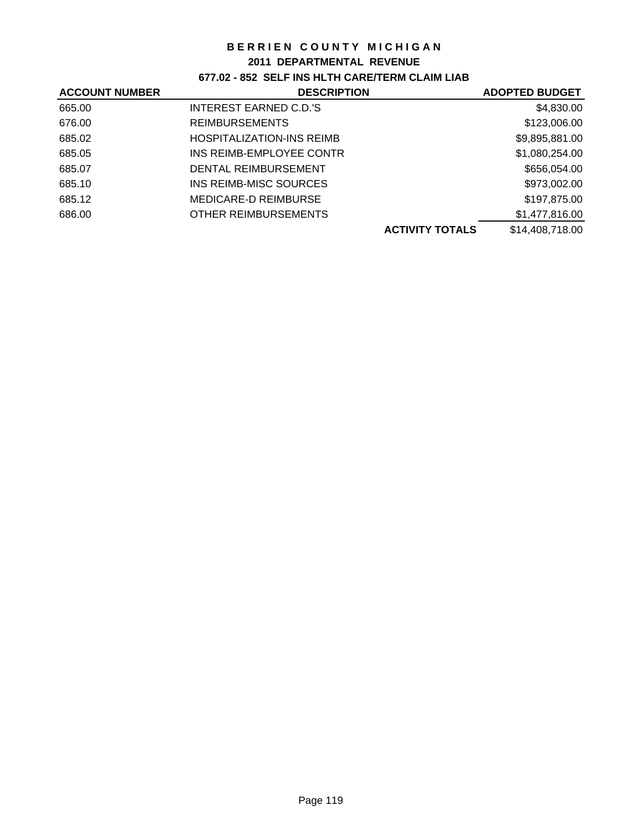#### **2011 DEPARTMENTAL REVENUE**

# **677.02 - 852 SELF INS HLTH CARE/TERM CLAIM LIAB**

| <b>ACCOUNT NUMBER</b> | <b>DESCRIPTION</b>               | <b>ADOPTED BUDGET</b> |
|-----------------------|----------------------------------|-----------------------|
| 665.00                | <b>INTEREST EARNED C.D.'S</b>    | \$4,830.00            |
| 676.00                | <b>REIMBURSEMENTS</b>            | \$123,006.00          |
| 685.02                | <b>HOSPITALIZATION-INS REIMB</b> | \$9,895,881.00        |
| 685.05                | INS REIMB-EMPLOYEE CONTR         | \$1,080,254.00        |
| 685.07                | DENTAL REIMBURSEMENT             | \$656,054.00          |
| 685.10                | INS REIMB-MISC SOURCES           | \$973,002.00          |
| 685.12                | MEDICARE-D REIMBURSE             | \$197,875.00          |
| 686.00                | OTHER REIMBURSEMENTS             | \$1,477,816.00        |
|                       | <b>ACTIVITY TOTALS</b>           | \$14,408,718.00       |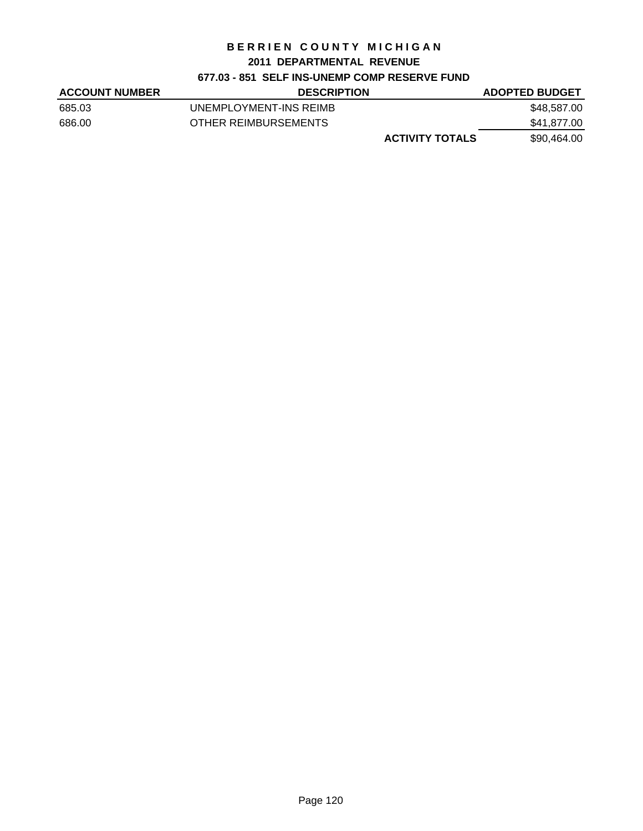#### **2011 DEPARTMENTAL REVENUE**

# **677.03 - 851 SELF INS-UNEMP COMP RESERVE FUND**

| <b>ACCOUNT NUMBER</b> | <b>DESCRIPTION</b>     | <b>ADOPTED BUDGET</b> |
|-----------------------|------------------------|-----------------------|
| 685.03                | UNEMPLOYMENT-INS REIMB | \$48,587.00           |
| 686.00                | OTHER REIMBURSEMENTS   | \$41,877.00           |
|                       | <b>ACTIVITY TOTALS</b> | \$90,464.00           |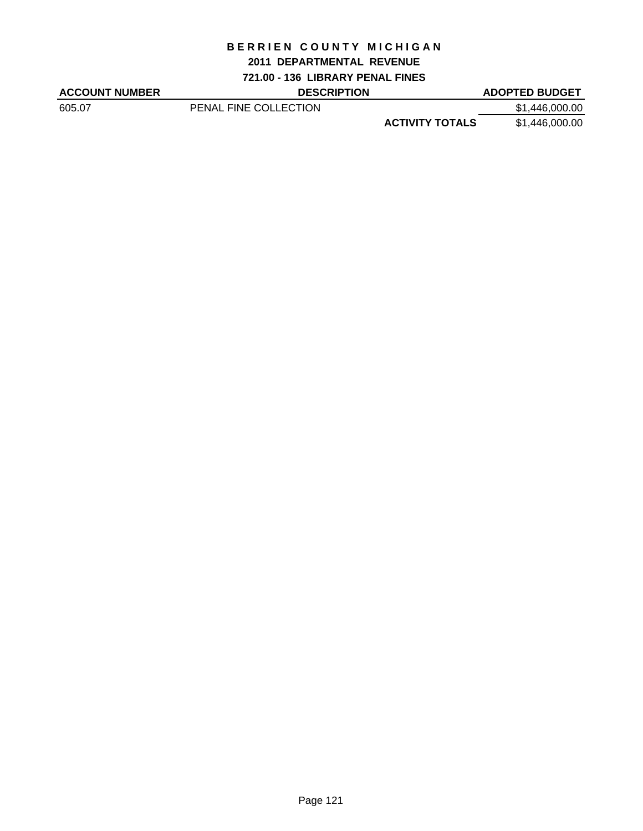#### **2011 DEPARTMENTAL REVENUE**

**721.00 - 136 LIBRARY PENAL FINES**

ACCOUNT NUMBER DESCRIPTION DESCRIPTION ADOPTED BUDGET

605.07 PENAL FINE COLLECTION \$1,446,000.00 **ACTIVITY TOTALS** \$1,446,000.00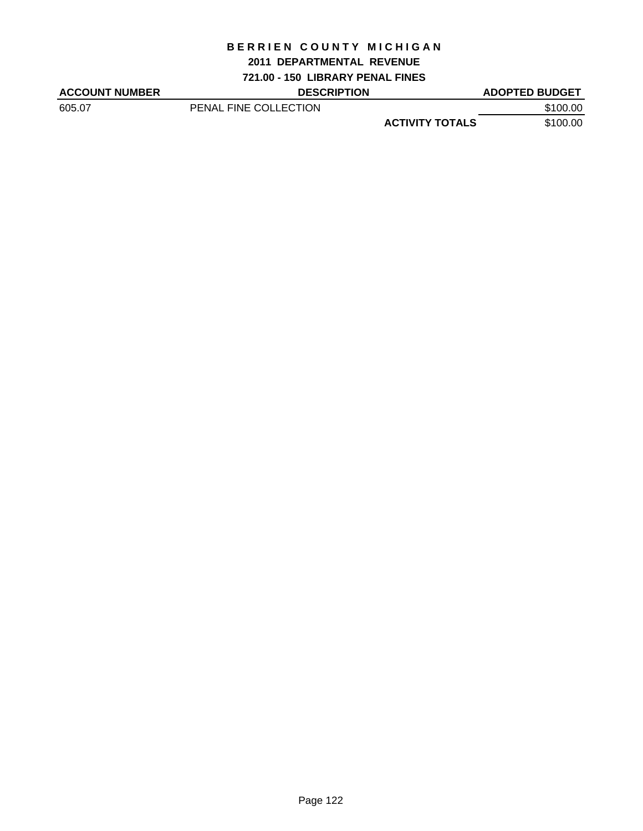#### **2011 DEPARTMENTAL REVENUE**

**721.00 - 150 LIBRARY PENAL FINES**

| <b>ACCOUNT NUMBER</b> | <b>DESCRIPTION</b>    |                        | <b>ADOPTED BUDGET</b> |
|-----------------------|-----------------------|------------------------|-----------------------|
| 605.07                | PENAL FINE COLLECTION |                        | \$100.00              |
|                       |                       | <b>ACTIVITY TOTALS</b> | \$100.00              |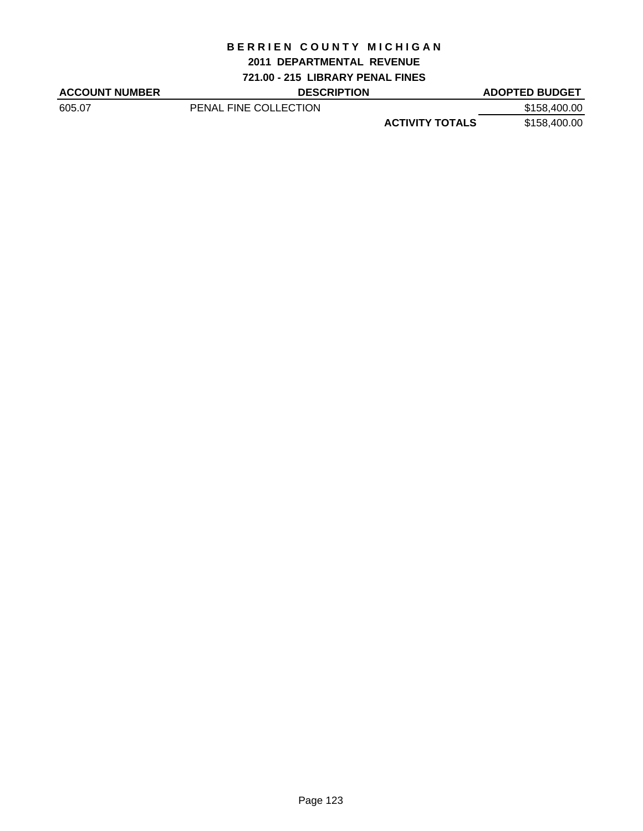#### **2011 DEPARTMENTAL REVENUE**

**721.00 - 215 LIBRARY PENAL FINES**

ACCOUNT NUMBER DESCRIPTION DESCRIPTION ADOPTED BUDGET

605.07 PENAL FINE COLLECTION \$158,400.00 **ACTIVITY TOTALS** \$158,400.00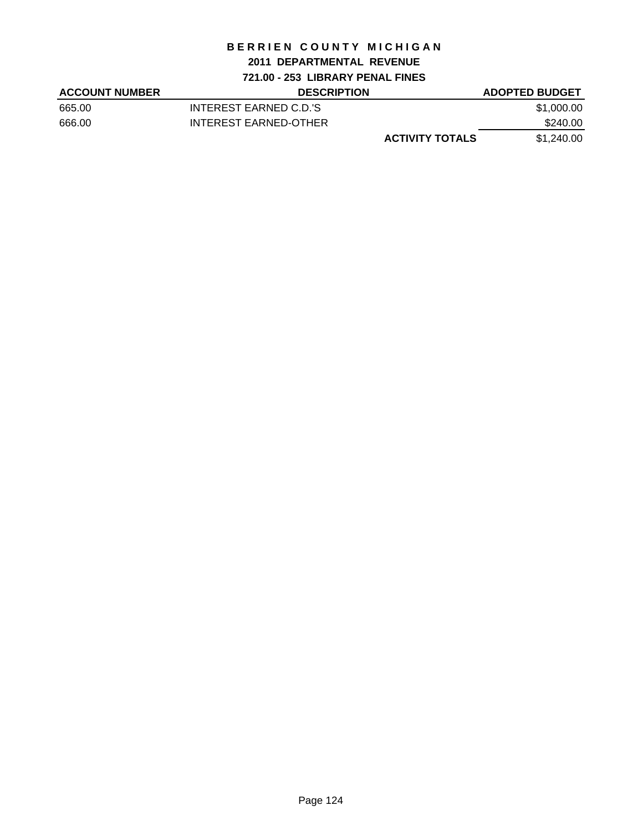### **2011 DEPARTMENTAL REVENUE**

**721.00 - 253 LIBRARY PENAL FINES**

| <b>ACCOUNT NUMBER</b> | <b>DESCRIPTION</b>     | <b>ADOPTED BUDGET</b> |
|-----------------------|------------------------|-----------------------|
| 665.00                | INTEREST EARNED C.D.'S | \$1,000.00            |
| 666.00                | INTEREST EARNED-OTHER  | \$240.00              |
|                       | <b>ACTIVITY TOTALS</b> | \$1,240.00            |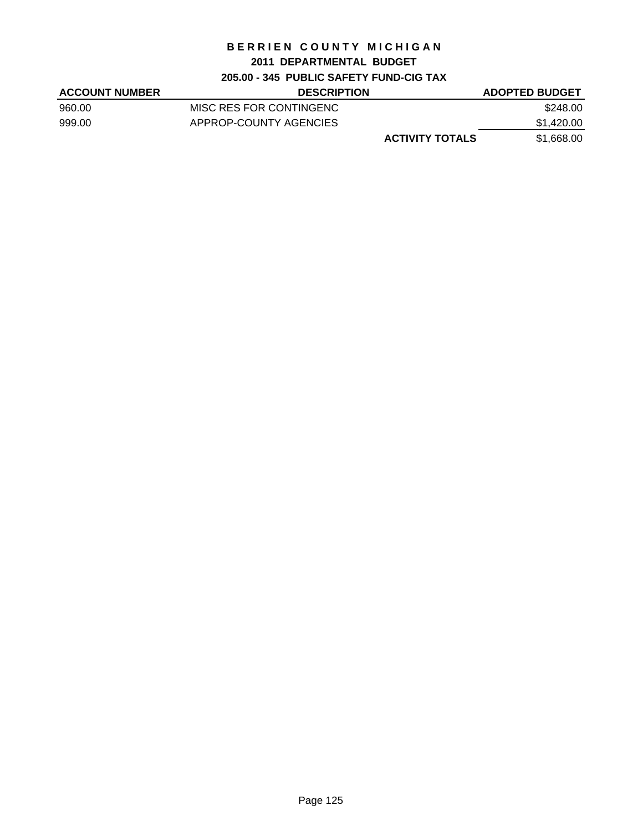## **2011 DEPARTMENTAL BUDGET**

# **205.00 - 345 PUBLIC SAFETY FUND-CIG TAX**

| <b>ACCOUNT NUMBER</b> | <b>DESCRIPTION</b>      | <b>ADOPTED BUDGET</b> |
|-----------------------|-------------------------|-----------------------|
| 960.00                | MISC RES FOR CONTINGENC | \$248.00              |
| 999.00                | APPROP-COUNTY AGENCIES  | \$1,420.00            |
|                       | <b>ACTIVITY TOTALS</b>  | \$1,668.00            |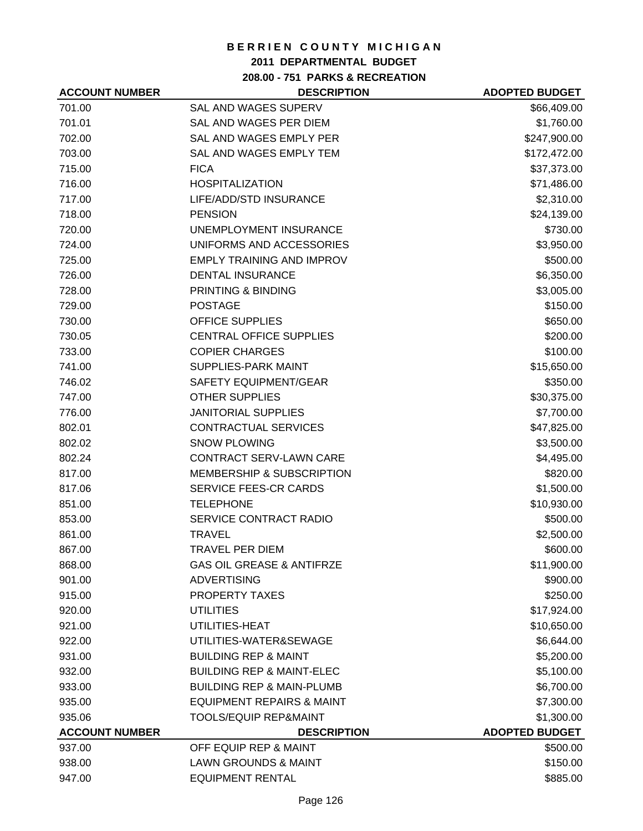## **2011 DEPARTMENTAL BUDGET**

**208.00 - 751 PARKS & RECREATION**

| <b>ACCOUNT NUMBER</b> | <b>DESCRIPTION</b>                   | <b>ADOPTED BUDGET</b> |
|-----------------------|--------------------------------------|-----------------------|
| 701.00                | <b>SAL AND WAGES SUPERV</b>          | \$66,409.00           |
| 701.01                | SAL AND WAGES PER DIEM               | \$1,760.00            |
| 702.00                | SAL AND WAGES EMPLY PER              | \$247,900.00          |
| 703.00                | SAL AND WAGES EMPLY TEM              | \$172,472.00          |
| 715.00                | <b>FICA</b>                          | \$37,373.00           |
| 716.00                | <b>HOSPITALIZATION</b>               | \$71,486.00           |
| 717.00                | LIFE/ADD/STD INSURANCE               | \$2,310.00            |
| 718.00                | <b>PENSION</b>                       | \$24,139.00           |
| 720.00                | UNEMPLOYMENT INSURANCE               | \$730.00              |
| 724.00                | UNIFORMS AND ACCESSORIES             | \$3,950.00            |
| 725.00                | <b>EMPLY TRAINING AND IMPROV</b>     | \$500.00              |
| 726.00                | <b>DENTAL INSURANCE</b>              | \$6,350.00            |
| 728.00                | PRINTING & BINDING                   | \$3,005.00            |
| 729.00                | <b>POSTAGE</b>                       | \$150.00              |
| 730.00                | <b>OFFICE SUPPLIES</b>               | \$650.00              |
| 730.05                | <b>CENTRAL OFFICE SUPPLIES</b>       | \$200.00              |
| 733.00                | <b>COPIER CHARGES</b>                | \$100.00              |
| 741.00                | SUPPLIES-PARK MAINT                  | \$15,650.00           |
| 746.02                | SAFETY EQUIPMENT/GEAR                | \$350.00              |
| 747.00                | <b>OTHER SUPPLIES</b>                | \$30,375.00           |
| 776.00                | <b>JANITORIAL SUPPLIES</b>           | \$7,700.00            |
| 802.01                | <b>CONTRACTUAL SERVICES</b>          | \$47,825.00           |
| 802.02                | <b>SNOW PLOWING</b>                  | \$3,500.00            |
| 802.24                | <b>CONTRACT SERV-LAWN CARE</b>       | \$4,495.00            |
| 817.00                | MEMBERSHIP & SUBSCRIPTION            | \$820.00              |
| 817.06                | SERVICE FEES-CR CARDS                | \$1,500.00            |
| 851.00                | <b>TELEPHONE</b>                     | \$10,930.00           |
| 853.00                | SERVICE CONTRACT RADIO               | \$500.00              |
| 861.00                | <b>TRAVEL</b>                        | \$2,500.00            |
| 867.00                | <b>TRAVEL PER DIEM</b>               | \$600.00              |
| 868.00                | <b>GAS OIL GREASE &amp; ANTIFRZE</b> | \$11,900.00           |
| 901.00                | <b>ADVERTISING</b>                   | \$900.00              |
| 915.00                | PROPERTY TAXES                       | \$250.00              |
| 920.00                | <b>UTILITIES</b>                     | \$17,924.00           |
| 921.00                | UTILITIES-HEAT                       | \$10,650.00           |
| 922.00                | UTILITIES-WATER&SEWAGE               | \$6,644.00            |
| 931.00                | <b>BUILDING REP &amp; MAINT</b>      | \$5,200.00            |
| 932.00                | <b>BUILDING REP &amp; MAINT-ELEC</b> | \$5,100.00            |
| 933.00                | <b>BUILDING REP &amp; MAIN-PLUMB</b> | \$6,700.00            |
| 935.00                | <b>EQUIPMENT REPAIRS &amp; MAINT</b> | \$7,300.00            |
| 935.06                | <b>TOOLS/EQUIP REP&amp;MAINT</b>     | \$1,300.00            |
| <b>ACCOUNT NUMBER</b> | <b>DESCRIPTION</b>                   | <b>ADOPTED BUDGET</b> |
| 937.00                | OFF EQUIP REP & MAINT                | \$500.00              |
| 938.00                | <b>LAWN GROUNDS &amp; MAINT</b>      | \$150.00              |
| 947.00                | <b>EQUIPMENT RENTAL</b>              | \$885.00              |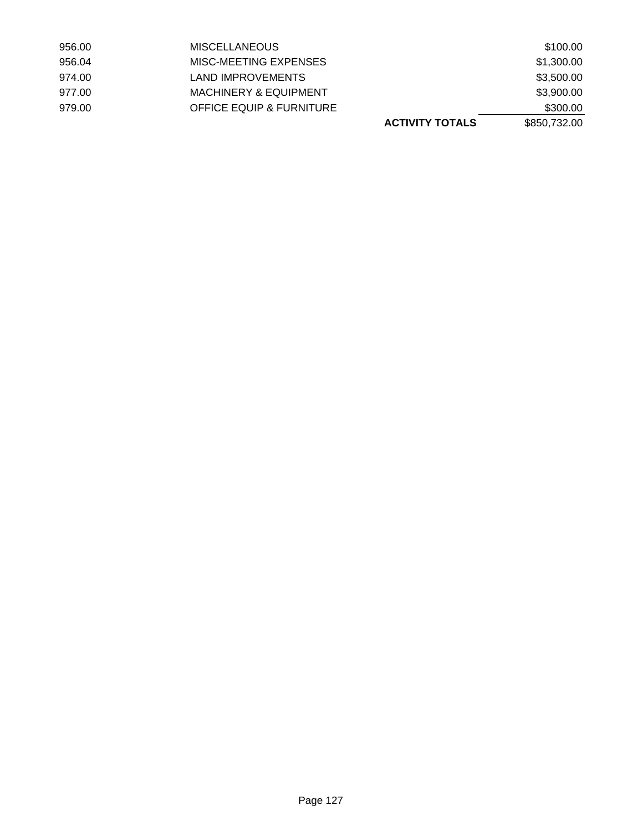|        |                                     | <b>ACTIVITY TOTALS</b> | \$850,732.00 |
|--------|-------------------------------------|------------------------|--------------|
| 979.00 | <b>OFFICE EQUIP &amp; FURNITURE</b> |                        | \$300.00     |
| 977.00 | <b>MACHINERY &amp; EQUIPMENT</b>    |                        | \$3,900.00   |
| 974.00 | LAND IMPROVEMENTS                   |                        | \$3,500.00   |
| 956.04 | MISC-MEETING EXPENSES               |                        | \$1,300.00   |
| 956.00 | <b>MISCELLANEOUS</b>                |                        | \$100.00     |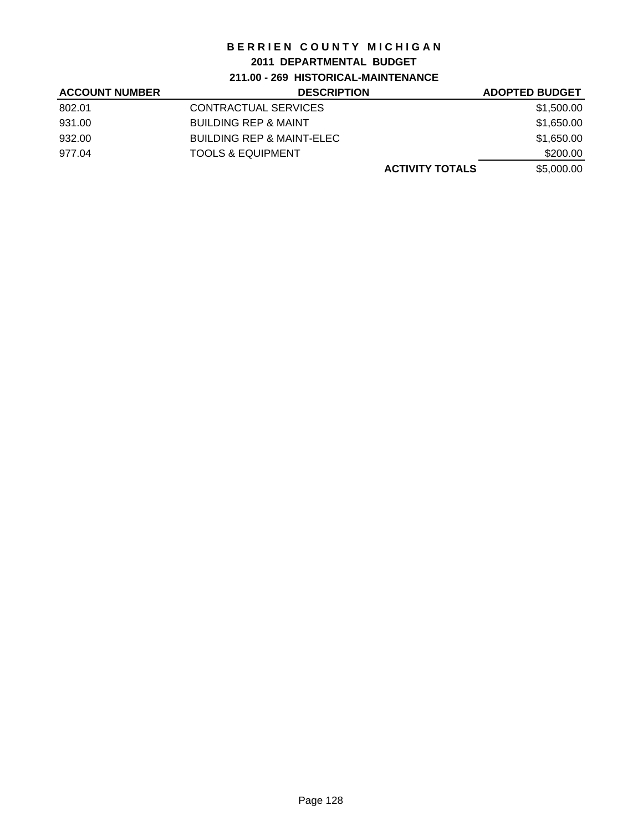## **2011 DEPARTMENTAL BUDGET**

**211.00 - 269 HISTORICAL-MAINTENANCE**

| <b>ACCOUNT NUMBER</b> | <b>DESCRIPTION</b>              | <b>ADOPTED BUDGET</b> |
|-----------------------|---------------------------------|-----------------------|
| 802.01                | <b>CONTRACTUAL SERVICES</b>     | \$1,500.00            |
| 931.00                | <b>BUILDING REP &amp; MAINT</b> | \$1,650.00            |
| 932.00                | BUILDING REP & MAINT-ELEC       | \$1,650.00            |
| 977.04                | <b>TOOLS &amp; EQUIPMENT</b>    | \$200.00              |
|                       | <b>ACTIVITY TOTALS</b>          | \$5,000.00            |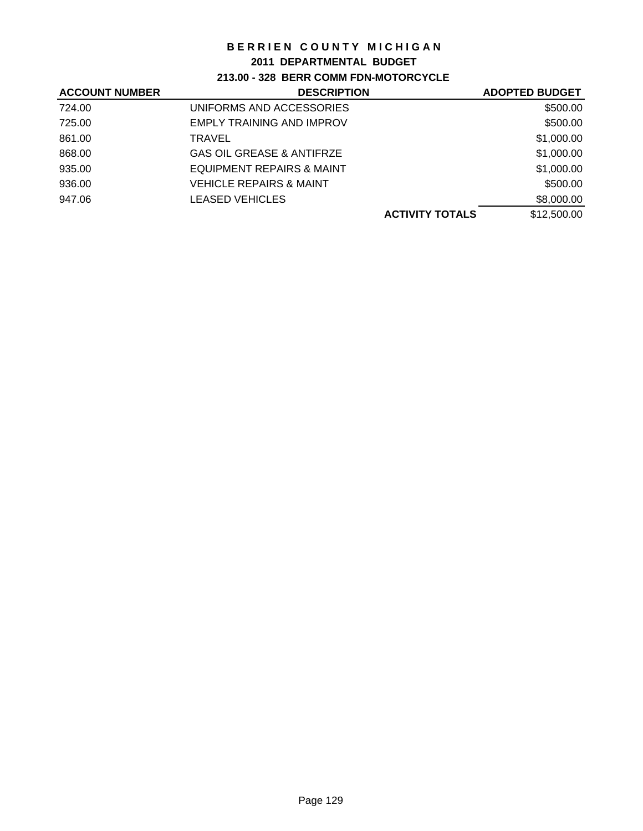## **2011 DEPARTMENTAL BUDGET**

**213.00 - 328 BERR COMM FDN-MOTORCYCLE**

| <b>ACCOUNT NUMBER</b> | <b>DESCRIPTION</b>                   | <b>ADOPTED BUDGET</b> |
|-----------------------|--------------------------------------|-----------------------|
| 724.00                | UNIFORMS AND ACCESSORIES             | \$500.00              |
| 725.00                | <b>EMPLY TRAINING AND IMPROV</b>     | \$500.00              |
| 861.00                | <b>TRAVEL</b>                        | \$1,000.00            |
| 868.00                | <b>GAS OIL GREASE &amp; ANTIFRZE</b> | \$1,000.00            |
| 935.00                | EQUIPMENT REPAIRS & MAINT            | \$1,000.00            |
| 936.00                | <b>VEHICLE REPAIRS &amp; MAINT</b>   | \$500.00              |
| 947.06                | <b>LEASED VEHICLES</b>               | \$8,000.00            |
|                       | <b>ACTIVITY TOTALS</b>               | \$12,500.00           |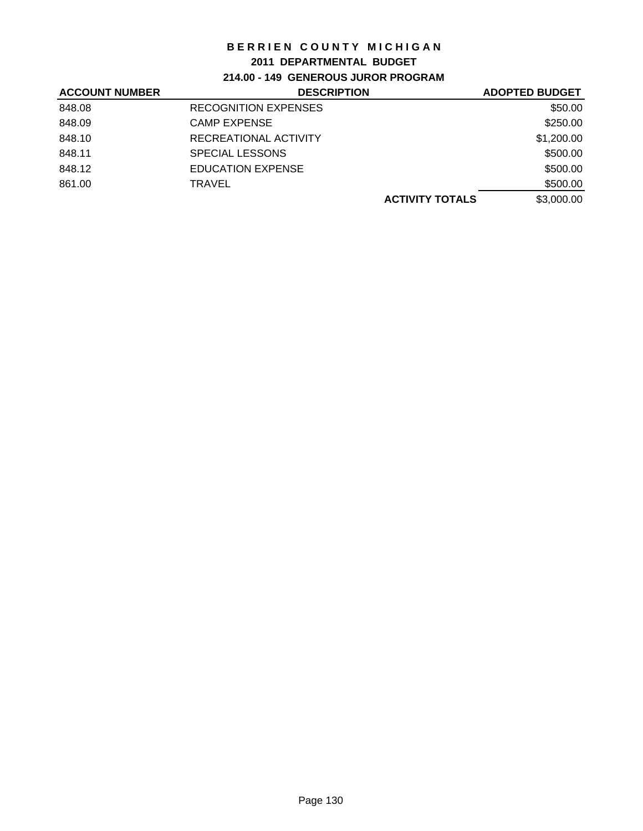## **2011 DEPARTMENTAL BUDGET**

**214.00 - 149 GENEROUS JUROR PROGRAM**

| <b>ACCOUNT NUMBER</b> | <b>DESCRIPTION</b>          | <b>ADOPTED BUDGET</b>                |
|-----------------------|-----------------------------|--------------------------------------|
| 848.08                | <b>RECOGNITION EXPENSES</b> | \$50.00                              |
| 848.09                | <b>CAMP EXPENSE</b>         | \$250.00                             |
| 848.10                | RECREATIONAL ACTIVITY       | \$1,200.00                           |
| 848.11                | <b>SPECIAL LESSONS</b>      | \$500.00                             |
| 848.12                | <b>EDUCATION EXPENSE</b>    | \$500.00                             |
| 861.00                | TRAVEL                      | \$500.00                             |
|                       |                             | \$3,000.00<br><b>ACTIVITY TOTALS</b> |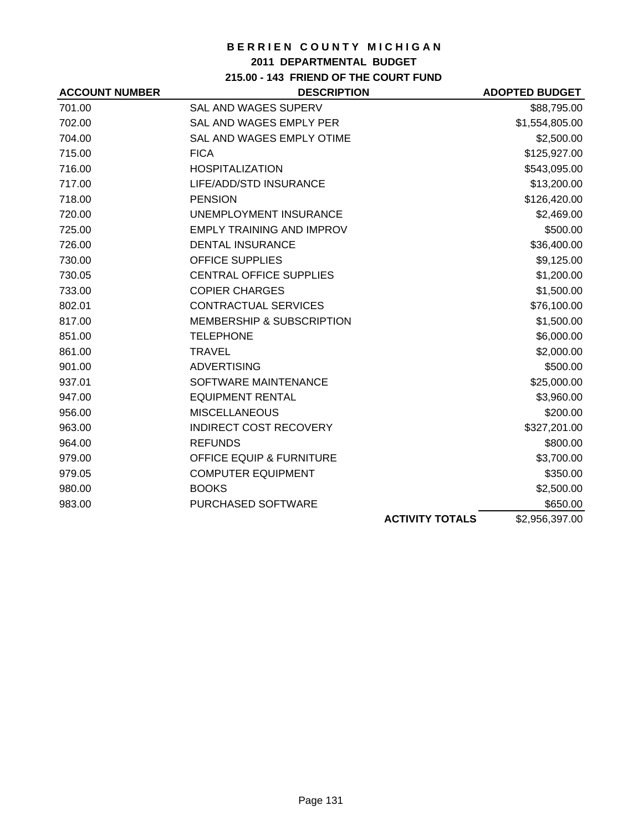## **2011 DEPARTMENTAL BUDGET**

**215.00 - 143 FRIEND OF THE COURT FUND**

| <b>ACCOUNT NUMBER</b> | <b>DESCRIPTION</b>                   |                        | <b>ADOPTED BUDGET</b> |
|-----------------------|--------------------------------------|------------------------|-----------------------|
| 701.00                | <b>SAL AND WAGES SUPERV</b>          |                        | \$88,795.00           |
| 702.00                | SAL AND WAGES EMPLY PER              |                        | \$1,554,805.00        |
| 704.00                | SAL AND WAGES EMPLY OTIME            |                        | \$2,500.00            |
| 715.00                | <b>FICA</b>                          |                        | \$125,927.00          |
| 716.00                | <b>HOSPITALIZATION</b>               |                        | \$543,095.00          |
| 717.00                | LIFE/ADD/STD INSURANCE               |                        | \$13,200.00           |
| 718.00                | <b>PENSION</b>                       |                        | \$126,420.00          |
| 720.00                | UNEMPLOYMENT INSURANCE               |                        | \$2,469.00            |
| 725.00                | <b>EMPLY TRAINING AND IMPROV</b>     |                        | \$500.00              |
| 726.00                | <b>DENTAL INSURANCE</b>              |                        | \$36,400.00           |
| 730.00                | <b>OFFICE SUPPLIES</b>               |                        | \$9,125.00            |
| 730.05                | <b>CENTRAL OFFICE SUPPLIES</b>       |                        | \$1,200.00            |
| 733.00                | <b>COPIER CHARGES</b>                |                        | \$1,500.00            |
| 802.01                | <b>CONTRACTUAL SERVICES</b>          |                        | \$76,100.00           |
| 817.00                | <b>MEMBERSHIP &amp; SUBSCRIPTION</b> |                        | \$1,500.00            |
| 851.00                | <b>TELEPHONE</b>                     |                        | \$6,000.00            |
| 861.00                | <b>TRAVEL</b>                        |                        | \$2,000.00            |
| 901.00                | <b>ADVERTISING</b>                   |                        | \$500.00              |
| 937.01                | SOFTWARE MAINTENANCE                 |                        | \$25,000.00           |
| 947.00                | <b>EQUIPMENT RENTAL</b>              |                        | \$3,960.00            |
| 956.00                | <b>MISCELLANEOUS</b>                 |                        | \$200.00              |
| 963.00                | <b>INDIRECT COST RECOVERY</b>        |                        | \$327,201.00          |
| 964.00                | <b>REFUNDS</b>                       |                        | \$800.00              |
| 979.00                | OFFICE EQUIP & FURNITURE             |                        | \$3,700.00            |
| 979.05                | <b>COMPUTER EQUIPMENT</b>            |                        | \$350.00              |
| 980.00                | <b>BOOKS</b>                         |                        | \$2,500.00            |
| 983.00                | PURCHASED SOFTWARE                   |                        | \$650.00              |
|                       |                                      | <b>ACTIVITY TOTALS</b> | \$2,956,397.00        |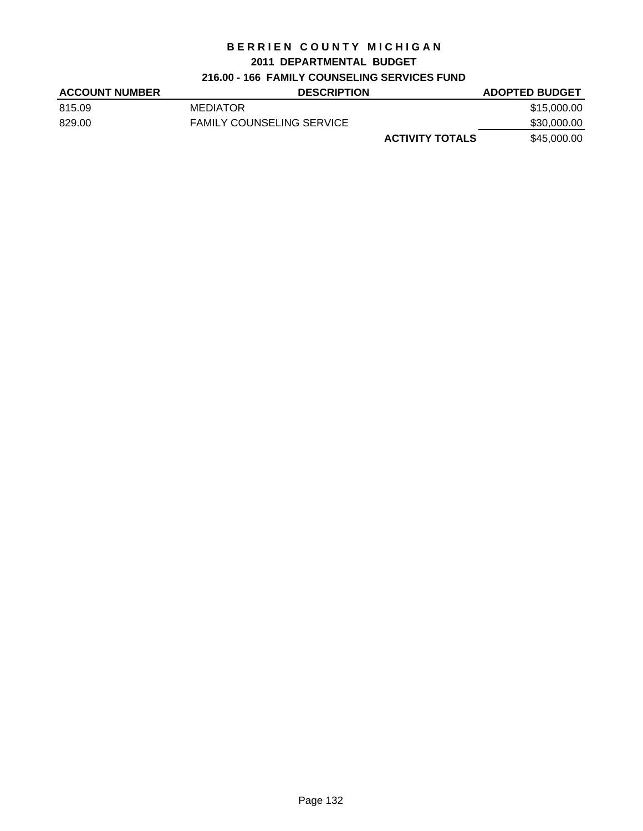### **2011 DEPARTMENTAL BUDGET**

# **216.00 - 166 FAMILY COUNSELING SERVICES FUND**

| <b>ACCOUNT NUMBER</b> | <b>DESCRIPTION</b>               | <b>ADOPTED BUDGET</b> |
|-----------------------|----------------------------------|-----------------------|
| 815.09                | <b>MEDIATOR</b>                  | \$15,000.00           |
| 829.00                | <b>FAMILY COUNSELING SERVICE</b> | \$30,000.00           |
|                       | <b>ACTIVITY TOTALS</b>           | \$45,000.00           |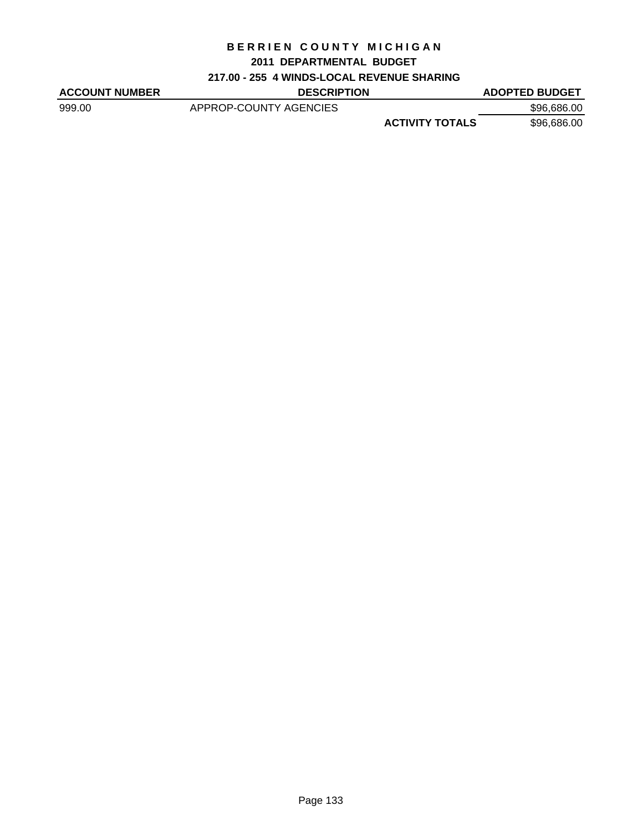#### **2011 DEPARTMENTAL BUDGET**

# **217.00 - 255 4 WINDS-LOCAL REVENUE SHARING**

| <b>DESCRIPTION</b>     |                        | <b>ADOPTED BUDGET</b> |
|------------------------|------------------------|-----------------------|
| APPROP-COUNTY AGENCIES |                        | \$96,686.00           |
|                        | <b>ACTIVITY TOTALS</b> | \$96,686.00           |
|                        |                        |                       |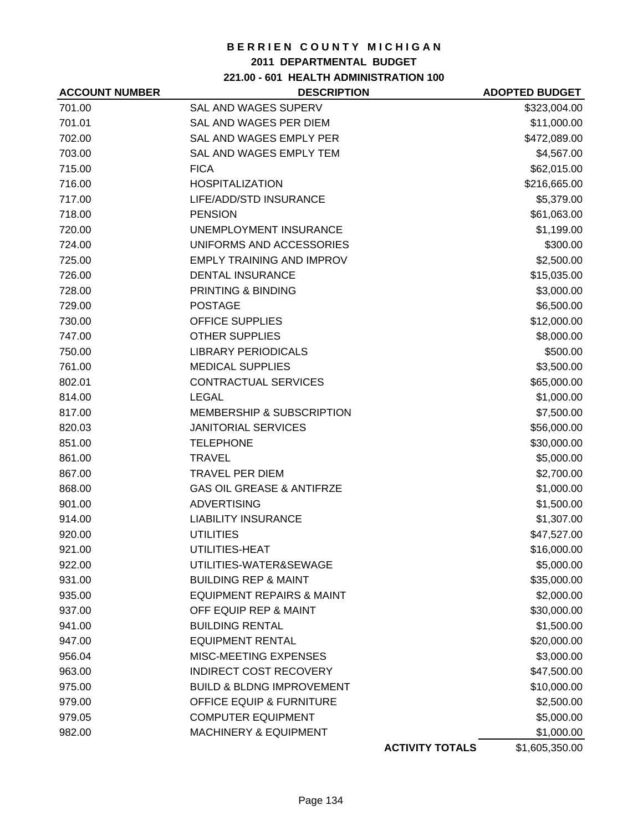## **2011 DEPARTMENTAL BUDGET**

**221.00 - 601 HEALTH ADMINISTRATION 100**

| <b>ACCOUNT NUMBER</b> | <b>DESCRIPTION</b>                   |                        | <b>ADOPTED BUDGET</b> |
|-----------------------|--------------------------------------|------------------------|-----------------------|
| 701.00                | <b>SAL AND WAGES SUPERV</b>          |                        | \$323,004.00          |
| 701.01                | SAL AND WAGES PER DIEM               |                        | \$11,000.00           |
| 702.00                | SAL AND WAGES EMPLY PER              |                        | \$472,089.00          |
| 703.00                | SAL AND WAGES EMPLY TEM              |                        | \$4,567.00            |
| 715.00                | <b>FICA</b>                          |                        | \$62,015.00           |
| 716.00                | <b>HOSPITALIZATION</b>               |                        | \$216,665.00          |
| 717.00                | LIFE/ADD/STD INSURANCE               |                        | \$5,379.00            |
| 718.00                | <b>PENSION</b>                       |                        | \$61,063.00           |
| 720.00                | UNEMPLOYMENT INSURANCE               |                        | \$1,199.00            |
| 724.00                | UNIFORMS AND ACCESSORIES             |                        | \$300.00              |
| 725.00                | <b>EMPLY TRAINING AND IMPROV</b>     |                        | \$2,500.00            |
| 726.00                | <b>DENTAL INSURANCE</b>              |                        | \$15,035.00           |
| 728.00                | PRINTING & BINDING                   |                        | \$3,000.00            |
| 729.00                | <b>POSTAGE</b>                       |                        | \$6,500.00            |
| 730.00                | <b>OFFICE SUPPLIES</b>               |                        | \$12,000.00           |
| 747.00                | <b>OTHER SUPPLIES</b>                |                        | \$8,000.00            |
| 750.00                | <b>LIBRARY PERIODICALS</b>           |                        | \$500.00              |
| 761.00                | <b>MEDICAL SUPPLIES</b>              |                        | \$3,500.00            |
| 802.01                | CONTRACTUAL SERVICES                 |                        | \$65,000.00           |
| 814.00                | <b>LEGAL</b>                         |                        | \$1,000.00            |
| 817.00                | <b>MEMBERSHIP &amp; SUBSCRIPTION</b> |                        | \$7,500.00            |
| 820.03                | <b>JANITORIAL SERVICES</b>           |                        | \$56,000.00           |
| 851.00                | <b>TELEPHONE</b>                     |                        | \$30,000.00           |
| 861.00                | <b>TRAVEL</b>                        |                        | \$5,000.00            |
| 867.00                | <b>TRAVEL PER DIEM</b>               |                        | \$2,700.00            |
| 868.00                | <b>GAS OIL GREASE &amp; ANTIFRZE</b> |                        | \$1,000.00            |
| 901.00                | <b>ADVERTISING</b>                   |                        | \$1,500.00            |
| 914.00                | <b>LIABILITY INSURANCE</b>           |                        | \$1,307.00            |
| 920.00                | <b>UTILITIES</b>                     |                        | \$47,527.00           |
| 921.00                | UTILITIES-HEAT                       |                        | \$16,000.00           |
| 922.00                | UTILITIES-WATER&SEWAGE               |                        | \$5,000.00            |
| 931.00                | <b>BUILDING REP &amp; MAINT</b>      |                        | \$35,000.00           |
| 935.00                | <b>EQUIPMENT REPAIRS &amp; MAINT</b> |                        | \$2,000.00            |
| 937.00                | OFF EQUIP REP & MAINT                |                        | \$30,000.00           |
| 941.00                | <b>BUILDING RENTAL</b>               |                        | \$1,500.00            |
| 947.00                | <b>EQUIPMENT RENTAL</b>              |                        | \$20,000.00           |
| 956.04                | MISC-MEETING EXPENSES                |                        | \$3,000.00            |
| 963.00                | <b>INDIRECT COST RECOVERY</b>        |                        | \$47,500.00           |
| 975.00                | <b>BUILD &amp; BLDNG IMPROVEMENT</b> |                        | \$10,000.00           |
| 979.00                | <b>OFFICE EQUIP &amp; FURNITURE</b>  |                        | \$2,500.00            |
| 979.05                | <b>COMPUTER EQUIPMENT</b>            |                        | \$5,000.00            |
| 982.00                | <b>MACHINERY &amp; EQUIPMENT</b>     |                        | \$1,000.00            |
|                       |                                      | <b>ACTIVITY TOTALS</b> | \$1,605,350.00        |
|                       |                                      |                        |                       |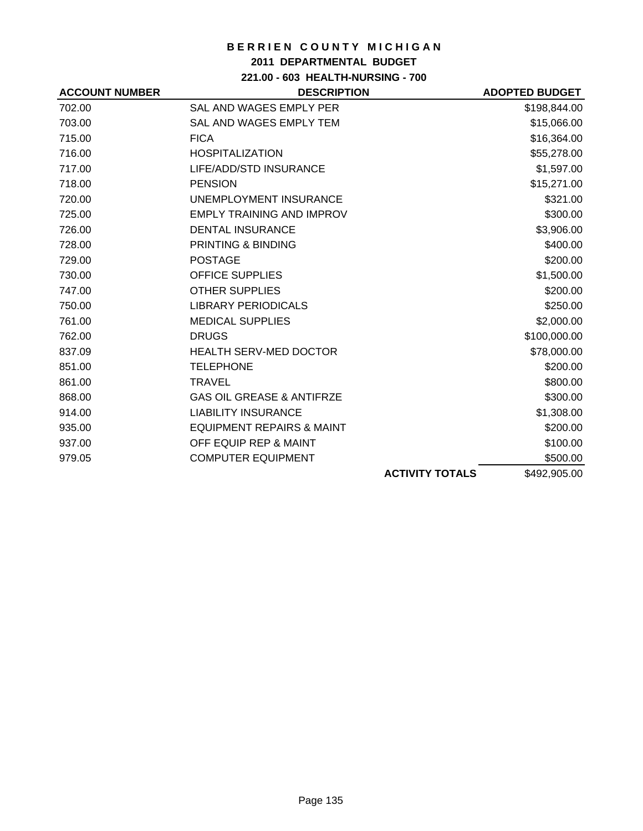## **2011 DEPARTMENTAL BUDGET**

**221.00 - 603 HEALTH-NURSING - 700**

| <b>ACCOUNT NUMBER</b> | <b>DESCRIPTION</b>                   |                        | <b>ADOPTED BUDGET</b> |
|-----------------------|--------------------------------------|------------------------|-----------------------|
| 702.00                | SAL AND WAGES EMPLY PER              |                        | \$198,844.00          |
| 703.00                | SAL AND WAGES EMPLY TEM              |                        | \$15,066.00           |
| 715.00                | <b>FICA</b>                          |                        | \$16,364.00           |
| 716.00                | <b>HOSPITALIZATION</b>               |                        | \$55,278.00           |
| 717.00                | LIFE/ADD/STD INSURANCE               |                        | \$1,597.00            |
| 718.00                | <b>PENSION</b>                       |                        | \$15,271.00           |
| 720.00                | UNEMPLOYMENT INSURANCE               |                        | \$321.00              |
| 725.00                | <b>EMPLY TRAINING AND IMPROV</b>     |                        | \$300.00              |
| 726.00                | <b>DENTAL INSURANCE</b>              |                        | \$3,906.00            |
| 728.00                | PRINTING & BINDING                   |                        | \$400.00              |
| 729.00                | <b>POSTAGE</b>                       |                        | \$200.00              |
| 730.00                | <b>OFFICE SUPPLIES</b>               |                        | \$1,500.00            |
| 747.00                | <b>OTHER SUPPLIES</b>                |                        | \$200.00              |
| 750.00                | <b>LIBRARY PERIODICALS</b>           |                        | \$250.00              |
| 761.00                | <b>MEDICAL SUPPLIES</b>              |                        | \$2,000.00            |
| 762.00                | <b>DRUGS</b>                         |                        | \$100,000.00          |
| 837.09                | <b>HEALTH SERV-MED DOCTOR</b>        |                        | \$78,000.00           |
| 851.00                | <b>TELEPHONE</b>                     |                        | \$200.00              |
| 861.00                | <b>TRAVEL</b>                        |                        | \$800.00              |
| 868.00                | <b>GAS OIL GREASE &amp; ANTIFRZE</b> |                        | \$300.00              |
| 914.00                | <b>LIABILITY INSURANCE</b>           |                        | \$1,308.00            |
| 935.00                | <b>EQUIPMENT REPAIRS &amp; MAINT</b> |                        | \$200.00              |
| 937.00                | OFF EQUIP REP & MAINT                |                        | \$100.00              |
| 979.05                | <b>COMPUTER EQUIPMENT</b>            |                        | \$500.00              |
|                       |                                      | <b>ACTIVITY TOTALS</b> | \$492,905.00          |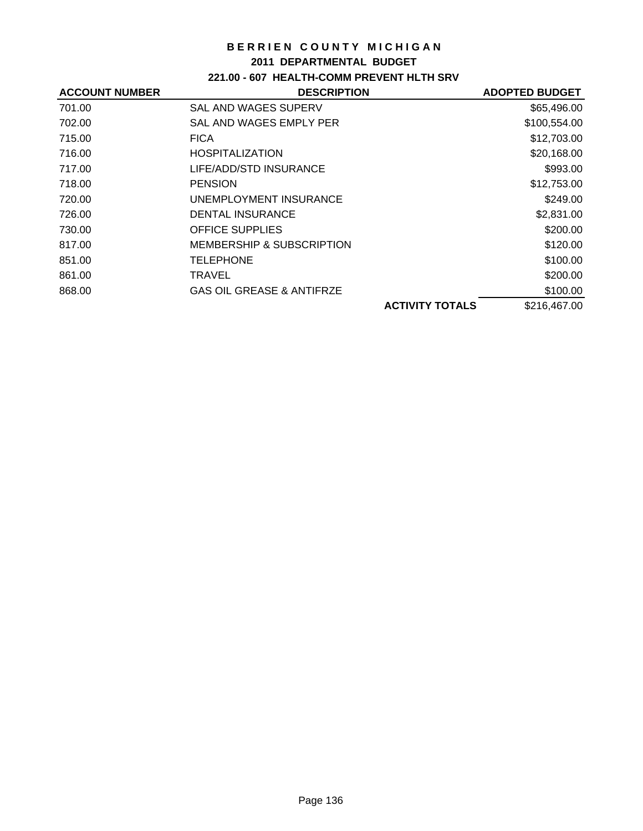## **2011 DEPARTMENTAL BUDGET**

# **221.00 - 607 HEALTH-COMM PREVENT HLTH SRV**

| <b>ACCOUNT NUMBER</b> | <b>DESCRIPTION</b>                   | <b>ADOPTED BUDGET</b> |
|-----------------------|--------------------------------------|-----------------------|
| 701.00                | <b>SAL AND WAGES SUPERV</b>          | \$65,496.00           |
| 702.00                | SAL AND WAGES EMPLY PER              | \$100,554.00          |
| 715.00                | <b>FICA</b>                          | \$12,703.00           |
| 716.00                | <b>HOSPITALIZATION</b>               | \$20,168.00           |
| 717.00                | LIFE/ADD/STD INSURANCE               | \$993.00              |
| 718.00                | <b>PENSION</b>                       | \$12,753.00           |
| 720.00                | UNEMPLOYMENT INSURANCE               | \$249.00              |
| 726.00                | <b>DENTAL INSURANCE</b>              | \$2,831.00            |
| 730.00                | <b>OFFICE SUPPLIES</b>               | \$200.00              |
| 817.00                | MEMBERSHIP & SUBSCRIPTION            | \$120.00              |
| 851.00                | <b>TELEPHONE</b>                     | \$100.00              |
| 861.00                | TRAVEL                               | \$200.00              |
| 868.00                | <b>GAS OIL GREASE &amp; ANTIFRZE</b> | \$100.00              |
|                       | <b>ACTIVITY TOTALS</b>               | \$216,467.00          |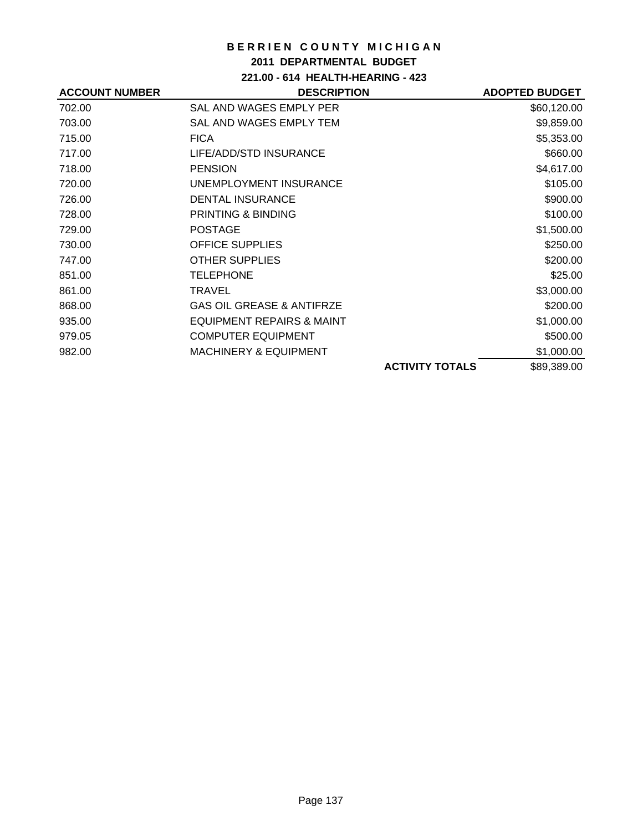## **2011 DEPARTMENTAL BUDGET**

**221.00 - 614 HEALTH-HEARING - 423**

| <b>ACCOUNT NUMBER</b> | <b>DESCRIPTION</b>                   |                        | <b>ADOPTED BUDGET</b> |
|-----------------------|--------------------------------------|------------------------|-----------------------|
| 702.00                | SAL AND WAGES EMPLY PER              |                        | \$60,120.00           |
| 703.00                | SAL AND WAGES EMPLY TEM              |                        | \$9,859.00            |
| 715.00                | <b>FICA</b>                          |                        | \$5,353.00            |
| 717.00                | LIFE/ADD/STD INSURANCE               |                        | \$660.00              |
| 718.00                | <b>PENSION</b>                       |                        | \$4,617.00            |
| 720.00                | UNEMPLOYMENT INSURANCE               |                        | \$105.00              |
| 726.00                | <b>DENTAL INSURANCE</b>              |                        | \$900.00              |
| 728.00                | <b>PRINTING &amp; BINDING</b>        |                        | \$100.00              |
| 729.00                | <b>POSTAGE</b>                       |                        | \$1,500.00            |
| 730.00                | <b>OFFICE SUPPLIES</b>               |                        | \$250.00              |
| 747.00                | <b>OTHER SUPPLIES</b>                |                        | \$200.00              |
| 851.00                | <b>TELEPHONE</b>                     |                        | \$25.00               |
| 861.00                | TRAVEL                               |                        | \$3,000.00            |
| 868.00                | <b>GAS OIL GREASE &amp; ANTIFRZE</b> |                        | \$200.00              |
| 935.00                | EQUIPMENT REPAIRS & MAINT            |                        | \$1,000.00            |
| 979.05                | <b>COMPUTER EQUIPMENT</b>            |                        | \$500.00              |
| 982.00                | <b>MACHINERY &amp; EQUIPMENT</b>     |                        | \$1,000.00            |
|                       |                                      | <b>ACTIVITY TOTALS</b> | \$89,389.00           |
|                       |                                      |                        |                       |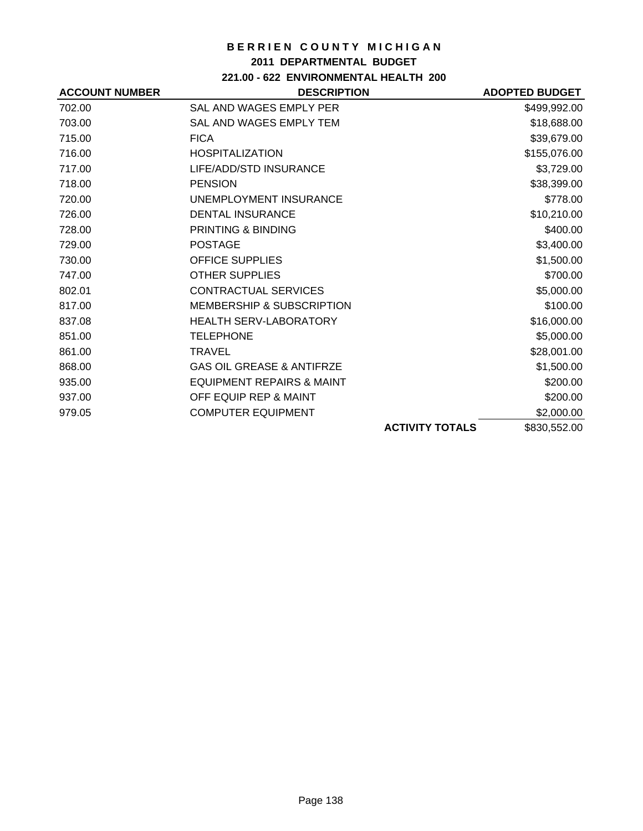### **2011 DEPARTMENTAL BUDGET**

# **221.00 - 622 ENVIRONMENTAL HEALTH 200**

| <b>ACCOUNT NUMBER</b> | <b>DESCRIPTION</b>                   |                        | <b>ADOPTED BUDGET</b> |
|-----------------------|--------------------------------------|------------------------|-----------------------|
| 702.00                | SAL AND WAGES EMPLY PER              |                        | \$499,992.00          |
| 703.00                | SAL AND WAGES EMPLY TEM              |                        | \$18,688.00           |
| 715.00                | <b>FICA</b>                          |                        | \$39,679.00           |
| 716.00                | <b>HOSPITALIZATION</b>               |                        | \$155,076.00          |
| 717.00                | LIFE/ADD/STD INSURANCE               |                        | \$3,729.00            |
| 718.00                | <b>PENSION</b>                       |                        | \$38,399.00           |
| 720.00                | UNEMPLOYMENT INSURANCE               |                        | \$778.00              |
| 726.00                | <b>DENTAL INSURANCE</b>              |                        | \$10,210.00           |
| 728.00                | <b>PRINTING &amp; BINDING</b>        |                        | \$400.00              |
| 729.00                | <b>POSTAGE</b>                       |                        | \$3,400.00            |
| 730.00                | <b>OFFICE SUPPLIES</b>               |                        | \$1,500.00            |
| 747.00                | <b>OTHER SUPPLIES</b>                |                        | \$700.00              |
| 802.01                | <b>CONTRACTUAL SERVICES</b>          |                        | \$5,000.00            |
| 817.00                | <b>MEMBERSHIP &amp; SUBSCRIPTION</b> |                        | \$100.00              |
| 837.08                | <b>HEALTH SERV-LABORATORY</b>        |                        | \$16,000.00           |
| 851.00                | <b>TELEPHONE</b>                     |                        | \$5,000.00            |
| 861.00                | <b>TRAVEL</b>                        |                        | \$28,001.00           |
| 868.00                | <b>GAS OIL GREASE &amp; ANTIFRZE</b> |                        | \$1,500.00            |
| 935.00                | <b>EQUIPMENT REPAIRS &amp; MAINT</b> |                        | \$200.00              |
| 937.00                | OFF EQUIP REP & MAINT                |                        | \$200.00              |
| 979.05                | <b>COMPUTER EQUIPMENT</b>            |                        | \$2,000.00            |
|                       |                                      | <b>ACTIVITY TOTALS</b> | \$830,552.00          |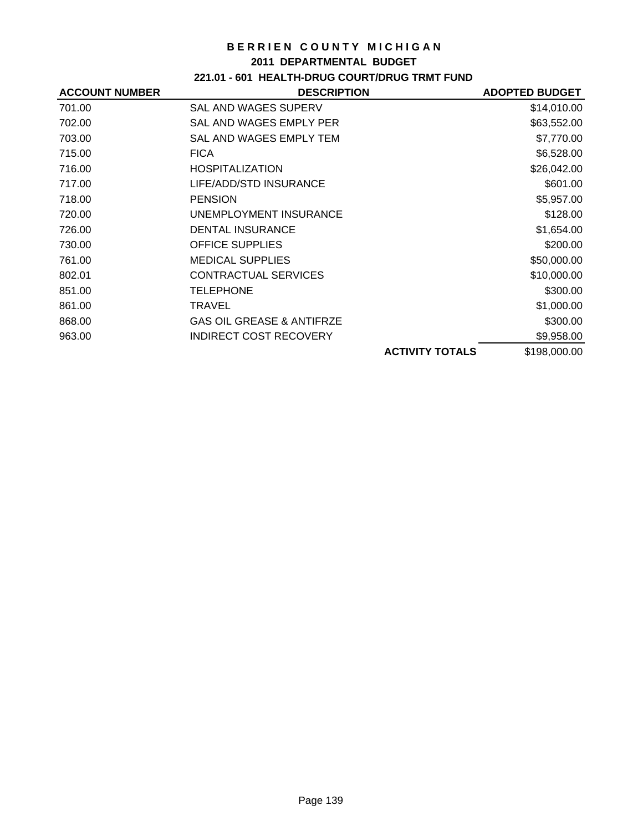#### **2011 DEPARTMENTAL BUDGET**

# **221.01 - 601 HEALTH-DRUG COURT/DRUG TRMT FUND**

| <b>ACCOUNT NUMBER</b> | <b>DESCRIPTION</b>                   |                        | <b>ADOPTED BUDGET</b> |
|-----------------------|--------------------------------------|------------------------|-----------------------|
| 701.00                | SAL AND WAGES SUPERV                 |                        | \$14,010.00           |
| 702.00                | SAL AND WAGES EMPLY PER              |                        | \$63,552.00           |
| 703.00                | SAL AND WAGES EMPLY TEM              |                        | \$7,770.00            |
| 715.00                | <b>FICA</b>                          |                        | \$6,528.00            |
| 716.00                | <b>HOSPITALIZATION</b>               |                        | \$26,042.00           |
| 717.00                | LIFE/ADD/STD INSURANCE               |                        | \$601.00              |
| 718.00                | <b>PENSION</b>                       |                        | \$5,957.00            |
| 720.00                | UNEMPLOYMENT INSURANCE               |                        | \$128.00              |
| 726.00                | <b>DENTAL INSURANCE</b>              |                        | \$1,654.00            |
| 730.00                | <b>OFFICE SUPPLIES</b>               |                        | \$200.00              |
| 761.00                | <b>MEDICAL SUPPLIES</b>              |                        | \$50,000.00           |
| 802.01                | <b>CONTRACTUAL SERVICES</b>          |                        | \$10,000.00           |
| 851.00                | <b>TELEPHONE</b>                     |                        | \$300.00              |
| 861.00                | TRAVEL                               |                        | \$1,000.00            |
| 868.00                | <b>GAS OIL GREASE &amp; ANTIFRZE</b> |                        | \$300.00              |
| 963.00                | <b>INDIRECT COST RECOVERY</b>        |                        | \$9,958.00            |
|                       |                                      | <b>ACTIVITY TOTALS</b> | \$198,000.00          |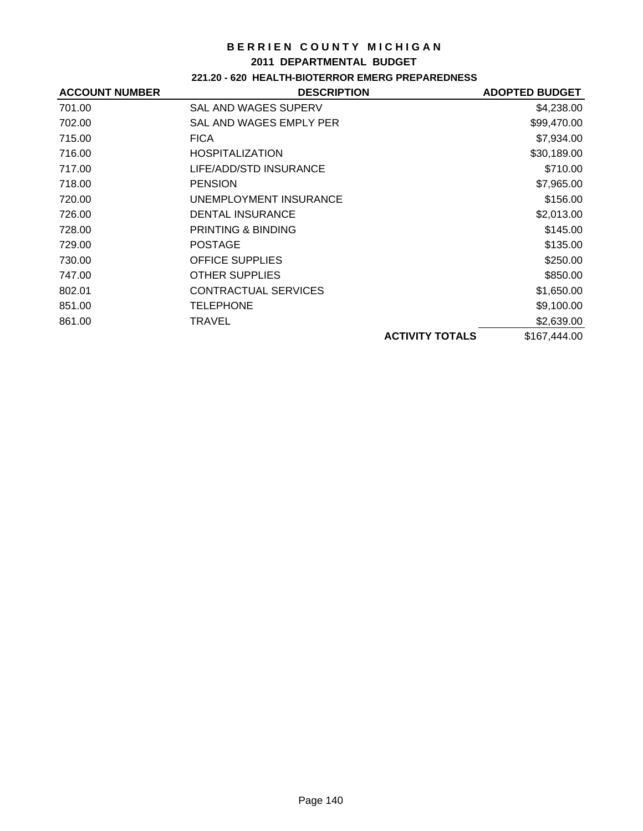#### **2011 DEPARTMENTAL BUDGET**

## **221.20 - 620 HEALTH-BIOTERROR EMERG PREPAREDNESS**

| <b>ACCOUNT NUMBER</b> | <b>DESCRIPTION</b>            |                        | <b>ADOPTED BUDGET</b> |
|-----------------------|-------------------------------|------------------------|-----------------------|
| 701.00                | SAL AND WAGES SUPERV          |                        | \$4,238.00            |
| 702.00                | SAL AND WAGES EMPLY PER       |                        | \$99,470.00           |
| 715.00                | <b>FICA</b>                   |                        | \$7,934.00            |
| 716.00                | <b>HOSPITALIZATION</b>        |                        | \$30,189.00           |
| 717.00                | LIFE/ADD/STD INSURANCE        |                        | \$710.00              |
| 718.00                | <b>PENSION</b>                |                        | \$7,965.00            |
| 720.00                | UNEMPLOYMENT INSURANCE        |                        | \$156.00              |
| 726.00                | <b>DENTAL INSURANCE</b>       |                        | \$2,013.00            |
| 728.00                | <b>PRINTING &amp; BINDING</b> |                        | \$145.00              |
| 729.00                | <b>POSTAGE</b>                |                        | \$135.00              |
| 730.00                | <b>OFFICE SUPPLIES</b>        |                        | \$250.00              |
| 747.00                | <b>OTHER SUPPLIES</b>         |                        | \$850.00              |
| 802.01                | <b>CONTRACTUAL SERVICES</b>   |                        | \$1,650.00            |
| 851.00                | <b>TELEPHONE</b>              |                        | \$9,100.00            |
| 861.00                | TRAVEL                        |                        | \$2,639.00            |
|                       |                               | <b>ACTIVITY TOTALS</b> | \$167,444.00          |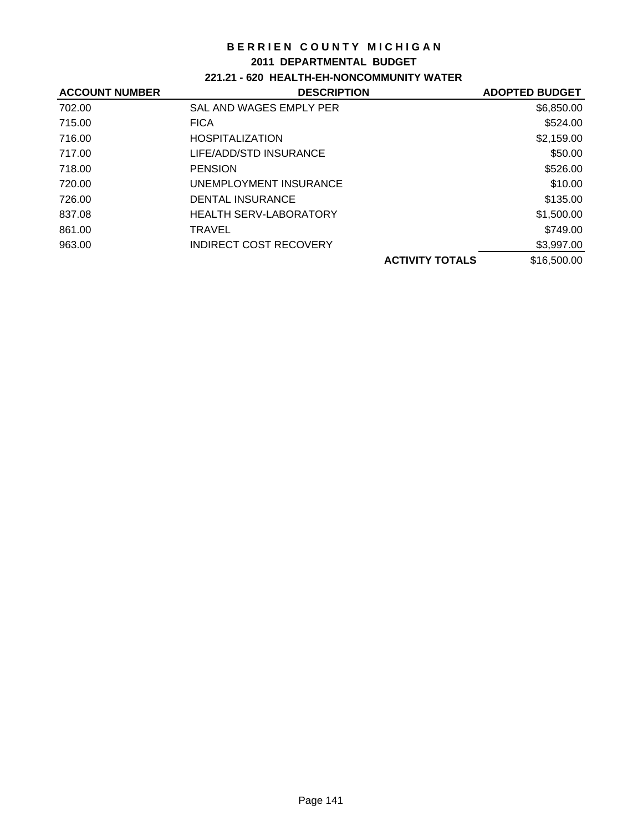### **2011 DEPARTMENTAL BUDGET**

## **221.21 - 620 HEALTH-EH-NONCOMMUNITY WATER**

| <b>ACCOUNT NUMBER</b> | <b>DESCRIPTION</b>            | <b>ADOPTED BUDGET</b> |
|-----------------------|-------------------------------|-----------------------|
| 702.00                | SAL AND WAGES EMPLY PER       | \$6,850.00            |
| 715.00                | <b>FICA</b>                   | \$524.00              |
| 716.00                | <b>HOSPITALIZATION</b>        | \$2,159.00            |
| 717.00                | LIFE/ADD/STD INSURANCE        | \$50.00               |
| 718.00                | <b>PENSION</b>                | \$526.00              |
| 720.00                | UNEMPLOYMENT INSURANCE        | \$10.00               |
| 726.00                | <b>DENTAL INSURANCE</b>       | \$135.00              |
| 837.08                | <b>HEALTH SERV-LABORATORY</b> | \$1,500.00            |
| 861.00                | TRAVEL                        | \$749.00              |
| 963.00                | INDIRECT COST RECOVERY        | \$3,997.00            |
|                       | <b>ACTIVITY TOTALS</b>        | \$16,500.00           |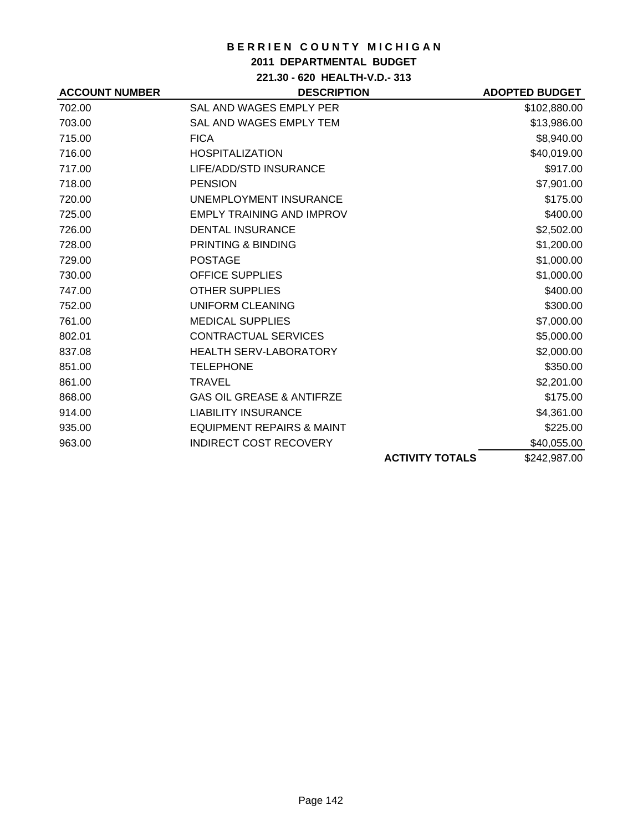## **2011 DEPARTMENTAL BUDGET**

**221.30 - 620 HEALTH-V.D.- 313**

| <b>ACCOUNT NUMBER</b> | <b>DESCRIPTION</b>                   |                        | <b>ADOPTED BUDGET</b> |
|-----------------------|--------------------------------------|------------------------|-----------------------|
| 702.00                | SAL AND WAGES EMPLY PER              |                        | \$102,880.00          |
| 703.00                | SAL AND WAGES EMPLY TEM              |                        | \$13,986.00           |
| 715.00                | <b>FICA</b>                          |                        | \$8,940.00            |
| 716.00                | <b>HOSPITALIZATION</b>               |                        | \$40,019.00           |
| 717.00                | LIFE/ADD/STD INSURANCE               |                        | \$917.00              |
| 718.00                | <b>PENSION</b>                       |                        | \$7,901.00            |
| 720.00                | UNEMPLOYMENT INSURANCE               |                        | \$175.00              |
| 725.00                | <b>EMPLY TRAINING AND IMPROV</b>     |                        | \$400.00              |
| 726.00                | <b>DENTAL INSURANCE</b>              |                        | \$2,502.00            |
| 728.00                | <b>PRINTING &amp; BINDING</b>        |                        | \$1,200.00            |
| 729.00                | <b>POSTAGE</b>                       |                        | \$1,000.00            |
| 730.00                | <b>OFFICE SUPPLIES</b>               |                        | \$1,000.00            |
| 747.00                | <b>OTHER SUPPLIES</b>                |                        | \$400.00              |
| 752.00                | UNIFORM CLEANING                     |                        | \$300.00              |
| 761.00                | <b>MEDICAL SUPPLIES</b>              |                        | \$7,000.00            |
| 802.01                | <b>CONTRACTUAL SERVICES</b>          |                        | \$5,000.00            |
| 837.08                | <b>HEALTH SERV-LABORATORY</b>        |                        | \$2,000.00            |
| 851.00                | <b>TELEPHONE</b>                     |                        | \$350.00              |
| 861.00                | <b>TRAVEL</b>                        |                        | \$2,201.00            |
| 868.00                | <b>GAS OIL GREASE &amp; ANTIFRZE</b> |                        | \$175.00              |
| 914.00                | <b>LIABILITY INSURANCE</b>           |                        | \$4,361.00            |
| 935.00                | <b>EQUIPMENT REPAIRS &amp; MAINT</b> |                        | \$225.00              |
| 963.00                | <b>INDIRECT COST RECOVERY</b>        |                        | \$40,055.00           |
|                       |                                      | <b>ACTIVITY TOTALS</b> | \$242,987.00          |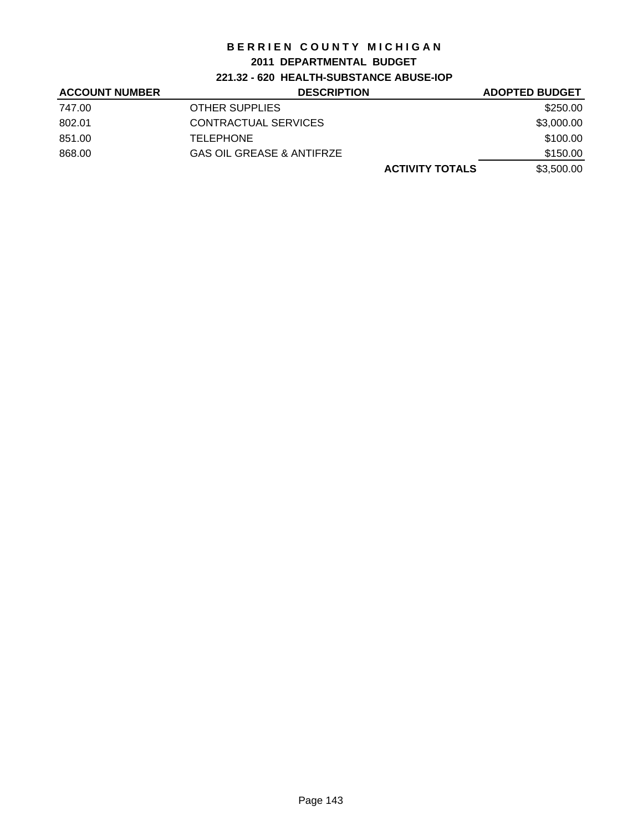### **2011 DEPARTMENTAL BUDGET**

## **221.32 - 620 HEALTH-SUBSTANCE ABUSE-IOP**

| <b>ACCOUNT NUMBER</b> | <b>DESCRIPTION</b>                   | <b>ADOPTED BUDGET</b> |
|-----------------------|--------------------------------------|-----------------------|
| 747.00                | <b>OTHER SUPPLIES</b>                | \$250.00              |
| 802.01                | CONTRACTUAL SERVICES                 | \$3,000.00            |
| 851.00                | <b>TELEPHONE</b>                     | \$100.00              |
| 868.00                | <b>GAS OIL GREASE &amp; ANTIFRZE</b> | \$150.00              |
|                       | <b>ACTIVITY TOTALS</b>               | \$3,500.00            |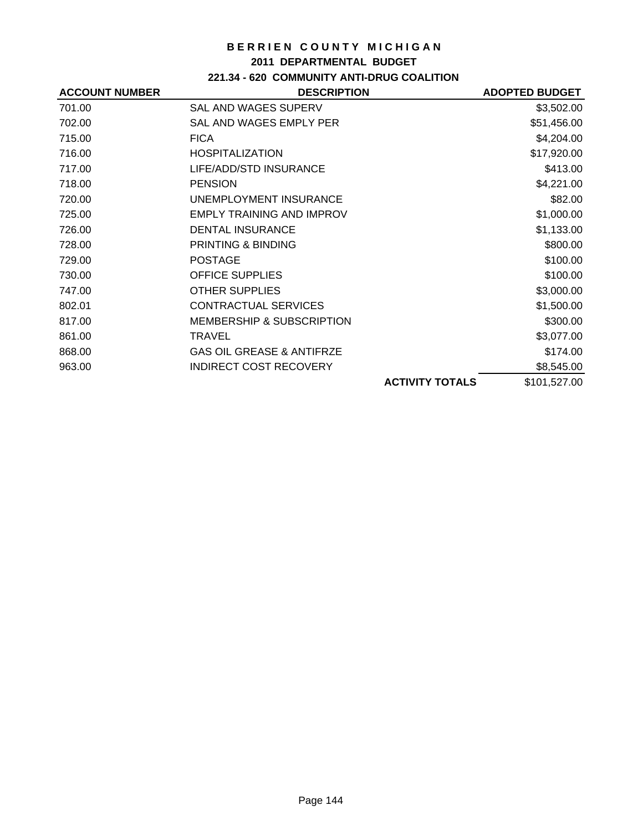### **2011 DEPARTMENTAL BUDGET**

## **221.34 - 620 COMMUNITY ANTI-DRUG COALITION**

| <b>ACCOUNT NUMBER</b> | <b>DESCRIPTION</b>                   |                        | <b>ADOPTED BUDGET</b> |
|-----------------------|--------------------------------------|------------------------|-----------------------|
| 701.00                | <b>SAL AND WAGES SUPERV</b>          |                        | \$3,502.00            |
| 702.00                | SAL AND WAGES EMPLY PER              |                        | \$51,456.00           |
| 715.00                | <b>FICA</b>                          |                        | \$4,204.00            |
| 716.00                | <b>HOSPITALIZATION</b>               |                        | \$17,920.00           |
| 717.00                | LIFE/ADD/STD INSURANCE               |                        | \$413.00              |
| 718.00                | <b>PENSION</b>                       |                        | \$4,221.00            |
| 720.00                | UNEMPLOYMENT INSURANCE               |                        | \$82.00               |
| 725.00                | <b>EMPLY TRAINING AND IMPROV</b>     |                        | \$1,000.00            |
| 726.00                | <b>DENTAL INSURANCE</b>              |                        | \$1,133.00            |
| 728.00                | <b>PRINTING &amp; BINDING</b>        |                        | \$800.00              |
| 729.00                | <b>POSTAGE</b>                       |                        | \$100.00              |
| 730.00                | <b>OFFICE SUPPLIES</b>               |                        | \$100.00              |
| 747.00                | <b>OTHER SUPPLIES</b>                |                        | \$3,000.00            |
| 802.01                | <b>CONTRACTUAL SERVICES</b>          |                        | \$1,500.00            |
| 817.00                | <b>MEMBERSHIP &amp; SUBSCRIPTION</b> |                        | \$300.00              |
| 861.00                | TRAVEL                               |                        | \$3,077.00            |
| 868.00                | <b>GAS OIL GREASE &amp; ANTIFRZE</b> |                        | \$174.00              |
| 963.00                | <b>INDIRECT COST RECOVERY</b>        |                        | \$8,545.00            |
|                       |                                      | <b>ACTIVITY TOTALS</b> | \$101,527.00          |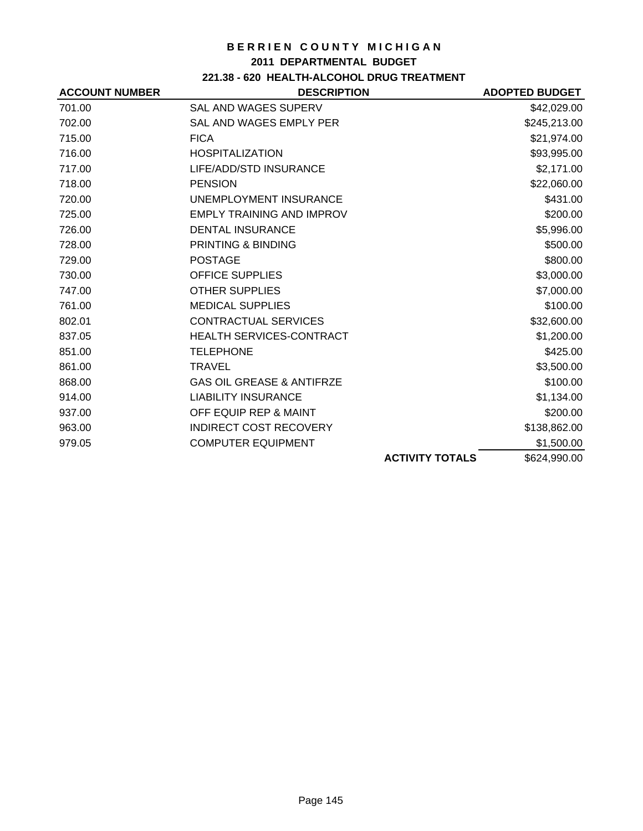### **2011 DEPARTMENTAL BUDGET**

# **221.38 - 620 HEALTH-ALCOHOL DRUG TREATMENT**

| <b>ACCOUNT NUMBER</b> | <b>DESCRIPTION</b>                   |                        | <b>ADOPTED BUDGET</b> |
|-----------------------|--------------------------------------|------------------------|-----------------------|
| 701.00                | SAL AND WAGES SUPERV                 |                        | \$42,029.00           |
| 702.00                | SAL AND WAGES EMPLY PER              |                        | \$245,213.00          |
| 715.00                | <b>FICA</b>                          |                        | \$21,974.00           |
| 716.00                | <b>HOSPITALIZATION</b>               |                        | \$93,995.00           |
| 717.00                | LIFE/ADD/STD INSURANCE               |                        | \$2,171.00            |
| 718.00                | <b>PENSION</b>                       |                        | \$22,060.00           |
| 720.00                | UNEMPLOYMENT INSURANCE               |                        | \$431.00              |
| 725.00                | <b>EMPLY TRAINING AND IMPROV</b>     |                        | \$200.00              |
| 726.00                | <b>DENTAL INSURANCE</b>              |                        | \$5,996.00            |
| 728.00                | <b>PRINTING &amp; BINDING</b>        |                        | \$500.00              |
| 729.00                | <b>POSTAGE</b>                       |                        | \$800.00              |
| 730.00                | <b>OFFICE SUPPLIES</b>               |                        | \$3,000.00            |
| 747.00                | <b>OTHER SUPPLIES</b>                |                        | \$7,000.00            |
| 761.00                | <b>MEDICAL SUPPLIES</b>              |                        | \$100.00              |
| 802.01                | <b>CONTRACTUAL SERVICES</b>          |                        | \$32,600.00           |
| 837.05                | HEALTH SERVICES-CONTRACT             |                        | \$1,200.00            |
| 851.00                | <b>TELEPHONE</b>                     |                        | \$425.00              |
| 861.00                | <b>TRAVEL</b>                        |                        | \$3,500.00            |
| 868.00                | <b>GAS OIL GREASE &amp; ANTIFRZE</b> |                        | \$100.00              |
| 914.00                | <b>LIABILITY INSURANCE</b>           |                        | \$1,134.00            |
| 937.00                | OFF EQUIP REP & MAINT                |                        | \$200.00              |
| 963.00                | <b>INDIRECT COST RECOVERY</b>        |                        | \$138,862.00          |
| 979.05                | <b>COMPUTER EQUIPMENT</b>            |                        | \$1,500.00            |
|                       |                                      | <b>ACTIVITY TOTALS</b> | \$624,990.00          |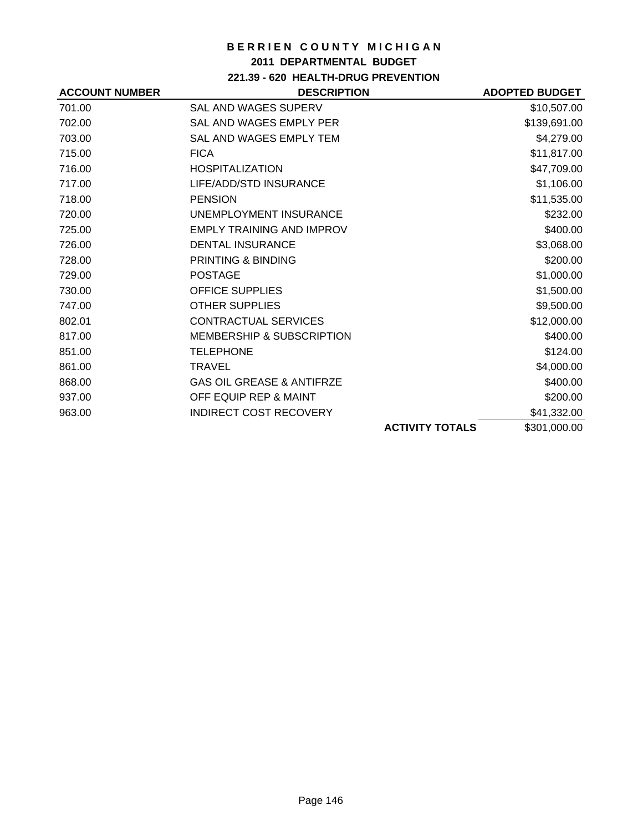## **2011 DEPARTMENTAL BUDGET**

## **221.39 - 620 HEALTH-DRUG PREVENTION**

| <b>ACCOUNT NUMBER</b> | <b>DESCRIPTION</b>                   |                        | <b>ADOPTED BUDGET</b> |
|-----------------------|--------------------------------------|------------------------|-----------------------|
| 701.00                | <b>SAL AND WAGES SUPERV</b>          |                        | \$10,507.00           |
| 702.00                | SAL AND WAGES EMPLY PER              |                        | \$139,691.00          |
| 703.00                | SAL AND WAGES EMPLY TEM              |                        | \$4,279.00            |
| 715.00                | <b>FICA</b>                          |                        | \$11,817.00           |
| 716.00                | <b>HOSPITALIZATION</b>               |                        | \$47,709.00           |
| 717.00                | LIFE/ADD/STD INSURANCE               |                        | \$1,106.00            |
| 718.00                | <b>PENSION</b>                       |                        | \$11,535.00           |
| 720.00                | UNEMPLOYMENT INSURANCE               |                        | \$232.00              |
| 725.00                | <b>EMPLY TRAINING AND IMPROV</b>     |                        | \$400.00              |
| 726.00                | <b>DENTAL INSURANCE</b>              |                        | \$3,068.00            |
| 728.00                | <b>PRINTING &amp; BINDING</b>        |                        | \$200.00              |
| 729.00                | <b>POSTAGE</b>                       |                        | \$1,000.00            |
| 730.00                | <b>OFFICE SUPPLIES</b>               |                        | \$1,500.00            |
| 747.00                | <b>OTHER SUPPLIES</b>                |                        | \$9,500.00            |
| 802.01                | <b>CONTRACTUAL SERVICES</b>          |                        | \$12,000.00           |
| 817.00                | <b>MEMBERSHIP &amp; SUBSCRIPTION</b> |                        | \$400.00              |
| 851.00                | <b>TELEPHONE</b>                     |                        | \$124.00              |
| 861.00                | <b>TRAVEL</b>                        |                        | \$4,000.00            |
| 868.00                | <b>GAS OIL GREASE &amp; ANTIFRZE</b> |                        | \$400.00              |
| 937.00                | OFF EQUIP REP & MAINT                |                        | \$200.00              |
| 963.00                | <b>INDIRECT COST RECOVERY</b>        |                        | \$41,332.00           |
|                       |                                      | <b>ACTIVITY TOTALS</b> | \$301,000.00          |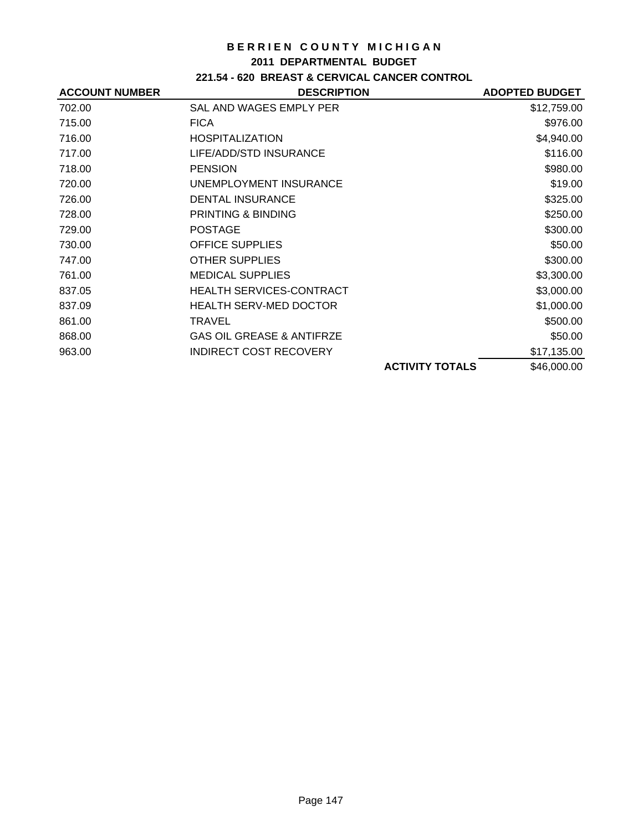#### **2011 DEPARTMENTAL BUDGET**

## **221.54 - 620 BREAST & CERVICAL CANCER CONTROL**

| <b>ACCOUNT NUMBER</b> | <b>DESCRIPTION</b>                   |                        | <b>ADOPTED BUDGET</b> |
|-----------------------|--------------------------------------|------------------------|-----------------------|
| 702.00                | SAL AND WAGES EMPLY PER              |                        | \$12,759.00           |
| 715.00                | <b>FICA</b>                          |                        | \$976.00              |
| 716.00                | <b>HOSPITALIZATION</b>               |                        | \$4,940.00            |
| 717.00                | LIFE/ADD/STD INSURANCE               |                        | \$116.00              |
| 718.00                | <b>PENSION</b>                       |                        | \$980.00              |
| 720.00                | UNEMPLOYMENT INSURANCE               |                        | \$19.00               |
| 726.00                | <b>DENTAL INSURANCE</b>              |                        | \$325.00              |
| 728.00                | <b>PRINTING &amp; BINDING</b>        |                        | \$250.00              |
| 729.00                | <b>POSTAGE</b>                       |                        | \$300.00              |
| 730.00                | <b>OFFICE SUPPLIES</b>               |                        | \$50.00               |
| 747.00                | <b>OTHER SUPPLIES</b>                |                        | \$300.00              |
| 761.00                | <b>MEDICAL SUPPLIES</b>              |                        | \$3,300.00            |
| 837.05                | <b>HEALTH SERVICES-CONTRACT</b>      |                        | \$3,000.00            |
| 837.09                | <b>HEALTH SERV-MED DOCTOR</b>        |                        | \$1,000.00            |
| 861.00                | <b>TRAVEL</b>                        |                        | \$500.00              |
| 868.00                | <b>GAS OIL GREASE &amp; ANTIFRZE</b> |                        | \$50.00               |
| 963.00                | <b>INDIRECT COST RECOVERY</b>        |                        | \$17,135.00           |
|                       |                                      | <b>ACTIVITY TOTALS</b> | \$46,000.00           |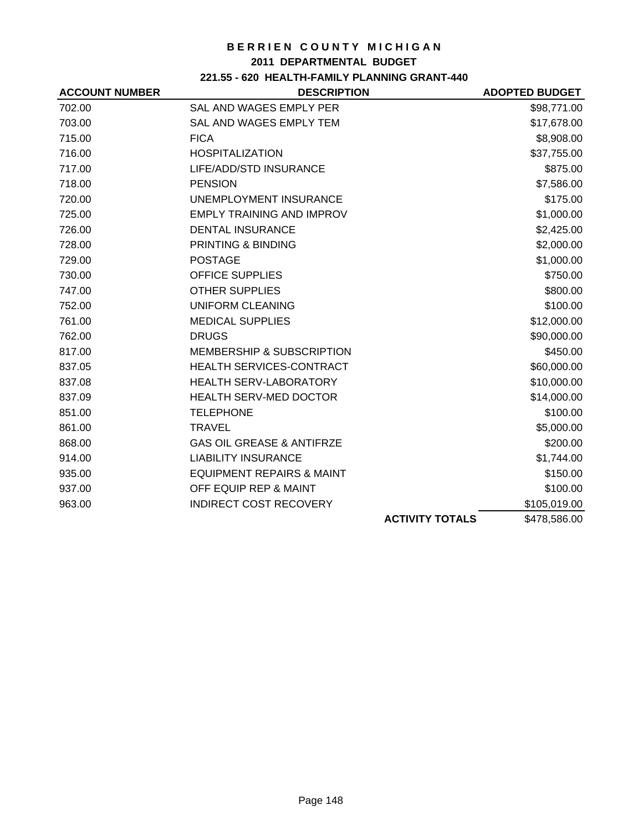## **2011 DEPARTMENTAL BUDGET**

# **221.55 - 620 HEALTH-FAMILY PLANNING GRANT-440**

| <b>ACCOUNT NUMBER</b> | <b>DESCRIPTION</b>                   |                        | <b>ADOPTED BUDGET</b> |
|-----------------------|--------------------------------------|------------------------|-----------------------|
| 702.00                | SAL AND WAGES EMPLY PER              |                        | \$98,771.00           |
| 703.00                | SAL AND WAGES EMPLY TEM              |                        | \$17,678.00           |
| 715.00                | <b>FICA</b>                          |                        | \$8,908.00            |
| 716.00                | <b>HOSPITALIZATION</b>               |                        | \$37,755.00           |
| 717.00                | LIFE/ADD/STD INSURANCE               |                        | \$875.00              |
| 718.00                | <b>PENSION</b>                       |                        | \$7,586.00            |
| 720.00                | UNEMPLOYMENT INSURANCE               |                        | \$175.00              |
| 725.00                | EMPLY TRAINING AND IMPROV            |                        | \$1,000.00            |
| 726.00                | <b>DENTAL INSURANCE</b>              |                        | \$2,425.00            |
| 728.00                | PRINTING & BINDING                   |                        | \$2,000.00            |
| 729.00                | <b>POSTAGE</b>                       |                        | \$1,000.00            |
| 730.00                | <b>OFFICE SUPPLIES</b>               |                        | \$750.00              |
| 747.00                | <b>OTHER SUPPLIES</b>                |                        | \$800.00              |
| 752.00                | <b>UNIFORM CLEANING</b>              |                        | \$100.00              |
| 761.00                | <b>MEDICAL SUPPLIES</b>              |                        | \$12,000.00           |
| 762.00                | <b>DRUGS</b>                         |                        | \$90,000.00           |
| 817.00                | <b>MEMBERSHIP &amp; SUBSCRIPTION</b> |                        | \$450.00              |
| 837.05                | HEALTH SERVICES-CONTRACT             |                        | \$60,000.00           |
| 837.08                | HEALTH SERV-LABORATORY               |                        | \$10,000.00           |
| 837.09                | <b>HEALTH SERV-MED DOCTOR</b>        |                        | \$14,000.00           |
| 851.00                | <b>TELEPHONE</b>                     |                        | \$100.00              |
| 861.00                | <b>TRAVEL</b>                        |                        | \$5,000.00            |
| 868.00                | <b>GAS OIL GREASE &amp; ANTIFRZE</b> |                        | \$200.00              |
| 914.00                | <b>LIABILITY INSURANCE</b>           |                        | \$1,744.00            |
| 935.00                | <b>EQUIPMENT REPAIRS &amp; MAINT</b> |                        | \$150.00              |
| 937.00                | OFF EQUIP REP & MAINT                |                        | \$100.00              |
| 963.00                | <b>INDIRECT COST RECOVERY</b>        |                        | \$105,019.00          |
|                       |                                      | <b>ACTIVITY TOTALS</b> | \$478,586.00          |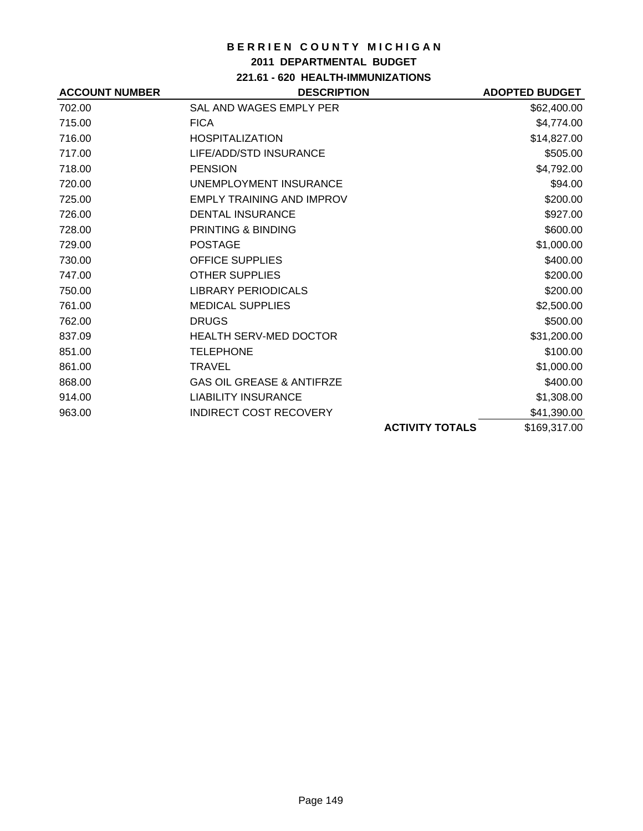## **2011 DEPARTMENTAL BUDGET**

**221.61 - 620 HEALTH-IMMUNIZATIONS**

| <b>ACCOUNT NUMBER</b> | <b>DESCRIPTION</b>                   |                        | <b>ADOPTED BUDGET</b> |
|-----------------------|--------------------------------------|------------------------|-----------------------|
| 702.00                | SAL AND WAGES EMPLY PER              |                        | \$62,400.00           |
| 715.00                | <b>FICA</b>                          |                        | \$4,774.00            |
| 716.00                | <b>HOSPITALIZATION</b>               |                        | \$14,827.00           |
| 717.00                | LIFE/ADD/STD INSURANCE               |                        | \$505.00              |
| 718.00                | <b>PENSION</b>                       |                        | \$4,792.00            |
| 720.00                | UNEMPLOYMENT INSURANCE               |                        | \$94.00               |
| 725.00                | <b>EMPLY TRAINING AND IMPROV</b>     |                        | \$200.00              |
| 726.00                | <b>DENTAL INSURANCE</b>              |                        | \$927.00              |
| 728.00                | PRINTING & BINDING                   |                        | \$600.00              |
| 729.00                | <b>POSTAGE</b>                       |                        | \$1,000.00            |
| 730.00                | <b>OFFICE SUPPLIES</b>               |                        | \$400.00              |
| 747.00                | <b>OTHER SUPPLIES</b>                |                        | \$200.00              |
| 750.00                | <b>LIBRARY PERIODICALS</b>           |                        | \$200.00              |
| 761.00                | <b>MEDICAL SUPPLIES</b>              |                        | \$2,500.00            |
| 762.00                | <b>DRUGS</b>                         |                        | \$500.00              |
| 837.09                | <b>HEALTH SERV-MED DOCTOR</b>        |                        | \$31,200.00           |
| 851.00                | <b>TELEPHONE</b>                     |                        | \$100.00              |
| 861.00                | <b>TRAVEL</b>                        |                        | \$1,000.00            |
| 868.00                | <b>GAS OIL GREASE &amp; ANTIFRZE</b> |                        | \$400.00              |
| 914.00                | <b>LIABILITY INSURANCE</b>           |                        | \$1,308.00            |
| 963.00                | <b>INDIRECT COST RECOVERY</b>        |                        | \$41,390.00           |
|                       |                                      | <b>ACTIVITY TOTALS</b> | \$169,317.00          |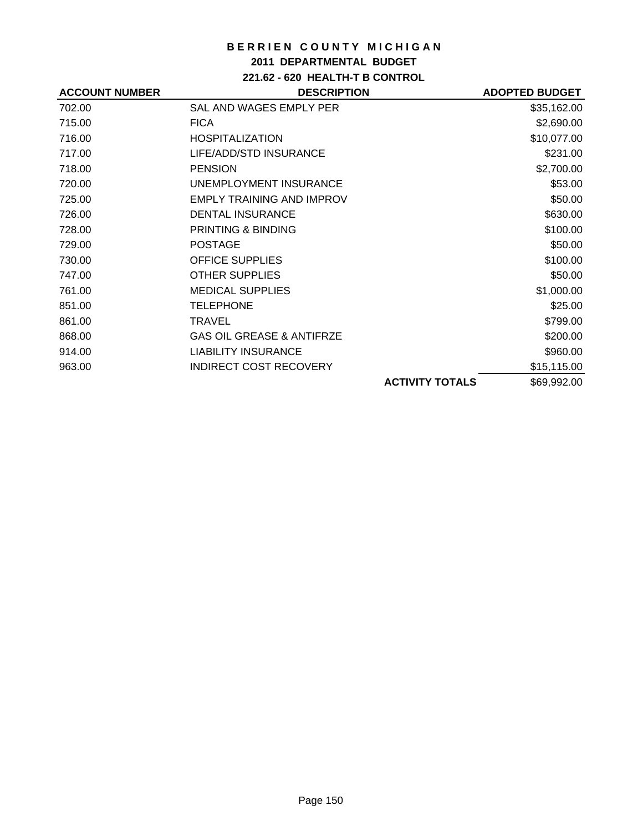## **2011 DEPARTMENTAL BUDGET**

**221.62 - 620 HEALTH-T B CONTROL**

| <b>ACCOUNT NUMBER</b> | <b>DESCRIPTION</b>                   |                        | <b>ADOPTED BUDGET</b> |
|-----------------------|--------------------------------------|------------------------|-----------------------|
| 702.00                | SAL AND WAGES EMPLY PER              |                        | \$35,162.00           |
| 715.00                | <b>FICA</b>                          |                        | \$2,690.00            |
| 716.00                | <b>HOSPITALIZATION</b>               |                        | \$10,077.00           |
| 717.00                | LIFE/ADD/STD INSURANCE               |                        | \$231.00              |
| 718.00                | <b>PENSION</b>                       |                        | \$2,700.00            |
| 720.00                | UNEMPLOYMENT INSURANCE               |                        | \$53.00               |
| 725.00                | <b>EMPLY TRAINING AND IMPROV</b>     |                        | \$50.00               |
| 726.00                | <b>DENTAL INSURANCE</b>              |                        | \$630.00              |
| 728.00                | PRINTING & BINDING                   |                        | \$100.00              |
| 729.00                | <b>POSTAGE</b>                       |                        | \$50.00               |
| 730.00                | <b>OFFICE SUPPLIES</b>               |                        | \$100.00              |
| 747.00                | <b>OTHER SUPPLIES</b>                |                        | \$50.00               |
| 761.00                | <b>MEDICAL SUPPLIES</b>              |                        | \$1,000.00            |
| 851.00                | <b>TELEPHONE</b>                     |                        | \$25.00               |
| 861.00                | <b>TRAVEL</b>                        |                        | \$799.00              |
| 868.00                | <b>GAS OIL GREASE &amp; ANTIFRZE</b> |                        | \$200.00              |
| 914.00                | <b>LIABILITY INSURANCE</b>           |                        | \$960.00              |
| 963.00                | <b>INDIRECT COST RECOVERY</b>        |                        | \$15,115.00           |
|                       |                                      | <b>ACTIVITY TOTALS</b> | \$69,992.00           |
|                       |                                      |                        |                       |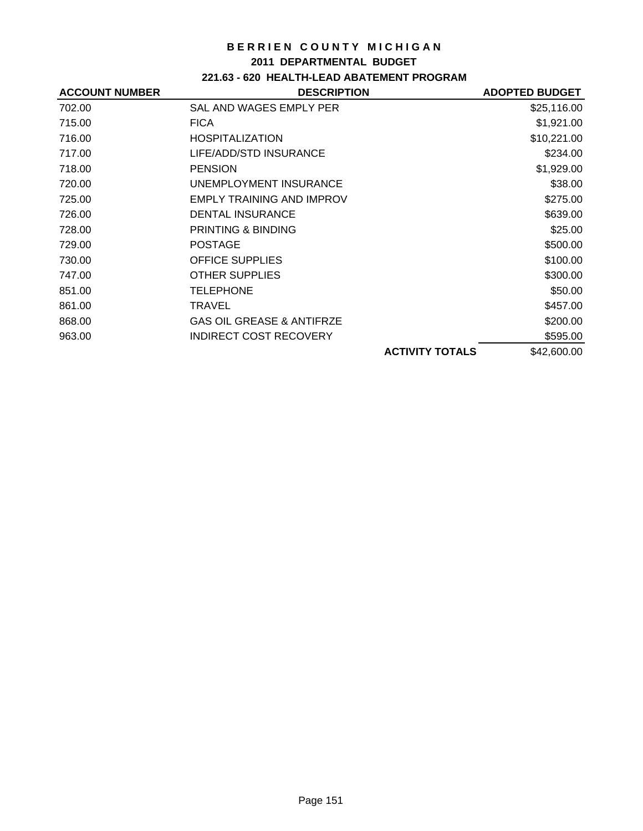### **2011 DEPARTMENTAL BUDGET**

## **221.63 - 620 HEALTH-LEAD ABATEMENT PROGRAM**

| <b>ACCOUNT NUMBER</b> | <b>DESCRIPTION</b>                   |                        | <b>ADOPTED BUDGET</b> |
|-----------------------|--------------------------------------|------------------------|-----------------------|
| 702.00                | SAL AND WAGES EMPLY PER              |                        | \$25,116.00           |
| 715.00                | <b>FICA</b>                          |                        | \$1,921.00            |
| 716.00                | <b>HOSPITALIZATION</b>               |                        | \$10,221.00           |
| 717.00                | LIFE/ADD/STD INSURANCE               |                        | \$234.00              |
| 718.00                | <b>PENSION</b>                       |                        | \$1,929.00            |
| 720.00                | UNEMPLOYMENT INSURANCE               |                        | \$38.00               |
| 725.00                | <b>EMPLY TRAINING AND IMPROV</b>     |                        | \$275.00              |
| 726.00                | <b>DENTAL INSURANCE</b>              |                        | \$639.00              |
| 728.00                | <b>PRINTING &amp; BINDING</b>        |                        | \$25.00               |
| 729.00                | <b>POSTAGE</b>                       |                        | \$500.00              |
| 730.00                | <b>OFFICE SUPPLIES</b>               |                        | \$100.00              |
| 747.00                | <b>OTHER SUPPLIES</b>                |                        | \$300.00              |
| 851.00                | <b>TELEPHONE</b>                     |                        | \$50.00               |
| 861.00                | TRAVEL                               |                        | \$457.00              |
| 868.00                | <b>GAS OIL GREASE &amp; ANTIFRZE</b> |                        | \$200.00              |
| 963.00                | <b>INDIRECT COST RECOVERY</b>        |                        | \$595.00              |
|                       |                                      | <b>ACTIVITY TOTALS</b> | \$42,600.00           |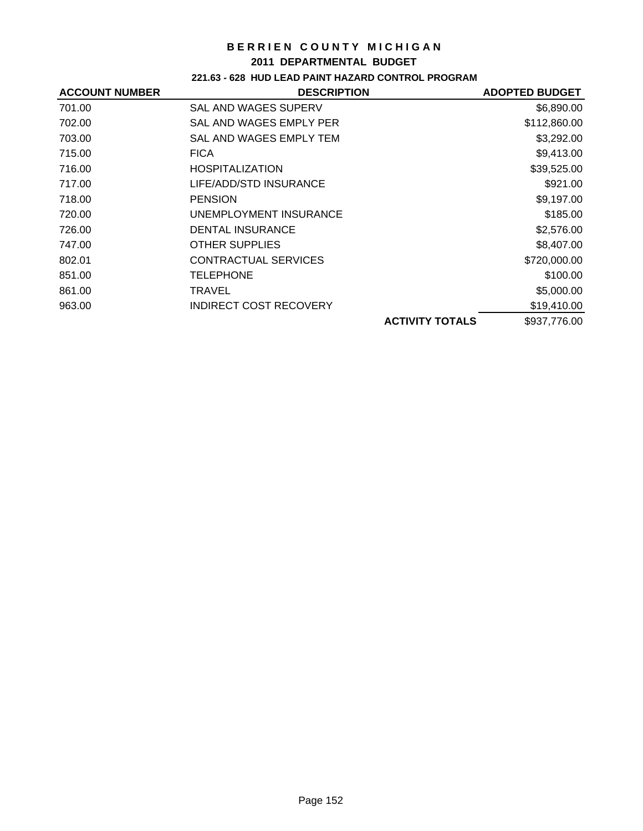### **2011 DEPARTMENTAL BUDGET**

## **221.63 - 628 HUD LEAD PAINT HAZARD CONTROL PROGRAM**

| <b>ACCOUNT NUMBER</b> | <b>DESCRIPTION</b>      |                        | <b>ADOPTED BUDGET</b> |
|-----------------------|-------------------------|------------------------|-----------------------|
| 701.00                | SAL AND WAGES SUPERV    |                        | \$6,890.00            |
| 702.00                | SAL AND WAGES EMPLY PER |                        | \$112,860.00          |
| 703.00                | SAL AND WAGES EMPLY TEM |                        | \$3,292.00            |
| 715.00                | <b>FICA</b>             |                        | \$9,413.00            |
| 716.00                | <b>HOSPITALIZATION</b>  |                        | \$39,525.00           |
| 717.00                | LIFE/ADD/STD INSURANCE  |                        | \$921.00              |
| 718.00                | <b>PENSION</b>          |                        | \$9,197.00            |
| 720.00                | UNEMPLOYMENT INSURANCE  |                        | \$185.00              |
| 726.00                | DENTAL INSURANCE        |                        | \$2,576.00            |
| 747.00                | <b>OTHER SUPPLIES</b>   |                        | \$8,407.00            |
| 802.01                | CONTRACTUAL SERVICES    |                        | \$720,000.00          |
| 851.00                | TELEPHONE               |                        | \$100.00              |
| 861.00                | TRAVEL                  |                        | \$5,000.00            |
| 963.00                | INDIRECT COST RECOVERY  |                        | \$19,410.00           |
|                       |                         | <b>ACTIVITY TOTALS</b> | \$937,776.00          |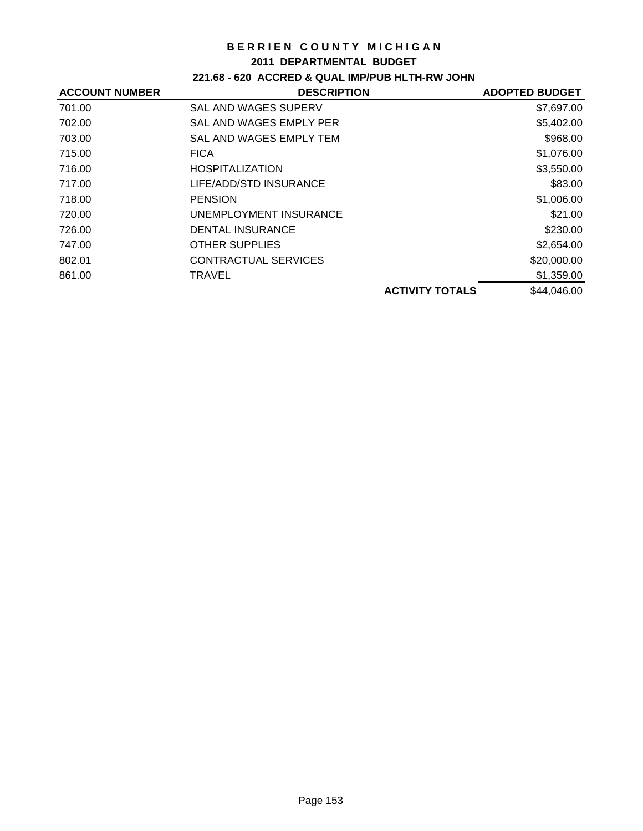### **2011 DEPARTMENTAL BUDGET**

## **221.68 - 620 ACCRED & QUAL IMP/PUB HLTH-RW JOHN**

| <b>ACCOUNT NUMBER</b> | <b>DESCRIPTION</b>      |                        | <b>ADOPTED BUDGET</b> |
|-----------------------|-------------------------|------------------------|-----------------------|
| 701.00                | SAL AND WAGES SUPERV    |                        | \$7,697.00            |
| 702.00                | SAL AND WAGES EMPLY PER |                        | \$5,402.00            |
| 703.00                | SAL AND WAGES EMPLY TEM |                        | \$968.00              |
| 715.00                | <b>FICA</b>             |                        | \$1,076.00            |
| 716.00                | <b>HOSPITALIZATION</b>  |                        | \$3,550.00            |
| 717.00                | LIFE/ADD/STD INSURANCE  |                        | \$83.00               |
| 718.00                | <b>PENSION</b>          |                        | \$1,006.00            |
| 720.00                | UNEMPLOYMENT INSURANCE  |                        | \$21.00               |
| 726.00                | <b>DENTAL INSURANCE</b> |                        | \$230.00              |
| 747.00                | <b>OTHER SUPPLIES</b>   |                        | \$2,654.00            |
| 802.01                | CONTRACTUAL SERVICES    |                        | \$20,000.00           |
| 861.00                | TRAVEL                  |                        | \$1,359.00            |
|                       |                         | <b>ACTIVITY TOTALS</b> | \$44,046.00           |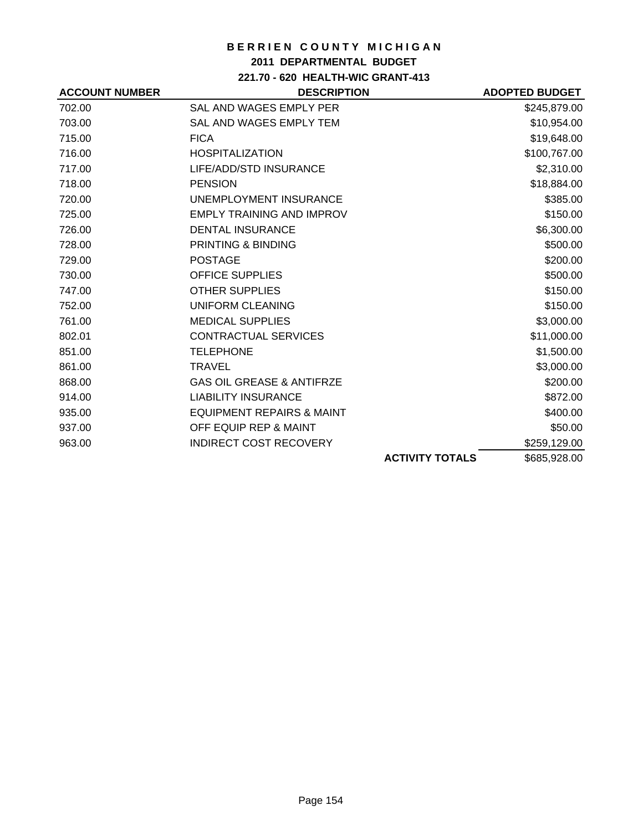## **2011 DEPARTMENTAL BUDGET**

**221.70 - 620 HEALTH-WIC GRANT-413**

| <b>ACCOUNT NUMBER</b> | <b>DESCRIPTION</b>                   |                        | <b>ADOPTED BUDGET</b> |
|-----------------------|--------------------------------------|------------------------|-----------------------|
| 702.00                | SAL AND WAGES EMPLY PER              |                        | \$245,879.00          |
| 703.00                | SAL AND WAGES EMPLY TEM              |                        | \$10,954.00           |
| 715.00                | <b>FICA</b>                          |                        | \$19,648.00           |
| 716.00                | <b>HOSPITALIZATION</b>               |                        | \$100,767.00          |
| 717.00                | LIFE/ADD/STD INSURANCE               |                        | \$2,310.00            |
| 718.00                | <b>PENSION</b>                       |                        | \$18,884.00           |
| 720.00                | <b>UNEMPLOYMENT INSURANCE</b>        |                        | \$385.00              |
| 725.00                | <b>EMPLY TRAINING AND IMPROV</b>     |                        | \$150.00              |
| 726.00                | <b>DENTAL INSURANCE</b>              |                        | \$6,300.00            |
| 728.00                | <b>PRINTING &amp; BINDING</b>        |                        | \$500.00              |
| 729.00                | <b>POSTAGE</b>                       |                        | \$200.00              |
| 730.00                | <b>OFFICE SUPPLIES</b>               |                        | \$500.00              |
| 747.00                | <b>OTHER SUPPLIES</b>                |                        | \$150.00              |
| 752.00                | <b>UNIFORM CLEANING</b>              |                        | \$150.00              |
| 761.00                | <b>MEDICAL SUPPLIES</b>              |                        | \$3,000.00            |
| 802.01                | <b>CONTRACTUAL SERVICES</b>          |                        | \$11,000.00           |
| 851.00                | <b>TELEPHONE</b>                     |                        | \$1,500.00            |
| 861.00                | <b>TRAVEL</b>                        |                        | \$3,000.00            |
| 868.00                | <b>GAS OIL GREASE &amp; ANTIFRZE</b> |                        | \$200.00              |
| 914.00                | <b>LIABILITY INSURANCE</b>           |                        | \$872.00              |
| 935.00                | <b>EQUIPMENT REPAIRS &amp; MAINT</b> |                        | \$400.00              |
| 937.00                | OFF EQUIP REP & MAINT                |                        | \$50.00               |
| 963.00                | <b>INDIRECT COST RECOVERY</b>        |                        | \$259,129.00          |
|                       |                                      | <b>ACTIVITY TOTALS</b> | \$685,928.00          |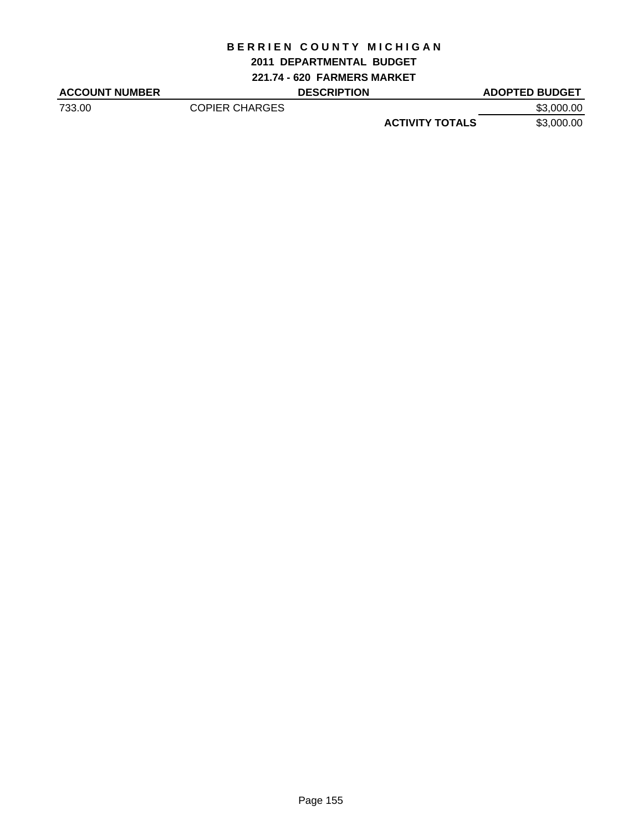## **2011 DEPARTMENTAL BUDGET**

**221.74 - 620 FARMERS MARKET**

| <b>ACCOUNT NUMBER</b> |                       | <b>DESCRIPTION</b> |                        | <b>ADOPTED BUDGET</b> |
|-----------------------|-----------------------|--------------------|------------------------|-----------------------|
| 733.00                | <b>COPIER CHARGES</b> |                    |                        | \$3,000.00            |
|                       |                       |                    | <b>ACTIVITY TOTALS</b> | \$3,000.00            |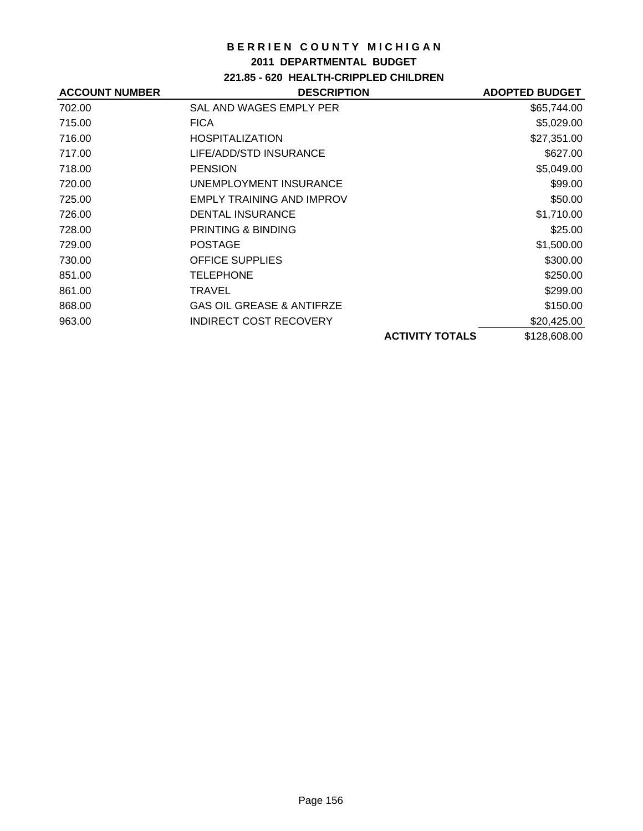### **2011 DEPARTMENTAL BUDGET**

**221.85 - 620 HEALTH-CRIPPLED CHILDREN**

| <b>ACCOUNT NUMBER</b> | <b>DESCRIPTION</b>                   | <b>ADOPTED BUDGET</b> |
|-----------------------|--------------------------------------|-----------------------|
| 702.00                | SAL AND WAGES EMPLY PER              | \$65,744.00           |
| 715.00                | <b>FICA</b>                          | \$5,029.00            |
| 716.00                | <b>HOSPITALIZATION</b>               | \$27,351.00           |
| 717.00                | LIFE/ADD/STD INSURANCE               | \$627.00              |
| 718.00                | <b>PENSION</b>                       | \$5,049.00            |
| 720.00                | UNEMPLOYMENT INSURANCE               | \$99.00               |
| 725.00                | <b>EMPLY TRAINING AND IMPROV</b>     | \$50.00               |
| 726.00                | <b>DENTAL INSURANCE</b>              | \$1,710.00            |
| 728.00                | PRINTING & BINDING                   | \$25.00               |
| 729.00                | <b>POSTAGE</b>                       | \$1,500.00            |
| 730.00                | <b>OFFICE SUPPLIES</b>               | \$300.00              |
| 851.00                | TELEPHONE                            | \$250.00              |
| 861.00                | TRAVEL                               | \$299.00              |
| 868.00                | <b>GAS OIL GREASE &amp; ANTIFRZE</b> | \$150.00              |
| 963.00                | <b>INDIRECT COST RECOVERY</b>        | \$20,425.00           |
|                       | <b>ACTIVITY TOTALS</b>               | \$128,608.00          |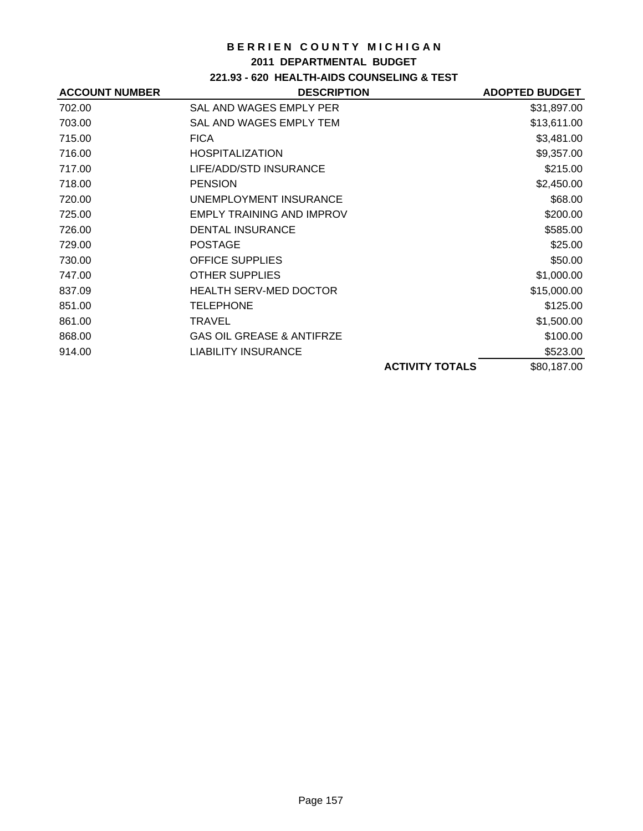### **2011 DEPARTMENTAL BUDGET**

## **221.93 - 620 HEALTH-AIDS COUNSELING & TEST**

| <b>ACCOUNT NUMBER</b> | <b>DESCRIPTION</b>                   |                        | <b>ADOPTED BUDGET</b> |
|-----------------------|--------------------------------------|------------------------|-----------------------|
| 702.00                | SAL AND WAGES EMPLY PER              |                        | \$31,897.00           |
| 703.00                | SAL AND WAGES EMPLY TEM              |                        | \$13,611.00           |
| 715.00                | <b>FICA</b>                          |                        | \$3,481.00            |
| 716.00                | <b>HOSPITALIZATION</b>               |                        | \$9,357.00            |
| 717.00                | LIFE/ADD/STD INSURANCE               |                        | \$215.00              |
| 718.00                | <b>PENSION</b>                       |                        | \$2,450.00            |
| 720.00                | UNEMPLOYMENT INSURANCE               |                        | \$68.00               |
| 725.00                | <b>EMPLY TRAINING AND IMPROV</b>     |                        | \$200.00              |
| 726.00                | <b>DENTAL INSURANCE</b>              |                        | \$585.00              |
| 729.00                | <b>POSTAGE</b>                       |                        | \$25.00               |
| 730.00                | <b>OFFICE SUPPLIES</b>               |                        | \$50.00               |
| 747.00                | <b>OTHER SUPPLIES</b>                |                        | \$1,000.00            |
| 837.09                | <b>HEALTH SERV-MED DOCTOR</b>        |                        | \$15,000.00           |
| 851.00                | <b>TELEPHONE</b>                     |                        | \$125.00              |
| 861.00                | <b>TRAVEL</b>                        |                        | \$1,500.00            |
| 868.00                | <b>GAS OIL GREASE &amp; ANTIFRZE</b> |                        | \$100.00              |
| 914.00                | <b>LIABILITY INSURANCE</b>           |                        | \$523.00              |
|                       |                                      | <b>ACTIVITY TOTALS</b> | \$80,187.00           |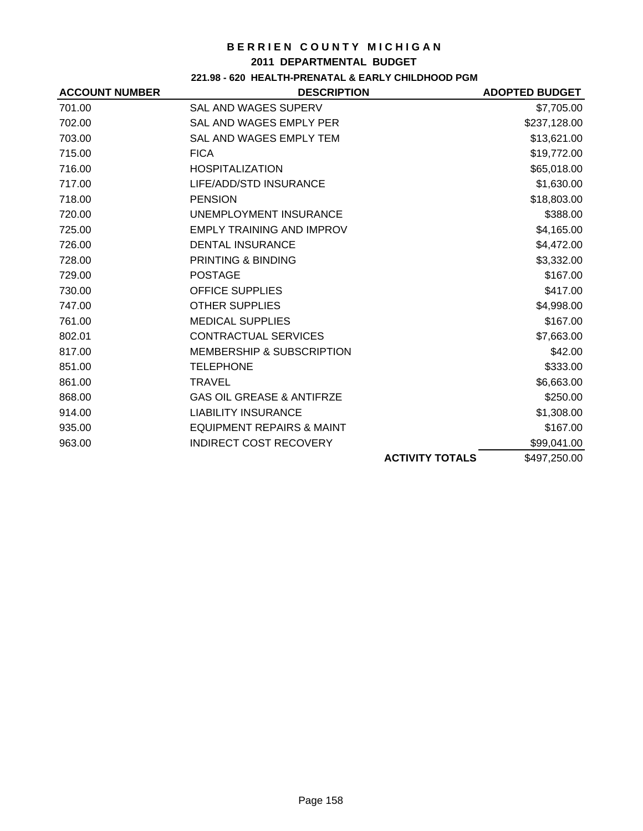#### **2011 DEPARTMENTAL BUDGET**

## **221.98 - 620 HEALTH-PRENATAL & EARLY CHILDHOOD PGM**

| <b>ACCOUNT NUMBER</b> | <b>DESCRIPTION</b>                   |                        | <b>ADOPTED BUDGET</b> |
|-----------------------|--------------------------------------|------------------------|-----------------------|
| 701.00                | SAL AND WAGES SUPERV                 |                        | \$7,705.00            |
| 702.00                | SAL AND WAGES EMPLY PER              |                        | \$237,128.00          |
| 703.00                | SAL AND WAGES EMPLY TEM              |                        | \$13,621.00           |
| 715.00                | <b>FICA</b>                          |                        | \$19,772.00           |
| 716.00                | <b>HOSPITALIZATION</b>               |                        | \$65,018.00           |
| 717.00                | LIFE/ADD/STD INSURANCE               |                        | \$1,630.00            |
| 718.00                | <b>PENSION</b>                       |                        | \$18,803.00           |
| 720.00                | UNEMPLOYMENT INSURANCE               |                        | \$388.00              |
| 725.00                | <b>EMPLY TRAINING AND IMPROV</b>     |                        | \$4,165.00            |
| 726.00                | <b>DENTAL INSURANCE</b>              |                        | \$4,472.00            |
| 728.00                | PRINTING & BINDING                   |                        | \$3,332.00            |
| 729.00                | <b>POSTAGE</b>                       |                        | \$167.00              |
| 730.00                | <b>OFFICE SUPPLIES</b>               |                        | \$417.00              |
| 747.00                | <b>OTHER SUPPLIES</b>                |                        | \$4,998.00            |
| 761.00                | <b>MEDICAL SUPPLIES</b>              |                        | \$167.00              |
| 802.01                | <b>CONTRACTUAL SERVICES</b>          |                        | \$7,663.00            |
| 817.00                | <b>MEMBERSHIP &amp; SUBSCRIPTION</b> |                        | \$42.00               |
| 851.00                | <b>TELEPHONE</b>                     |                        | \$333.00              |
| 861.00                | <b>TRAVEL</b>                        |                        | \$6,663.00            |
| 868.00                | <b>GAS OIL GREASE &amp; ANTIFRZE</b> |                        | \$250.00              |
| 914.00                | <b>LIABILITY INSURANCE</b>           |                        | \$1,308.00            |
| 935.00                | <b>EQUIPMENT REPAIRS &amp; MAINT</b> |                        | \$167.00              |
| 963.00                | <b>INDIRECT COST RECOVERY</b>        |                        | \$99,041.00           |
|                       |                                      | <b>ACTIVITY TOTALS</b> | \$497,250.00          |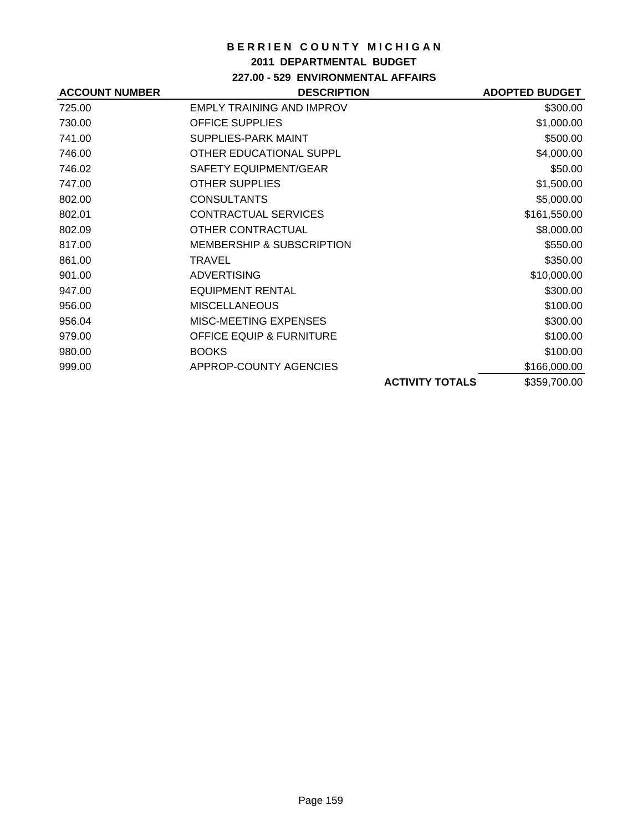### **2011 DEPARTMENTAL BUDGET**

## **227.00 - 529 ENVIRONMENTAL AFFAIRS**

| <b>ACCOUNT NUMBER</b> | <b>DESCRIPTION</b>                   |                        | <b>ADOPTED BUDGET</b> |
|-----------------------|--------------------------------------|------------------------|-----------------------|
| 725.00                | <b>EMPLY TRAINING AND IMPROV</b>     |                        | \$300.00              |
| 730.00                | <b>OFFICE SUPPLIES</b>               |                        | \$1,000.00            |
| 741.00                | SUPPLIES-PARK MAINT                  |                        | \$500.00              |
| 746.00                | OTHER EDUCATIONAL SUPPL              |                        | \$4,000.00            |
| 746.02                | SAFETY EQUIPMENT/GEAR                |                        | \$50.00               |
| 747.00                | <b>OTHER SUPPLIES</b>                |                        | \$1,500.00            |
| 802.00                | <b>CONSULTANTS</b>                   |                        | \$5,000.00            |
| 802.01                | <b>CONTRACTUAL SERVICES</b>          |                        | \$161,550.00          |
| 802.09                | OTHER CONTRACTUAL                    |                        | \$8,000.00            |
| 817.00                | <b>MEMBERSHIP &amp; SUBSCRIPTION</b> |                        | \$550.00              |
| 861.00                | TRAVEL                               |                        | \$350.00              |
| 901.00                | <b>ADVERTISING</b>                   |                        | \$10,000.00           |
| 947.00                | <b>EQUIPMENT RENTAL</b>              |                        | \$300.00              |
| 956.00                | <b>MISCELLANEOUS</b>                 |                        | \$100.00              |
| 956.04                | MISC-MEETING EXPENSES                |                        | \$300.00              |
| 979.00                | <b>OFFICE EQUIP &amp; FURNITURE</b>  |                        | \$100.00              |
| 980.00                | <b>BOOKS</b>                         |                        | \$100.00              |
| 999.00                | APPROP-COUNTY AGENCIES               |                        | \$166,000.00          |
|                       |                                      | <b>ACTIVITY TOTALS</b> | \$359,700.00          |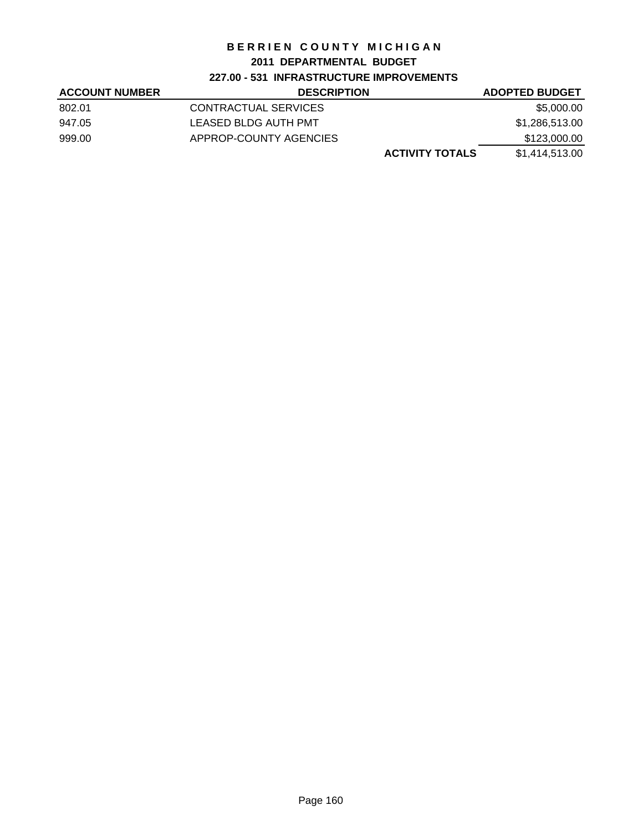## **2011 DEPARTMENTAL BUDGET**

## **227.00 - 531 INFRASTRUCTURE IMPROVEMENTS**

| <b>ACCOUNT NUMBER</b> | <b>DESCRIPTION</b>     | <b>ADOPTED BUDGET</b> |
|-----------------------|------------------------|-----------------------|
| 802.01                | CONTRACTUAL SERVICES   | \$5,000.00            |
| 947.05                | LEASED BLDG AUTH PMT   | \$1,286,513.00        |
| 999.00                | APPROP-COUNTY AGENCIES | \$123,000.00          |
|                       | <b>ACTIVITY TOTALS</b> | \$1.414.513.00        |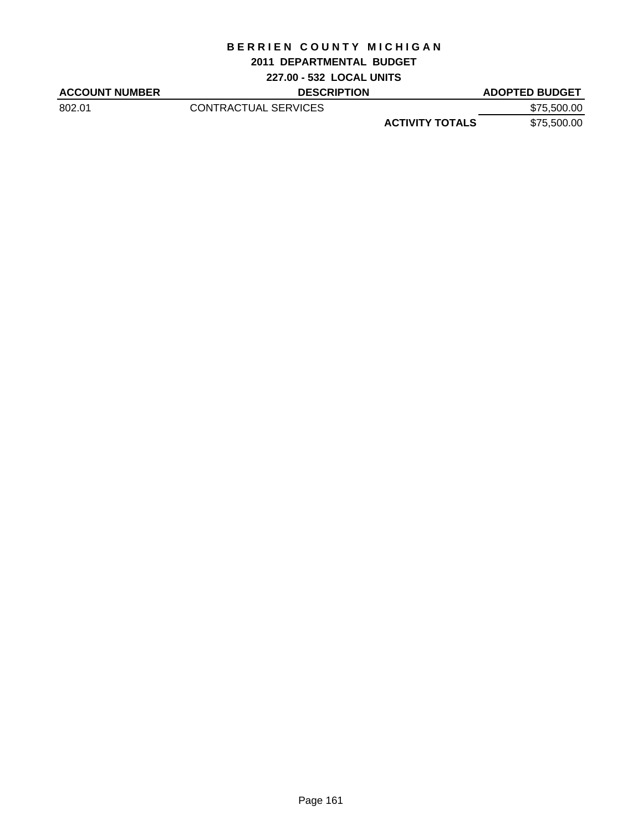### **2011 DEPARTMENTAL BUDGET**

**227.00 - 532 LOCAL UNITS**

| <b>ACCOUNT NUMBER</b> | <b>DESCRIPTION</b>   |                        | <b>ADOPTED BUDGET</b> |
|-----------------------|----------------------|------------------------|-----------------------|
| 802.01                | CONTRACTUAL SERVICES |                        | \$75,500.00           |
|                       |                      | <b>ACTIVITY TOTALS</b> | \$75,500.00           |
|                       |                      |                        |                       |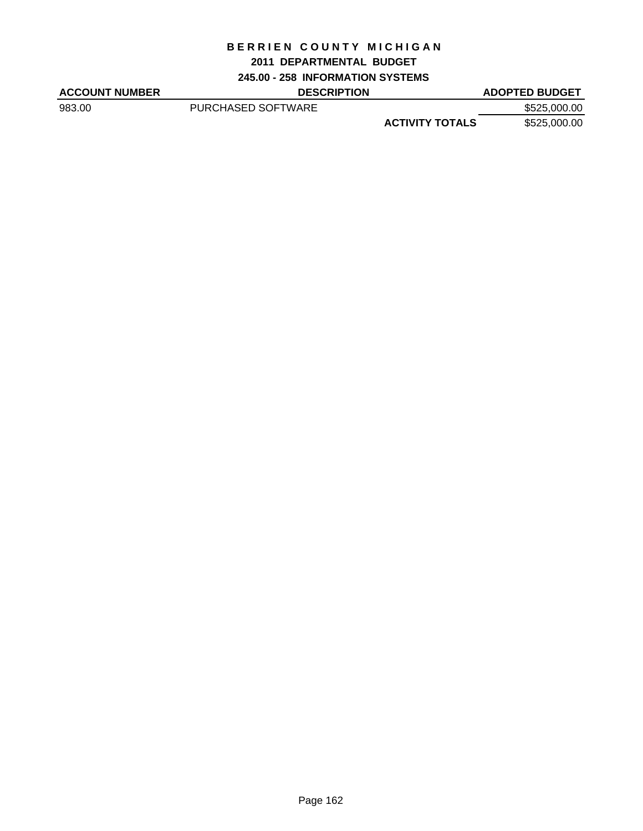### **2011 DEPARTMENTAL BUDGET**

**245.00 - 258 INFORMATION SYSTEMS**

| <b>ACCOUNT NUMBER</b> | <b>DESCRIPTION</b> |                        | <b>ADOPTED BUDGET</b> |
|-----------------------|--------------------|------------------------|-----------------------|
| 983.00                | PURCHASED SOFTWARE |                        | \$525,000.00          |
|                       |                    | <b>ACTIVITY TOTALS</b> | \$525,000.00          |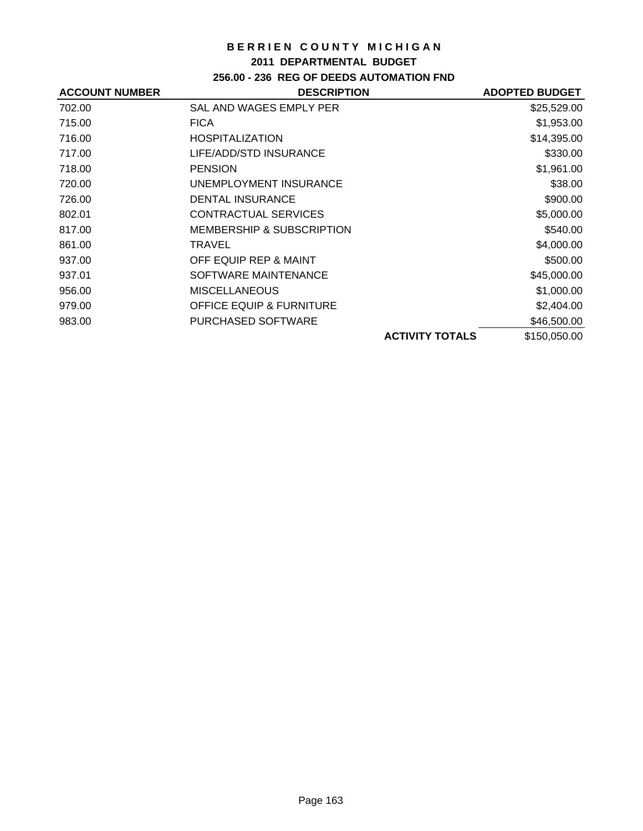### **2011 DEPARTMENTAL BUDGET**

## **256.00 - 236 REG OF DEEDS AUTOMATION FND**

| <b>ACCOUNT NUMBER</b> | <b>DESCRIPTION</b>                   |                        | <b>ADOPTED BUDGET</b> |
|-----------------------|--------------------------------------|------------------------|-----------------------|
| 702.00                | SAL AND WAGES EMPLY PER              |                        | \$25,529.00           |
| 715.00                | <b>FICA</b>                          |                        | \$1,953.00            |
| 716.00                | <b>HOSPITALIZATION</b>               |                        | \$14,395.00           |
| 717.00                | LIFE/ADD/STD INSURANCE               |                        | \$330.00              |
| 718.00                | <b>PENSION</b>                       |                        | \$1,961.00            |
| 720.00                | UNEMPLOYMENT INSURANCE               |                        | \$38.00               |
| 726.00                | <b>DENTAL INSURANCE</b>              |                        | \$900.00              |
| 802.01                | CONTRACTUAL SERVICES                 |                        | \$5,000.00            |
| 817.00                | <b>MEMBERSHIP &amp; SUBSCRIPTION</b> |                        | \$540.00              |
| 861.00                | TRAVEL                               |                        | \$4,000.00            |
| 937.00                | OFF EQUIP REP & MAINT                |                        | \$500.00              |
| 937.01                | SOFTWARE MAINTENANCE                 |                        | \$45,000.00           |
| 956.00                | <b>MISCELLANEOUS</b>                 |                        | \$1,000.00            |
| 979.00                | <b>OFFICE EQUIP &amp; FURNITURE</b>  |                        | \$2,404.00            |
| 983.00                | PURCHASED SOFTWARE                   |                        | \$46,500.00           |
|                       |                                      | <b>ACTIVITY TOTALS</b> | \$150,050.00          |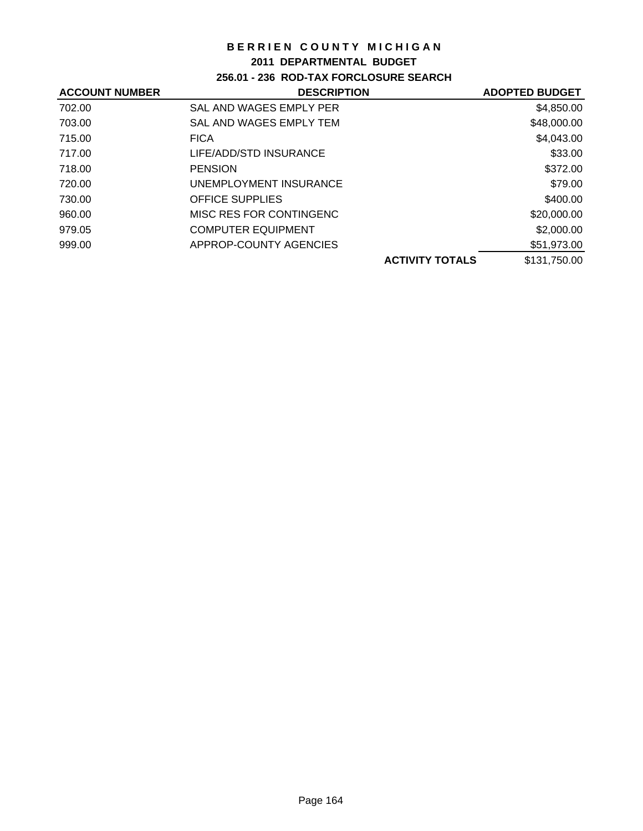### **2011 DEPARTMENTAL BUDGET**

## **256.01 - 236 ROD-TAX FORCLOSURE SEARCH**

| <b>ACCOUNT NUMBER</b> | <b>DESCRIPTION</b>        | <b>ADOPTED BUDGET</b> |
|-----------------------|---------------------------|-----------------------|
| 702.00                | SAL AND WAGES EMPLY PER   | \$4,850.00            |
| 703.00                | SAL AND WAGES EMPLY TEM   | \$48,000.00           |
| 715.00                | <b>FICA</b>               | \$4,043.00            |
| 717.00                | LIFE/ADD/STD INSURANCE    | \$33.00               |
| 718.00                | <b>PENSION</b>            | \$372.00              |
| 720.00                | UNEMPLOYMENT INSURANCE    | \$79.00               |
| 730.00                | <b>OFFICE SUPPLIES</b>    | \$400.00              |
| 960.00                | MISC RES FOR CONTINGENC   | \$20,000.00           |
| 979.05                | <b>COMPUTER EQUIPMENT</b> | \$2,000.00            |
| 999.00                | APPROP-COUNTY AGENCIES    | \$51,973.00           |
|                       | <b>ACTIVITY TOTALS</b>    | \$131,750.00          |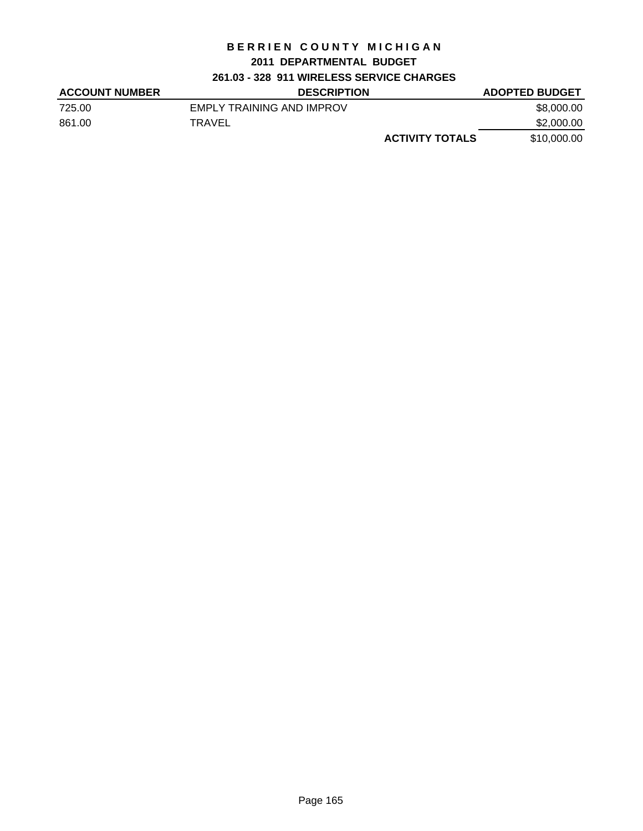## **2011 DEPARTMENTAL BUDGET**

## **261.03 - 328 911 WIRELESS SERVICE CHARGES**

| <b>ACCOUNT NUMBER</b> | <b>DESCRIPTION</b>        | <b>ADOPTED BUDGET</b> |
|-----------------------|---------------------------|-----------------------|
| 725.00                | EMPLY TRAINING AND IMPROV | \$8,000,00            |
| 861.00                | TRAVEL                    | \$2,000.00            |
|                       | <b>ACTIVITY TOTALS</b>    | \$10,000.00           |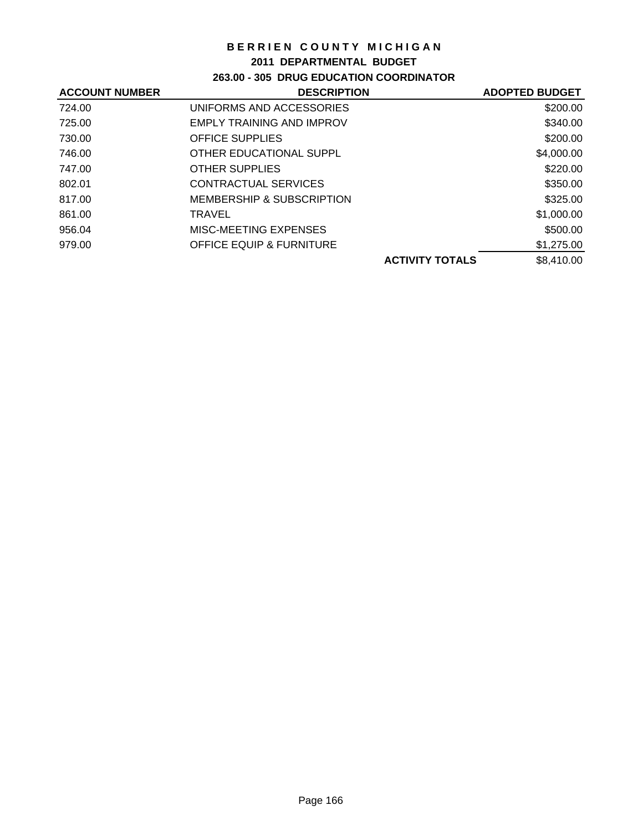### **2011 DEPARTMENTAL BUDGET**

## **263.00 - 305 DRUG EDUCATION COORDINATOR**

| <b>ACCOUNT NUMBER</b> | <b>DESCRIPTION</b>                  | <b>ADOPTED BUDGET</b> |
|-----------------------|-------------------------------------|-----------------------|
| 724.00                | UNIFORMS AND ACCESSORIES            | \$200.00              |
| 725.00                | <b>EMPLY TRAINING AND IMPROV</b>    | \$340.00              |
| 730.00                | <b>OFFICE SUPPLIES</b>              | \$200.00              |
| 746.00                | OTHER EDUCATIONAL SUPPL             | \$4,000.00            |
| 747.00                | <b>OTHER SUPPLIES</b>               | \$220.00              |
| 802.01                | <b>CONTRACTUAL SERVICES</b>         | \$350.00              |
| 817.00                | MEMBERSHIP & SUBSCRIPTION           | \$325.00              |
| 861.00                | <b>TRAVEL</b>                       | \$1,000.00            |
| 956.04                | MISC-MEETING EXPENSES               | \$500.00              |
| 979.00                | <b>OFFICE EQUIP &amp; FURNITURE</b> | \$1,275.00            |
|                       | <b>ACTIVITY TOTALS</b>              | \$8,410.00            |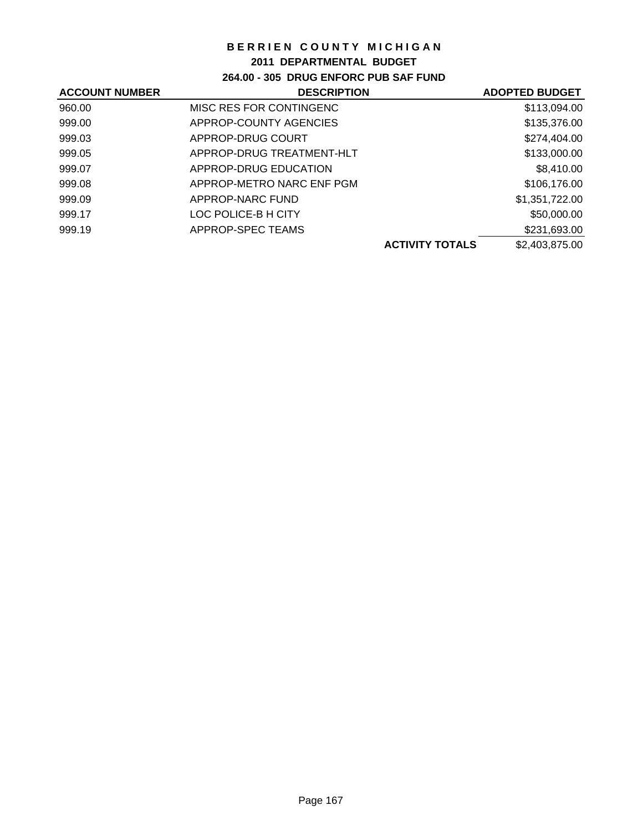## **2011 DEPARTMENTAL BUDGET**

## **264.00 - 305 DRUG ENFORC PUB SAF FUND**

| <b>ACCOUNT NUMBER</b> | <b>DESCRIPTION</b>        |                        | <b>ADOPTED BUDGET</b> |
|-----------------------|---------------------------|------------------------|-----------------------|
| 960.00                | MISC RES FOR CONTINGENC   |                        | \$113,094.00          |
| 999.00                | APPROP-COUNTY AGENCIES    |                        | \$135,376.00          |
| 999.03                | APPROP-DRUG COURT         |                        | \$274,404.00          |
| 999.05                | APPROP-DRUG TREATMENT-HLT |                        | \$133,000.00          |
| 999.07                | APPROP-DRUG EDUCATION     |                        | \$8,410.00            |
| 999.08                | APPROP-METRO NARC ENF PGM |                        | \$106,176.00          |
| 999.09                | APPROP-NARC FUND          |                        | \$1,351,722.00        |
| 999.17                | LOC POLICE-B H CITY       |                        | \$50,000.00           |
| 999.19                | APPROP-SPEC TEAMS         |                        | \$231,693.00          |
|                       |                           | <b>ACTIVITY TOTALS</b> | \$2,403,875.00        |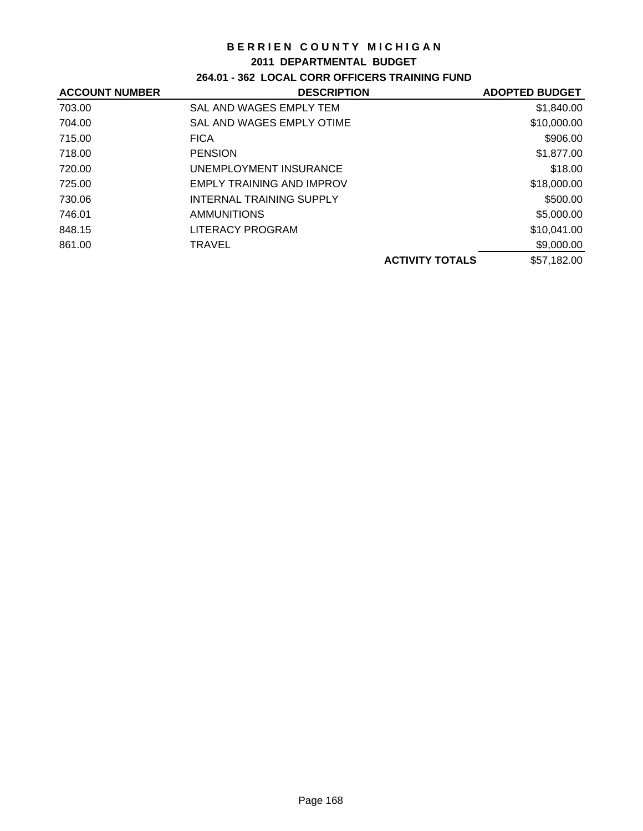### **2011 DEPARTMENTAL BUDGET**

## **264.01 - 362 LOCAL CORR OFFICERS TRAINING FUND**

| <b>ACCOUNT NUMBER</b> | <b>DESCRIPTION</b>               |                        | <b>ADOPTED BUDGET</b> |
|-----------------------|----------------------------------|------------------------|-----------------------|
| 703.00                | SAL AND WAGES EMPLY TEM          |                        | \$1,840.00            |
| 704.00                | SAL AND WAGES EMPLY OTIME        |                        | \$10,000.00           |
| 715.00                | <b>FICA</b>                      |                        | \$906.00              |
| 718.00                | <b>PENSION</b>                   |                        | \$1,877.00            |
| 720.00                | UNEMPLOYMENT INSURANCE           |                        | \$18.00               |
| 725.00                | <b>EMPLY TRAINING AND IMPROV</b> |                        | \$18,000.00           |
| 730.06                | <b>INTERNAL TRAINING SUPPLY</b>  |                        | \$500.00              |
| 746.01                | <b>AMMUNITIONS</b>               |                        | \$5,000.00            |
| 848.15                | <b>LITERACY PROGRAM</b>          |                        | \$10,041.00           |
| 861.00                | <b>TRAVEL</b>                    |                        | \$9,000.00            |
|                       |                                  | <b>ACTIVITY TOTALS</b> | \$57,182.00           |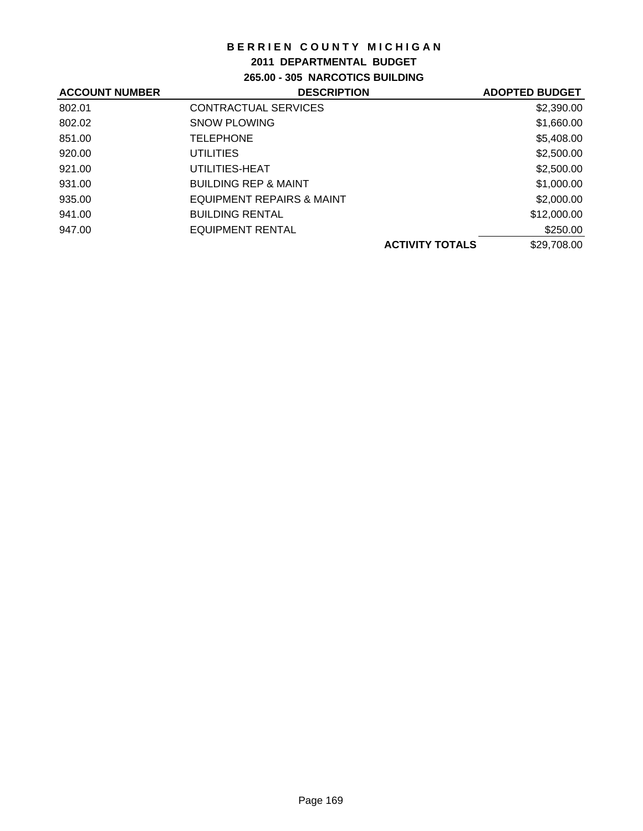## **2011 DEPARTMENTAL BUDGET**

**265.00 - 305 NARCOTICS BUILDING**

| <b>DESCRIPTION</b>                   |                        | <b>ADOPTED BUDGET</b> |
|--------------------------------------|------------------------|-----------------------|
| CONTRACTUAL SERVICES                 |                        | \$2,390.00            |
| <b>SNOW PLOWING</b>                  |                        | \$1,660.00            |
| <b>TELEPHONE</b>                     |                        | \$5,408.00            |
| <b>UTILITIES</b>                     |                        | \$2,500.00            |
| UTILITIES-HEAT                       |                        | \$2,500.00            |
| <b>BUILDING REP &amp; MAINT</b>      |                        | \$1,000.00            |
| <b>EQUIPMENT REPAIRS &amp; MAINT</b> |                        | \$2,000.00            |
| <b>BUILDING RENTAL</b>               |                        | \$12,000.00           |
| EQUIPMENT RENTAL                     |                        | \$250.00              |
|                                      | <b>ACTIVITY TOTALS</b> | \$29,708.00           |
|                                      |                        |                       |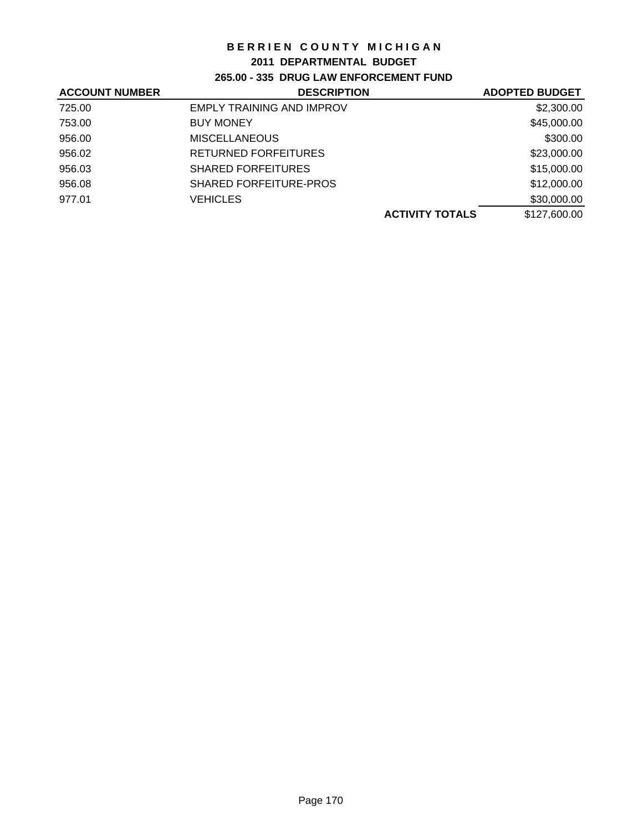### **2011 DEPARTMENTAL BUDGET**

## **265.00 - 335 DRUG LAW ENFORCEMENT FUND**

| <b>ACCOUNT NUMBER</b> | <b>DESCRIPTION</b>               | <b>ADOPTED BUDGET</b> |
|-----------------------|----------------------------------|-----------------------|
| 725.00                | <b>EMPLY TRAINING AND IMPROV</b> | \$2,300.00            |
| 753.00                | <b>BUY MONEY</b>                 | \$45,000.00           |
| 956.00                | <b>MISCELLANEOUS</b>             | \$300.00              |
| 956.02                | <b>RETURNED FORFEITURES</b>      | \$23,000.00           |
| 956.03                | <b>SHARED FORFEITURES</b>        | \$15,000.00           |
| 956.08                | <b>SHARED FORFEITURE-PROS</b>    | \$12,000.00           |
| 977.01                | VEHICLES                         | \$30,000.00           |
|                       | <b>ACTIVITY TOTALS</b>           | \$127,600.00          |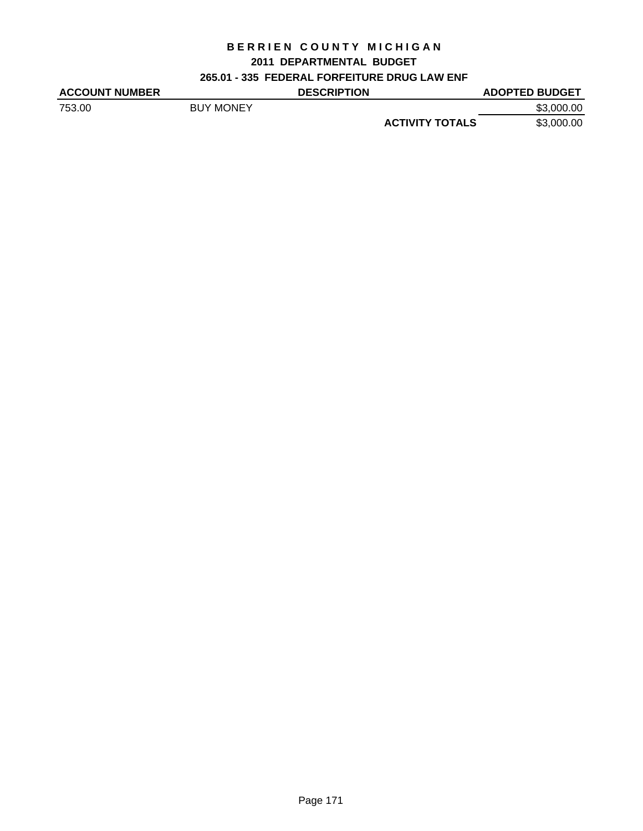# **BERRIEN COUNTY MICHIGAN 2011 DEPARTMENTAL BUDGET**

## **265.01 - 335 FEDERAL FORFEITURE DRUG LAW ENF**

| <b>ACCOUNT NUMBER</b> |                  | <b>DESCRIPTION</b> |                        | <b>ADOPTED BUDGET</b> |
|-----------------------|------------------|--------------------|------------------------|-----------------------|
| 753.00                | <b>BUY MONEY</b> |                    |                        | \$3,000.00            |
|                       |                  |                    | <b>ACTIVITY TOTALS</b> | \$3,000.00            |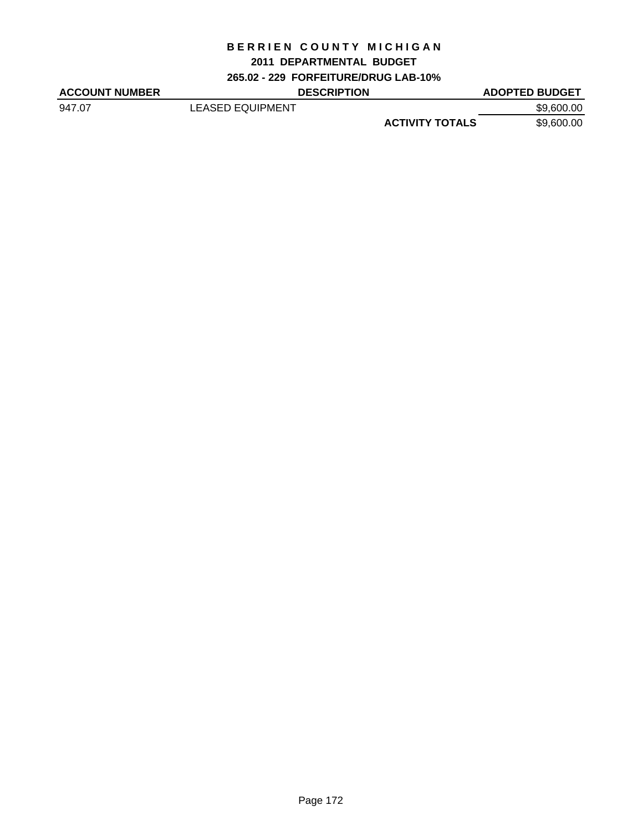## **2011 DEPARTMENTAL BUDGET**

**265.02 - 229 FORFEITURE/DRUG LAB-10%**

| <b>ACCOUNT NUMBER</b> | <b>DESCRIPTION</b>      |                        | <b>ADOPTED BUDGET</b> |
|-----------------------|-------------------------|------------------------|-----------------------|
| 947.07                | <b>LEASED EQUIPMENT</b> |                        | \$9,600.00            |
|                       |                         | <b>ACTIVITY TOTALS</b> | \$9,600.00            |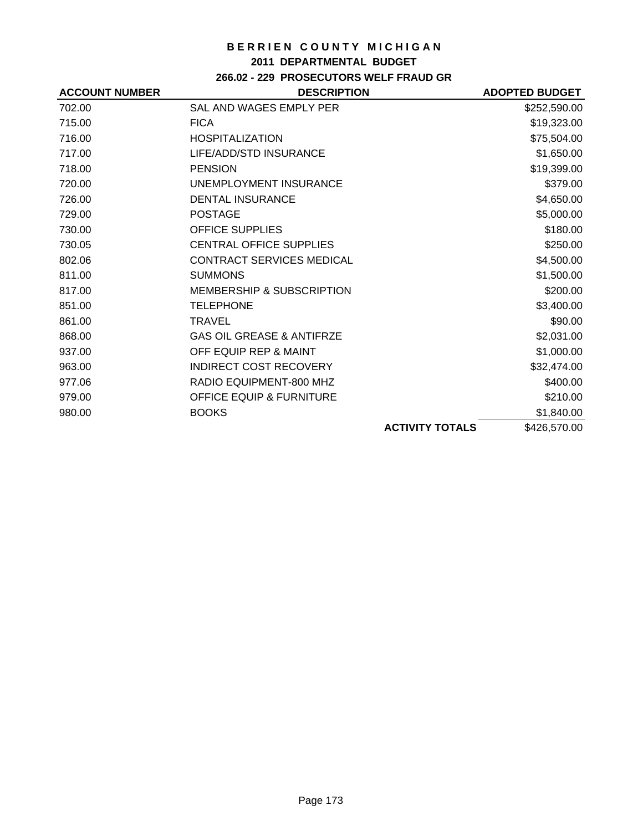### **2011 DEPARTMENTAL BUDGET**

## **266.02 - 229 PROSECUTORS WELF FRAUD GR**

| <b>ACCOUNT NUMBER</b> | <b>DESCRIPTION</b>                   |                        | <b>ADOPTED BUDGET</b> |
|-----------------------|--------------------------------------|------------------------|-----------------------|
| 702.00                | SAL AND WAGES EMPLY PER              |                        | \$252,590.00          |
| 715.00                | <b>FICA</b>                          |                        | \$19,323.00           |
| 716.00                | <b>HOSPITALIZATION</b>               |                        | \$75,504.00           |
| 717.00                | LIFE/ADD/STD INSURANCE               |                        | \$1,650.00            |
| 718.00                | <b>PENSION</b>                       |                        | \$19,399.00           |
| 720.00                | UNEMPLOYMENT INSURANCE               |                        | \$379.00              |
| 726.00                | <b>DENTAL INSURANCE</b>              |                        | \$4,650.00            |
| 729.00                | <b>POSTAGE</b>                       |                        | \$5,000.00            |
| 730.00                | <b>OFFICE SUPPLIES</b>               |                        | \$180.00              |
| 730.05                | <b>CENTRAL OFFICE SUPPLIES</b>       |                        | \$250.00              |
| 802.06                | <b>CONTRACT SERVICES MEDICAL</b>     |                        | \$4,500.00            |
| 811.00                | <b>SUMMONS</b>                       |                        | \$1,500.00            |
| 817.00                | <b>MEMBERSHIP &amp; SUBSCRIPTION</b> |                        | \$200.00              |
| 851.00                | <b>TELEPHONE</b>                     |                        | \$3,400.00            |
| 861.00                | <b>TRAVEL</b>                        |                        | \$90.00               |
| 868.00                | <b>GAS OIL GREASE &amp; ANTIFRZE</b> |                        | \$2,031.00            |
| 937.00                | OFF EQUIP REP & MAINT                |                        | \$1,000.00            |
| 963.00                | <b>INDIRECT COST RECOVERY</b>        |                        | \$32,474.00           |
| 977.06                | RADIO EQUIPMENT-800 MHZ              |                        | \$400.00              |
| 979.00                | <b>OFFICE EQUIP &amp; FURNITURE</b>  |                        | \$210.00              |
| 980.00                | <b>BOOKS</b>                         |                        | \$1,840.00            |
|                       |                                      | <b>ACTIVITY TOTALS</b> | \$426,570.00          |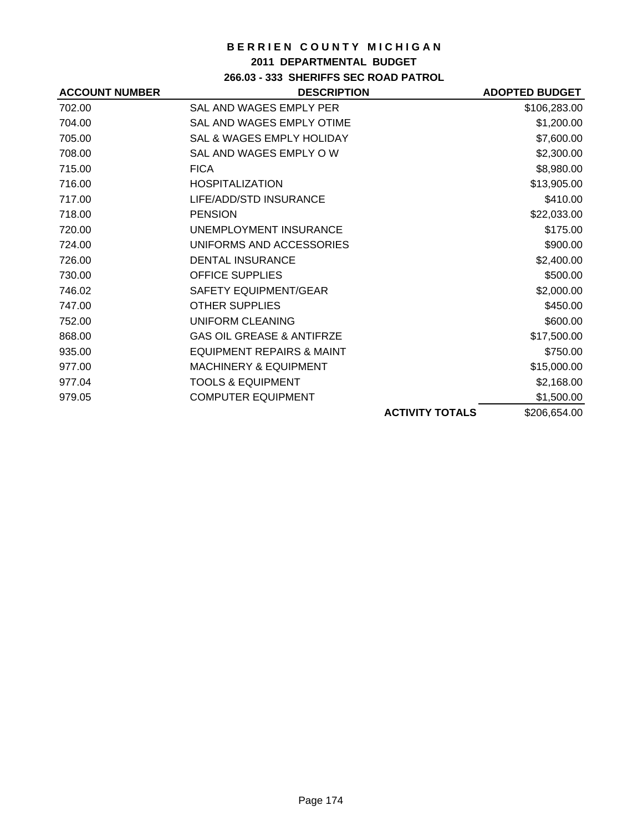## **2011 DEPARTMENTAL BUDGET**

## **266.03 - 333 SHERIFFS SEC ROAD PATROL**

| <b>ACCOUNT NUMBER</b> | <b>DESCRIPTION</b>                   |                        | <b>ADOPTED BUDGET</b> |
|-----------------------|--------------------------------------|------------------------|-----------------------|
| 702.00                | SAL AND WAGES EMPLY PER              |                        | \$106,283.00          |
| 704.00                | SAL AND WAGES EMPLY OTIME            |                        | \$1,200.00            |
| 705.00                | <b>SAL &amp; WAGES EMPLY HOLIDAY</b> |                        | \$7,600.00            |
| 708.00                | SAL AND WAGES EMPLY OW               |                        | \$2,300.00            |
| 715.00                | <b>FICA</b>                          |                        | \$8,980.00            |
| 716.00                | <b>HOSPITALIZATION</b>               |                        | \$13,905.00           |
| 717.00                | LIFE/ADD/STD INSURANCE               |                        | \$410.00              |
| 718.00                | <b>PENSION</b>                       |                        | \$22,033.00           |
| 720.00                | UNEMPLOYMENT INSURANCE               |                        | \$175.00              |
| 724.00                | UNIFORMS AND ACCESSORIES             |                        | \$900.00              |
| 726.00                | <b>DENTAL INSURANCE</b>              |                        | \$2,400.00            |
| 730.00                | <b>OFFICE SUPPLIES</b>               |                        | \$500.00              |
| 746.02                | SAFETY EQUIPMENT/GEAR                |                        | \$2,000.00            |
| 747.00                | <b>OTHER SUPPLIES</b>                |                        | \$450.00              |
| 752.00                | UNIFORM CLEANING                     |                        | \$600.00              |
| 868.00                | <b>GAS OIL GREASE &amp; ANTIFRZE</b> |                        | \$17,500.00           |
| 935.00                | <b>EQUIPMENT REPAIRS &amp; MAINT</b> |                        | \$750.00              |
| 977.00                | <b>MACHINERY &amp; EQUIPMENT</b>     |                        | \$15,000.00           |
| 977.04                | <b>TOOLS &amp; EQUIPMENT</b>         |                        | \$2,168.00            |
| 979.05                | <b>COMPUTER EQUIPMENT</b>            |                        | \$1,500.00            |
|                       |                                      | <b>ACTIVITY TOTALS</b> | \$206,654.00          |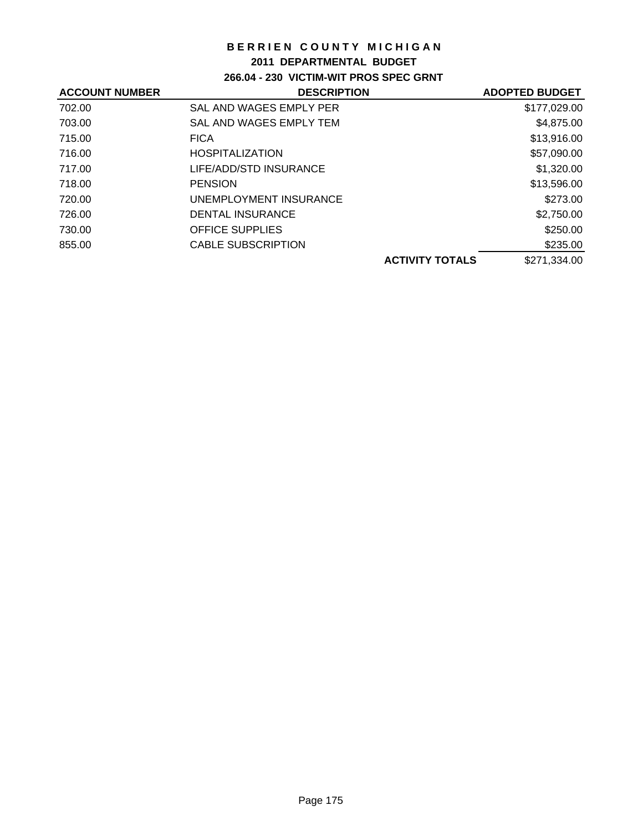## **2011 DEPARTMENTAL BUDGET**

## **266.04 - 230 VICTIM-WIT PROS SPEC GRNT**

| <b>ACCOUNT NUMBER</b> | <b>DESCRIPTION</b>        |                        | <b>ADOPTED BUDGET</b> |
|-----------------------|---------------------------|------------------------|-----------------------|
| 702.00                | SAL AND WAGES EMPLY PER   |                        | \$177,029.00          |
| 703.00                | SAL AND WAGES EMPLY TEM   |                        | \$4,875.00            |
| 715.00                | <b>FICA</b>               |                        | \$13,916.00           |
| 716.00                | <b>HOSPITALIZATION</b>    |                        | \$57,090.00           |
| 717.00                | LIFE/ADD/STD INSURANCE    |                        | \$1,320.00            |
| 718.00                | <b>PENSION</b>            |                        | \$13,596.00           |
| 720.00                | UNEMPLOYMENT INSURANCE    |                        | \$273.00              |
| 726.00                | DENTAL INSURANCE          |                        | \$2,750.00            |
| 730.00                | <b>OFFICE SUPPLIES</b>    |                        | \$250.00              |
| 855.00                | <b>CABLE SUBSCRIPTION</b> |                        | \$235.00              |
|                       |                           | <b>ACTIVITY TOTALS</b> | \$271,334.00          |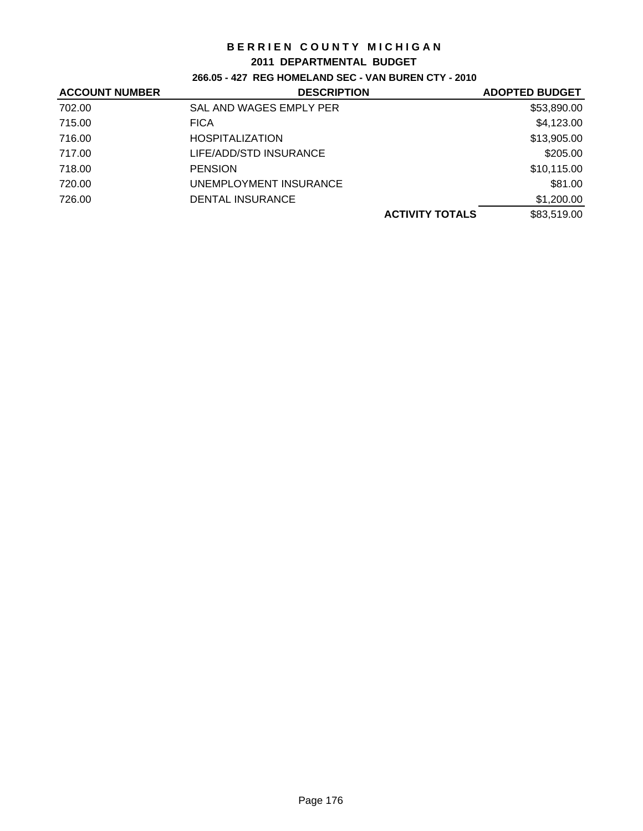#### **2011 DEPARTMENTAL BUDGET**

### **266.05 - 427 REG HOMELAND SEC - VAN BUREN CTY - 2010**

| <b>ACCOUNT NUMBER</b> | <b>DESCRIPTION</b>      | <b>ADOPTED BUDGET</b> |
|-----------------------|-------------------------|-----------------------|
| 702.00                | SAL AND WAGES EMPLY PER | \$53,890.00           |
| 715.00                | <b>FICA</b>             | \$4,123.00            |
| 716.00                | <b>HOSPITALIZATION</b>  | \$13,905.00           |
| 717.00                | LIFE/ADD/STD INSURANCE  | \$205.00              |
| 718.00                | <b>PENSION</b>          | \$10,115.00           |
| 720.00                | UNEMPLOYMENT INSURANCE  | \$81.00               |
| 726.00                | <b>DENTAL INSURANCE</b> | \$1,200.00            |
|                       | <b>ACTIVITY TOTALS</b>  | \$83,519.00           |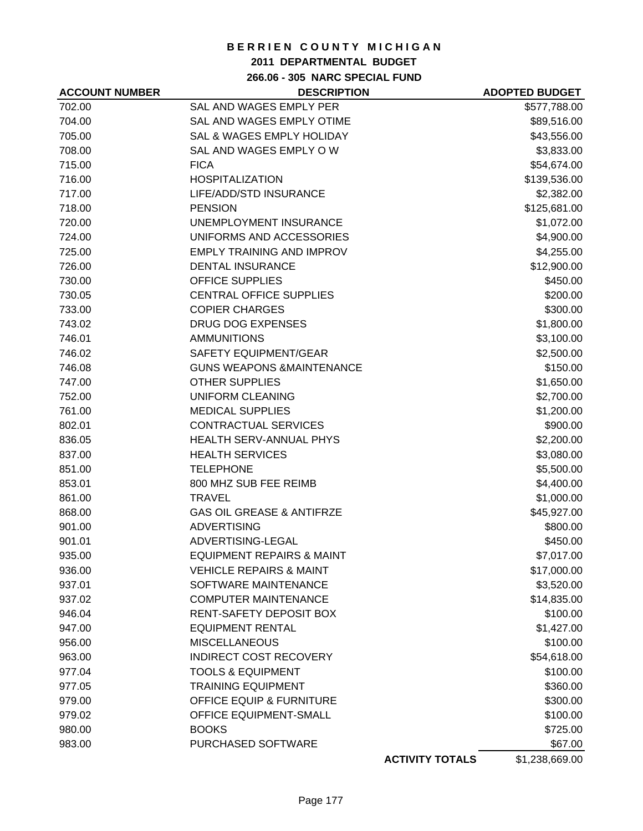### **2011 DEPARTMENTAL BUDGET**

**266.06 - 305 NARC SPECIAL FUND**

| <b>ACCOUNT NUMBER</b> | <b>DESCRIPTION</b>                   |                        | <b>ADOPTED BUDGET</b> |
|-----------------------|--------------------------------------|------------------------|-----------------------|
| 702.00                | SAL AND WAGES EMPLY PER              |                        | \$577,788.00          |
| 704.00                | SAL AND WAGES EMPLY OTIME            |                        | \$89,516.00           |
| 705.00                | SAL & WAGES EMPLY HOLIDAY            |                        | \$43,556.00           |
| 708.00                | SAL AND WAGES EMPLY OW               |                        | \$3,833.00            |
| 715.00                | <b>FICA</b>                          |                        | \$54,674.00           |
| 716.00                | <b>HOSPITALIZATION</b>               |                        | \$139,536.00          |
| 717.00                | LIFE/ADD/STD INSURANCE               |                        | \$2,382.00            |
| 718.00                | <b>PENSION</b>                       |                        | \$125,681.00          |
| 720.00                | UNEMPLOYMENT INSURANCE               |                        | \$1,072.00            |
| 724.00                | UNIFORMS AND ACCESSORIES             |                        | \$4,900.00            |
| 725.00                | <b>EMPLY TRAINING AND IMPROV</b>     |                        | \$4,255.00            |
| 726.00                | <b>DENTAL INSURANCE</b>              |                        | \$12,900.00           |
| 730.00                | <b>OFFICE SUPPLIES</b>               |                        | \$450.00              |
| 730.05                | <b>CENTRAL OFFICE SUPPLIES</b>       |                        | \$200.00              |
| 733.00                | <b>COPIER CHARGES</b>                |                        | \$300.00              |
| 743.02                | DRUG DOG EXPENSES                    |                        | \$1,800.00            |
| 746.01                | <b>AMMUNITIONS</b>                   |                        | \$3,100.00            |
| 746.02                | <b>SAFETY EQUIPMENT/GEAR</b>         |                        | \$2,500.00            |
| 746.08                | <b>GUNS WEAPONS &amp;MAINTENANCE</b> |                        | \$150.00              |
| 747.00                | <b>OTHER SUPPLIES</b>                |                        | \$1,650.00            |
| 752.00                | UNIFORM CLEANING                     |                        | \$2,700.00            |
| 761.00                | <b>MEDICAL SUPPLIES</b>              |                        | \$1,200.00            |
| 802.01                | CONTRACTUAL SERVICES                 |                        | \$900.00              |
| 836.05                | HEALTH SERV-ANNUAL PHYS              |                        | \$2,200.00            |
| 837.00                | <b>HEALTH SERVICES</b>               |                        | \$3,080.00            |
| 851.00                | <b>TELEPHONE</b>                     |                        | \$5,500.00            |
| 853.01                | 800 MHZ SUB FEE REIMB                |                        | \$4,400.00            |
| 861.00                | <b>TRAVEL</b>                        |                        | \$1,000.00            |
| 868.00                | <b>GAS OIL GREASE &amp; ANTIFRZE</b> |                        | \$45,927.00           |
| 901.00                | <b>ADVERTISING</b>                   |                        | \$800.00              |
| 901.01                | ADVERTISING-LEGAL                    |                        | \$450.00              |
| 935.00                | <b>EQUIPMENT REPAIRS &amp; MAINT</b> |                        | \$7,017.00            |
| 936.00                | <b>VEHICLE REPAIRS &amp; MAINT</b>   |                        | \$17,000.00           |
| 937.01                | SOFTWARE MAINTENANCE                 |                        | \$3,520.00            |
| 937.02                | <b>COMPUTER MAINTENANCE</b>          |                        | \$14,835.00           |
| 946.04                | RENT-SAFETY DEPOSIT BOX              |                        | \$100.00              |
| 947.00                | <b>EQUIPMENT RENTAL</b>              |                        | \$1,427.00            |
| 956.00                | <b>MISCELLANEOUS</b>                 |                        | \$100.00              |
| 963.00                | <b>INDIRECT COST RECOVERY</b>        |                        | \$54,618.00           |
| 977.04                | <b>TOOLS &amp; EQUIPMENT</b>         |                        | \$100.00              |
| 977.05                | <b>TRAINING EQUIPMENT</b>            |                        | \$360.00              |
| 979.00                | <b>OFFICE EQUIP &amp; FURNITURE</b>  |                        | \$300.00              |
| 979.02                | OFFICE EQUIPMENT-SMALL               |                        | \$100.00              |
| 980.00                | <b>BOOKS</b>                         |                        | \$725.00              |
| 983.00                | PURCHASED SOFTWARE                   |                        | \$67.00               |
|                       |                                      | <b>ACTIVITY TOTALS</b> | \$1,238,669.00        |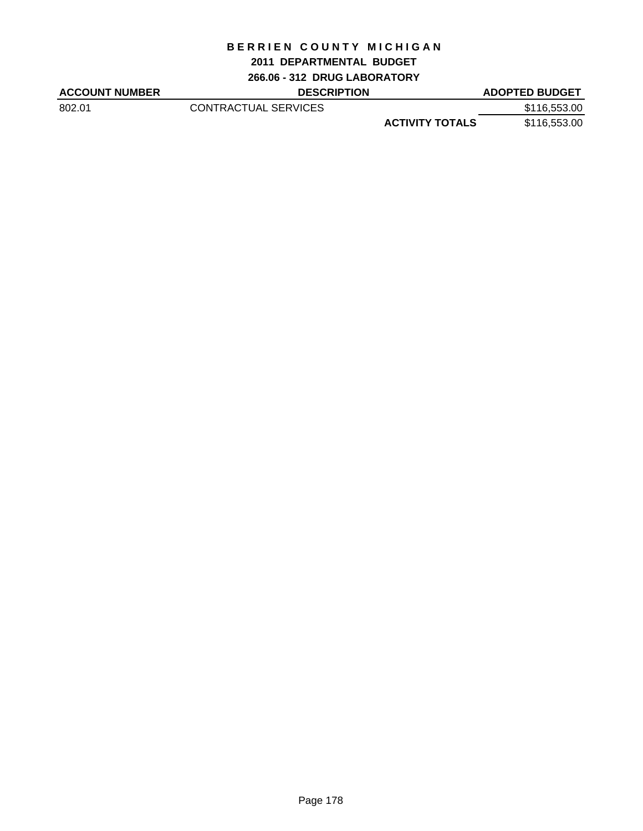### **2011 DEPARTMENTAL BUDGET**

**266.06 - 312 DRUG LABORATORY**

| <b>ACCOUNT NUMBER</b> | <b>DESCRIPTION</b>   |                        | <b>ADOPTED BUDGET</b> |
|-----------------------|----------------------|------------------------|-----------------------|
| 802.01                | CONTRACTUAL SERVICES |                        | \$116,553.00          |
|                       |                      | <b>ACTIVITY TOTALS</b> | \$116,553.00          |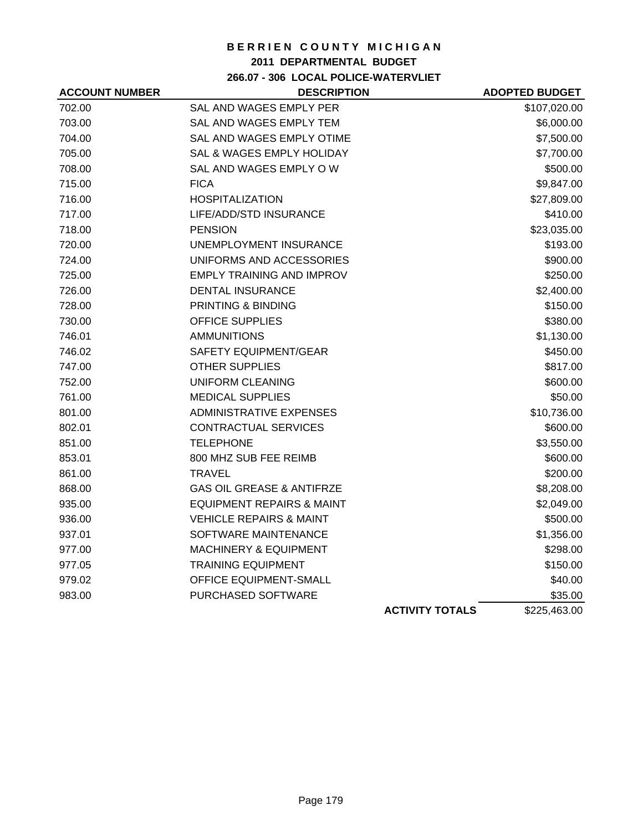### **2011 DEPARTMENTAL BUDGET**

**266.07 - 306 LOCAL POLICE-WATERVLIET**

| <b>ACCOUNT NUMBER</b> | <b>DESCRIPTION</b>                   |                        | <b>ADOPTED BUDGET</b> |
|-----------------------|--------------------------------------|------------------------|-----------------------|
| 702.00                | SAL AND WAGES EMPLY PER              |                        | \$107,020.00          |
| 703.00                | SAL AND WAGES EMPLY TEM              |                        | \$6,000.00            |
| 704.00                | <b>SAL AND WAGES EMPLY OTIME</b>     |                        | \$7,500.00            |
| 705.00                | <b>SAL &amp; WAGES EMPLY HOLIDAY</b> |                        | \$7,700.00            |
| 708.00                | SAL AND WAGES EMPLY OW               |                        | \$500.00              |
| 715.00                | <b>FICA</b>                          |                        | \$9,847.00            |
| 716.00                | <b>HOSPITALIZATION</b>               |                        | \$27,809.00           |
| 717.00                | LIFE/ADD/STD INSURANCE               |                        | \$410.00              |
| 718.00                | <b>PENSION</b>                       |                        | \$23,035.00           |
| 720.00                | UNEMPLOYMENT INSURANCE               |                        | \$193.00              |
| 724.00                | UNIFORMS AND ACCESSORIES             |                        | \$900.00              |
| 725.00                | <b>EMPLY TRAINING AND IMPROV</b>     |                        | \$250.00              |
| 726.00                | <b>DENTAL INSURANCE</b>              |                        | \$2,400.00            |
| 728.00                | PRINTING & BINDING                   |                        | \$150.00              |
| 730.00                | <b>OFFICE SUPPLIES</b>               |                        | \$380.00              |
| 746.01                | <b>AMMUNITIONS</b>                   |                        | \$1,130.00            |
| 746.02                | SAFETY EQUIPMENT/GEAR                |                        | \$450.00              |
| 747.00                | <b>OTHER SUPPLIES</b>                |                        | \$817.00              |
| 752.00                | <b>UNIFORM CLEANING</b>              |                        | \$600.00              |
| 761.00                | <b>MEDICAL SUPPLIES</b>              |                        | \$50.00               |
| 801.00                | <b>ADMINISTRATIVE EXPENSES</b>       |                        | \$10,736.00           |
| 802.01                | <b>CONTRACTUAL SERVICES</b>          |                        | \$600.00              |
| 851.00                | <b>TELEPHONE</b>                     |                        | \$3,550.00            |
| 853.01                | 800 MHZ SUB FEE REIMB                |                        | \$600.00              |
| 861.00                | TRAVEL                               |                        | \$200.00              |
| 868.00                | <b>GAS OIL GREASE &amp; ANTIFRZE</b> |                        | \$8,208.00            |
| 935.00                | <b>EQUIPMENT REPAIRS &amp; MAINT</b> |                        | \$2,049.00            |
| 936.00                | <b>VEHICLE REPAIRS &amp; MAINT</b>   |                        | \$500.00              |
| 937.01                | SOFTWARE MAINTENANCE                 |                        | \$1,356.00            |
| 977.00                | <b>MACHINERY &amp; EQUIPMENT</b>     |                        | \$298.00              |
| 977.05                | <b>TRAINING EQUIPMENT</b>            |                        | \$150.00              |
| 979.02                | <b>OFFICE EQUIPMENT-SMALL</b>        |                        | \$40.00               |
| 983.00                | PURCHASED SOFTWARE                   |                        | \$35.00               |
|                       |                                      | <b>ACTIVITY TOTALS</b> | \$225,463.00          |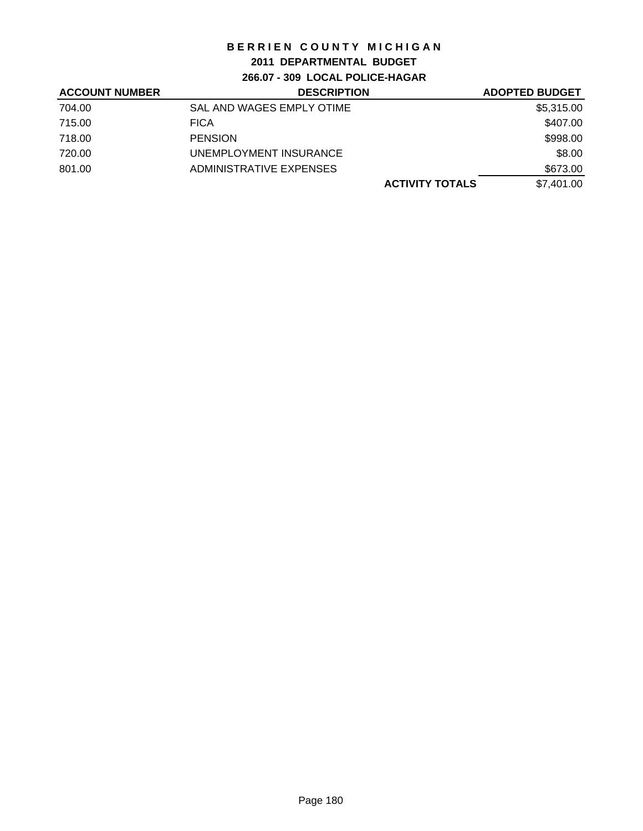## **2011 DEPARTMENTAL BUDGET**

**266.07 - 309 LOCAL POLICE-HAGAR**

| <b>ACCOUNT NUMBER</b> | <b>DESCRIPTION</b>        | <b>ADOPTED BUDGET</b> |
|-----------------------|---------------------------|-----------------------|
| 704.00                | SAL AND WAGES EMPLY OTIME | \$5,315.00            |
| 715.00                | <b>FICA</b>               | \$407.00              |
| 718.00                | <b>PENSION</b>            | \$998.00              |
| 720.00                | UNEMPLOYMENT INSURANCE    | \$8.00                |
| 801.00                | ADMINISTRATIVE EXPENSES   | \$673.00              |
|                       | <b>ACTIVITY TOTALS</b>    | \$7.401.00            |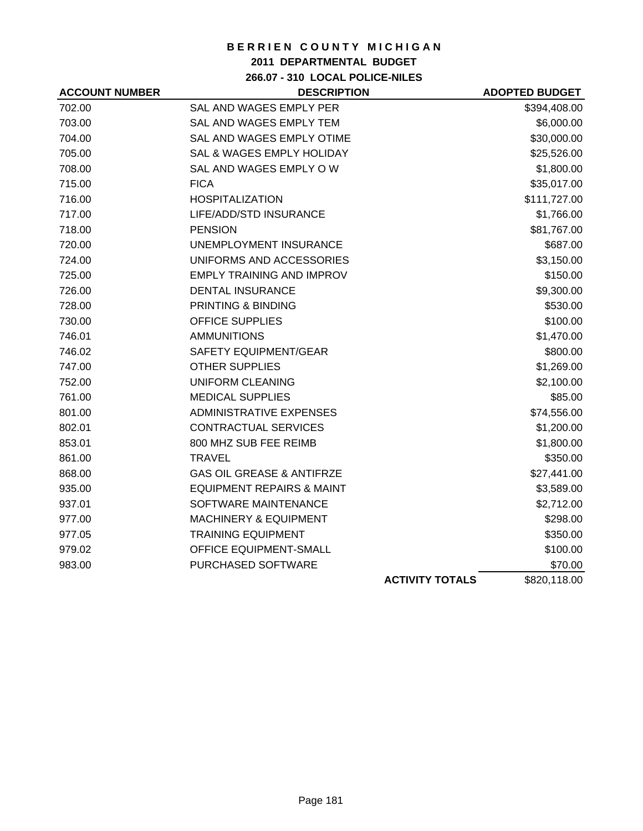## **2011 DEPARTMENTAL BUDGET**

**266.07 - 310 LOCAL POLICE-NILES**

| <b>ACCOUNT NUMBER</b> | <b>DESCRIPTION</b>                   |                        | <b>ADOPTED BUDGET</b> |
|-----------------------|--------------------------------------|------------------------|-----------------------|
| 702.00                | SAL AND WAGES EMPLY PER              |                        | \$394,408.00          |
| 703.00                | SAL AND WAGES EMPLY TEM              |                        | \$6,000.00            |
| 704.00                | SAL AND WAGES EMPLY OTIME            |                        | \$30,000.00           |
| 705.00                | SAL & WAGES EMPLY HOLIDAY            |                        | \$25,526.00           |
| 708.00                | SAL AND WAGES EMPLY OW               |                        | \$1,800.00            |
| 715.00                | <b>FICA</b>                          |                        | \$35,017.00           |
| 716.00                | <b>HOSPITALIZATION</b>               |                        | \$111,727.00          |
| 717.00                | LIFE/ADD/STD INSURANCE               |                        | \$1,766.00            |
| 718.00                | <b>PENSION</b>                       |                        | \$81,767.00           |
| 720.00                | <b>UNEMPLOYMENT INSURANCE</b>        |                        | \$687.00              |
| 724.00                | UNIFORMS AND ACCESSORIES             |                        | \$3,150.00            |
| 725.00                | <b>EMPLY TRAINING AND IMPROV</b>     |                        | \$150.00              |
| 726.00                | <b>DENTAL INSURANCE</b>              |                        | \$9,300.00            |
| 728.00                | PRINTING & BINDING                   |                        | \$530.00              |
| 730.00                | <b>OFFICE SUPPLIES</b>               |                        | \$100.00              |
| 746.01                | <b>AMMUNITIONS</b>                   |                        | \$1,470.00            |
| 746.02                | <b>SAFETY EQUIPMENT/GEAR</b>         |                        | \$800.00              |
| 747.00                | <b>OTHER SUPPLIES</b>                |                        | \$1,269.00            |
| 752.00                | <b>UNIFORM CLEANING</b>              |                        | \$2,100.00            |
| 761.00                | <b>MEDICAL SUPPLIES</b>              |                        | \$85.00               |
| 801.00                | <b>ADMINISTRATIVE EXPENSES</b>       |                        | \$74,556.00           |
| 802.01                | CONTRACTUAL SERVICES                 |                        | \$1,200.00            |
| 853.01                | 800 MHZ SUB FEE REIMB                |                        | \$1,800.00            |
| 861.00                | <b>TRAVEL</b>                        |                        | \$350.00              |
| 868.00                | <b>GAS OIL GREASE &amp; ANTIFRZE</b> |                        | \$27,441.00           |
| 935.00                | <b>EQUIPMENT REPAIRS &amp; MAINT</b> |                        | \$3,589.00            |
| 937.01                | SOFTWARE MAINTENANCE                 |                        | \$2,712.00            |
| 977.00                | <b>MACHINERY &amp; EQUIPMENT</b>     |                        | \$298.00              |
| 977.05                | <b>TRAINING EQUIPMENT</b>            |                        | \$350.00              |
| 979.02                | OFFICE EQUIPMENT-SMALL               |                        | \$100.00              |
| 983.00                | PURCHASED SOFTWARE                   |                        | \$70.00               |
|                       |                                      | <b>ACTIVITY TOTALS</b> | \$820,118.00          |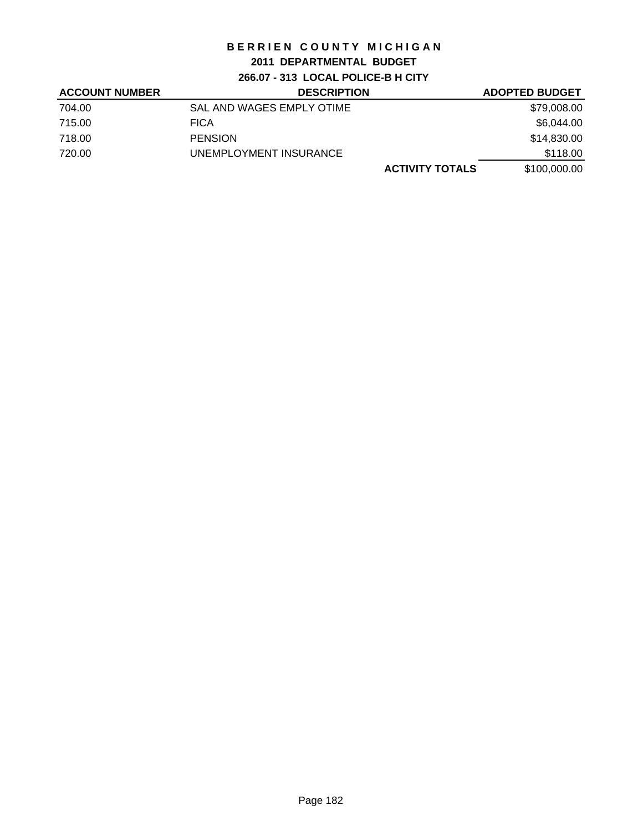## **2011 DEPARTMENTAL BUDGET**

**266.07 - 313 LOCAL POLICE-B H CITY**

| <b>ACCOUNT NUMBER</b> | <b>DESCRIPTION</b>        | <b>ADOPTED BUDGET</b>                  |
|-----------------------|---------------------------|----------------------------------------|
| 704.00                | SAL AND WAGES EMPLY OTIME | \$79,008.00                            |
| 715.00                | <b>FICA</b>               | \$6,044.00                             |
| 718.00                | <b>PENSION</b>            | \$14,830.00                            |
| 720.00                | UNEMPLOYMENT INSURANCE    | \$118.00                               |
|                       |                           | <b>ACTIVITY TOTALS</b><br>\$100,000.00 |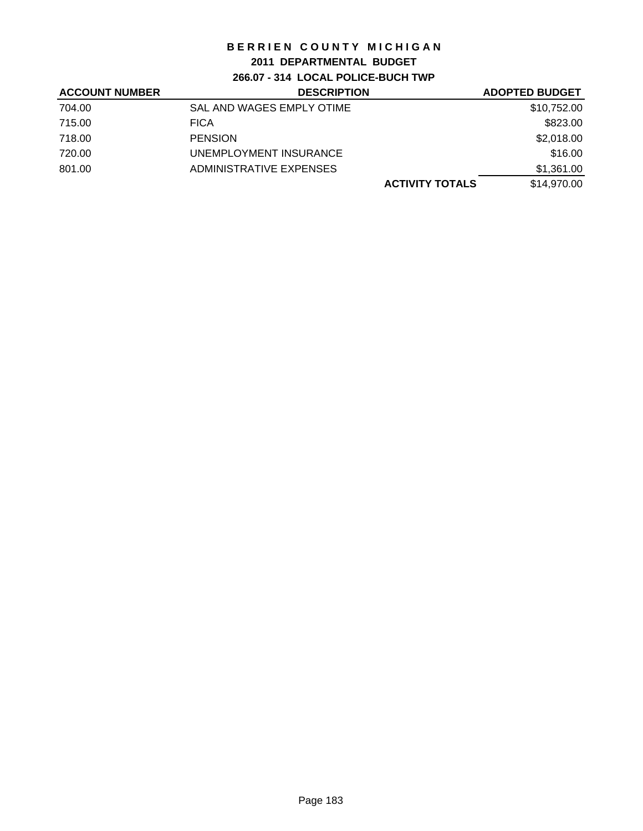## **2011 DEPARTMENTAL BUDGET**

**266.07 - 314 LOCAL POLICE-BUCH TWP**

| <b>ACCOUNT NUMBER</b> | <b>DESCRIPTION</b>        | <b>ADOPTED BUDGET</b> |
|-----------------------|---------------------------|-----------------------|
| 704.00                | SAL AND WAGES EMPLY OTIME | \$10,752.00           |
| 715.00                | <b>FICA</b>               | \$823.00              |
| 718.00                | <b>PENSION</b>            | \$2,018.00            |
| 720.00                | UNEMPLOYMENT INSURANCE    | \$16.00               |
| 801.00                | ADMINISTRATIVE EXPENSES   | \$1,361.00            |
|                       | <b>ACTIVITY TOTALS</b>    | \$14,970.00           |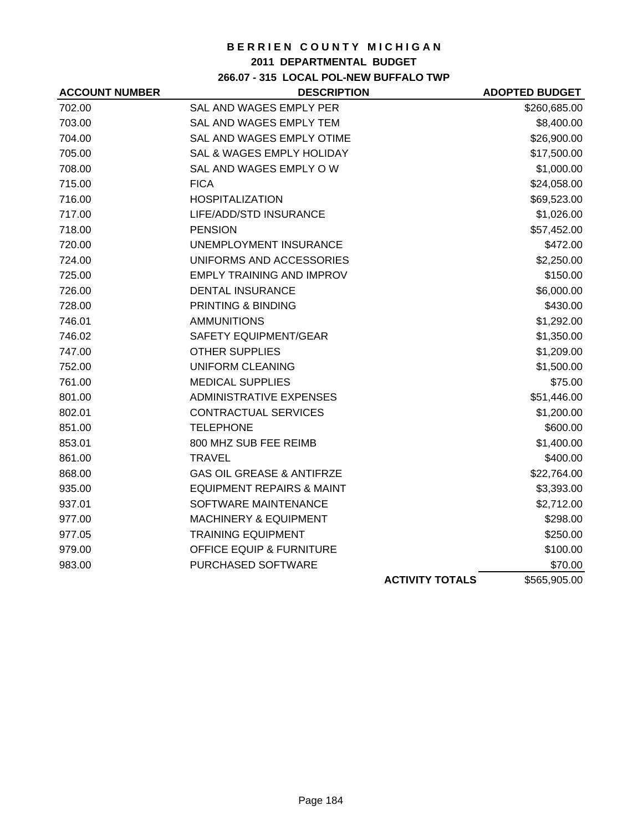## **2011 DEPARTMENTAL BUDGET**

## **266.07 - 315 LOCAL POL-NEW BUFFALO TWP**

| <b>ACCOUNT NUMBER</b> | <b>DESCRIPTION</b>                   |                        | <b>ADOPTED BUDGET</b> |
|-----------------------|--------------------------------------|------------------------|-----------------------|
| 702.00                | SAL AND WAGES EMPLY PER              |                        | \$260,685.00          |
| 703.00                | SAL AND WAGES EMPLY TEM              |                        | \$8,400.00            |
| 704.00                | SAL AND WAGES EMPLY OTIME            |                        | \$26,900.00           |
| 705.00                | SAL & WAGES EMPLY HOLIDAY            |                        | \$17,500.00           |
| 708.00                | SAL AND WAGES EMPLY OW               |                        | \$1,000.00            |
| 715.00                | <b>FICA</b>                          |                        | \$24,058.00           |
| 716.00                | <b>HOSPITALIZATION</b>               |                        | \$69,523.00           |
| 717.00                | LIFE/ADD/STD INSURANCE               |                        | \$1,026.00            |
| 718.00                | <b>PENSION</b>                       |                        | \$57,452.00           |
| 720.00                | <b>UNEMPLOYMENT INSURANCE</b>        |                        | \$472.00              |
| 724.00                | UNIFORMS AND ACCESSORIES             |                        | \$2,250.00            |
| 725.00                | <b>EMPLY TRAINING AND IMPROV</b>     |                        | \$150.00              |
| 726.00                | <b>DENTAL INSURANCE</b>              |                        | \$6,000.00            |
| 728.00                | PRINTING & BINDING                   |                        | \$430.00              |
| 746.01                | <b>AMMUNITIONS</b>                   |                        | \$1,292.00            |
| 746.02                | SAFETY EQUIPMENT/GEAR                |                        | \$1,350.00            |
| 747.00                | <b>OTHER SUPPLIES</b>                |                        | \$1,209.00            |
| 752.00                | UNIFORM CLEANING                     |                        | \$1,500.00            |
| 761.00                | <b>MEDICAL SUPPLIES</b>              |                        | \$75.00               |
| 801.00                | <b>ADMINISTRATIVE EXPENSES</b>       |                        | \$51,446.00           |
| 802.01                | <b>CONTRACTUAL SERVICES</b>          |                        | \$1,200.00            |
| 851.00                | <b>TELEPHONE</b>                     |                        | \$600.00              |
| 853.01                | 800 MHZ SUB FEE REIMB                |                        | \$1,400.00            |
| 861.00                | <b>TRAVEL</b>                        |                        | \$400.00              |
| 868.00                | <b>GAS OIL GREASE &amp; ANTIFRZE</b> |                        | \$22,764.00           |
| 935.00                | <b>EQUIPMENT REPAIRS &amp; MAINT</b> |                        | \$3,393.00            |
| 937.01                | SOFTWARE MAINTENANCE                 |                        | \$2,712.00            |
| 977.00                | <b>MACHINERY &amp; EQUIPMENT</b>     |                        | \$298.00              |
| 977.05                | <b>TRAINING EQUIPMENT</b>            |                        | \$250.00              |
| 979.00                | <b>OFFICE EQUIP &amp; FURNITURE</b>  |                        | \$100.00              |
| 983.00                | PURCHASED SOFTWARE                   |                        | \$70.00               |
|                       |                                      | <b>ACTIVITY TOTALS</b> | \$565,905.00          |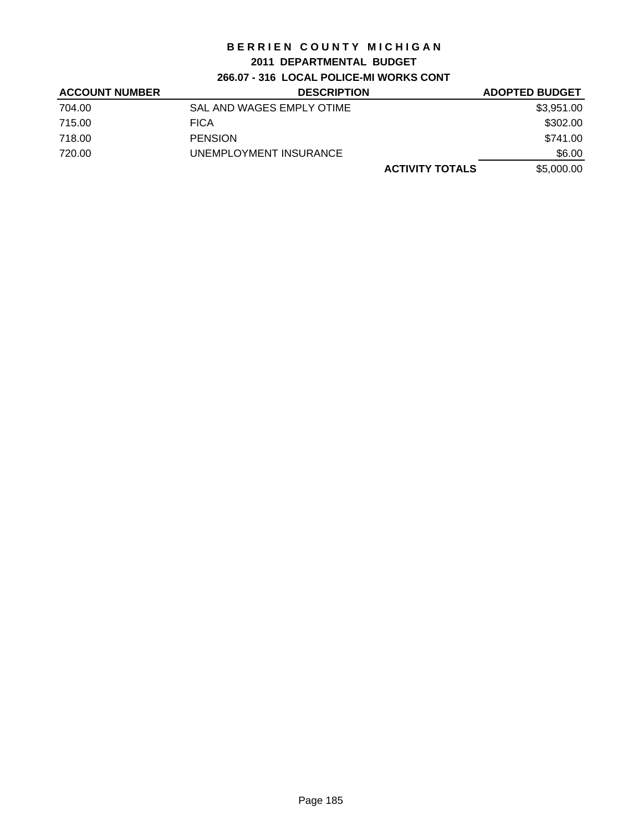### **2011 DEPARTMENTAL BUDGET**

# **266.07 - 316 LOCAL POLICE-MI WORKS CONT**

| <b>ACCOUNT NUMBER</b> | <b>DESCRIPTION</b>        | <b>ADOPTED BUDGET</b> |
|-----------------------|---------------------------|-----------------------|
| 704.00                | SAL AND WAGES EMPLY OTIME | \$3,951.00            |
| 715.00                | <b>FICA</b>               | \$302.00              |
| 718.00                | <b>PENSION</b>            | \$741.00              |
| 720.00                | UNEMPLOYMENT INSURANCE    | \$6.00                |
|                       | <b>ACTIVITY TOTALS</b>    | \$5,000.00            |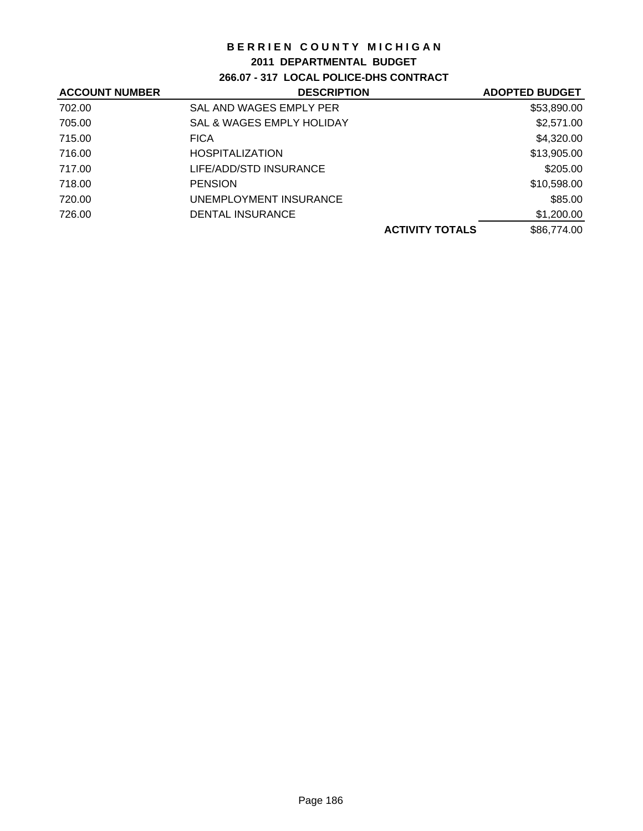### **2011 DEPARTMENTAL BUDGET**

**266.07 - 317 LOCAL POLICE-DHS CONTRACT**

| SAL AND WAGES EMPLY PER<br>\$53,890.00<br>702.00<br>\$2,571.00<br>705.00<br><b>SAL &amp; WAGES EMPLY HOLIDAY</b><br>\$4,320.00<br>715.00<br><b>FICA</b><br>\$13,905.00<br>716.00<br><b>HOSPITALIZATION</b><br>\$205.00<br>717.00<br>LIFE/ADD/STD INSURANCE<br>\$10,598.00<br>718.00<br><b>PENSION</b><br>\$85.00<br>720.00<br>UNEMPLOYMENT INSURANCE<br>\$1,200.00<br>726.00<br>DENTAL INSURANCE<br>\$86,774.00<br><b>ACTIVITY TOTALS</b> | <b>ACCOUNT NUMBER</b> | <b>DESCRIPTION</b> | <b>ADOPTED BUDGET</b> |
|-------------------------------------------------------------------------------------------------------------------------------------------------------------------------------------------------------------------------------------------------------------------------------------------------------------------------------------------------------------------------------------------------------------------------------------------|-----------------------|--------------------|-----------------------|
|                                                                                                                                                                                                                                                                                                                                                                                                                                           |                       |                    |                       |
|                                                                                                                                                                                                                                                                                                                                                                                                                                           |                       |                    |                       |
|                                                                                                                                                                                                                                                                                                                                                                                                                                           |                       |                    |                       |
|                                                                                                                                                                                                                                                                                                                                                                                                                                           |                       |                    |                       |
|                                                                                                                                                                                                                                                                                                                                                                                                                                           |                       |                    |                       |
|                                                                                                                                                                                                                                                                                                                                                                                                                                           |                       |                    |                       |
|                                                                                                                                                                                                                                                                                                                                                                                                                                           |                       |                    |                       |
|                                                                                                                                                                                                                                                                                                                                                                                                                                           |                       |                    |                       |
|                                                                                                                                                                                                                                                                                                                                                                                                                                           |                       |                    |                       |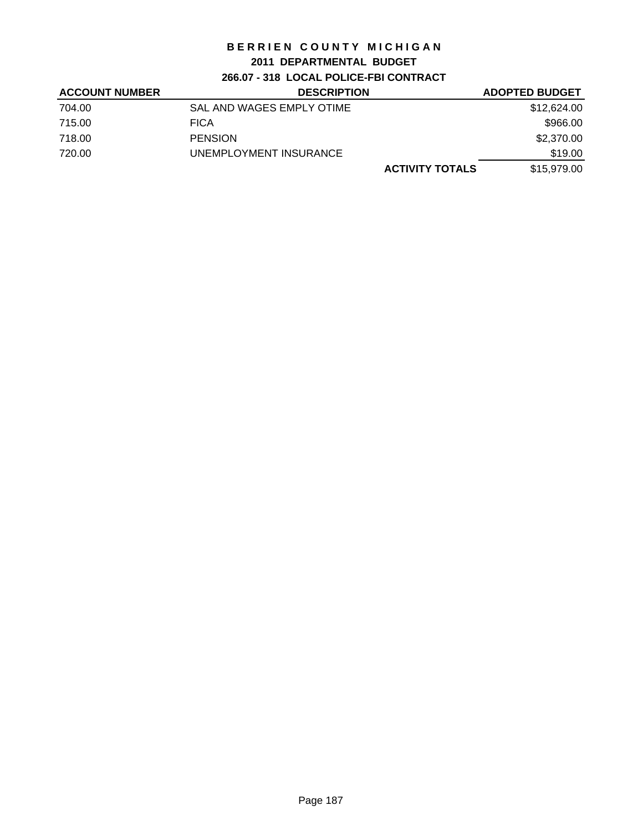## **2011 DEPARTMENTAL BUDGET**

**266.07 - 318 LOCAL POLICE-FBI CONTRACT**

| <b>ACCOUNT NUMBER</b> | <b>DESCRIPTION</b>        |                        | <b>ADOPTED BUDGET</b> |
|-----------------------|---------------------------|------------------------|-----------------------|
| 704.00                | SAL AND WAGES EMPLY OTIME |                        | \$12,624.00           |
| 715.00                | <b>FICA</b>               |                        | \$966.00              |
| 718.00                | <b>PENSION</b>            |                        | \$2,370.00            |
| 720.00                | UNEMPLOYMENT INSURANCE    |                        | \$19.00               |
|                       |                           | <b>ACTIVITY TOTALS</b> | \$15,979.00           |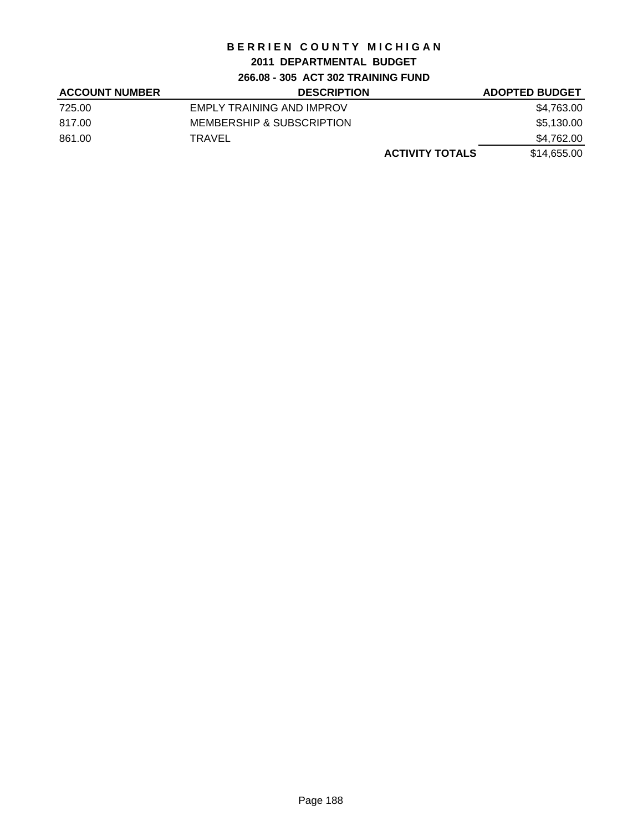## **2011 DEPARTMENTAL BUDGET**

**266.08 - 305 ACT 302 TRAINING FUND**

| <b>ACCOUNT NUMBER</b> | <b>DESCRIPTION</b>        |                        | <b>ADOPTED BUDGET</b> |
|-----------------------|---------------------------|------------------------|-----------------------|
| 725.00                | EMPLY TRAINING AND IMPROV |                        | \$4,763.00            |
| 817.00                | MEMBERSHIP & SUBSCRIPTION |                        | \$5,130.00            |
| 861.00                | TRAVEL                    |                        | \$4,762.00            |
|                       |                           | <b>ACTIVITY TOTALS</b> | \$14,655.00           |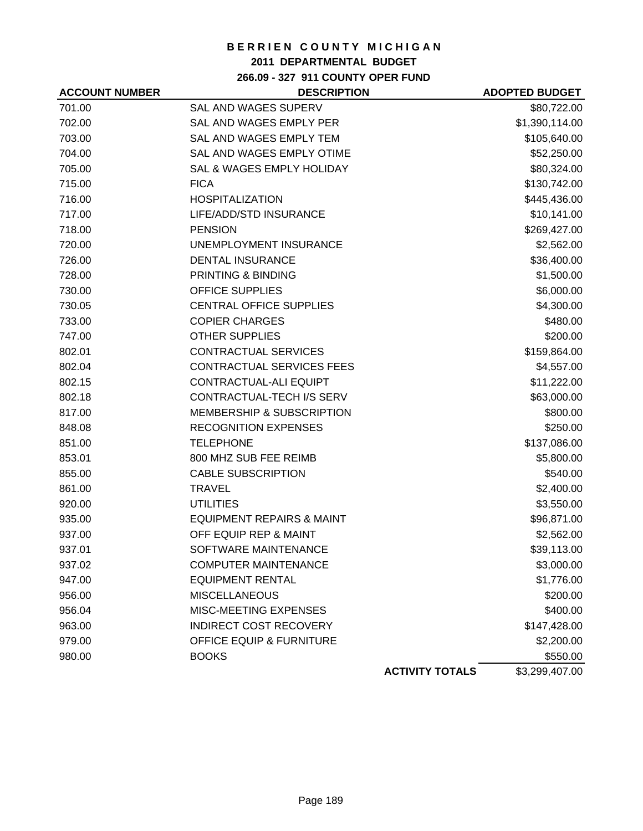## **2011 DEPARTMENTAL BUDGET**

**266.09 - 327 911 COUNTY OPER FUND**

| <b>ACCOUNT NUMBER</b> | <b>DESCRIPTION</b>                   |                        | <b>ADOPTED BUDGET</b> |
|-----------------------|--------------------------------------|------------------------|-----------------------|
| 701.00                | <b>SAL AND WAGES SUPERV</b>          |                        | \$80,722.00           |
| 702.00                | SAL AND WAGES EMPLY PER              |                        | \$1,390,114.00        |
| 703.00                | SAL AND WAGES EMPLY TEM              |                        | \$105,640.00          |
| 704.00                | <b>SAL AND WAGES EMPLY OTIME</b>     |                        | \$52,250.00           |
| 705.00                | <b>SAL &amp; WAGES EMPLY HOLIDAY</b> |                        | \$80,324.00           |
| 715.00                | <b>FICA</b>                          |                        | \$130,742.00          |
| 716.00                | <b>HOSPITALIZATION</b>               |                        | \$445,436.00          |
| 717.00                | LIFE/ADD/STD INSURANCE               |                        | \$10,141.00           |
| 718.00                | <b>PENSION</b>                       |                        | \$269,427.00          |
| 720.00                | UNEMPLOYMENT INSURANCE               |                        | \$2,562.00            |
| 726.00                | <b>DENTAL INSURANCE</b>              |                        | \$36,400.00           |
| 728.00                | <b>PRINTING &amp; BINDING</b>        |                        | \$1,500.00            |
| 730.00                | <b>OFFICE SUPPLIES</b>               |                        | \$6,000.00            |
| 730.05                | CENTRAL OFFICE SUPPLIES              |                        | \$4,300.00            |
| 733.00                | <b>COPIER CHARGES</b>                |                        | \$480.00              |
| 747.00                | <b>OTHER SUPPLIES</b>                |                        | \$200.00              |
| 802.01                | <b>CONTRACTUAL SERVICES</b>          |                        | \$159,864.00          |
| 802.04                | CONTRACTUAL SERVICES FEES            |                        | \$4,557.00            |
| 802.15                | CONTRACTUAL-ALI EQUIPT               |                        | \$11,222.00           |
| 802.18                | CONTRACTUAL-TECH I/S SERV            |                        | \$63,000.00           |
| 817.00                | <b>MEMBERSHIP &amp; SUBSCRIPTION</b> |                        | \$800.00              |
| 848.08                | <b>RECOGNITION EXPENSES</b>          |                        | \$250.00              |
| 851.00                | <b>TELEPHONE</b>                     |                        | \$137,086.00          |
| 853.01                | 800 MHZ SUB FEE REIMB                |                        | \$5,800.00            |
| 855.00                | <b>CABLE SUBSCRIPTION</b>            |                        | \$540.00              |
| 861.00                | <b>TRAVEL</b>                        |                        | \$2,400.00            |
| 920.00                | <b>UTILITIES</b>                     |                        | \$3,550.00            |
| 935.00                | <b>EQUIPMENT REPAIRS &amp; MAINT</b> |                        | \$96,871.00           |
| 937.00                | OFF EQUIP REP & MAINT                |                        | \$2,562.00            |
| 937.01                | SOFTWARE MAINTENANCE                 |                        | \$39,113.00           |
| 937.02                | <b>COMPUTER MAINTENANCE</b>          |                        | \$3,000.00            |
| 947.00                | <b>EQUIPMENT RENTAL</b>              |                        | \$1,776.00            |
| 956.00                | <b>MISCELLANEOUS</b>                 |                        | \$200.00              |
| 956.04                | MISC-MEETING EXPENSES                |                        | \$400.00              |
| 963.00                | <b>INDIRECT COST RECOVERY</b>        |                        | \$147,428.00          |
| 979.00                | <b>OFFICE EQUIP &amp; FURNITURE</b>  |                        | \$2,200.00            |
| 980.00                | <b>BOOKS</b>                         |                        | \$550.00              |
|                       |                                      | <b>ACTIVITY TOTALS</b> | \$3,299,407.00        |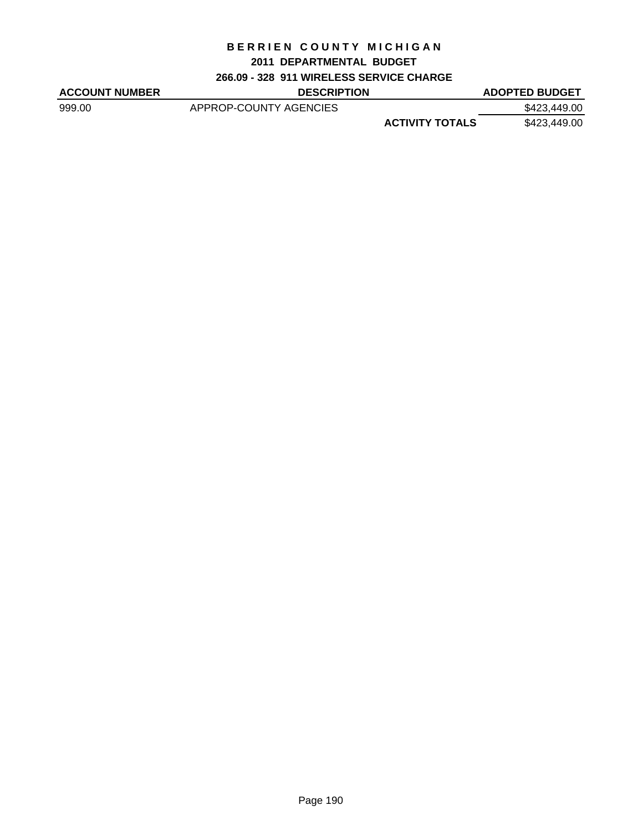### **2011 DEPARTMENTAL BUDGET**

## **266.09 - 328 911 WIRELESS SERVICE CHARGE**

| <b>ACCOUNT NUMBER</b> | <b>DESCRIPTION</b>     |                        | <b>ADOPTED BUDGET</b> |
|-----------------------|------------------------|------------------------|-----------------------|
| 999.00                | APPROP-COUNTY AGENCIES |                        | \$423,449.00          |
|                       |                        | <b>ACTIVITY TOTALS</b> | \$423,449.00          |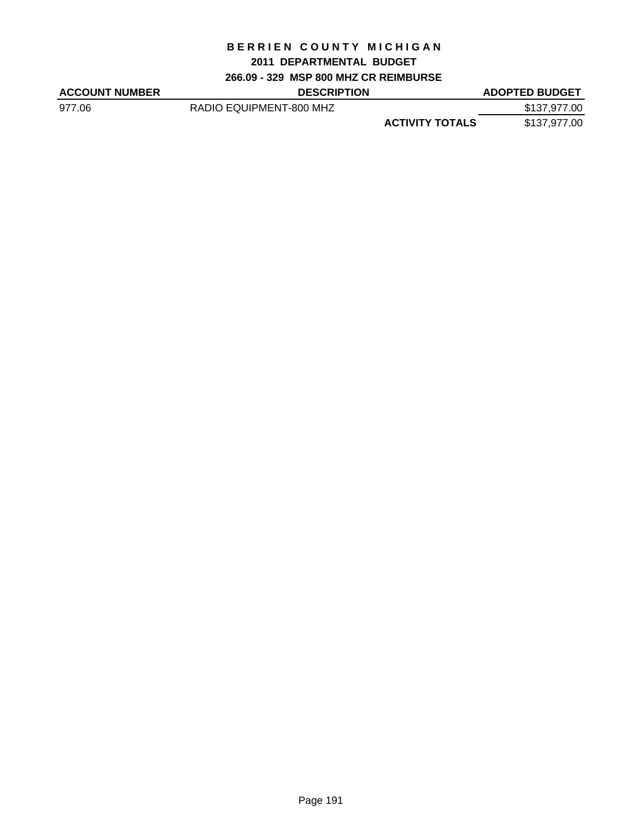### **2011 DEPARTMENTAL BUDGET**

**266.09 - 329 MSP 800 MHZ CR REIMBURSE**

| <b>ACCOUNT NUMBER</b> | <b>DESCRIPTION</b>      | <b>ADOPTED BUDGET</b>                  |
|-----------------------|-------------------------|----------------------------------------|
| 977.06                | RADIO EQUIPMENT-800 MHZ | \$137,977.00                           |
|                       |                         | <b>ACTIVITY TOTALS</b><br>\$137,977.00 |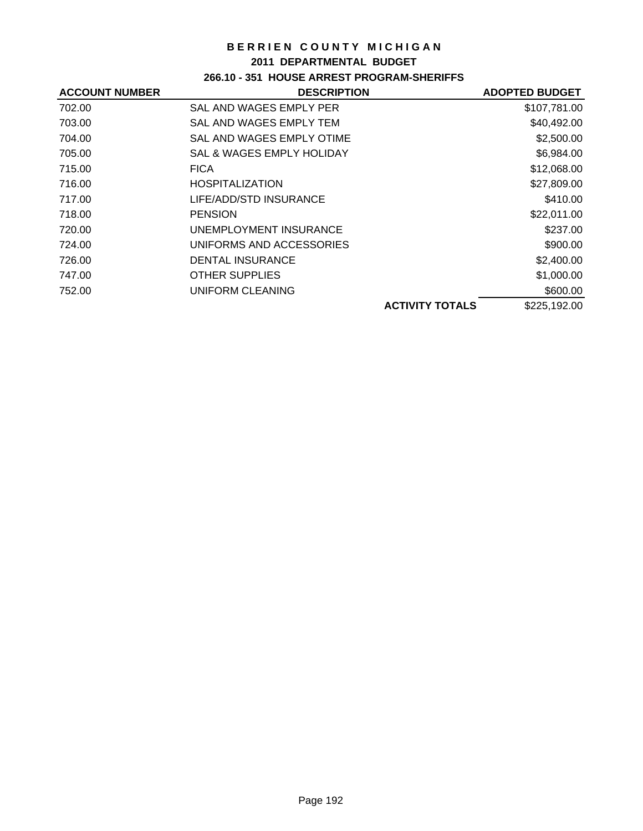### **2011 DEPARTMENTAL BUDGET**

# **266.10 - 351 HOUSE ARREST PROGRAM-SHERIFFS**

| <b>ACCOUNT NUMBER</b> | <b>DESCRIPTION</b>        | <b>ADOPTED BUDGET</b> |
|-----------------------|---------------------------|-----------------------|
| 702.00                | SAL AND WAGES EMPLY PER   | \$107,781.00          |
| 703.00                | SAL AND WAGES EMPLY TEM   | \$40,492.00           |
| 704.00                | SAL AND WAGES EMPLY OTIME | \$2,500.00            |
| 705.00                | SAL & WAGES EMPLY HOLIDAY | \$6,984.00            |
| 715.00                | <b>FICA</b>               | \$12,068.00           |
| 716.00                | <b>HOSPITALIZATION</b>    | \$27,809.00           |
| 717.00                | LIFE/ADD/STD INSURANCE    | \$410.00              |
| 718.00                | <b>PENSION</b>            | \$22,011.00           |
| 720.00                | UNEMPLOYMENT INSURANCE    | \$237.00              |
| 724.00                | UNIFORMS AND ACCESSORIES  | \$900.00              |
| 726.00                | <b>DENTAL INSURANCE</b>   | \$2,400.00            |
| 747.00                | <b>OTHER SUPPLIES</b>     | \$1,000.00            |
| 752.00                | UNIFORM CLEANING          | \$600.00              |
|                       | <b>ACTIVITY TOTALS</b>    | \$225,192.00          |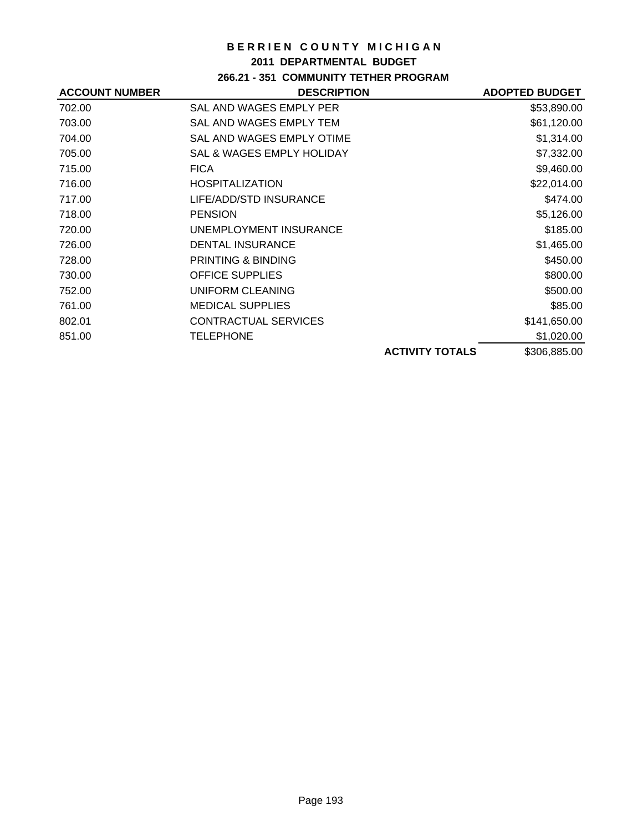### **2011 DEPARTMENTAL BUDGET**

## **266.21 - 351 COMMUNITY TETHER PROGRAM**

| <b>ACCOUNT NUMBER</b> | <b>DESCRIPTION</b>                   |                        | <b>ADOPTED BUDGET</b> |
|-----------------------|--------------------------------------|------------------------|-----------------------|
| 702.00                | SAL AND WAGES EMPLY PER              |                        | \$53,890.00           |
| 703.00                | SAL AND WAGES EMPLY TEM              |                        | \$61,120.00           |
| 704.00                | SAL AND WAGES EMPLY OTIME            |                        | \$1,314.00            |
| 705.00                | <b>SAL &amp; WAGES EMPLY HOLIDAY</b> |                        | \$7,332.00            |
| 715.00                | <b>FICA</b>                          |                        | \$9,460.00            |
| 716.00                | <b>HOSPITALIZATION</b>               |                        | \$22,014.00           |
| 717.00                | LIFE/ADD/STD INSURANCE               |                        | \$474.00              |
| 718.00                | <b>PENSION</b>                       |                        | \$5,126.00            |
| 720.00                | UNEMPLOYMENT INSURANCE               |                        | \$185.00              |
| 726.00                | <b>DENTAL INSURANCE</b>              |                        | \$1,465.00            |
| 728.00                | PRINTING & BINDING                   |                        | \$450.00              |
| 730.00                | <b>OFFICE SUPPLIES</b>               |                        | \$800.00              |
| 752.00                | UNIFORM CLEANING                     |                        | \$500.00              |
| 761.00                | <b>MEDICAL SUPPLIES</b>              |                        | \$85.00               |
| 802.01                | CONTRACTUAL SERVICES                 |                        | \$141,650.00          |
| 851.00                | TELEPHONE                            |                        | \$1,020.00            |
|                       |                                      | <b>ACTIVITY TOTALS</b> | \$306,885.00          |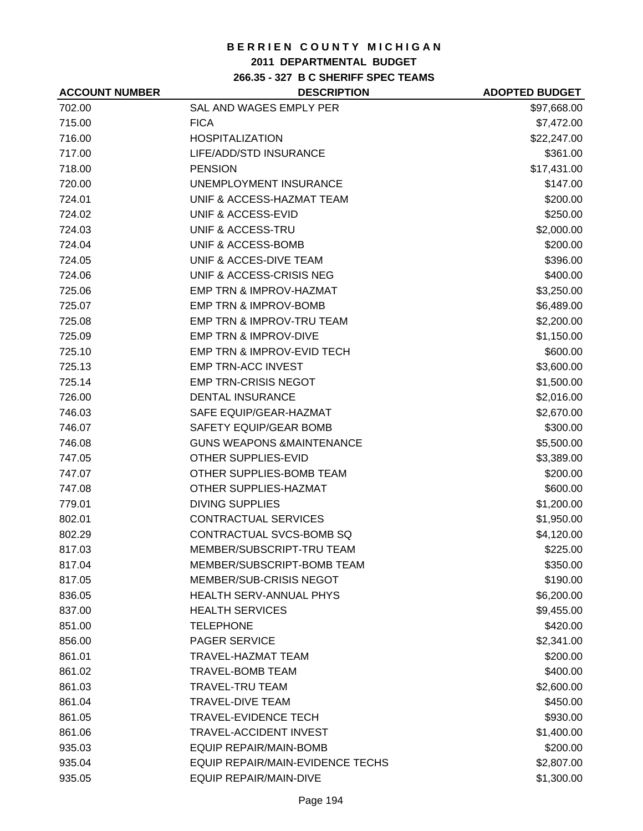### **2011 DEPARTMENTAL BUDGET**

**266.35 - 327 B C SHERIFF SPEC TEAMS**

| <b>ACCOUNT NUMBER</b> | <b>DESCRIPTION</b>                    | <b>ADOPTED BUDGET</b> |
|-----------------------|---------------------------------------|-----------------------|
| 702.00                | SAL AND WAGES EMPLY PER               | \$97,668.00           |
| 715.00                | <b>FICA</b>                           | \$7,472.00            |
| 716.00                | <b>HOSPITALIZATION</b>                | \$22,247.00           |
| 717.00                | LIFE/ADD/STD INSURANCE                | \$361.00              |
| 718.00                | <b>PENSION</b>                        | \$17,431.00           |
| 720.00                | UNEMPLOYMENT INSURANCE                | \$147.00              |
| 724.01                | UNIF & ACCESS-HAZMAT TEAM             | \$200.00              |
| 724.02                | UNIF & ACCESS-EVID                    | \$250.00              |
| 724.03                | UNIF & ACCESS-TRU                     | \$2,000.00            |
| 724.04                | UNIF & ACCESS-BOMB                    | \$200.00              |
| 724.05                | UNIF & ACCES-DIVE TEAM                | \$396.00              |
| 724.06                | UNIF & ACCESS-CRISIS NEG              | \$400.00              |
| 725.06                | EMP TRN & IMPROV-HAZMAT               | \$3,250.00            |
| 725.07                | <b>EMP TRN &amp; IMPROV-BOMB</b>      | \$6,489.00            |
| 725.08                | EMP TRN & IMPROV-TRU TEAM             | \$2,200.00            |
| 725.09                | <b>EMP TRN &amp; IMPROV-DIVE</b>      | \$1,150.00            |
| 725.10                | <b>EMP TRN &amp; IMPROV-EVID TECH</b> | \$600.00              |
| 725.13                | <b>EMP TRN-ACC INVEST</b>             | \$3,600.00            |
| 725.14                | <b>EMP TRN-CRISIS NEGOT</b>           | \$1,500.00            |
| 726.00                | <b>DENTAL INSURANCE</b>               | \$2,016.00            |
| 746.03                | SAFE EQUIP/GEAR-HAZMAT                | \$2,670.00            |
| 746.07                | SAFETY EQUIP/GEAR BOMB                | \$300.00              |
| 746.08                | <b>GUNS WEAPONS &amp;MAINTENANCE</b>  | \$5,500.00            |
| 747.05                | <b>OTHER SUPPLIES-EVID</b>            | \$3,389.00            |
| 747.07                | OTHER SUPPLIES-BOMB TEAM              | \$200.00              |
| 747.08                | OTHER SUPPLIES-HAZMAT                 | \$600.00              |
| 779.01                | <b>DIVING SUPPLIES</b>                | \$1,200.00            |
| 802.01                | <b>CONTRACTUAL SERVICES</b>           | \$1,950.00            |
| 802.29                | CONTRACTUAL SVCS-BOMB SQ              | \$4,120.00            |
| 817.03                | MEMBER/SUBSCRIPT-TRU TEAM             | \$225.00              |
| 817.04                | MEMBER/SUBSCRIPT-BOMB TEAM            | \$350.00              |
| 817.05                | <b>MEMBER/SUB-CRISIS NEGOT</b>        | \$190.00              |
| 836.05                | <b>HEALTH SERV-ANNUAL PHYS</b>        | \$6,200.00            |
| 837.00                | <b>HEALTH SERVICES</b>                | \$9,455.00            |
| 851.00                | <b>TELEPHONE</b>                      | \$420.00              |
| 856.00                | <b>PAGER SERVICE</b>                  | \$2,341.00            |
| 861.01                | <b>TRAVEL-HAZMAT TEAM</b>             | \$200.00              |
| 861.02                | <b>TRAVEL-BOMB TEAM</b>               | \$400.00              |
| 861.03                | <b>TRAVEL-TRU TEAM</b>                | \$2,600.00            |
| 861.04                | <b>TRAVEL-DIVE TEAM</b>               | \$450.00              |
| 861.05                | <b>TRAVEL-EVIDENCE TECH</b>           | \$930.00              |
| 861.06                | TRAVEL-ACCIDENT INVEST                | \$1,400.00            |
| 935.03                | <b>EQUIP REPAIR/MAIN-BOMB</b>         | \$200.00              |
| 935.04                | EQUIP REPAIR/MAIN-EVIDENCE TECHS      | \$2,807.00            |
| 935.05                | <b>EQUIP REPAIR/MAIN-DIVE</b>         | \$1,300.00            |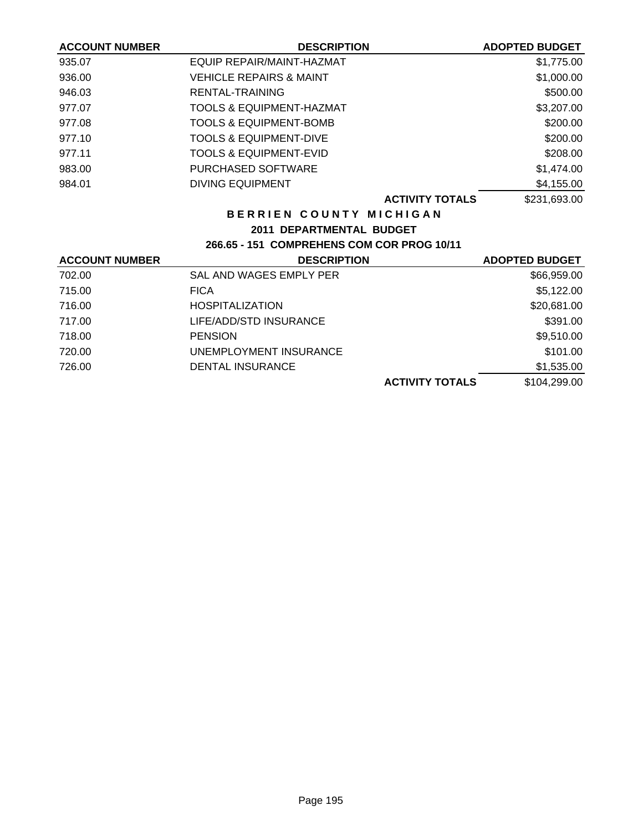| <b>DESCRIPTION</b>                         | <b>ADOPTED BUDGET</b> |
|--------------------------------------------|-----------------------|
| EQUIP REPAIR/MAINT-HAZMAT                  | \$1,775.00            |
| <b>VEHICLE REPAIRS &amp; MAINT</b>         | \$1,000.00            |
| RENTAL-TRAINING                            | \$500.00              |
| <b>TOOLS &amp; EQUIPMENT-HAZMAT</b>        | \$3,207.00            |
| <b>TOOLS &amp; EQUIPMENT-BOMB</b>          | \$200.00              |
| <b>TOOLS &amp; EQUIPMENT-DIVE</b>          | \$200.00              |
| <b>TOOLS &amp; EQUIPMENT-EVID</b>          | \$208.00              |
| <b>PURCHASED SOFTWARE</b>                  | \$1,474.00            |
| <b>DIVING EQUIPMENT</b>                    | \$4,155.00            |
| <b>ACTIVITY TOTALS</b>                     | \$231,693.00          |
| BERRIEN COUNTY MICHIGAN                    |                       |
| 2011 DEPARTMENTAL BUDGET                   |                       |
| 266.65 - 151 COMPREHENS COM COR PROG 10/11 |                       |
| <b>DESCRIPTION</b>                         | <b>ADOPTED BUDGET</b> |
| SAL AND WAGES EMPLY PER                    | \$66,959.00           |
| <b>FICA</b>                                | \$5,122.00            |
| <b>HOSPITALIZATION</b>                     | \$20,681.00           |
| LIFE/ADD/STD INSURANCE                     | \$391.00              |
| <b>PENSION</b>                             | \$9,510.00            |
| UNEMPLOYMENT INSURANCE                     | \$101.00              |
| <b>DENTAL INSURANCE</b>                    | \$1,535.00            |
| <b>ACTIVITY TOTALS</b>                     | \$104,299.00          |
|                                            |                       |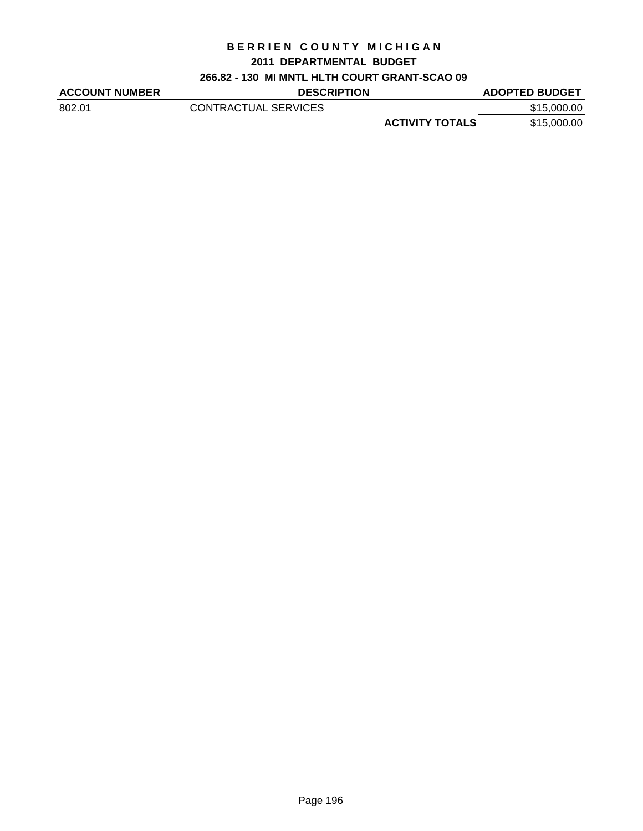#### **2011 DEPARTMENTAL BUDGET**

## **266.82 - 130 MI MNTL HLTH COURT GRANT-SCAO 09**

| <b>ACCOUNT NUMBER</b> | <b>DESCRIPTION</b>   |                        | <b>ADOPTED BUDGET</b> |
|-----------------------|----------------------|------------------------|-----------------------|
| 802.01                | CONTRACTUAL SERVICES |                        | \$15,000.00           |
|                       |                      | <b>ACTIVITY TOTALS</b> | \$15,000.00           |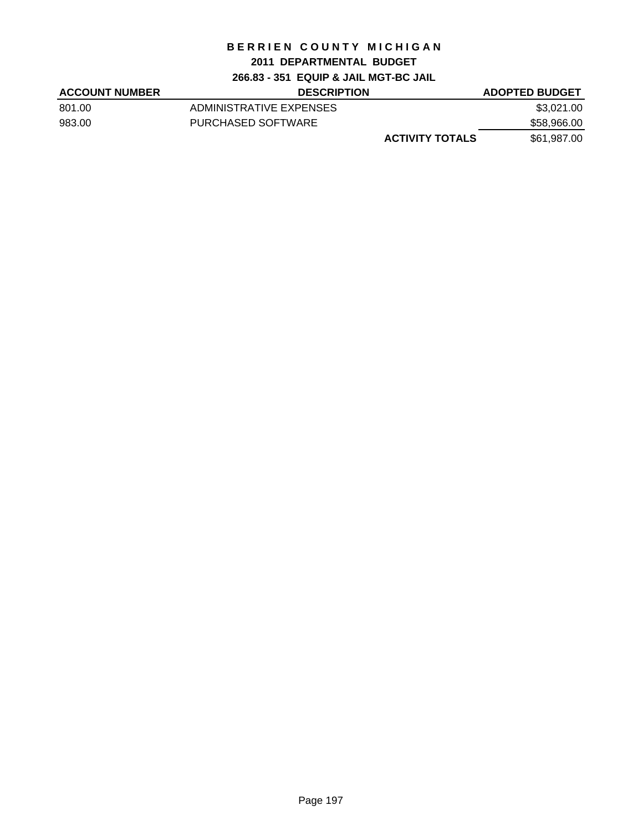## **2011 DEPARTMENTAL BUDGET**

**266.83 - 351 EQUIP & JAIL MGT-BC JAIL**

| <b>ACCOUNT NUMBER</b> | <b>DESCRIPTION</b>      | <b>ADOPTED BUDGET</b> |
|-----------------------|-------------------------|-----------------------|
| 801.00                | ADMINISTRATIVE EXPENSES | \$3,021.00            |
| 983.00                | PURCHASED SOFTWARE      | \$58,966.00           |
|                       | <b>ACTIVITY TOTALS</b>  | \$61,987.00           |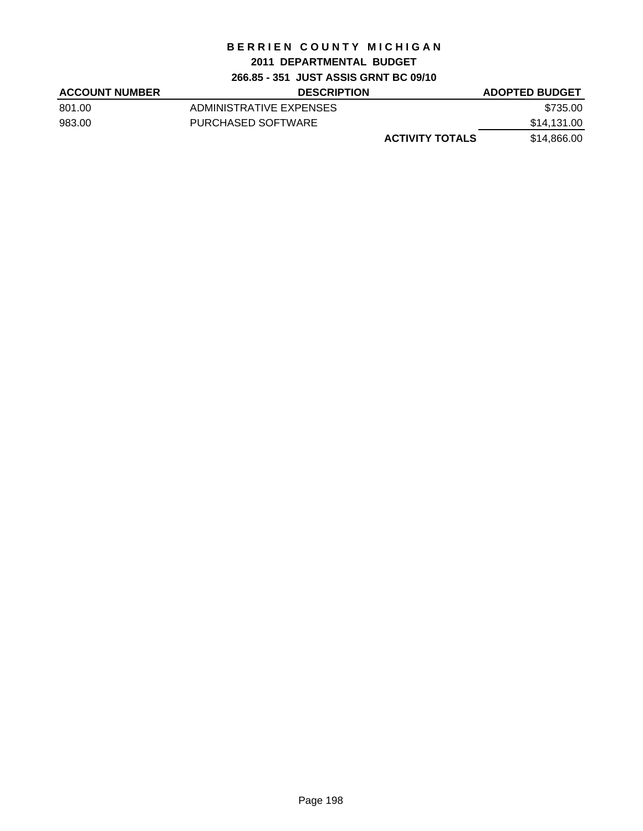## **2011 DEPARTMENTAL BUDGET**

**266.85 - 351 JUST ASSIS GRNT BC 09/10**

| <b>ACCOUNT NUMBER</b> | <b>DESCRIPTION</b>      | <b>ADOPTED BUDGET</b> |
|-----------------------|-------------------------|-----------------------|
| 801.00                | ADMINISTRATIVE EXPENSES | \$735.00              |
| 983.00                | PURCHASED SOFTWARE      | \$14,131.00           |
|                       | <b>ACTIVITY TOTALS</b>  | \$14,866.00           |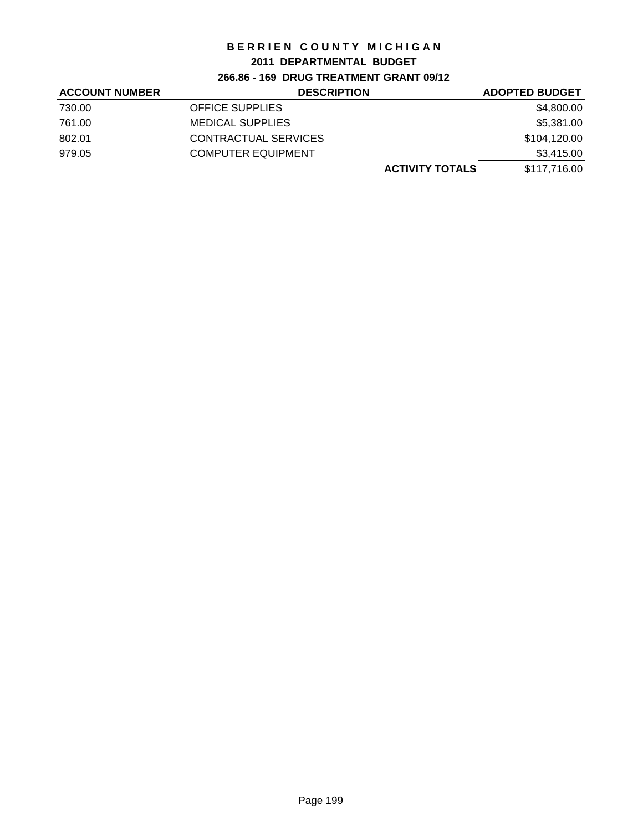### **2011 DEPARTMENTAL BUDGET**

## **266.86 - 169 DRUG TREATMENT GRANT 09/12**

| <b>ACCOUNT NUMBER</b> | <b>DESCRIPTION</b>        | <b>ADOPTED BUDGET</b> |
|-----------------------|---------------------------|-----------------------|
| 730.00                | <b>OFFICE SUPPLIES</b>    | \$4,800.00            |
| 761.00                | <b>MEDICAL SUPPLIES</b>   | \$5,381.00            |
| 802.01                | CONTRACTUAL SERVICES      | \$104,120.00          |
| 979.05                | <b>COMPUTER EQUIPMENT</b> | \$3,415.00            |
|                       | <b>ACTIVITY TOTALS</b>    | \$117,716.00          |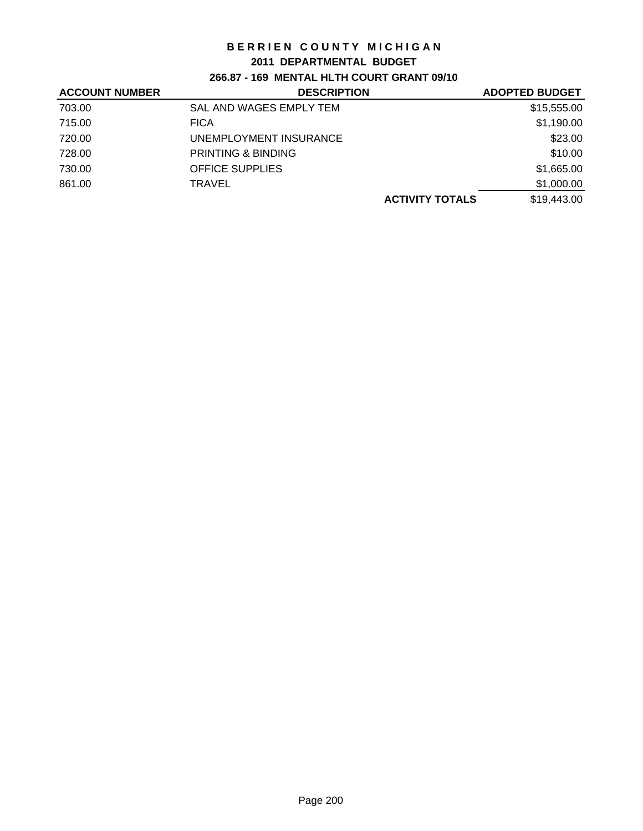#### **2011 DEPARTMENTAL BUDGET**

**266.87 - 169 MENTAL HLTH COURT GRANT 09/10**

| <b>ACCOUNT NUMBER</b> | <b>DESCRIPTION</b>      | <b>ADOPTED BUDGET</b> |
|-----------------------|-------------------------|-----------------------|
| 703.00                | SAL AND WAGES EMPLY TEM | \$15,555.00           |
| 715.00                | <b>FICA</b>             | \$1,190.00            |
| 720.00                | UNEMPLOYMENT INSURANCE  | \$23.00               |
| 728.00                | PRINTING & BINDING      | \$10.00               |
| 730.00                | <b>OFFICE SUPPLIES</b>  | \$1,665.00            |
| 861.00                | <b>TRAVEL</b>           | \$1,000.00            |
|                       | <b>ACTIVITY TOTALS</b>  | \$19,443.00           |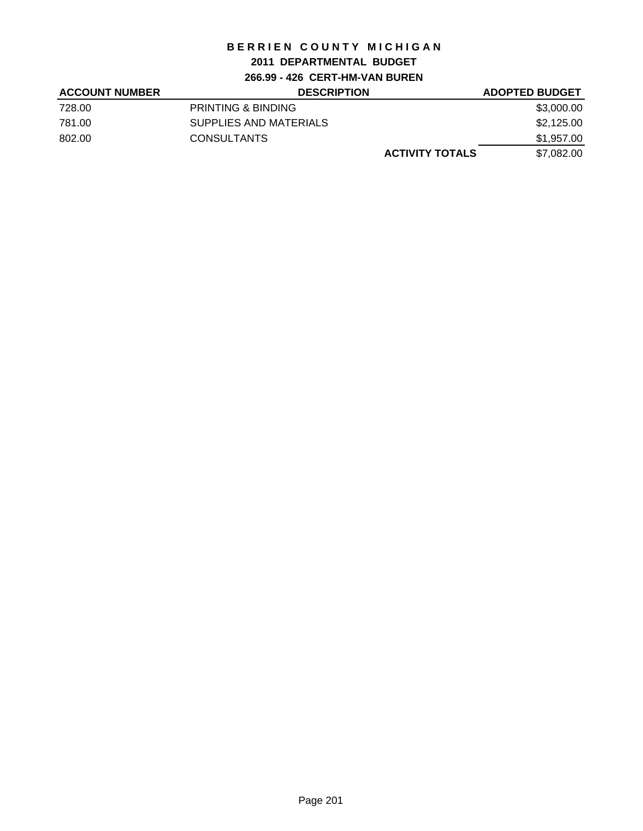## **2011 DEPARTMENTAL BUDGET**

**266.99 - 426 CERT-HM-VAN BUREN**

| <b>ACCOUNT NUMBER</b> | <b>DESCRIPTION</b>            | <b>ADOPTED BUDGET</b> |
|-----------------------|-------------------------------|-----------------------|
| 728.00                | <b>PRINTING &amp; BINDING</b> | \$3,000.00            |
| 781.00                | SUPPLIES AND MATERIALS        | \$2,125.00            |
| 802.00                | <b>CONSULTANTS</b>            | \$1,957.00            |
|                       | <b>ACTIVITY TOTALS</b>        | \$7,082.00            |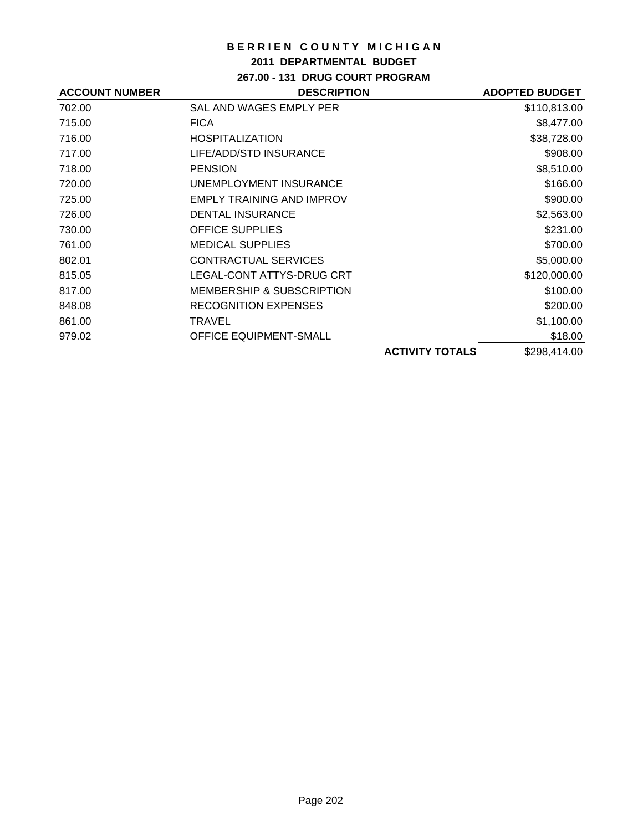### **2011 DEPARTMENTAL BUDGET**

**267.00 - 131 DRUG COURT PROGRAM**

| <b>ACCOUNT NUMBER</b> | <b>DESCRIPTION</b>                   |                        | <b>ADOPTED BUDGET</b> |
|-----------------------|--------------------------------------|------------------------|-----------------------|
| 702.00                | SAL AND WAGES EMPLY PER              |                        | \$110,813.00          |
| 715.00                | <b>FICA</b>                          |                        | \$8,477.00            |
| 716.00                | <b>HOSPITALIZATION</b>               |                        | \$38,728.00           |
| 717.00                | LIFE/ADD/STD INSURANCE               |                        | \$908.00              |
| 718.00                | <b>PENSION</b>                       |                        | \$8,510.00            |
| 720.00                | UNEMPLOYMENT INSURANCE               |                        | \$166.00              |
| 725.00                | <b>EMPLY TRAINING AND IMPROV</b>     |                        | \$900.00              |
| 726.00                | <b>DENTAL INSURANCE</b>              |                        | \$2,563.00            |
| 730.00                | <b>OFFICE SUPPLIES</b>               |                        | \$231.00              |
| 761.00                | <b>MEDICAL SUPPLIES</b>              |                        | \$700.00              |
| 802.01                | <b>CONTRACTUAL SERVICES</b>          |                        | \$5,000.00            |
| 815.05                | LEGAL-CONT ATTYS-DRUG CRT            |                        | \$120,000.00          |
| 817.00                | <b>MEMBERSHIP &amp; SUBSCRIPTION</b> |                        | \$100.00              |
| 848.08                | <b>RECOGNITION EXPENSES</b>          |                        | \$200.00              |
| 861.00                | TRAVEL                               |                        | \$1,100.00            |
| 979.02                | <b>OFFICE EQUIPMENT-SMALL</b>        |                        | \$18.00               |
|                       |                                      | <b>ACTIVITY TOTALS</b> | \$298,414.00          |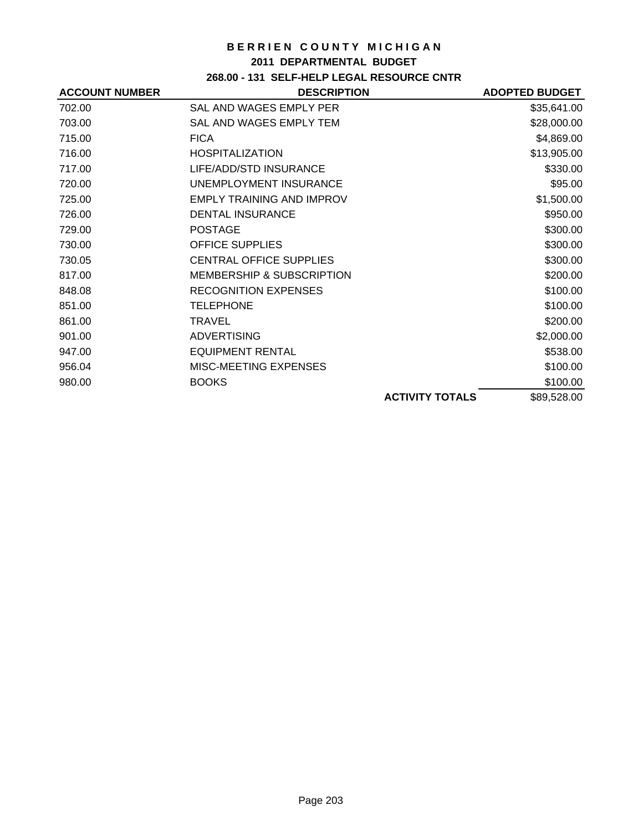### **2011 DEPARTMENTAL BUDGET**

# **268.00 - 131 SELF-HELP LEGAL RESOURCE CNTR**

| <b>ACCOUNT NUMBER</b> | <b>DESCRIPTION</b>                   |                        | <b>ADOPTED BUDGET</b> |
|-----------------------|--------------------------------------|------------------------|-----------------------|
| 702.00                | SAL AND WAGES EMPLY PER              |                        | \$35,641.00           |
| 703.00                | SAL AND WAGES EMPLY TEM              |                        | \$28,000.00           |
| 715.00                | <b>FICA</b>                          |                        | \$4,869.00            |
| 716.00                | <b>HOSPITALIZATION</b>               |                        | \$13,905.00           |
| 717.00                | LIFE/ADD/STD INSURANCE               |                        | \$330.00              |
| 720.00                | UNEMPLOYMENT INSURANCE               |                        | \$95.00               |
| 725.00                | <b>EMPLY TRAINING AND IMPROV</b>     |                        | \$1,500.00            |
| 726.00                | <b>DENTAL INSURANCE</b>              |                        | \$950.00              |
| 729.00                | <b>POSTAGE</b>                       |                        | \$300.00              |
| 730.00                | <b>OFFICE SUPPLIES</b>               |                        | \$300.00              |
| 730.05                | <b>CENTRAL OFFICE SUPPLIES</b>       |                        | \$300.00              |
| 817.00                | <b>MEMBERSHIP &amp; SUBSCRIPTION</b> |                        | \$200.00              |
| 848.08                | <b>RECOGNITION EXPENSES</b>          |                        | \$100.00              |
| 851.00                | <b>TELEPHONE</b>                     |                        | \$100.00              |
| 861.00                | TRAVEL                               |                        | \$200.00              |
| 901.00                | <b>ADVERTISING</b>                   |                        | \$2,000.00            |
| 947.00                | <b>EQUIPMENT RENTAL</b>              |                        | \$538.00              |
| 956.04                | MISC-MEETING EXPENSES                |                        | \$100.00              |
| 980.00                | <b>BOOKS</b>                         |                        | \$100.00              |
|                       |                                      | <b>ACTIVITY TOTALS</b> | \$89,528.00           |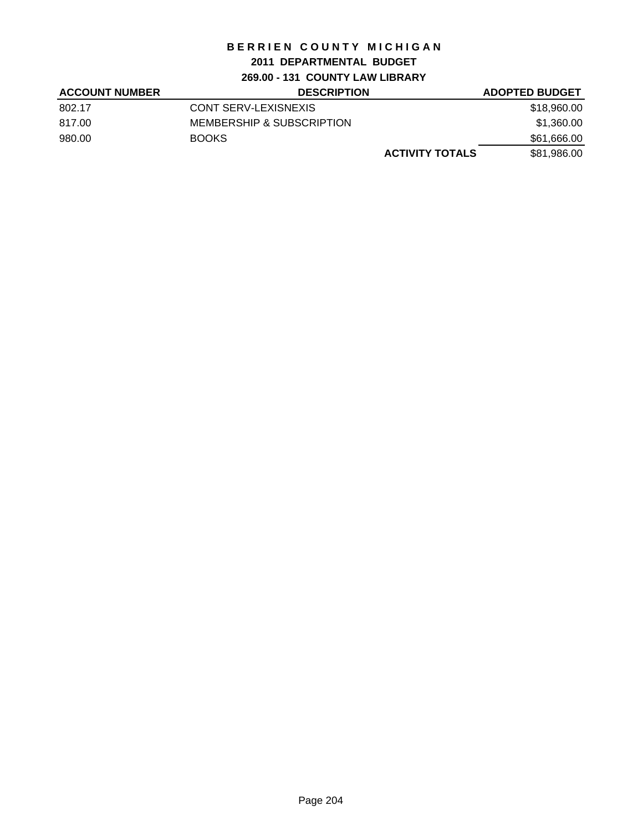## **2011 DEPARTMENTAL BUDGET**

**269.00 - 131 COUNTY LAW LIBRARY**

| <b>ACCOUNT NUMBER</b> | <b>DESCRIPTION</b>        | <b>ADOPTED BUDGET</b> |
|-----------------------|---------------------------|-----------------------|
| 802.17                | CONT SERV-LEXISNEXIS      | \$18,960.00           |
| 817.00                | MEMBERSHIP & SUBSCRIPTION | \$1,360.00            |
| 980.00                | BOOKS                     | \$61,666.00           |
|                       | <b>ACTIVITY TOTALS</b>    | \$81,986.00           |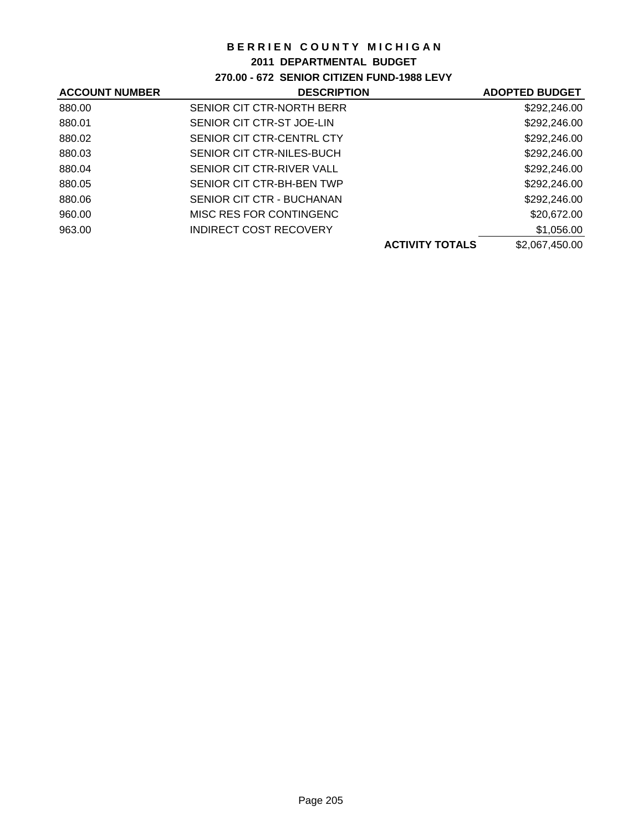### **2011 DEPARTMENTAL BUDGET**

## **270.00 - 672 SENIOR CITIZEN FUND-1988 LEVY**

| <b>ACCOUNT NUMBER</b> | <b>DESCRIPTION</b>            | <b>ADOPTED BUDGET</b> |
|-----------------------|-------------------------------|-----------------------|
| 880.00                | SENIOR CIT CTR-NORTH BERR     | \$292,246.00          |
| 880.01                | SENIOR CIT CTR-ST JOE-LIN     | \$292,246.00          |
| 880.02                | SENIOR CIT CTR-CENTRL CTY     | \$292,246.00          |
| 880.03                | SENIOR CIT CTR-NILES-BUCH     | \$292,246.00          |
| 880.04                | SENIOR CIT CTR-RIVER VALL     | \$292,246.00          |
| 880.05                | SENIOR CIT CTR-BH-BEN TWP     | \$292,246.00          |
| 880.06                | SENIOR CIT CTR - BUCHANAN     | \$292,246.00          |
| 960.00                | MISC RES FOR CONTINGENC       | \$20,672.00           |
| 963.00                | <b>INDIRECT COST RECOVERY</b> | \$1,056.00            |
|                       | <b>ACTIVITY TOTALS</b>        | \$2,067,450.00        |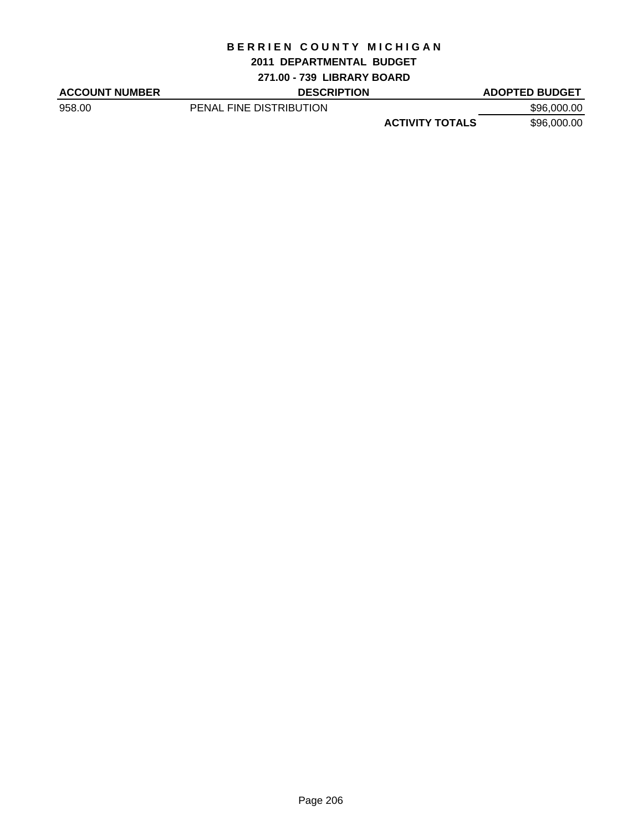#### **2011 DEPARTMENTAL BUDGET**

**271.00 - 739 LIBRARY BOARD**

ACCOUNT NUMBER DESCRIPTION DESCRIPTION ADOPTED BUDGET

958.00 **PENAL FINE DISTRIBUTION** 596,000.00 **ACTIVITY TOTALS** \$96,000.00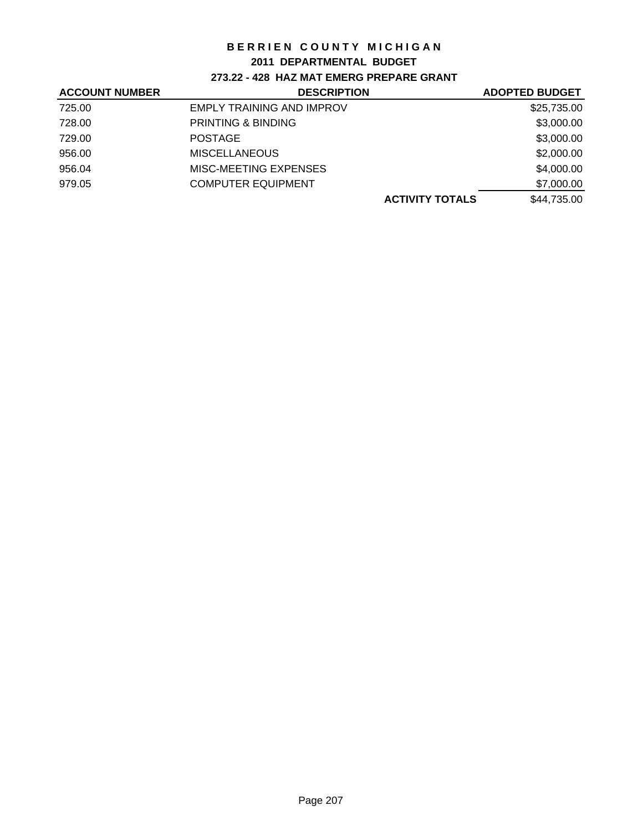### **2011 DEPARTMENTAL BUDGET**

## **273.22 - 428 HAZ MAT EMERG PREPARE GRANT**

| <b>ACCOUNT NUMBER</b> | <b>DESCRIPTION</b>               | <b>ADOPTED BUDGET</b> |
|-----------------------|----------------------------------|-----------------------|
| 725.00                | <b>EMPLY TRAINING AND IMPROV</b> | \$25,735.00           |
| 728.00                | <b>PRINTING &amp; BINDING</b>    | \$3,000.00            |
| 729.00                | <b>POSTAGE</b>                   | \$3,000.00            |
| 956.00                | <b>MISCELLANEOUS</b>             | \$2,000.00            |
| 956.04                | MISC-MEETING EXPENSES            | \$4,000.00            |
| 979.05                | <b>COMPUTER EQUIPMENT</b>        | \$7,000.00            |
|                       | <b>ACTIVITY TOTALS</b>           | \$44,735.00           |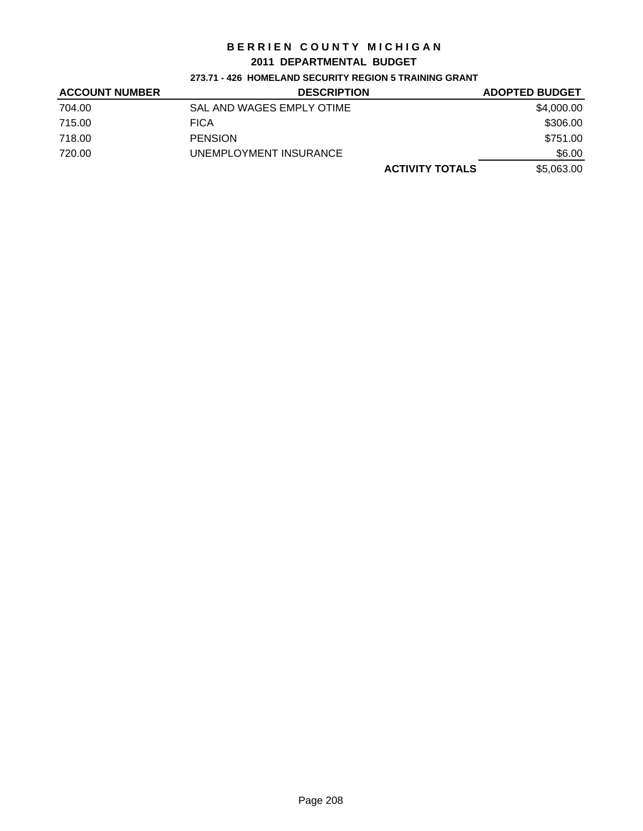### **2011 DEPARTMENTAL BUDGET**

### **273.71 - 426 HOMELAND SECURITY REGION 5 TRAINING GRANT**

| <b>ACCOUNT NUMBER</b> | <b>DESCRIPTION</b>        | <b>ADOPTED BUDGET</b> |
|-----------------------|---------------------------|-----------------------|
| 704.00                | SAL AND WAGES EMPLY OTIME | \$4,000.00            |
| 715.00                | FICA                      | \$306.00              |
| 718.00                | <b>PENSION</b>            | \$751.00              |
| 720.00                | UNEMPLOYMENT INSURANCE    | \$6.00                |
|                       | <b>ACTIVITY TOTALS</b>    | \$5,063.00            |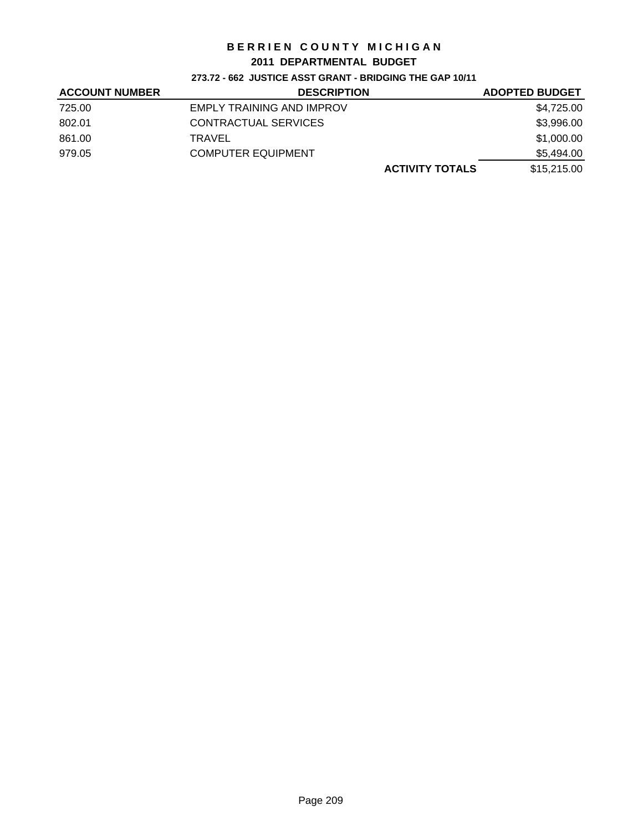### **2011 DEPARTMENTAL BUDGET**

### **273.72 - 662 JUSTICE ASST GRANT - BRIDGING THE GAP 10/11**

| <b>ACCOUNT NUMBER</b> | <b>DESCRIPTION</b>        | <b>ADOPTED BUDGET</b> |
|-----------------------|---------------------------|-----------------------|
| 725.00                | EMPLY TRAINING AND IMPROV | \$4,725.00            |
| 802.01                | CONTRACTUAL SERVICES      | \$3,996.00            |
| 861.00                | TRAVEL                    | \$1,000.00            |
| 979.05                | <b>COMPUTER EQUIPMENT</b> | \$5,494.00            |
|                       | <b>ACTIVITY TOTALS</b>    | \$15,215.00           |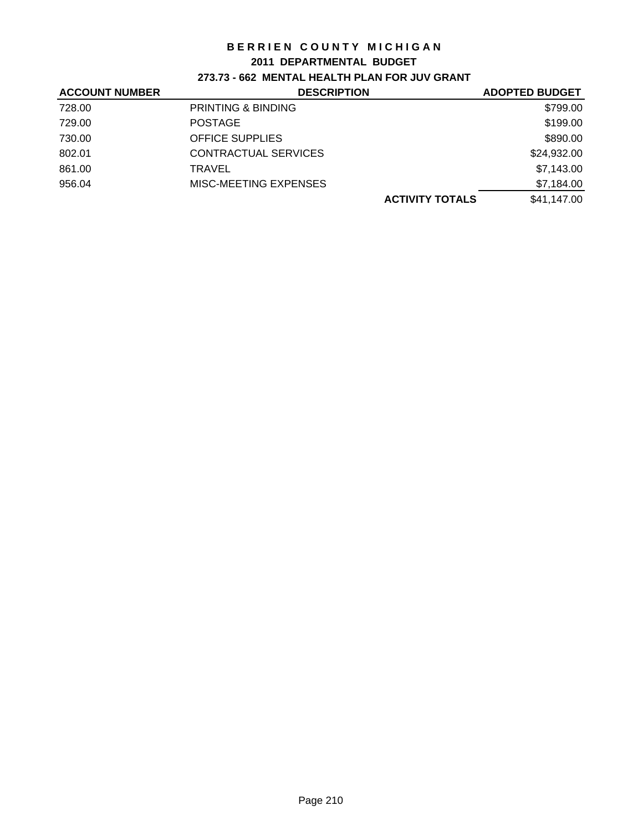#### **2011 DEPARTMENTAL BUDGET**

## **273.73 - 662 MENTAL HEALTH PLAN FOR JUV GRANT**

| <b>ACCOUNT NUMBER</b> | <b>DESCRIPTION</b>            | <b>ADOPTED BUDGET</b> |
|-----------------------|-------------------------------|-----------------------|
| 728.00                | <b>PRINTING &amp; BINDING</b> | \$799.00              |
| 729.00                | <b>POSTAGE</b>                | \$199.00              |
| 730.00                | <b>OFFICE SUPPLIES</b>        | \$890.00              |
| 802.01                | CONTRACTUAL SERVICES          | \$24,932.00           |
| 861.00                | TRAVEL                        | \$7,143.00            |
| 956.04                | MISC-MEETING EXPENSES         | \$7,184.00            |
|                       | <b>ACTIVITY TOTALS</b>        | \$41.147.00           |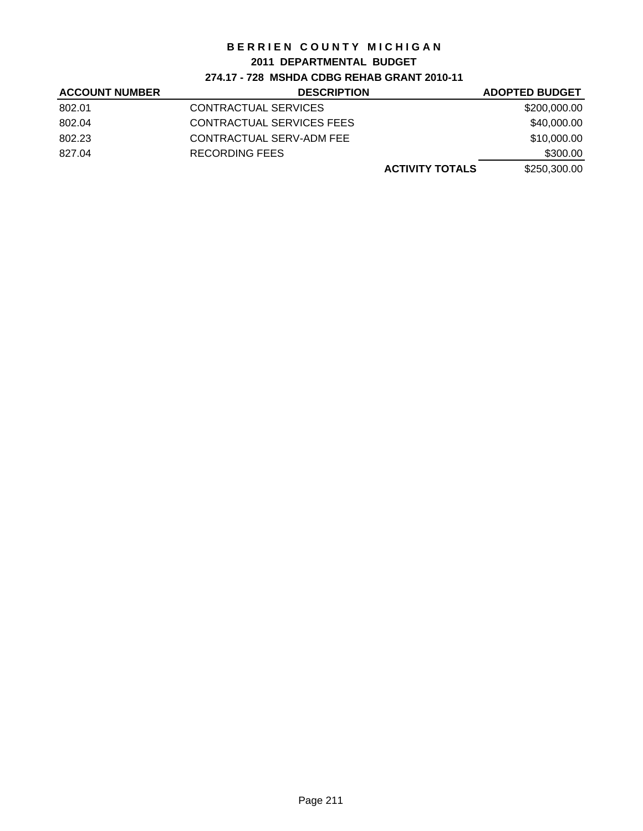### **2011 DEPARTMENTAL BUDGET**

## **274.17 - 728 MSHDA CDBG REHAB GRANT 2010-11**

| <b>ACCOUNT NUMBER</b> | <b>DESCRIPTION</b>        | <b>ADOPTED BUDGET</b> |
|-----------------------|---------------------------|-----------------------|
| 802.01                | CONTRACTUAL SERVICES      | \$200,000.00          |
| 802.04                | CONTRACTUAL SERVICES FEES | \$40,000.00           |
| 802.23                | CONTRACTUAL SERV-ADM FEE  | \$10,000.00           |
| 827.04                | RECORDING FEES            | \$300.00              |
|                       | <b>ACTIVITY TOTALS</b>    | \$250,300.00          |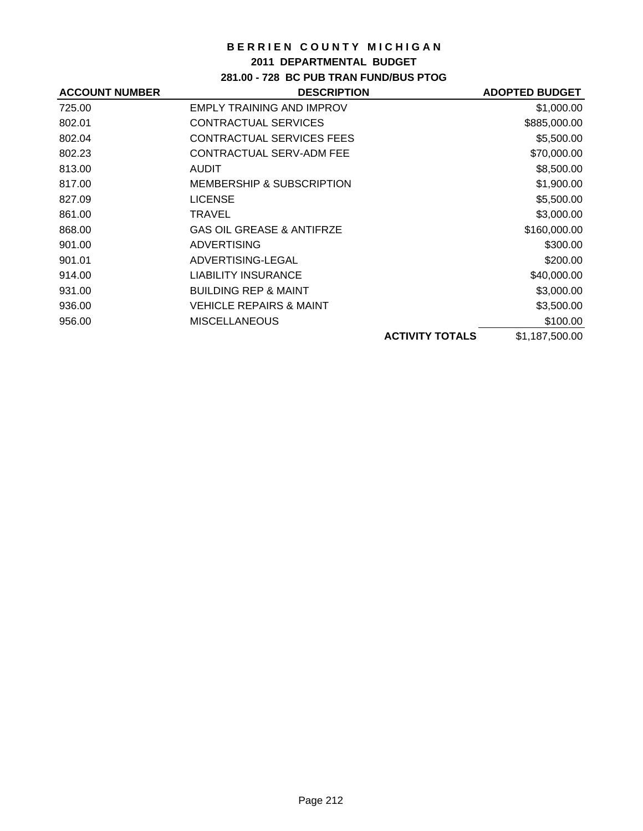### **2011 DEPARTMENTAL BUDGET**

## **281.00 - 728 BC PUB TRAN FUND/BUS PTOG**

| <b>ACCOUNT NUMBER</b> | <b>DESCRIPTION</b>                   |                        | <b>ADOPTED BUDGET</b> |
|-----------------------|--------------------------------------|------------------------|-----------------------|
| 725.00                | <b>EMPLY TRAINING AND IMPROV</b>     |                        | \$1,000.00            |
| 802.01                | CONTRACTUAL SERVICES                 |                        | \$885,000.00          |
| 802.04                | <b>CONTRACTUAL SERVICES FEES</b>     |                        | \$5,500.00            |
| 802.23                | CONTRACTUAL SERV-ADM FEE             |                        | \$70,000.00           |
| 813.00                | <b>AUDIT</b>                         |                        | \$8,500.00            |
| 817.00                | <b>MEMBERSHIP &amp; SUBSCRIPTION</b> |                        | \$1,900.00            |
| 827.09                | <b>LICENSE</b>                       |                        | \$5,500.00            |
| 861.00                | TRAVEL                               |                        | \$3,000.00            |
| 868.00                | <b>GAS OIL GREASE &amp; ANTIFRZE</b> |                        | \$160,000.00          |
| 901.00                | <b>ADVERTISING</b>                   |                        | \$300.00              |
| 901.01                | ADVERTISING-LEGAL                    |                        | \$200.00              |
| 914.00                | <b>LIABILITY INSURANCE</b>           |                        | \$40,000.00           |
| 931.00                | <b>BUILDING REP &amp; MAINT</b>      |                        | \$3,000.00            |
| 936.00                | <b>VEHICLE REPAIRS &amp; MAINT</b>   |                        | \$3,500.00            |
| 956.00                | <b>MISCELLANEOUS</b>                 |                        | \$100.00              |
|                       |                                      | <b>ACTIVITY TOTALS</b> | \$1,187,500.00        |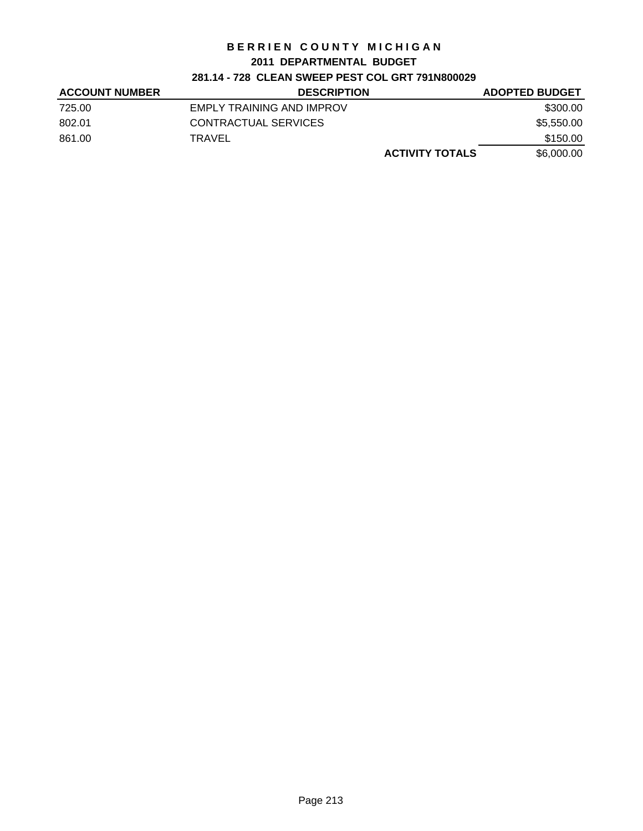#### **2011 DEPARTMENTAL BUDGET**

## **281.14 - 728 CLEAN SWEEP PEST COL GRT 791N800029**

| <b>ACCOUNT NUMBER</b> | <b>DESCRIPTION</b>        | <b>ADOPTED BUDGET</b>                |
|-----------------------|---------------------------|--------------------------------------|
| 725.00                | EMPLY TRAINING AND IMPROV | \$300.00                             |
| 802.01                | CONTRACTUAL SERVICES      | \$5,550.00                           |
| 861.00                | TRAVEL                    | \$150.00                             |
|                       |                           | \$6,000,00<br><b>ACTIVITY TOTALS</b> |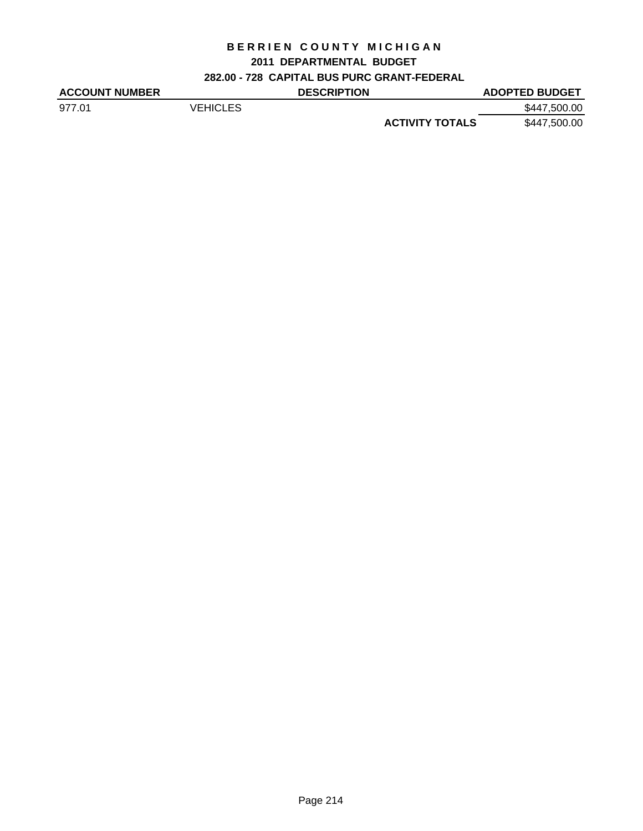## **2011 DEPARTMENTAL BUDGET**

# **282.00 - 728 CAPITAL BUS PURC GRANT-FEDERAL**

| <b>ACCOUNT NUMBER</b> |          | <b>DESCRIPTION</b> |                        | <b>ADOPTED BUDGET</b> |
|-----------------------|----------|--------------------|------------------------|-----------------------|
| 977.01                | VEHICLES |                    |                        | \$447,500,00          |
|                       |          |                    | <b>ACTIVITY TOTALS</b> | \$447,500.00          |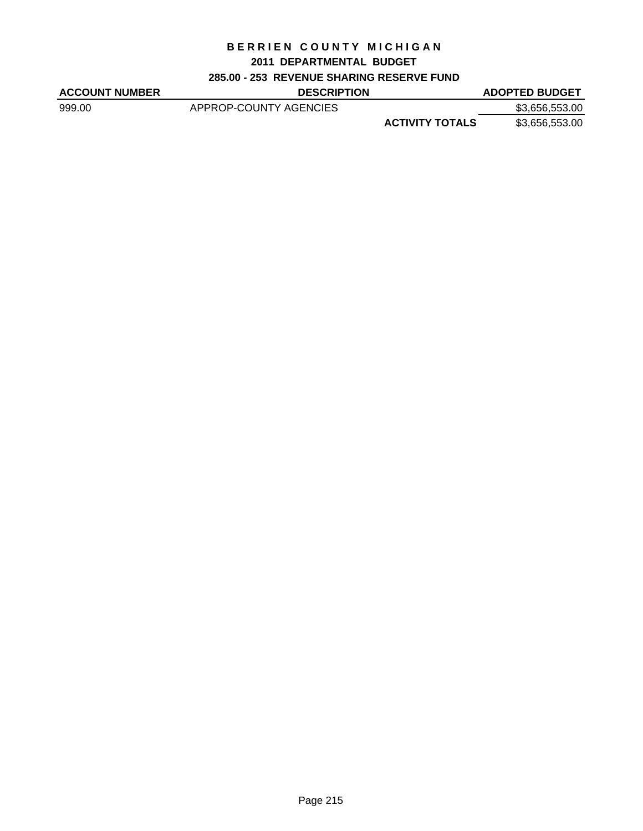#### **2011 DEPARTMENTAL BUDGET**

## **285.00 - 253 REVENUE SHARING RESERVE FUND**

| <b>ACCOUNT NUMBER</b> | <b>DESCRIPTION</b>     |                        | <b>ADOPTED BUDGET</b> |
|-----------------------|------------------------|------------------------|-----------------------|
| 999.00                | APPROP-COUNTY AGENCIES |                        | \$3,656,553.00        |
|                       |                        | <b>ACTIVITY TOTALS</b> | \$3,656,553.00        |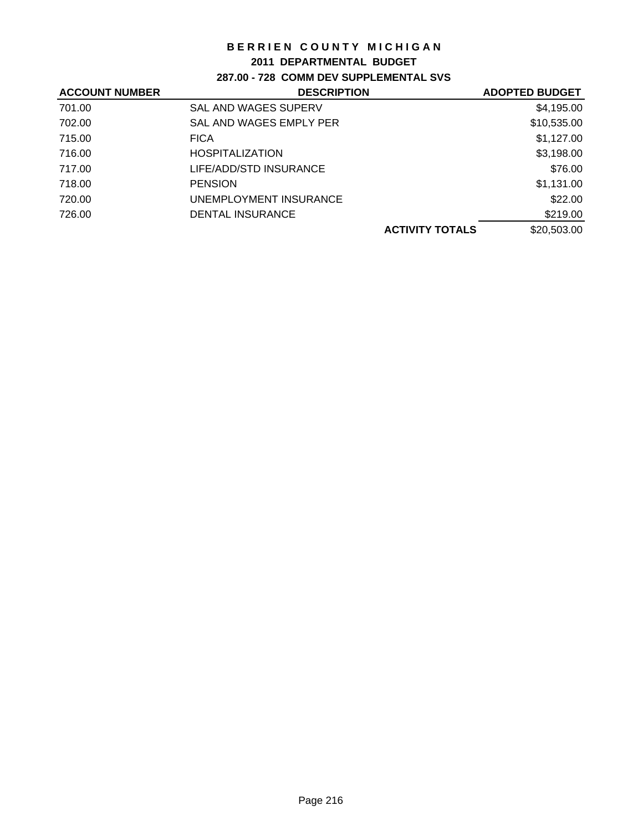#### **2011 DEPARTMENTAL BUDGET**

# **287.00 - 728 COMM DEV SUPPLEMENTAL SVS**

| <b>ACCOUNT NUMBER</b> | <b>DESCRIPTION</b>          | <b>ADOPTED BUDGET</b> |
|-----------------------|-----------------------------|-----------------------|
| 701.00                | <b>SAL AND WAGES SUPERV</b> | \$4,195.00            |
| 702.00                | SAL AND WAGES EMPLY PER     | \$10,535.00           |
| 715.00                | <b>FICA</b>                 | \$1,127.00            |
| 716.00                | <b>HOSPITALIZATION</b>      | \$3,198.00            |
| 717.00                | LIFE/ADD/STD INSURANCE      | \$76.00               |
| 718.00                | <b>PENSION</b>              | \$1,131.00            |
| 720.00                | UNEMPLOYMENT INSURANCE      | \$22.00               |
| 726.00                | DENTAL INSURANCE            | \$219.00              |
|                       | <b>ACTIVITY TOTALS</b>      | \$20,503.00           |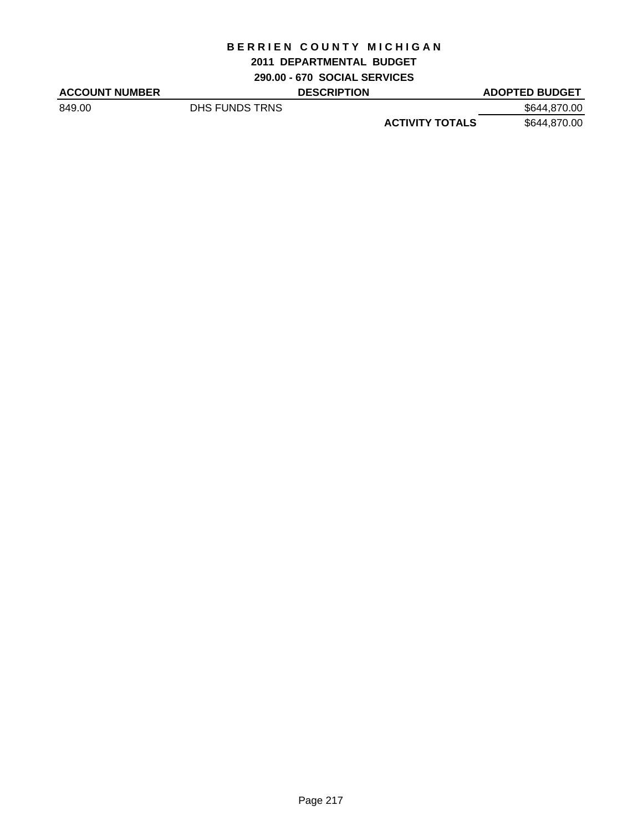#### **2011 DEPARTMENTAL BUDGET**

**290.00 - 670 SOCIAL SERVICES**

| <b>ACCOUNT NUMBER</b> |                | <b>DESCRIPTION</b> |                        | <b>ADOPTED BUDGET</b> |
|-----------------------|----------------|--------------------|------------------------|-----------------------|
| 849.00                | DHS FUNDS TRNS |                    |                        | \$644,870.00          |
|                       |                |                    | <b>ACTIVITY TOTALS</b> | \$644,870.00          |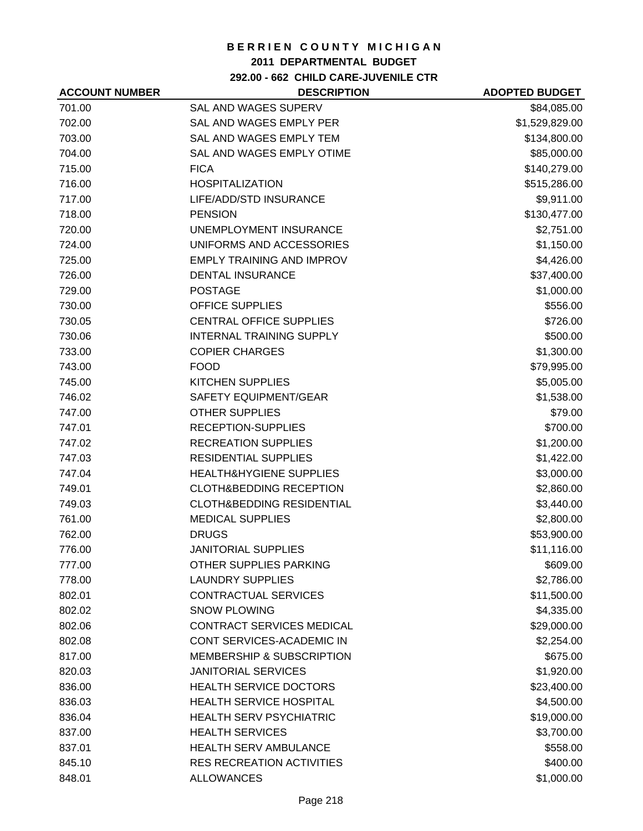#### **2011 DEPARTMENTAL BUDGET**

**292.00 - 662 CHILD CARE-JUVENILE CTR**

| <b>ACCOUNT NUMBER</b> | <b>DESCRIPTION</b>                   | <b>ADOPTED BUDGET</b> |
|-----------------------|--------------------------------------|-----------------------|
| 701.00                | SAL AND WAGES SUPERV                 | \$84,085.00           |
| 702.00                | SAL AND WAGES EMPLY PER              | \$1,529,829.00        |
| 703.00                | SAL AND WAGES EMPLY TEM              | \$134,800.00          |
| 704.00                | SAL AND WAGES EMPLY OTIME            | \$85,000.00           |
| 715.00                | <b>FICA</b>                          | \$140,279.00          |
| 716.00                | <b>HOSPITALIZATION</b>               | \$515,286.00          |
| 717.00                | LIFE/ADD/STD INSURANCE               | \$9,911.00            |
| 718.00                | <b>PENSION</b>                       | \$130,477.00          |
| 720.00                | UNEMPLOYMENT INSURANCE               | \$2,751.00            |
| 724.00                | UNIFORMS AND ACCESSORIES             | \$1,150.00            |
| 725.00                | <b>EMPLY TRAINING AND IMPROV</b>     | \$4,426.00            |
| 726.00                | <b>DENTAL INSURANCE</b>              | \$37,400.00           |
| 729.00                | <b>POSTAGE</b>                       | \$1,000.00            |
| 730.00                | <b>OFFICE SUPPLIES</b>               | \$556.00              |
| 730.05                | <b>CENTRAL OFFICE SUPPLIES</b>       | \$726.00              |
| 730.06                | <b>INTERNAL TRAINING SUPPLY</b>      | \$500.00              |
| 733.00                | <b>COPIER CHARGES</b>                | \$1,300.00            |
| 743.00                | <b>FOOD</b>                          | \$79,995.00           |
| 745.00                | <b>KITCHEN SUPPLIES</b>              | \$5,005.00            |
| 746.02                | SAFETY EQUIPMENT/GEAR                | \$1,538.00            |
| 747.00                | <b>OTHER SUPPLIES</b>                | \$79.00               |
| 747.01                | RECEPTION-SUPPLIES                   | \$700.00              |
| 747.02                | <b>RECREATION SUPPLIES</b>           | \$1,200.00            |
| 747.03                | <b>RESIDENTIAL SUPPLIES</b>          | \$1,422.00            |
| 747.04                | HEALTH&HYGIENE SUPPLIES              | \$3,000.00            |
| 749.01                | <b>CLOTH&amp;BEDDING RECEPTION</b>   | \$2,860.00            |
| 749.03                | <b>CLOTH&amp;BEDDING RESIDENTIAL</b> | \$3,440.00            |
| 761.00                | <b>MEDICAL SUPPLIES</b>              | \$2,800.00            |
| 762.00                | <b>DRUGS</b>                         | \$53,900.00           |
| 776.00                | <b>JANITORIAL SUPPLIES</b>           | \$11,116.00           |
| 777.00                | OTHER SUPPLIES PARKING               | \$609.00              |
| 778.00                | <b>LAUNDRY SUPPLIES</b>              | \$2,786.00            |
| 802.01                | <b>CONTRACTUAL SERVICES</b>          | \$11,500.00           |
| 802.02                | <b>SNOW PLOWING</b>                  | \$4,335.00            |
| 802.06                | CONTRACT SERVICES MEDICAL            | \$29,000.00           |
| 802.08                | CONT SERVICES-ACADEMIC IN            | \$2,254.00            |
| 817.00                | <b>MEMBERSHIP &amp; SUBSCRIPTION</b> | \$675.00              |
| 820.03                | <b>JANITORIAL SERVICES</b>           | \$1,920.00            |
| 836.00                | <b>HEALTH SERVICE DOCTORS</b>        | \$23,400.00           |
| 836.03                | HEALTH SERVICE HOSPITAL              | \$4,500.00            |
| 836.04                | <b>HEALTH SERV PSYCHIATRIC</b>       | \$19,000.00           |
| 837.00                | <b>HEALTH SERVICES</b>               | \$3,700.00            |
| 837.01                | <b>HEALTH SERV AMBULANCE</b>         | \$558.00              |
| 845.10                | <b>RES RECREATION ACTIVITIES</b>     | \$400.00              |
| 848.01                | <b>ALLOWANCES</b>                    | \$1,000.00            |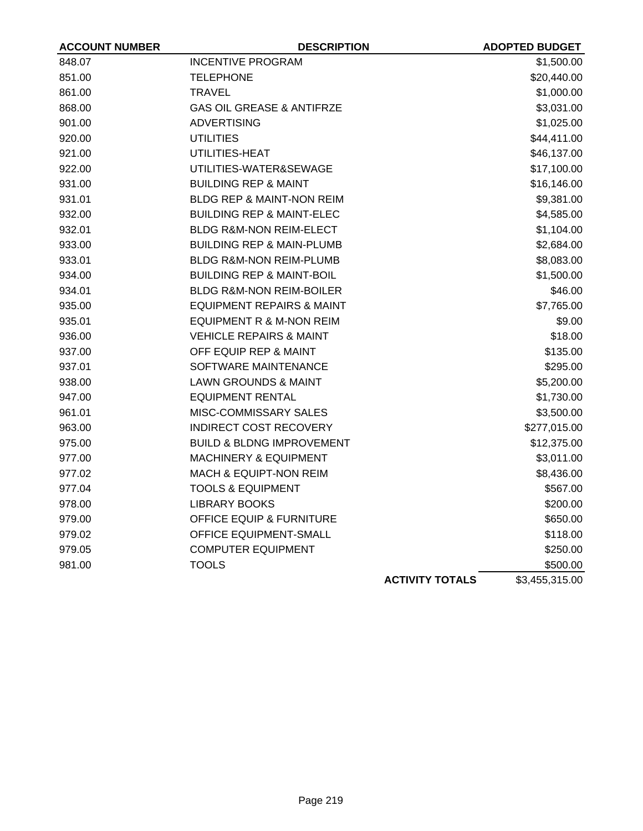| <b>ACCOUNT NUMBER</b> | <b>DESCRIPTION</b>                   |                        | <b>ADOPTED BUDGET</b> |
|-----------------------|--------------------------------------|------------------------|-----------------------|
| 848.07                | <b>INCENTIVE PROGRAM</b>             |                        | \$1,500.00            |
| 851.00                | <b>TELEPHONE</b>                     |                        | \$20,440.00           |
| 861.00                | <b>TRAVEL</b>                        |                        | \$1,000.00            |
| 868.00                | <b>GAS OIL GREASE &amp; ANTIFRZE</b> |                        | \$3,031.00            |
| 901.00                | <b>ADVERTISING</b>                   |                        | \$1,025.00            |
| 920.00                | <b>UTILITIES</b>                     |                        | \$44,411.00           |
| 921.00                | UTILITIES-HEAT                       |                        | \$46,137.00           |
| 922.00                | UTILITIES-WATER&SEWAGE               |                        | \$17,100.00           |
| 931.00                | <b>BUILDING REP &amp; MAINT</b>      |                        | \$16,146.00           |
| 931.01                | BLDG REP & MAINT-NON REIM            |                        | \$9,381.00            |
| 932.00                | <b>BUILDING REP &amp; MAINT-ELEC</b> |                        | \$4,585.00            |
| 932.01                | <b>BLDG R&amp;M-NON REIM-ELECT</b>   |                        | \$1,104.00            |
| 933.00                | <b>BUILDING REP &amp; MAIN-PLUMB</b> |                        | \$2,684.00            |
| 933.01                | <b>BLDG R&amp;M-NON REIM-PLUMB</b>   |                        | \$8,083.00            |
| 934.00                | <b>BUILDING REP &amp; MAINT-BOIL</b> |                        | \$1,500.00            |
| 934.01                | <b>BLDG R&amp;M-NON REIM-BOILER</b>  |                        | \$46.00               |
| 935.00                | <b>EQUIPMENT REPAIRS &amp; MAINT</b> |                        | \$7,765.00            |
| 935.01                | <b>EQUIPMENT R &amp; M-NON REIM</b>  |                        | \$9.00                |
| 936.00                | <b>VEHICLE REPAIRS &amp; MAINT</b>   |                        | \$18.00               |
| 937.00                | OFF EQUIP REP & MAINT                |                        | \$135.00              |
| 937.01                | SOFTWARE MAINTENANCE                 |                        | \$295.00              |
| 938.00                | <b>LAWN GROUNDS &amp; MAINT</b>      |                        | \$5,200.00            |
| 947.00                | <b>EQUIPMENT RENTAL</b>              |                        | \$1,730.00            |
| 961.01                | MISC-COMMISSARY SALES                |                        | \$3,500.00            |
| 963.00                | <b>INDIRECT COST RECOVERY</b>        |                        | \$277,015.00          |
| 975.00                | <b>BUILD &amp; BLDNG IMPROVEMENT</b> |                        | \$12,375.00           |
| 977.00                | <b>MACHINERY &amp; EQUIPMENT</b>     |                        | \$3,011.00            |
| 977.02                | <b>MACH &amp; EQUIPT-NON REIM</b>    |                        | \$8,436.00            |
| 977.04                | <b>TOOLS &amp; EQUIPMENT</b>         |                        | \$567.00              |
| 978.00                | <b>LIBRARY BOOKS</b>                 |                        | \$200.00              |
| 979.00                | <b>OFFICE EQUIP &amp; FURNITURE</b>  |                        | \$650.00              |
| 979.02                | OFFICE EQUIPMENT-SMALL               |                        | \$118.00              |
| 979.05                | <b>COMPUTER EQUIPMENT</b>            |                        | \$250.00              |
| 981.00                | <b>TOOLS</b>                         |                        | \$500.00              |
|                       |                                      | <b>ACTIVITY TOTALS</b> | \$3,455,315.00        |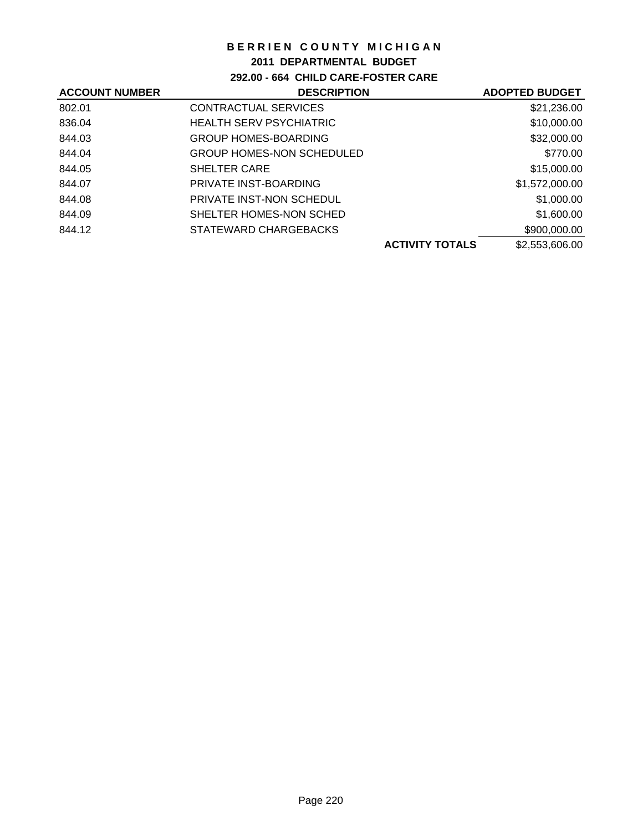## **2011 DEPARTMENTAL BUDGET**

**292.00 - 664 CHILD CARE-FOSTER CARE**

| <b>ACCOUNT NUMBER</b> | <b>DESCRIPTION</b>               |                        | <b>ADOPTED BUDGET</b> |
|-----------------------|----------------------------------|------------------------|-----------------------|
| 802.01                | CONTRACTUAL SERVICES             |                        | \$21,236.00           |
| 836.04                | <b>HEALTH SERV PSYCHIATRIC</b>   |                        | \$10,000.00           |
| 844.03                | <b>GROUP HOMES-BOARDING</b>      |                        | \$32,000.00           |
| 844.04                | <b>GROUP HOMES-NON SCHEDULED</b> |                        | \$770.00              |
| 844.05                | <b>SHELTER CARE</b>              |                        | \$15,000.00           |
| 844.07                | PRIVATE INST-BOARDING            |                        | \$1,572,000.00        |
| 844.08                | PRIVATE INST-NON SCHEDUL         |                        | \$1,000.00            |
| 844.09                | SHELTER HOMES-NON SCHED          |                        | \$1,600.00            |
| 844.12                | STATEWARD CHARGEBACKS            |                        | \$900,000.00          |
|                       |                                  | <b>ACTIVITY TOTALS</b> | \$2,553,606.00        |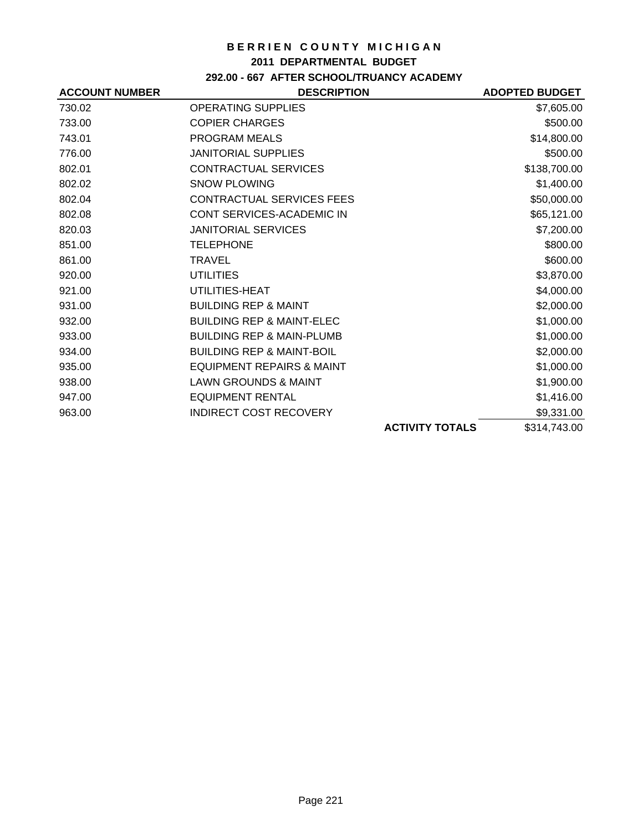#### **2011 DEPARTMENTAL BUDGET**

## **292.00 - 667 AFTER SCHOOL/TRUANCY ACADEMY**

| <b>ACCOUNT NUMBER</b> | <b>DESCRIPTION</b>                   |                        | <b>ADOPTED BUDGET</b> |
|-----------------------|--------------------------------------|------------------------|-----------------------|
| 730.02                | <b>OPERATING SUPPLIES</b>            |                        | \$7,605.00            |
| 733.00                | <b>COPIER CHARGES</b>                |                        | \$500.00              |
| 743.01                | PROGRAM MEALS                        |                        | \$14,800.00           |
| 776.00                | <b>JANITORIAL SUPPLIES</b>           |                        | \$500.00              |
| 802.01                | CONTRACTUAL SERVICES                 |                        | \$138,700.00          |
| 802.02                | <b>SNOW PLOWING</b>                  |                        | \$1,400.00            |
| 802.04                | <b>CONTRACTUAL SERVICES FEES</b>     |                        | \$50,000.00           |
| 802.08                | CONT SERVICES-ACADEMIC IN            |                        | \$65,121.00           |
| 820.03                | <b>JANITORIAL SERVICES</b>           |                        | \$7,200.00            |
| 851.00                | <b>TELEPHONE</b>                     |                        | \$800.00              |
| 861.00                | <b>TRAVEL</b>                        |                        | \$600.00              |
| 920.00                | <b>UTILITIES</b>                     |                        | \$3,870.00            |
| 921.00                | UTILITIES-HEAT                       |                        | \$4,000.00            |
| 931.00                | <b>BUILDING REP &amp; MAINT</b>      |                        | \$2,000.00            |
| 932.00                | <b>BUILDING REP &amp; MAINT-ELEC</b> |                        | \$1,000.00            |
| 933.00                | <b>BUILDING REP &amp; MAIN-PLUMB</b> |                        | \$1,000.00            |
| 934.00                | <b>BUILDING REP &amp; MAINT-BOIL</b> |                        | \$2,000.00            |
| 935.00                | <b>EQUIPMENT REPAIRS &amp; MAINT</b> |                        | \$1,000.00            |
| 938.00                | <b>LAWN GROUNDS &amp; MAINT</b>      |                        | \$1,900.00            |
| 947.00                | <b>EQUIPMENT RENTAL</b>              |                        | \$1,416.00            |
| 963.00                | <b>INDIRECT COST RECOVERY</b>        |                        | \$9,331.00            |
|                       |                                      | <b>ACTIVITY TOTALS</b> | \$314,743.00          |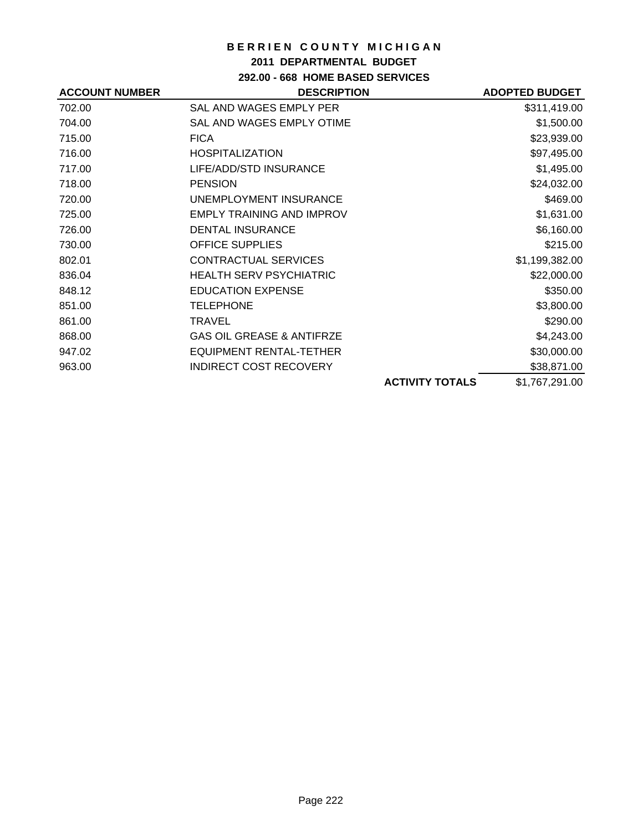## **2011 DEPARTMENTAL BUDGET**

# **292.00 - 668 HOME BASED SERVICES**

| <b>ACCOUNT NUMBER</b> | <b>DESCRIPTION</b>                   |                        | <b>ADOPTED BUDGET</b> |
|-----------------------|--------------------------------------|------------------------|-----------------------|
| 702.00                | SAL AND WAGES EMPLY PER              |                        | \$311,419.00          |
| 704.00                | SAL AND WAGES EMPLY OTIME            |                        | \$1,500.00            |
| 715.00                | <b>FICA</b>                          |                        | \$23,939.00           |
| 716.00                | <b>HOSPITALIZATION</b>               |                        | \$97,495.00           |
| 717.00                | LIFE/ADD/STD INSURANCE               |                        | \$1,495.00            |
| 718.00                | <b>PENSION</b>                       |                        | \$24,032.00           |
| 720.00                | UNEMPLOYMENT INSURANCE               |                        | \$469.00              |
| 725.00                | <b>EMPLY TRAINING AND IMPROV</b>     |                        | \$1,631.00            |
| 726.00                | <b>DENTAL INSURANCE</b>              |                        | \$6,160.00            |
| 730.00                | <b>OFFICE SUPPLIES</b>               |                        | \$215.00              |
| 802.01                | <b>CONTRACTUAL SERVICES</b>          |                        | \$1,199,382.00        |
| 836.04                | <b>HEALTH SERV PSYCHIATRIC</b>       |                        | \$22,000.00           |
| 848.12                | <b>EDUCATION EXPENSE</b>             |                        | \$350.00              |
| 851.00                | <b>TELEPHONE</b>                     |                        | \$3,800.00            |
| 861.00                | <b>TRAVEL</b>                        |                        | \$290.00              |
| 868.00                | <b>GAS OIL GREASE &amp; ANTIFRZE</b> |                        | \$4,243.00            |
| 947.02                | <b>EQUIPMENT RENTAL-TETHER</b>       |                        | \$30,000.00           |
| 963.00                | <b>INDIRECT COST RECOVERY</b>        |                        | \$38,871.00           |
|                       |                                      | <b>ACTIVITY TOTALS</b> | \$1,767,291.00        |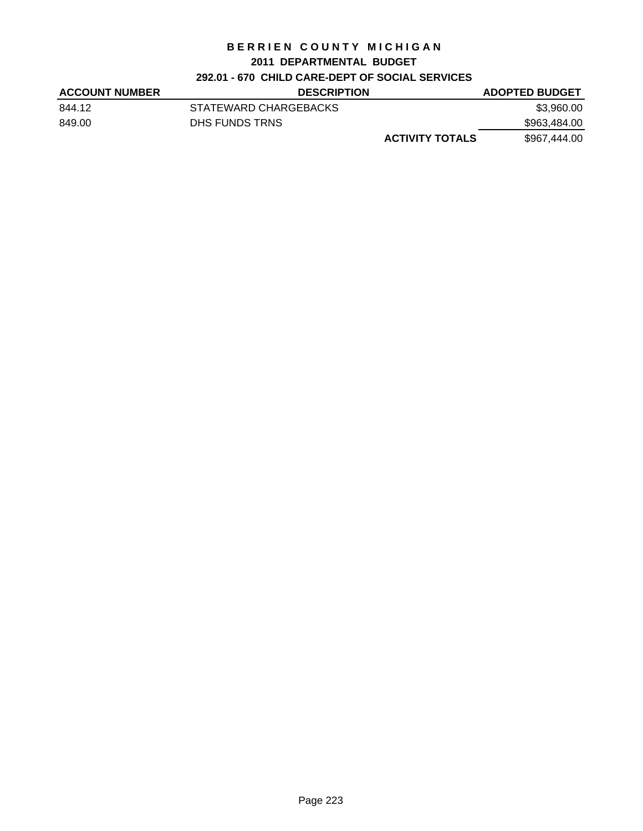#### **2011 DEPARTMENTAL BUDGET**

# **292.01 - 670 CHILD CARE-DEPT OF SOCIAL SERVICES**

| <b>ACCOUNT NUMBER</b> | <b>DESCRIPTION</b>     | <b>ADOPTED BUDGET</b> |
|-----------------------|------------------------|-----------------------|
| 844.12                | STATEWARD CHARGEBACKS  | \$3,960.00            |
| 849.00                | DHS FUNDS TRNS         | \$963,484.00          |
|                       | <b>ACTIVITY TOTALS</b> | \$967,444.00          |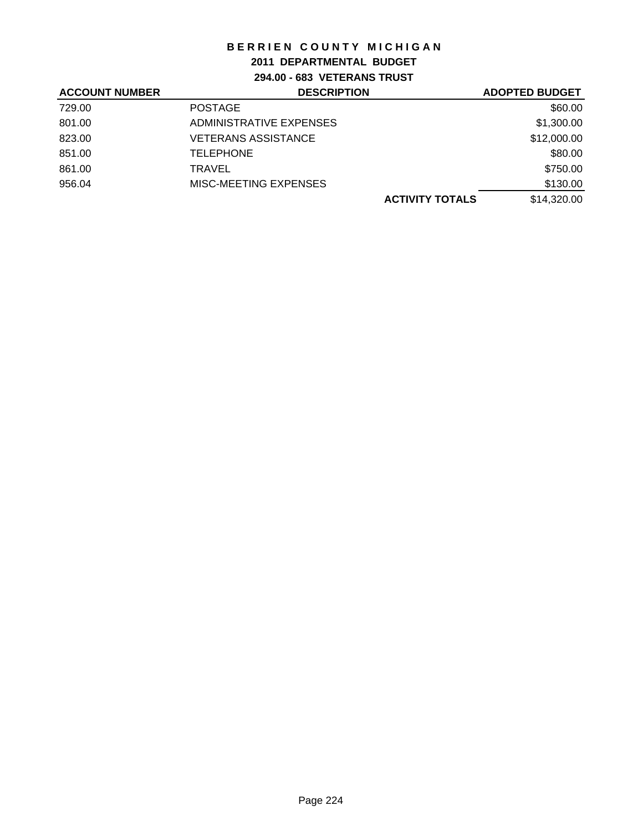## **2011 DEPARTMENTAL BUDGET**

**294.00 - 683 VETERANS TRUST**

| <b>ACCOUNT NUMBER</b> | <b>DESCRIPTION</b>         | <b>ADOPTED BUDGET</b>                 |
|-----------------------|----------------------------|---------------------------------------|
| 729.00                | <b>POSTAGE</b>             | \$60.00                               |
| 801.00                | ADMINISTRATIVE EXPENSES    | \$1,300.00                            |
| 823.00                | <b>VETERANS ASSISTANCE</b> | \$12,000.00                           |
| 851.00                | <b>TELEPHONE</b>           | \$80.00                               |
| 861.00                | TRAVEL                     | \$750.00                              |
| 956.04                | MISC-MEETING EXPENSES      | \$130.00                              |
|                       |                            | \$14,320.00<br><b>ACTIVITY TOTALS</b> |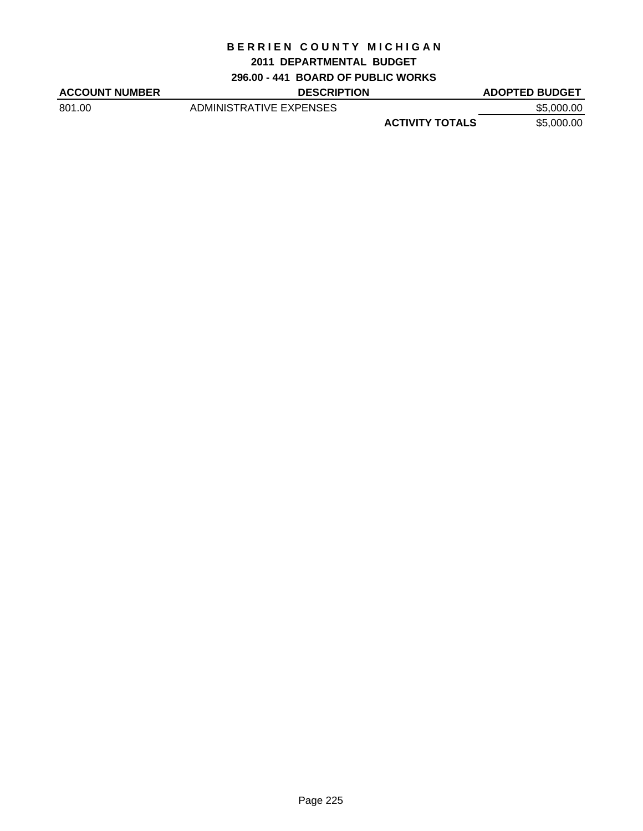#### **2011 DEPARTMENTAL BUDGET**

**296.00 - 441 BOARD OF PUBLIC WORKS**

| <b>ACCOUNT NUMBER</b> | <b>DESCRIPTION</b>      |                        | <b>ADOPTED BUDGET</b> |
|-----------------------|-------------------------|------------------------|-----------------------|
| 801.00                | ADMINISTRATIVE EXPENSES |                        | \$5,000.00            |
|                       |                         | <b>ACTIVITY TOTALS</b> | \$5,000.00            |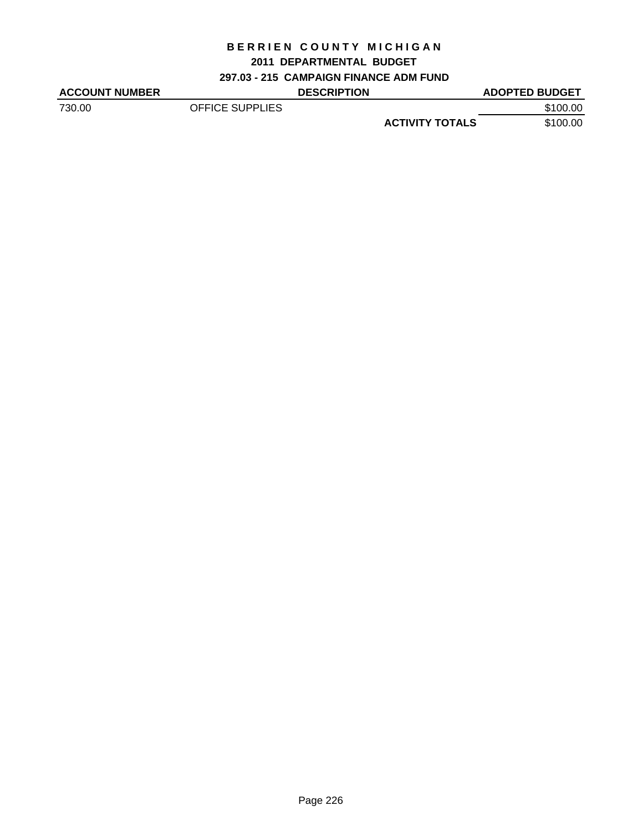## **2011 DEPARTMENTAL BUDGET**

**297.03 - 215 CAMPAIGN FINANCE ADM FUND**

| <b>ACCOUNT NUMBER</b> |                 | <b>DESCRIPTION</b> |                        | <b>ADOPTED BUDGET</b> |
|-----------------------|-----------------|--------------------|------------------------|-----------------------|
| 730.00                | OFFICE SUPPLIES |                    |                        | \$100.00              |
|                       |                 |                    | <b>ACTIVITY TOTALS</b> | \$100.00              |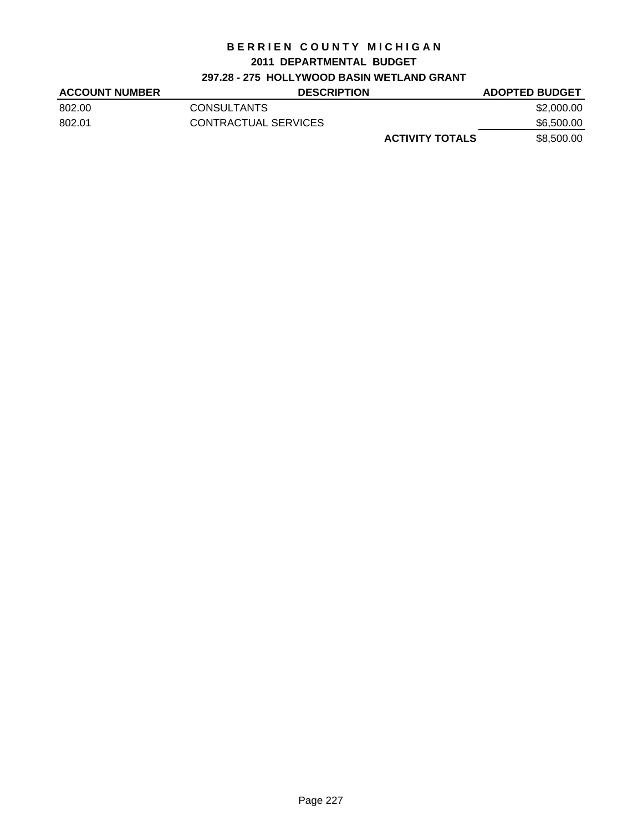#### **2011 DEPARTMENTAL BUDGET**

## **297.28 - 275 HOLLYWOOD BASIN WETLAND GRANT**

| <b>ACCOUNT NUMBER</b> | <b>DESCRIPTION</b>     | <b>ADOPTED BUDGET</b> |
|-----------------------|------------------------|-----------------------|
| 802.00                | <b>CONSULTANTS</b>     | \$2,000.00            |
| 802.01                | CONTRACTUAL SERVICES   | \$6,500.00            |
|                       | <b>ACTIVITY TOTALS</b> | \$8,500,00            |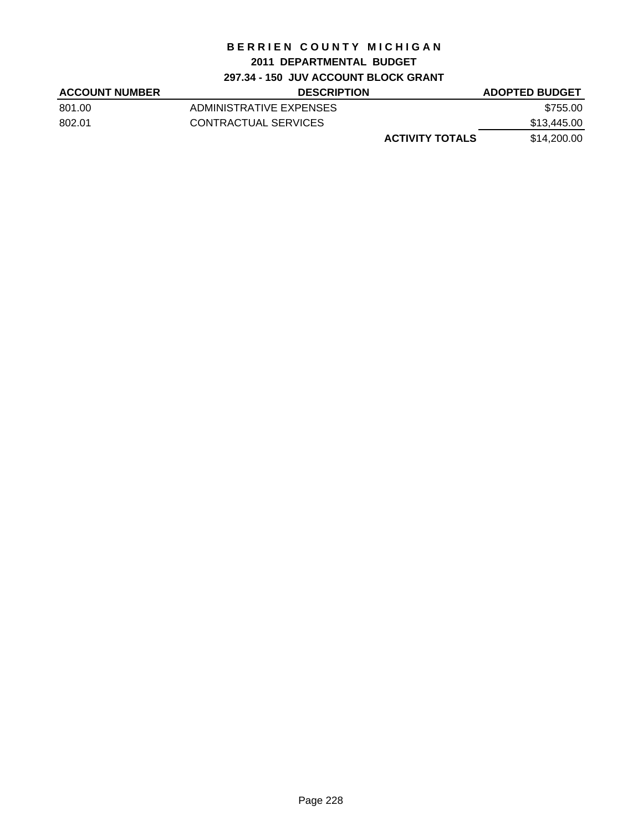# **2011 DEPARTMENTAL BUDGET**

**297.34 - 150 JUV ACCOUNT BLOCK GRANT**

| <b>ACCOUNT NUMBER</b> | <b>DESCRIPTION</b>      | <b>ADOPTED BUDGET</b> |
|-----------------------|-------------------------|-----------------------|
| 801.00                | ADMINISTRATIVE EXPENSES | \$755.00              |
| 802.01                | CONTRACTUAL SERVICES    | \$13,445.00           |
|                       | <b>ACTIVITY TOTALS</b>  | \$14,200.00           |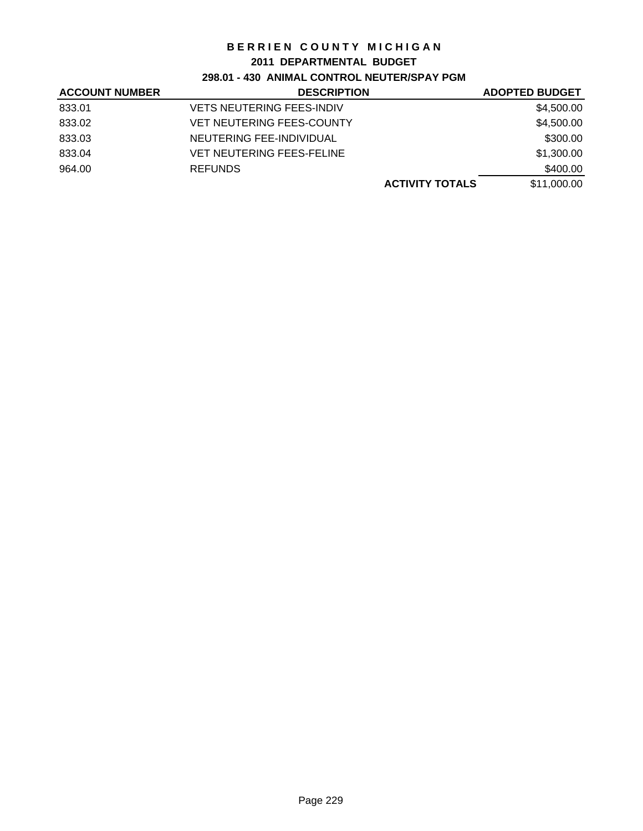#### **2011 DEPARTMENTAL BUDGET**

## **298.01 - 430 ANIMAL CONTROL NEUTER/SPAY PGM**

| <b>ACCOUNT NUMBER</b> | <b>DESCRIPTION</b>               | <b>ADOPTED BUDGET</b> |
|-----------------------|----------------------------------|-----------------------|
| 833.01                | <b>VETS NEUTERING FEES-INDIV</b> | \$4,500.00            |
| 833.02                | <b>VET NEUTERING FEES-COUNTY</b> | \$4,500.00            |
| 833.03                | NEUTERING FEE-INDIVIDUAL         | \$300.00              |
| 833.04                | <b>VET NEUTERING FEES-FELINE</b> | \$1,300.00            |
| 964.00                | <b>REFUNDS</b>                   | \$400.00              |
|                       | <b>ACTIVITY TOTALS</b>           | \$11,000.00           |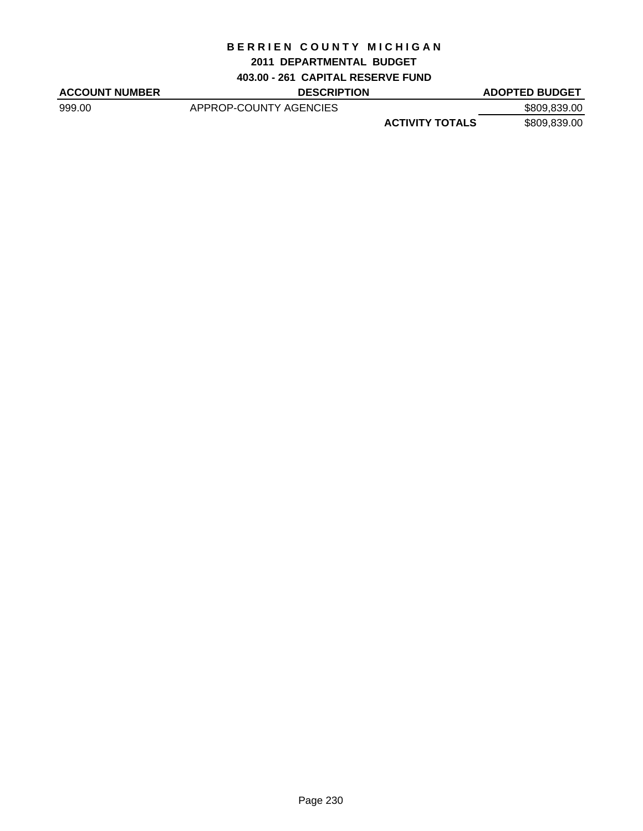#### **2011 DEPARTMENTAL BUDGET**

**403.00 - 261 CAPITAL RESERVE FUND**

ACCOUNT NUMBER DESCRIPTION DESCRIPTION ADOPTED BUDGET

999.00 APPROP-COUNTY AGENCIES \$809,839.00 **ACTIVITY TOTALS** \$809,839.00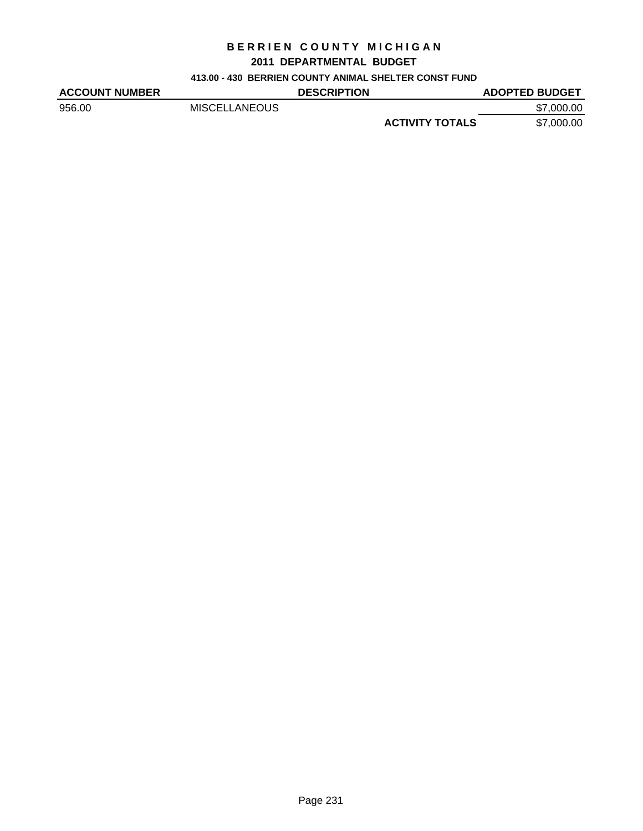#### **2011 DEPARTMENTAL BUDGET**

#### **413.00 - 430 BERRIEN COUNTY ANIMAL SHELTER CONST FUND**

| <b>ACCOUNT NUMBER</b> |                      | <b>DESCRIPTION</b> |                        | <b>ADOPTED BUDGET</b> |
|-----------------------|----------------------|--------------------|------------------------|-----------------------|
| 956.00                | <b>MISCELLANEOUS</b> |                    |                        | \$7,000.00            |
|                       |                      |                    | <b>ACTIVITY TOTALS</b> | \$7,000.00            |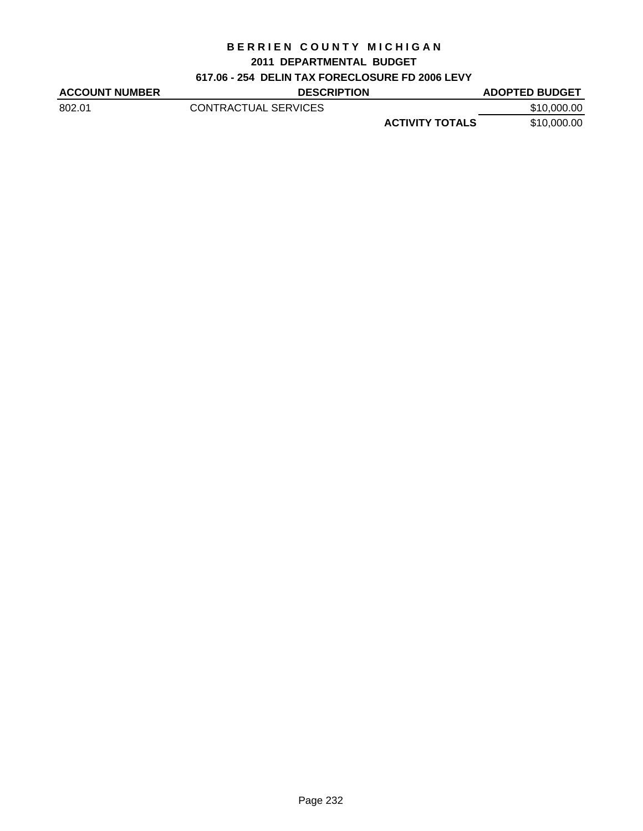#### **2011 DEPARTMENTAL BUDGET**

## **617.06 - 254 DELIN TAX FORECLOSURE FD 2006 LEVY**

| <b>ACCOUNT NUMBER</b> | <b>DESCRIPTION</b>   |                        | <b>ADOPTED BUDGET</b> |
|-----------------------|----------------------|------------------------|-----------------------|
| 802.01                | CONTRACTUAL SERVICES |                        | \$10,000.00           |
|                       |                      | <b>ACTIVITY TOTALS</b> | \$10,000,00           |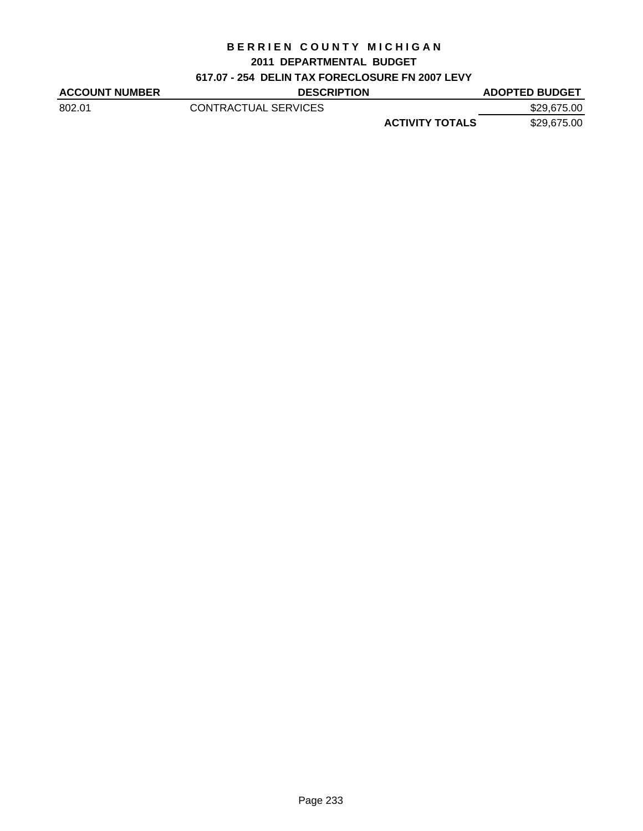#### **2011 DEPARTMENTAL BUDGET**

## **617.07 - 254 DELIN TAX FORECLOSURE FN 2007 LEVY**

| <b>ACCOUNT NUMBER</b> | <b>DESCRIPTION</b>   |                        | <b>ADOPTED BUDGET</b> |
|-----------------------|----------------------|------------------------|-----------------------|
| 802.01                | CONTRACTUAL SERVICES |                        | \$29,675.00           |
|                       |                      | <b>ACTIVITY TOTALS</b> | \$29,675.00           |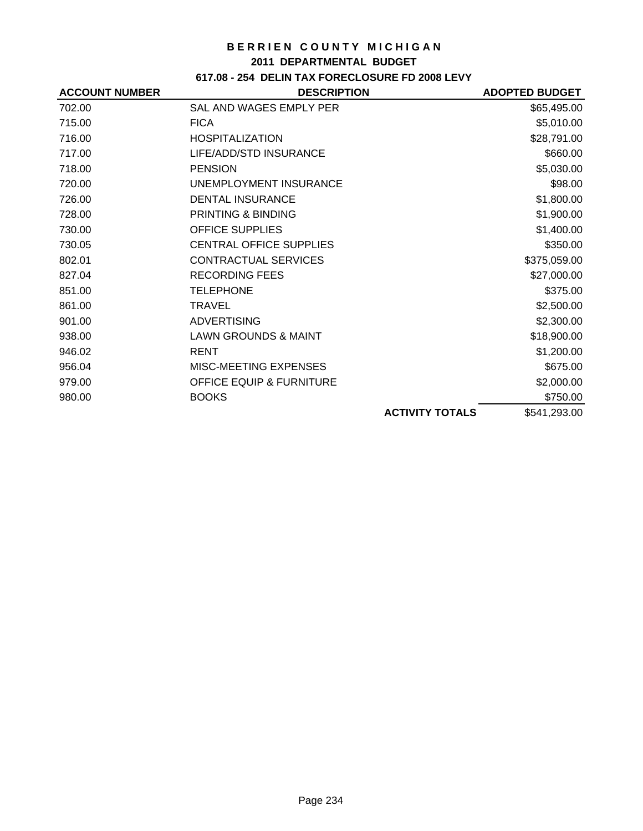#### **2011 DEPARTMENTAL BUDGET**

## **617.08 - 254 DELIN TAX FORECLOSURE FD 2008 LEVY**

| <b>ACCOUNT NUMBER</b> | <b>DESCRIPTION</b>                  |                        | <b>ADOPTED BUDGET</b> |
|-----------------------|-------------------------------------|------------------------|-----------------------|
| 702.00                | SAL AND WAGES EMPLY PER             |                        | \$65,495.00           |
| 715.00                | <b>FICA</b>                         |                        | \$5,010.00            |
| 716.00                | <b>HOSPITALIZATION</b>              |                        | \$28,791.00           |
| 717.00                | LIFE/ADD/STD INSURANCE              |                        | \$660.00              |
| 718.00                | <b>PENSION</b>                      |                        | \$5,030.00            |
| 720.00                | UNEMPLOYMENT INSURANCE              |                        | \$98.00               |
| 726.00                | <b>DENTAL INSURANCE</b>             |                        | \$1,800.00            |
| 728.00                | <b>PRINTING &amp; BINDING</b>       |                        | \$1,900.00            |
| 730.00                | <b>OFFICE SUPPLIES</b>              |                        | \$1,400.00            |
| 730.05                | <b>CENTRAL OFFICE SUPPLIES</b>      |                        | \$350.00              |
| 802.01                | CONTRACTUAL SERVICES                |                        | \$375,059.00          |
| 827.04                | <b>RECORDING FEES</b>               |                        | \$27,000.00           |
| 851.00                | <b>TELEPHONE</b>                    |                        | \$375.00              |
| 861.00                | TRAVEL                              |                        | \$2,500.00            |
| 901.00                | <b>ADVERTISING</b>                  |                        | \$2,300.00            |
| 938.00                | <b>LAWN GROUNDS &amp; MAINT</b>     |                        | \$18,900.00           |
| 946.02                | <b>RENT</b>                         |                        | \$1,200.00            |
| 956.04                | MISC-MEETING EXPENSES               |                        | \$675.00              |
| 979.00                | <b>OFFICE EQUIP &amp; FURNITURE</b> |                        | \$2,000.00            |
| 980.00                | <b>BOOKS</b>                        |                        | \$750.00              |
|                       |                                     | <b>ACTIVITY TOTALS</b> | \$541,293.00          |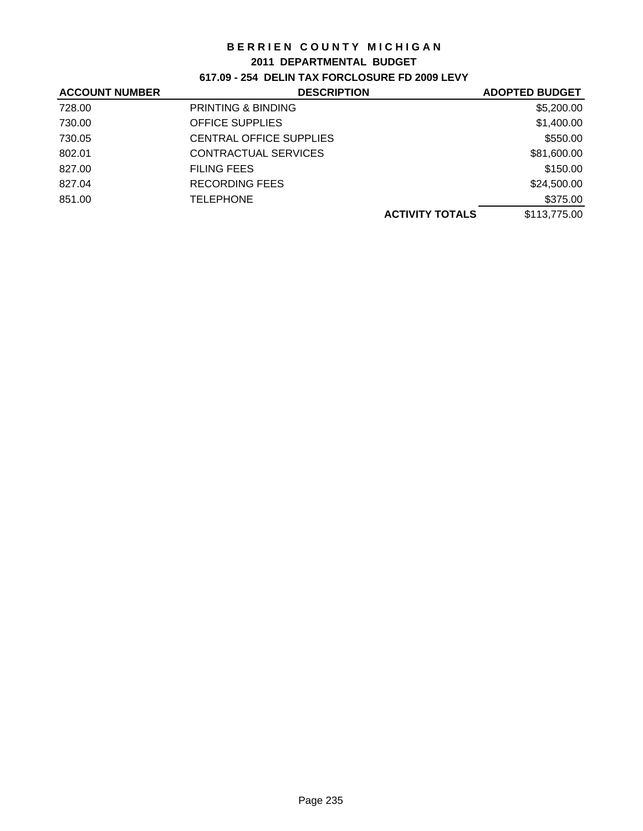#### **2011 DEPARTMENTAL BUDGET**

**617.09 - 254 DELIN TAX FORCLOSURE FD 2009 LEVY**

| <b>ACCOUNT NUMBER</b> | <b>DESCRIPTION</b>             | <b>ADOPTED BUDGET</b> |
|-----------------------|--------------------------------|-----------------------|
| 728.00                | PRINTING & BINDING             | \$5,200.00            |
| 730.00                | <b>OFFICE SUPPLIES</b>         | \$1,400.00            |
| 730.05                | <b>CENTRAL OFFICE SUPPLIES</b> | \$550.00              |
| 802.01                | CONTRACTUAL SERVICES           | \$81,600.00           |
| 827.00                | <b>FILING FEES</b>             | \$150.00              |
| 827.04                | RECORDING FEES                 | \$24,500.00           |
| 851.00                | <b>TELEPHONE</b>               | \$375.00              |
|                       | <b>ACTIVITY TOTALS</b>         | \$113,775.00          |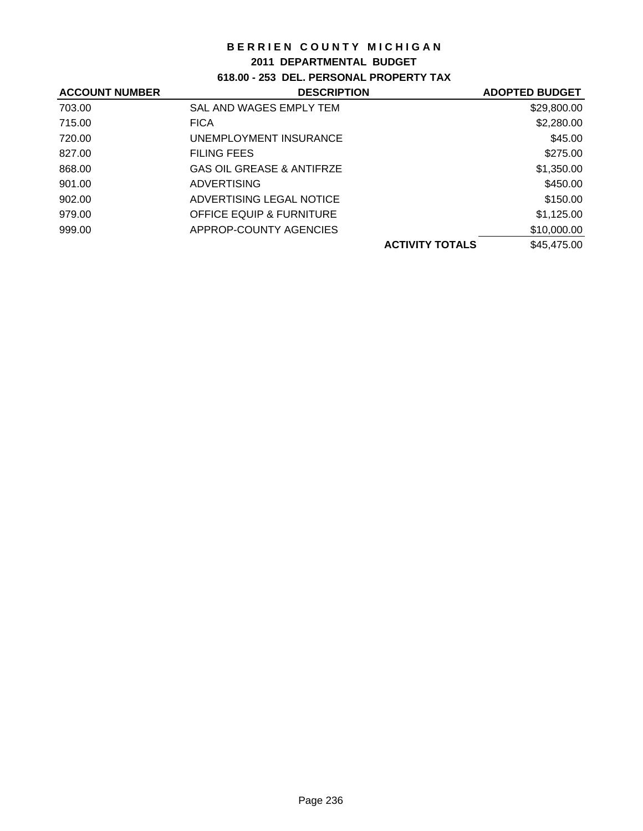## **2011 DEPARTMENTAL BUDGET**

# **618.00 - 253 DEL. PERSONAL PROPERTY TAX**

| <b>ACCOUNT NUMBER</b> | <b>DESCRIPTION</b>                   | <b>ADOPTED BUDGET</b> |
|-----------------------|--------------------------------------|-----------------------|
| 703.00                | SAL AND WAGES EMPLY TEM              | \$29,800.00           |
| 715.00                | <b>FICA</b>                          | \$2,280.00            |
| 720.00                | UNEMPLOYMENT INSURANCE               | \$45.00               |
| 827.00                | <b>FILING FEES</b>                   | \$275.00              |
| 868.00                | <b>GAS OIL GREASE &amp; ANTIFRZE</b> | \$1,350.00            |
| 901.00                | <b>ADVERTISING</b>                   | \$450.00              |
| 902.00                | ADVERTISING LEGAL NOTICE             | \$150.00              |
| 979.00                | <b>OFFICE EQUIP &amp; FURNITURE</b>  | \$1,125.00            |
| 999.00                | APPROP-COUNTY AGENCIES               | \$10,000.00           |
|                       | <b>ACTIVITY TOTALS</b>               | \$45,475.00           |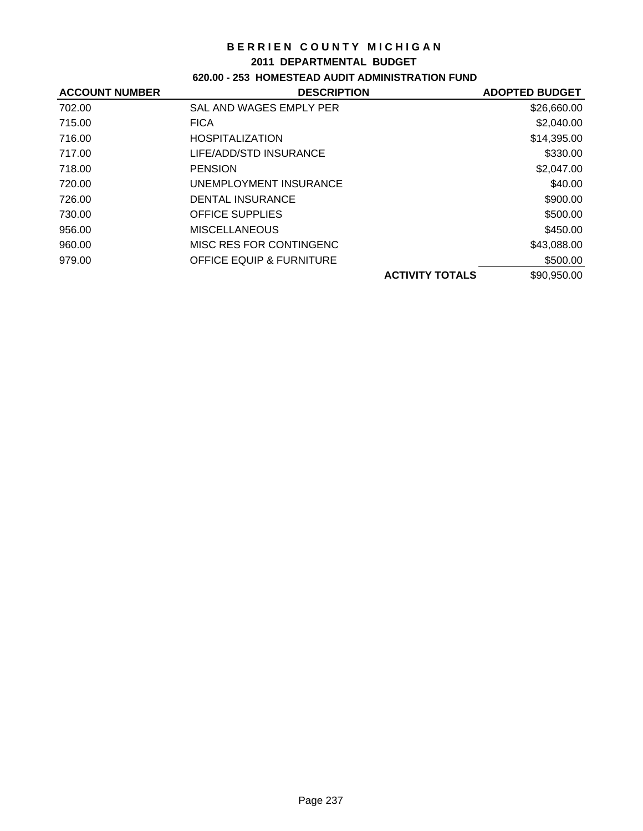#### **2011 DEPARTMENTAL BUDGET**

# **620.00 - 253 HOMESTEAD AUDIT ADMINISTRATION FUND**

| <b>ACCOUNT NUMBER</b> | <b>DESCRIPTION</b>                  | <b>ADOPTED BUDGET</b> |
|-----------------------|-------------------------------------|-----------------------|
| 702.00                | SAL AND WAGES EMPLY PER             | \$26,660.00           |
| 715.00                | <b>FICA</b>                         | \$2,040.00            |
| 716.00                | <b>HOSPITALIZATION</b>              | \$14,395.00           |
| 717.00                | LIFE/ADD/STD INSURANCE              | \$330.00              |
| 718.00                | <b>PENSION</b>                      | \$2,047.00            |
| 720.00                | UNEMPLOYMENT INSURANCE              | \$40.00               |
| 726.00                | DENTAL INSURANCE                    | \$900.00              |
| 730.00                | <b>OFFICE SUPPLIES</b>              | \$500.00              |
| 956.00                | <b>MISCELLANEOUS</b>                | \$450.00              |
| 960.00                | MISC RES FOR CONTINGENC             | \$43,088.00           |
| 979.00                | <b>OFFICE EQUIP &amp; FURNITURE</b> | \$500.00              |
|                       | <b>ACTIVITY TOTALS</b>              | \$90,950.00           |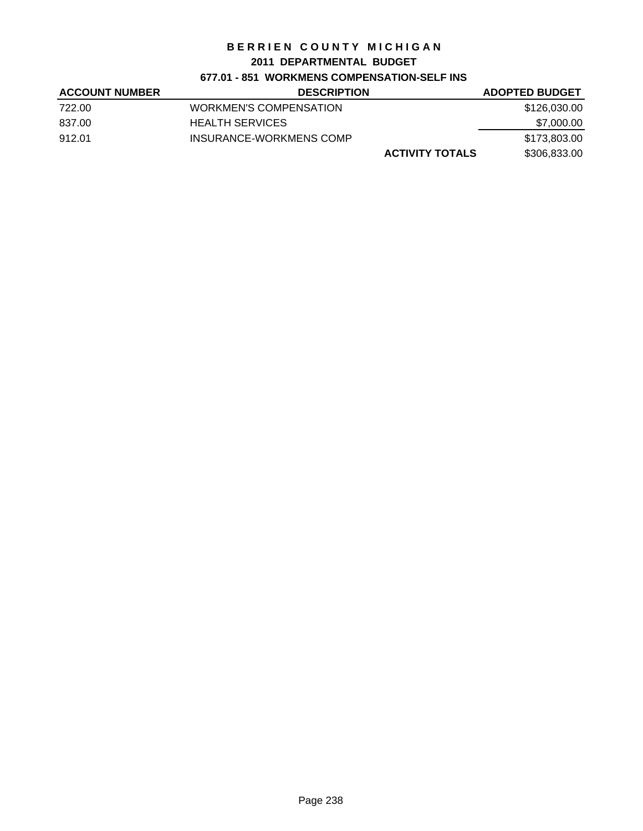## **2011 DEPARTMENTAL BUDGET**

## **677.01 - 851 WORKMENS COMPENSATION-SELF INS**

| <b>ACCOUNT NUMBER</b> | <b>DESCRIPTION</b>      | <b>ADOPTED BUDGET</b> |
|-----------------------|-------------------------|-----------------------|
| 722.00                | WORKMEN'S COMPENSATION  | \$126,030.00          |
| 837.00                | <b>HEALTH SERVICES</b>  | \$7,000.00            |
| 912.01                | INSURANCE-WORKMENS COMP | \$173,803.00          |
|                       | <b>ACTIVITY TOTALS</b>  | \$306,833.00          |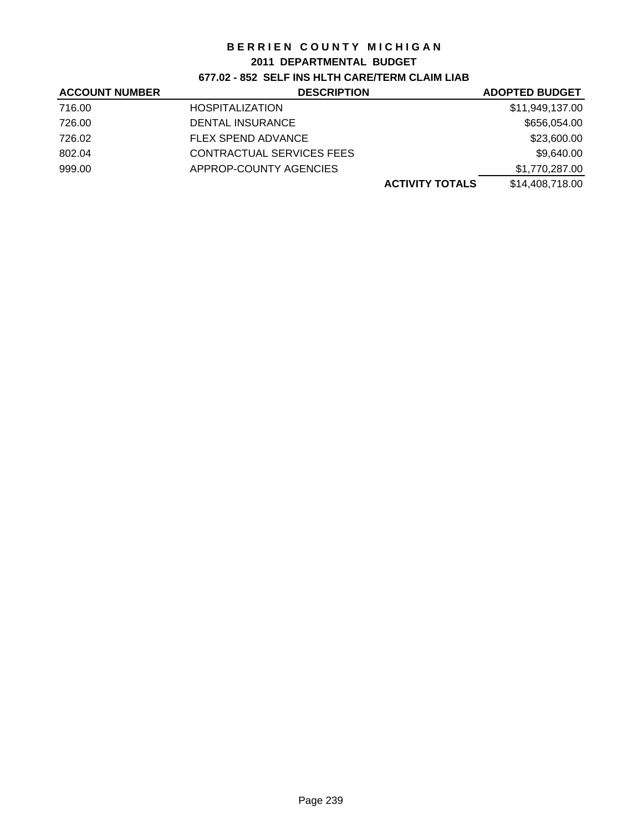#### **2011 DEPARTMENTAL BUDGET**

**677.02 - 852 SELF INS HLTH CARE/TERM CLAIM LIAB**

| <b>ACCOUNT NUMBER</b> | <b>DESCRIPTION</b>        | <b>ADOPTED BUDGET</b> |
|-----------------------|---------------------------|-----------------------|
| 716.00                | <b>HOSPITALIZATION</b>    | \$11,949,137.00       |
| 726.00                | DENTAL INSURANCE          | \$656,054.00          |
| 726.02                | <b>FLEX SPEND ADVANCE</b> | \$23,600.00           |
| 802.04                | CONTRACTUAL SERVICES FEES | \$9,640.00            |
| 999.00                | APPROP-COUNTY AGENCIES    | \$1,770,287.00        |
|                       | <b>ACTIVITY TOTALS</b>    | \$14,408,718.00       |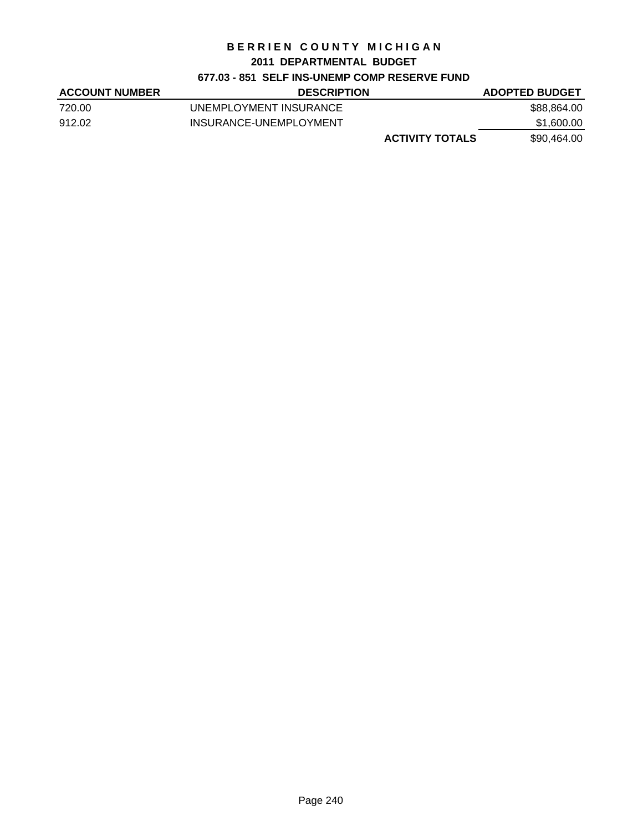#### **2011 DEPARTMENTAL BUDGET**

## **677.03 - 851 SELF INS-UNEMP COMP RESERVE FUND**

| <b>ACCOUNT NUMBER</b> | <b>DESCRIPTION</b>     | <b>ADOPTED BUDGET</b> |
|-----------------------|------------------------|-----------------------|
| 720.00                | UNEMPLOYMENT INSURANCE | \$88.864.00           |
| 912.02                | INSURANCE-UNEMPLOYMENT | \$1,600.00            |
|                       | <b>ACTIVITY TOTALS</b> | \$90,464.00           |